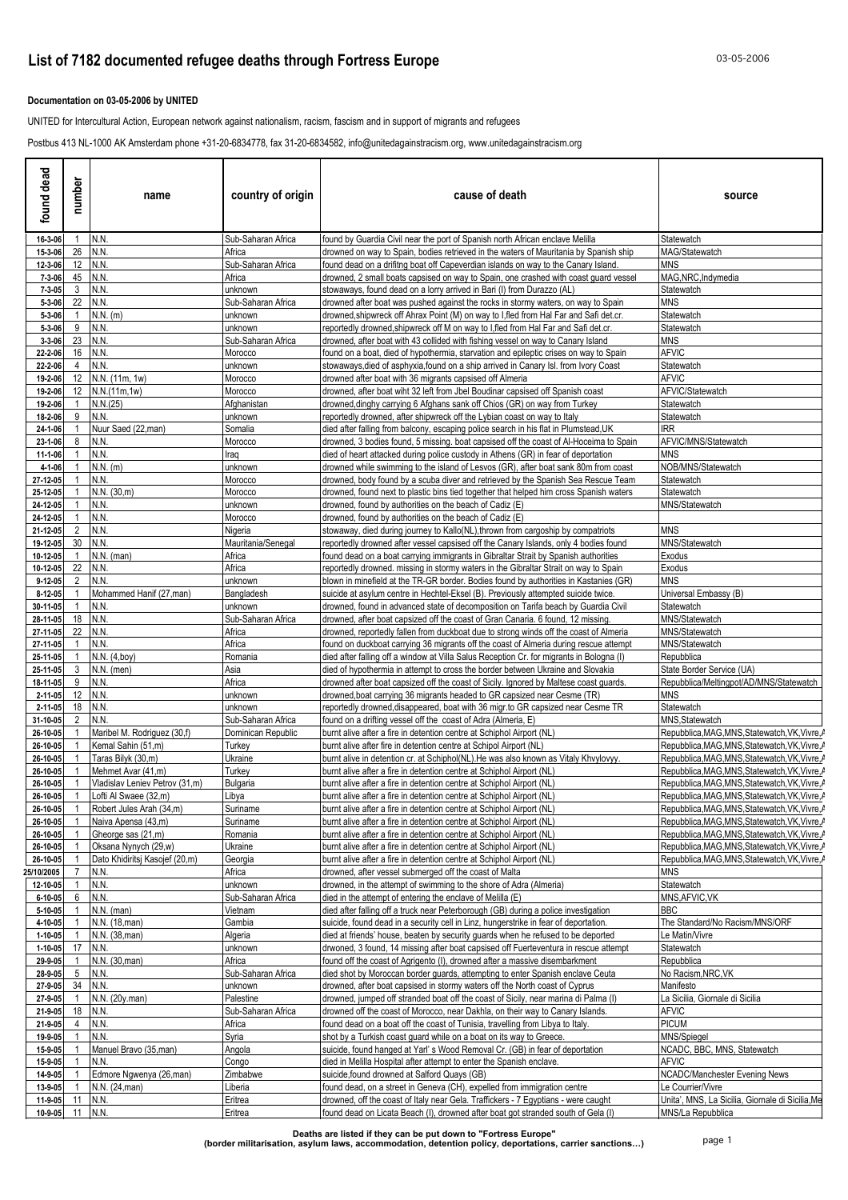### **Documentation on 03-05-2006 by UNITED**

UNITED for Intercultural Action, European network against nationalism, racism, fascism and in support of migrants and refugees

Postbus 413 NL-1000 AK Amsterdam phone +31-20-6834778, fax 31-20-6834582, info@unitedagainstracism.org, www.unitedagainstracism.org

| found dead             | number             | name                                                 | country of origin             | cause of death                                                                                                                                                                    | source                                                                                           |
|------------------------|--------------------|------------------------------------------------------|-------------------------------|-----------------------------------------------------------------------------------------------------------------------------------------------------------------------------------|--------------------------------------------------------------------------------------------------|
| 16-3-06                | 1                  | N.N.                                                 | Sub-Saharan Africa            | found by Guardia Civil near the port of Spanish north African enclave Melilla                                                                                                     | Statewatch                                                                                       |
| 15-3-06                | 26                 | N.N.                                                 | Africa                        | drowned on way to Spain, bodies retrieved in the waters of Mauritania by Spanish ship                                                                                             | MAG/Statewatch                                                                                   |
| 12-3-06<br>7-3-06      | 12<br>45           | N.N.<br>N.N                                          | Sub-Saharan Africa<br>Africa  | found dead on a drifitng boat off Capeverdian islands on way to the Canary Island.<br>drowned, 2 small boats capsised on way to Spain, one crashed with coast guard vessel        | MNS<br>MAG, NRC, Indymedia                                                                       |
| $7 - 3 - 05$           | 3                  | N.N.                                                 | unknown                       | stowaways, found dead on a lorry arrived in Bari (I) from Durazzo (AL)                                                                                                            | Statewatch                                                                                       |
| 5-3-06                 | 22                 | N.N.                                                 | Sub-Saharan Africa            | drowned after boat was pushed against the rocks in stormy waters, on way to Spain                                                                                                 | MNS                                                                                              |
| 5-3-06                 |                    | $N.N.$ (m)                                           | unknown                       | drowned,shipwreck off Ahrax Point (M) on way to I,fled from Hal Far and Safi det.cr.                                                                                              | Statewatch                                                                                       |
| 5-3-06<br>$3 - 3 - 06$ | 9<br>23            | N.N.<br>N.N.                                         | unknown<br>Sub-Saharan Africa | reportedly drowned,shipwreck off M on way to I,fled from Hal Far and Safi det.cr.<br>drowned, after boat with 43 collided with fishing vessel on way to Canary Island             | Statewatch<br><b>MNS</b>                                                                         |
| 22-2-06                | 16                 | N.N.                                                 | Morocco                       | found on a boat, died of hypothermia, starvation and epileptic crises on way to Spain                                                                                             | <b>AFVIC</b>                                                                                     |
| 22-2-06                | 4                  | N.N.                                                 | unknown                       | stowaways,died of asphyxia,found on a ship arrived in Canary Isl. from Ivory Coast                                                                                                | Statewatch                                                                                       |
| 19-2-06                | 12                 | N.N. (11m, 1w)                                       | Morocco                       | drowned after boat with 36 migrants capsised off Almeria                                                                                                                          | <b>AFVIC</b>                                                                                     |
| 19-2-06<br>19-2-06     | 12<br>$\mathbf{1}$ | N.N.(11m, 1w)<br>N.N.(25)                            | Morocco<br>Afghanistan        | drowned, after boat wiht 32 left from Jbel Boudinar capsised off Spanish coast<br>drowned, dinghy carrying 6 Afghans sank off Chios (GR) on way from Turkey                       | AFVIC/Statewatch<br>Statewatch                                                                   |
| 18-2-06                | 9                  | N.N.                                                 | unknown                       | reportedly drowned, after shipwreck off the Lybian coast on way to Italy                                                                                                          | Statewatch                                                                                       |
| 24-1-06                |                    | Nuur Saed (22, man)                                  | Somalia                       | died after falling from balcony, escaping police search in his flat in Plumstead,UK                                                                                               | <b>IRR</b>                                                                                       |
| 23-1-06                | 8                  | N.N.                                                 | Morocco                       | drowned, 3 bodies found, 5 missing, boat capsised off the coast of Al-Hoceima to Spain                                                                                            | AFVIC/MNS/Statewatch                                                                             |
| 11-1-06<br>4-1-06      |                    | N.N.<br>$N.N.$ (m)                                   | Iraq<br>unknown               | died of heart attacked during police custody in Athens (GR) in fear of deportation<br>drowned while swimming to the island of Lesvos (GR), after boat sank 80m from coast         | <b>MNS</b><br>NOB/MNS/Statewatch                                                                 |
| 27-12-05               |                    | N.N.                                                 | Morocco                       | drowned, body found by a scuba diver and retrieved by the Spanish Sea Rescue Team                                                                                                 | Statewatch                                                                                       |
| 25-12-05               | -1                 | N.N. (30,m)                                          | Morocco                       | drowned, found next to plastic bins tied together that helped him cross Spanish waters                                                                                            | Statewatch                                                                                       |
| 24-12-05               |                    | N.N.                                                 | unknown                       | drowned, found by authorities on the beach of Cadiz (E)                                                                                                                           | MNS/Statewatch                                                                                   |
| 24-12-05<br>21-12-05   | 1<br>2             | N.N.<br>N.N.                                         | Morocco<br>Nigeria            | drowned, found by authorities on the beach of Cadiz (E)<br>stowaway, died during journey to Kallo(NL),thrown from cargoship by compatriots                                        | MNS                                                                                              |
| 19-12-05               | 30                 | N.N.                                                 | Mauritania/Senegal            | reportedly drowned after vessel capsised off the Canary Islands, only 4 bodies found                                                                                              | MNS/Statewatch                                                                                   |
| 10-12-05               | 1                  | $N.N.$ (man)                                         | Africa                        | found dead on a boat carrying immigrants in Gibraltar Strait by Spanish authorities                                                                                               | Exodus                                                                                           |
| 10-12-05               | 22                 | N.N.                                                 | Africa                        | reportedly drowned. missing in stormy waters in the Gibraltar Strait on way to Spain                                                                                              | Exodus                                                                                           |
| 9-12-05<br>8-12-05     | 2                  | N.N.<br>Mohammed Hanif (27,man)                      | unknown<br>Bangladesh         | blown in minefield at the TR-GR border. Bodies found by authorities in Kastanies (GR)<br>suicide at asylum centre in Hechtel-Eksel (B). Previously attempted suicide twice.       | MNS<br>Universal Embassy (B)                                                                     |
| 30-11-05               |                    | N.N.                                                 | unknown                       | drowned, found in advanced state of decomposition on Tarifa beach by Guardia Civil                                                                                                | Statewatch                                                                                       |
| 28-11-05               | 18                 | N.N.                                                 | Sub-Saharan Africa            | drowned, after boat capsized off the coast of Gran Canaria. 6 found, 12 missing.                                                                                                  | MNS/Statewatch                                                                                   |
| 27-11-05               | 22                 | N.N.                                                 | Africa                        | drowned, reportedly fallen from duckboat due to strong winds off the coast of Almeria                                                                                             | MNS/Statewatch                                                                                   |
| 27-11-05<br>25-11-05   |                    | N.N.<br>N.N. (4,boy)                                 | Africa<br>Romania             | found on duckboat carrying 36 migrants off the coast of Almeria during rescue attempt<br>died after falling off a window at Villa Salus Reception Cr. for migrants in Bologna (I) | MNS/Statewatch<br>Repubblica                                                                     |
| 25-11-05               | 3                  | $N.N.$ (men)                                         | Asia                          | died of hypothermia in attempt to cross the border between Ukraine and Slovakia                                                                                                   | State Border Service (UA)                                                                        |
| 18-11-05               | 9                  | N.N.                                                 | Africa                        | drowned after boat capsized off the coast of Sicily. Ignored by Maltese coast guards.                                                                                             | Repubblica/Meltingpot/AD/MNS/Statewatch                                                          |
| 2-11-05                | 12                 | N.N.                                                 | unknown                       | drowned,boat carrying 36 migrants headed to GR capsized near Cesme (TR)                                                                                                           | MNS                                                                                              |
| 2-11-05<br>31-10-05    | 18                 | N.N.<br>N.N.                                         | unknown<br>Sub-Saharan Africa | reportedly drowned, disappeared, boat with 36 migr.to GR capsized near Cesme TR<br>found on a drifting vessel off the coast of Adra (Almeria, E)                                  | Statewatch<br>MNS, Statewatch                                                                    |
| 26-10-05               |                    | Maribel M. Rodriguez (30,f)                          | Dominican Republic            | burnt alive after a fire in detention centre at Schiphol Airport (NL)                                                                                                             | Repubblica, MAG, MNS, Statewatch, VK, Vivre, A                                                   |
| 26-10-05               |                    | Kemal Sahin (51,m)                                   | Turkey                        | burnt alive after fire in detention centre at Schipol Airport (NL)                                                                                                                | Repubblica, MAG, MNS, Statewatch, VK, Vivre, A                                                   |
| 26-10-05               |                    | Taras Bilyk (30,m)                                   | Ukraine                       | burnt alive in detention cr. at Schiphol(NL). He was also known as Vitaly Khyylovyy.                                                                                              | Repubblica, MAG, MNS, Statewatch, VK, Vivre, A                                                   |
| 26-10-05<br>26-10-05   |                    | Mehmet Avar (41,m)<br>Vladislav Leniev Petrov (31,m) | Turkey<br>Bulgaria            | burnt alive after a fire in detention centre at Schiphol Airport (NL)<br>burnt alive after a fire in detention centre at Schiphol Airport (NL)                                    | Repubblica, MAG, MNS, Statewatch, VK, Vivre, A<br>Repubblica, MAG, MNS, Statewatch, VK, Vivre, A |
| 26-10-05               | $\mathbf{1}$       | Lofti Al Swaee (32,m)                                | Libya                         | burnt alive after a fire in detention centre at Schiphol Airport (NL)                                                                                                             | Repubblica, MAG, MNS, Statewatch, VK, Vivre, /                                                   |
| 26-10-05               | $\overline{1}$     | Robert Jules Arah (34,m)                             | Suriname                      | burnt alive after a fire in detention centre at Schiphol Airport (NL)                                                                                                             | Repubblica, MAG, MNS, Statewatch, VK, Vivre, /                                                   |
| 26-10-05               |                    | Naiva Apensa (43,m)                                  | Suriname                      | burnt alive after a fire in detention centre at Schiphol Airport (NL)                                                                                                             | Repubblica, MAG, MNS, Statewatch, VK, Vivre, A                                                   |
| 26-10-05<br>26-10-05   |                    | Gheorge sas (21,m)<br>Oksana Nynych (29,w)           | Romania<br>Ukraine            | burnt alive after a fire in detention centre at Schiphol Airport (NL)<br>burnt alive after a fire in detention centre at Schiphol Airport (NL)                                    | Repubblica, MAG, MNS, Statewatch, VK, Vivre, A<br>Repubblica, MAG, MNS, Statewatch, VK, Vivre, A |
| 26-10-05               |                    | Dato Khidiritsi Kasojef (20,m)                       | Georgia                       | burnt alive after a fire in detention centre at Schiphol Airport (NL)                                                                                                             | Repubblica, MAG, MNS, Statewatch, VK, Vivre, A                                                   |
| 25/10/2005             | $\overline{7}$     | N.N.                                                 | Africa                        | drowned, after vessel submerged off the coast of Malta                                                                                                                            | MNS                                                                                              |
| 12-10-05<br>6-10-05    | 6                  | N.N.<br>N.N.                                         | unknown<br>Sub-Saharan Africa | drowned, in the attempt of swimming to the shore of Adra (Almeria)<br>died in the attempt of entering the enclave of Melilla (E)                                                  | Statewatch<br>MNS, AFVIC, VK                                                                     |
| 5-10-05                |                    | $N.N.$ (man)                                         | Vietnam                       | died after falling off a truck near Peterborough (GB) during a police investigation                                                                                               | BBC.                                                                                             |
| 4-10-05                |                    | N.N. (18, man)                                       | Gambia                        | suicide, found dead in a security cell in Linz, hungerstrike in fear of deportation.                                                                                              | The Standard/No Racism/MNS/ORF                                                                   |
| 1-10-05                |                    | N.N. (38, man)                                       | Algeria                       | died at friends' house, beaten by security guards when he refused to be deported                                                                                                  | Le Matin/Vivre                                                                                   |
| 1-10-05<br>29-9-05     | 17                 | N.N.<br>N.N. (30, man)                               | unknown<br>Africa             | drwoned, 3 found, 14 missing after boat capsised off Fuerteventura in rescue attempt<br>found off the coast of Agrigento (I), drowned after a massive disembarkment               | Statewatch<br>Repubblica                                                                         |
| 28-9-05                | 5                  | N.N.                                                 | Sub-Saharan Africa            | died shot by Moroccan border guards, attempting to enter Spanish enclave Ceuta                                                                                                    | No Racism, NRC, VK                                                                               |
| 27-9-05                | 34                 | N.N.                                                 | unknown                       | drowned, after boat capsised in stormy waters off the North coast of Cyprus                                                                                                       | Manifesto                                                                                        |
| 27-9-05                |                    | N.N. (20y.man)                                       | Palestine                     | drowned, jumped off stranded boat off the coast of Sicily, near marina di Palma (I)                                                                                               | La Sicilia, Giornale di Sicilia                                                                  |
| 21-9-05<br>21-9-05     | 18<br>4            | N.N<br>N.N.                                          | Sub-Saharan Africa<br>Africa  | drowned off the coast of Morocco, near Dakhla, on their way to Canary Islands.<br>found dead on a boat off the coast of Tunisia, travelling from Libya to Italy.                  | AFVIC<br><b>PICUM</b>                                                                            |
| 19-9-05                |                    | N.N.                                                 | Syria                         | shot by a Turkish coast guard while on a boat on its way to Greece.                                                                                                               | MNS/Spiegel                                                                                      |
| 15-9-05                |                    | Manuel Bravo (35, man)                               | Angola                        | suicide, found hanged at Yarl's Wood Removal Cr. (GB) in fear of deportation                                                                                                      | NCADC, BBC, MNS, Statewatch                                                                      |
| 15-9-05                | 1                  | N.N.                                                 | Congo                         | died in Melilla Hospital after attempt to enter the Spanish enclave.                                                                                                              | AFVIC                                                                                            |
| 14-9-05<br>13-9-05     | $\mathbf{1}$       | Edmore Ngwenya (26,man)<br>N.N. (24, man)            | Zimbabwe<br>Liberia           | suicide, found drowned at Salford Quays (GB)<br>found dead, on a street in Geneva (CH), expelled from immigration centre                                                          | NCADC/Manchester Evening News<br>Le Courrier/Vivre                                               |
| 11-9-05                | 11                 | N.N.                                                 | Eritrea                       | drowned, off the coast of Italy near Gela. Traffickers - 7 Egyptians - were caught                                                                                                | Unita', MNS, La Sicilia, Giornale di Sicilia, Me                                                 |
| 10-9-05                |                    | 11 N.N.                                              | Eritrea                       | found dead on Licata Beach (I), drowned after boat got stranded south of Gela (I)                                                                                                 | MNS/La Repubblica                                                                                |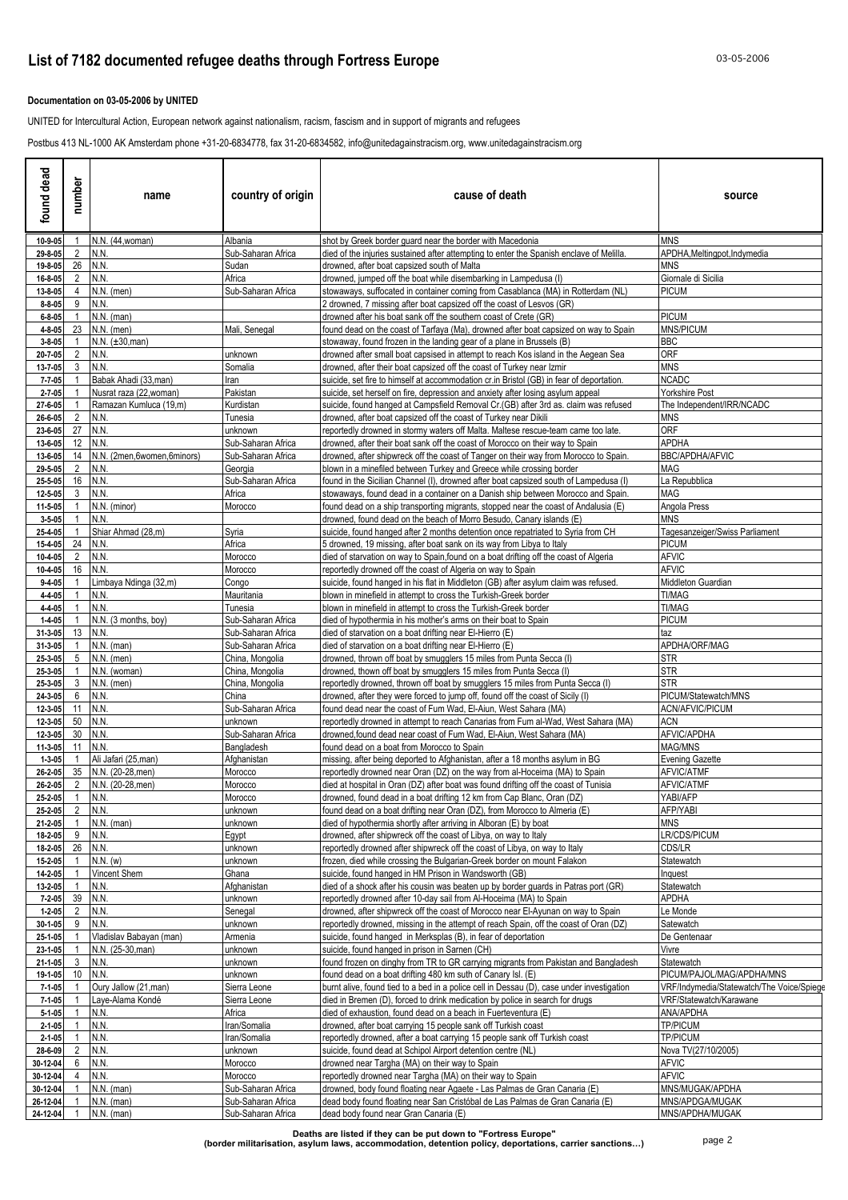### **Documentation on 03-05-2006 by UNITED**

UNITED for Intercultural Action, European network against nationalism, racism, fascism and in support of migrants and refugees

Postbus 413 NL-1000 AK Amsterdam phone +31-20-6834778, fax 31-20-6834582, info@unitedagainstracism.org, www.unitedagainstracism.org

| found dead                   | number         | name                            | country of origin                        | cause of death                                                                                                                                                          | source                                    |
|------------------------------|----------------|---------------------------------|------------------------------------------|-------------------------------------------------------------------------------------------------------------------------------------------------------------------------|-------------------------------------------|
| 10-9-05                      | 1              | N.N. (44, woman)                | Albania                                  | shot by Greek border guard near the border with Macedonia                                                                                                               | <b>MNS</b>                                |
| 29-8-05<br>19-8-05           | $\overline{2}$ | N.N.<br>26 N.N.                 | Sub-Saharan Africa<br>Sudan              | died of the injuries sustained after attempting to enter the Spanish enclave of Melilla<br>drowned, after boat capsized south of Malta                                  | APDHA, Meltingpot, Indymedia<br>MNS       |
| 16-8-05                      | 2              | N.N.                            | Africa                                   | drowned, jumped off the boat while disembarking in Lampedusa (I)                                                                                                        | Giornale di Sicilia                       |
| 13-8-05                      | 4              | $N.N.$ (men)                    | Sub-Saharan Africa                       | stowaways, suffocated in container coming from Casablanca (MA) in Rotterdam (NL)                                                                                        | <b>PICUM</b>                              |
| $8 - 8 - 05$                 | 9              | N.N.<br>$N.N.$ (man)            |                                          | 2 drowned, 7 missing after boat capsized off the coast of Lesvos (GR)                                                                                                   |                                           |
| $6 - 8 - 05$<br>4-8-05       | 23             | $N.N.$ (men)                    | Mali, Senegal                            | drowned after his boat sank off the southern coast of Crete (GR)<br>found dead on the coast of Tarfaya (Ma), drowned after boat capsized on way to Spain                | <b>PICUM</b><br><b>MNS/PICUM</b>          |
| $3 - 8 - 05$                 |                | $N.N. (\pm 30, man)$            |                                          | stowaway, found frozen in the landing gear of a plane in Brussels (B)                                                                                                   | BBC                                       |
| 20-7-05                      | 2              | N.N.                            | unknown                                  | drowned after small boat capsised in attempt to reach Kos island in the Aegean Sea                                                                                      | ORF                                       |
| 13-7-05<br>$7 - 7 - 05$      | 3              | N.N.<br>Babak Ahadi (33, man)   | Somalia<br>Iran                          | drowned, after their boat capsized off the coast of Turkey near Izmir<br>suicide, set fire to himself at accommodation cr.in Bristol (GB) in fear of deportation.       | MNS<br>NCADC                              |
| $2 - 7 - 05$                 |                | Nusrat raza (22, woman)         | Pakistan                                 | suicide, set herself on fire, depression and anxiety after losing asylum appeal                                                                                         | Yorkshire Post                            |
| 27-6-05                      |                | Ramazan Kumluca (19,m)          | Kurdistan                                | suicide, found hanged at Campsfield Removal Cr. (GB) after 3rd as. claim was refused                                                                                    | The Independent/IRR/NCADC                 |
| 26-6-05                      | $\overline{2}$ | N.N.                            | Tunesia                                  | drowned, after boat capsized off the coast of Turkey near Dikili                                                                                                        | MNS                                       |
| 23-6-05<br>13-6-05           | 27 N.N.        | 12 N.N.                         | unknown<br>Sub-Saharan Africa            | reportedly drowned in stormy waters off Malta. Maltese rescue-team came too late.<br>drowned, after their boat sank off the coast of Morocco on their way to Spain      | <b>ORF</b><br><b>APDHA</b>                |
| 13-6-05                      | 14             | N.N. (2men,6women,6minors)      | Sub-Saharan Africa                       | drowned, after shipwreck off the coast of Tanger on their way from Morocco to Spain.                                                                                    | <b>BBC/APDHA/AFVIC</b>                    |
| 29-5-05                      | $\overline{2}$ | N.N.                            | Georgia                                  | blown in a minefiled between Turkey and Greece while crossing border                                                                                                    | MAG                                       |
| 25-5-05                      | 16             | N.N.                            | Sub-Saharan Africa                       | found in the Sicilian Channel (I), drowned after boat capsized south of Lampedusa (I)                                                                                   | La Repubblica                             |
| 12-5-05<br>11-5-05           | 3              | N.N.<br>N.N. (minor)            | Africa<br>Morocco                        | stowaways, found dead in a container on a Danish ship between Morocco and Spain.<br>found dead on a ship transporting migrants, stopped near the coast of Andalusia (E) | MAG<br>Angola Press                       |
| $3 - 5 - 05$                 |                | N.N.                            |                                          | drowned, found dead on the beach of Morro Besudo, Canary islands (E)                                                                                                    | MNS                                       |
| 25-4-05                      |                | Shiar Ahmad (28,m)              | Syria                                    | suicide, found hanged after 2 months detention once repatriated to Syria from CH                                                                                        | Tagesanzeiger/Swiss Parliament            |
| 15-4-05                      | 24             | IN.N.                           | Africa                                   | 5 drowned, 19 missing, after boat sank on its way from Libya to Italy                                                                                                   | PICUM                                     |
| 10-4-05<br>10-4-05           | $\overline{2}$ | N.N.<br>16 N.N.                 | Morocco<br>Morocco                       | died of starvation on way to Spain, found on a boat drifting off the coast of Algeria<br>reportedly drowned off the coast of Algeria on way to Spain                    | AFVIC<br>AFVIC                            |
| $9 - 4 - 05$                 |                | Limbaya Ndinga (32,m)           | Congo                                    | suicide, found hanged in his flat in Middleton (GB) after asylum claim was refused                                                                                      | Middleton Guardian                        |
| 4-4-05                       |                | N.N.                            | Mauritania                               | blown in minefield in attempt to cross the Turkish-Greek border                                                                                                         | TI/MAG                                    |
| 4-4-05                       |                | N.N.                            | Tunesia                                  | blown in minefield in attempt to cross the Turkish-Greek border                                                                                                         | TI/MAG                                    |
| $1 - 4 - 05$<br>31-3-05      |                | N.N. (3 months, boy)<br>13 N.N. | Sub-Saharan Africa<br>Sub-Saharan Africa | died of hypothermia in his mother's arms on their boat to Spain<br>died of starvation on a boat drifting near El-Hierro (E)                                             | <b>PICUM</b><br>taz                       |
| 31-3-05                      |                | $N.N.$ (man)                    | Sub-Saharan Africa                       | died of starvation on a boat drifting near El-Hierro (E)                                                                                                                | APDHA/ORF/MAG                             |
| 25-3-05                      | 5              | $N.N.$ (men)                    | China, Mongolia                          | drowned, thrown off boat by smugglers 15 miles from Punta Secca (I)                                                                                                     | STR                                       |
| 25-3-05                      |                | N.N. (woman)<br>N.N. (men)      | China, Mongolia                          | drowned, thown off boat by smugglers 15 miles from Punta Secca (I)                                                                                                      | STR<br>STR                                |
| 25-3-05<br>24-3-05           | 3<br>6         | N.N.                            | China, Mongolia<br>China                 | reportedly drowned, thrown off boat by smugglers 15 miles from Punta Secca (I)<br>drowned, after they were forced to jump off, found off the coast of Sicily (I)        | PICUM/Statewatch/MNS                      |
| 12-3-05                      | 11 N.N.        |                                 | Sub-Saharan Africa                       | found dead near the coast of Fum Wad, El-Aiun, West Sahara (MA)                                                                                                         | ACN/AFVIC/PICUM                           |
| 12-3-05                      | 50 N.N.        |                                 | unknown                                  | reportedly drowned in attempt to reach Canarias from Fum al-Wad, West Sahara (MA)                                                                                       | ACN                                       |
| 12-3-05                      | 11 N.N.        | 30 N.N.                         | Sub-Saharan Africa                       | drowned, found dead near coast of Fum Wad, El-Aiun, West Sahara (MA)                                                                                                    | AFVIC/APDHA<br>MAG/MNS                    |
| 11-3-05<br>$1 - 3 - 05$      |                | Ali Jafari (25, man)            | Bangladesh<br>Afghanistan                | found dead on a boat from Morocco to Spain<br>missing, after being deported to Afghanistan, after a 18 months asylum in BG                                              | <b>Evening Gazette</b>                    |
| 26-2-05                      | 35             | N.N. (20-28, men)               | Morocco                                  | reportedly drowned near Oran (DZ) on the way from al-Hoceima (MA) to Spain                                                                                              | AFVIC/ATMF                                |
| 26-2-05                      | $\overline{2}$ | N.N. (20-28, men)               | Morocco                                  | died at hospital in Oran (DZ) after boat was found drifting off the coast of Tunisia                                                                                    | <b>AFVIC/ATMF</b>                         |
| 25-2-05                      |                | 1 N.N.                          | Morocco                                  | drowned, found dead in a boat drifting 12 km from Cap Blanc, Oran (DZ)                                                                                                  | YABI/AFP                                  |
| 25-2-05<br>21-2-05           | $\mathbf{1}$   | 2 N.N.<br>N.N. (man)            | unknown<br>unknown                       | found dead on a boat drifting near Oran (DZ), from Morocco to Almeria (E)<br>died of hypothermia shortly after arriving in Alboran (E) by boat                          | AFP/YABI<br><b>MNS</b>                    |
| 18-2-05                      | 9              | N.N.                            | Egypt                                    | drowned, after shipwreck off the coast of Libya, on way to Italy                                                                                                        | LR/CDS/PICUM                              |
| 18-2-05                      | 26             | N.N.                            | unknown                                  | reportedly drowned after shipwreck off the coast of Libya, on way to Italy                                                                                              | CDS/LR                                    |
| 15-2-05                      |                | $N.N.$ (w)                      | unknown                                  | frozen, died while crossing the Bulgarian-Greek border on mount Falakon<br>suicide, found hanged in HM Prison in Wandsworth (GB)                                        | Statewatch                                |
| 14-2-05<br>13-2-05           | 1              | Vincent Shem<br>N.N.            | Ghana<br>Afghanistan                     | died of a shock after his cousin was beaten up by border quards in Patras port (GR)                                                                                     | Inquest<br>Statewatch                     |
| $7 - 2 - 05$                 |                | 39 N.N.                         | unknown                                  | reportedly drowned after 10-day sail from Al-Hoceima (MA) to Spain                                                                                                      | APDHA                                     |
| $1 - 2 - 05$                 | 2              | N.N.                            | Senegal                                  | drowned, after shipwreck off the coast of Morocco near El-Ayunan on way to Spain                                                                                        | Le Monde                                  |
| $30 - 1 - 05$                | 9              | N.N.<br>Vladislav Babayan (man) | unknown                                  | reportedly drowned, missing in the attempt of reach Spain, off the coast of Oran (DZ)                                                                                   | Satewatch                                 |
| 25-1-05<br>23-1-05           |                | N.N. (25-30, man)               | Armenia<br>unknown                       | suicide, found hanged in Merksplas (B), in fear of deportation<br>suicide, found hanged in prison in Sarnen (CH)                                                        | De Gentenaar<br>Vivre                     |
| 21-1-05                      | 3              | N.N.                            | unknown                                  | found frozen on dinghy from TR to GR carrying migrants from Pakistan and Bangladesh                                                                                     | Statewatch                                |
| 19-1-05                      | 10             | N.N.                            | unknown                                  | found dead on a boat drifting 480 km suth of Canary Isl. (E)                                                                                                            | PICUM/PAJOL/MAG/APDHA/MNS                 |
| $7 - 1 - 05$                 |                | Oury Jallow (21, man)           | Sierra Leone                             | burnt alive, found tied to a bed in a police cell in Dessau (D), case under investigation                                                                               | VRF/Indymedia/Statewatch/The Voice/Spiege |
| $7 - 1 - 05$<br>$5 - 1 - 05$ |                | Laye-Alama Kondé<br>N.N.        | Sierra Leone<br>Africa                   | died in Bremen (D), forced to drink medication by police in search for drugs<br>died of exhaustion, found dead on a beach in Fuerteventura (E)                          | VRF/Statewatch/Karawane<br>ANA/APDHA      |
| $2 - 1 - 05$                 |                | N.N.                            | Iran/Somalia                             | drowned, after boat carrying 15 people sank off Turkish coast                                                                                                           | TP/PICUM                                  |
| $2 - 1 - 05$                 |                | N.N.                            | Iran/Somalia                             | reportedly drowned, after a boat carrying 15 people sank off Turkish coast                                                                                              | <b>TP/PICUM</b>                           |
| 28-6-09                      | 2              | N.N.                            | unknown                                  | suicide, found dead at Schipol Airport detention centre (NL)                                                                                                            | Nova TV(27/10/2005)                       |
| 30-12-04<br>30-12-04         | 6              | N.N.<br>N.N.                    | Morocco<br>Morocco                       | drowned near Targha (MA) on their way to Spain<br>reportedly drowned near Targha (MA) on their way to Spain                                                             | <b>AFVIC</b><br><b>AFVIC</b>              |
| 30-12-04                     |                | $N.N.$ (man)                    | Sub-Saharan Africa                       | drowned, body found floating near Agaete - Las Palmas de Gran Canaria (E)                                                                                               | MNS/MUGAK/APDHA                           |
| 26-12-04                     |                | $N.N.$ (man)                    | Sub-Saharan Africa                       | dead body found floating near San Cristóbal de Las Palmas de Gran Canaria (E)                                                                                           | MNS/APDGA/MUGAK                           |
| 24-12-04                     |                | N.N. (man)                      | Sub-Saharan Africa                       | dead body found near Gran Canaria (E)                                                                                                                                   | MNS/APDHA/MUGAK                           |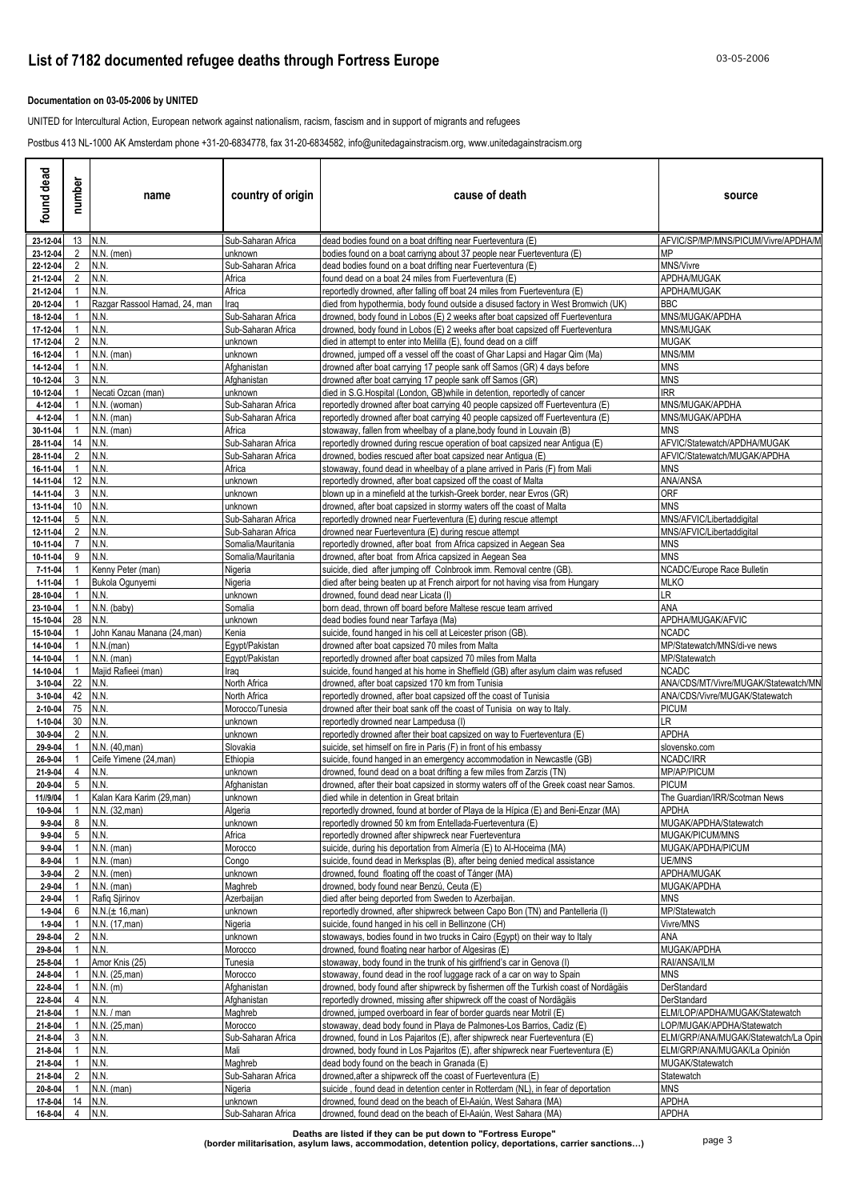### **Documentation on 03-05-2006 by UNITED**

UNITED for Intercultural Action, European network against nationalism, racism, fascism and in support of migrants and refugees

Postbus 413 NL-1000 AK Amsterdam phone +31-20-6834778, fax 31-20-6834582, info@unitedagainstracism.org, www.unitedagainstracism.org

| found dead                   | number         | name                                     | country of origin                        | cause of death                                                                                                                                                | source                                                       |
|------------------------------|----------------|------------------------------------------|------------------------------------------|---------------------------------------------------------------------------------------------------------------------------------------------------------------|--------------------------------------------------------------|
| 23-12-04                     | 13 N.N.        |                                          | Sub-Saharan Africa                       | dead bodies found on a boat drifting near Fuerteventura (E)                                                                                                   | AFVIC/SP/MP/MNS/PICUM/Vivre/APDHA/M                          |
| 23-12-04                     | 2              | $N.N.$ (men)                             | unknown                                  | bodies found on a boat carriyng about 37 people near Fuerteventura (E)                                                                                        | MΡ                                                           |
| 22-12-04<br>21-12-04         | 2<br>2         | N.N.<br>N.N.                             | Sub-Saharan Africa<br>Africa             | dead bodies found on a boat drifting near Fuerteventura (E)<br>found dead on a boat 24 miles from Fuerteventura (E)                                           | MNS/Vivre<br>APDHA/MUGAK                                     |
| 21-12-04                     |                | N.N.                                     | Africa                                   | reportedly drowned, after falling off boat 24 miles from Fuerteventura (E)                                                                                    | APDHA/MUGAK                                                  |
| 20-12-04                     |                | Razgar Rassool Hamad, 24, man            | Iraq                                     | died from hypothermia, body found outside a disused factory in West Bromwich (UK)                                                                             | BBC                                                          |
| 18-12-04                     |                | N.N.                                     | Sub-Saharan Africa                       | drowned, body found in Lobos (E) 2 weeks after boat capsized off Fuerteventura                                                                                | MNS/MUGAK/APDHA                                              |
| 17-12-04                     |                | N.N.                                     | Sub-Saharan Africa                       | drowned, body found in Lobos (E) 2 weeks after boat capsized off Fuerteventura                                                                                | MNS/MUGAK                                                    |
| 17-12-04                     | 2              | N.N.                                     | unknown                                  | died in attempt to enter into Melilla (E), found dead on a cliff                                                                                              | <b>MUGAK</b>                                                 |
| 16-12-04<br>14-12-04         |                | $N.N.$ (man)<br>N.N.                     | unknown<br>Afghanistan                   | drowned, jumped off a vessel off the coast of Ghar Lapsi and Hagar Qim (Ma)<br>drowned after boat carrying 17 people sank off Samos (GR) 4 days before        | MNS/MM<br><b>MNS</b>                                         |
| 10-12-04                     | 3              | N.N.                                     | Afghanistan                              | drowned after boat carrying 17 people sank off Samos (GR)                                                                                                     | <b>MNS</b>                                                   |
| 10-12-04                     |                | Necati Ozcan (man)                       | unknown                                  | died in S.G. Hospital (London, GB) while in detention, reportedly of cancer                                                                                   | <b>IRR</b>                                                   |
| 4-12-04                      |                | N.N. (woman)                             | Sub-Saharan Africa                       | reportedly drowned after boat carrying 40 people capsized off Fuerteventura (E)                                                                               | MNS/MUGAK/APDHA                                              |
| 4-12-04                      | -1             | $N.N.$ (man)                             | Sub-Saharan Africa                       | reportedly drowned after boat carrying 40 people capsized off Fuerteventura (E)                                                                               | MNS/MUGAK/APDHA                                              |
| 30-11-04                     | -1             | $N.N.$ (man)                             | Africa<br>Sub-Saharan Africa             | stowaway, fallen from wheelbay of a plane, body found in Louvain (B)                                                                                          | <b>MNS</b>                                                   |
| 28-11-04<br>28-11-04         | 14<br>2        | N.N.<br>N.N.                             | Sub-Saharan Africa                       | reportedly drowned during rescue operation of boat capsized near Antigua (E)<br>drowned, bodies rescued after boat capsized near Antigua (E)                  | AFVIC/Statewatch/APDHA/MUGAK<br>AFVIC/Statewatch/MUGAK/APDHA |
| 16-11-04                     | $\overline{1}$ | N.N.                                     | Africa                                   | stowaway, found dead in wheelbay of a plane arrived in Paris (F) from Mali                                                                                    | <b>MNS</b>                                                   |
| 14-11-04                     | 12             | N.N.                                     | unknown                                  | reportedly drowned, after boat capsized off the coast of Malta                                                                                                | <b>ANA/ANSA</b>                                              |
| 14-11-04                     | 3              | N.N                                      | unknown                                  | blown up in a minefield at the turkish-Greek border, near Evros (GR)                                                                                          | <b>ORF</b>                                                   |
| 13-11-04                     | 10             | N.N.                                     | unknown                                  | drowned, after boat capsized in stormy waters off the coast of Malta                                                                                          | <b>MNS</b>                                                   |
| 12-11-04<br>12-11-04         | 5<br>2         | N.N.<br>N.N.                             | Sub-Saharan Africa<br>Sub-Saharan Africa | reportedly drowned near Fuerteventura (E) during rescue attempt<br>drowned near Fuerteventura (E) during rescue attempt                                       | MNS/AFVIC/Libertaddigital<br>MNS/AFVIC/Libertaddigital       |
| 10-11-04                     | 7              | N.N.                                     | Somalia/Mauritania                       | reportedly drowned, after boat from Africa capsized in Aegean Sea                                                                                             | MNS                                                          |
| 10-11-04                     | 9              | N.N.                                     | Somalia/Mauritania                       | drowned, after boat from Africa capsized in Aegean Sea                                                                                                        | <b>MNS</b>                                                   |
| 7-11-04                      |                | Kenny Peter (man)                        | Nigeria                                  | suicide, died after jumping off Colnbrook imm. Removal centre (GB).                                                                                           | NCADC/Europe Race Bulletin                                   |
| 1-11-04                      | -1             | Bukola Ogunyemi                          | Nigeria                                  | died after being beaten up at French airport for not having visa from Hungary                                                                                 | <b>MLKO</b>                                                  |
| 28-10-04<br>23-10-04         |                | N.N.<br>N.N. (baby)                      | unknown<br>Somalia                       | drowned, found dead near Licata (I)<br>born dead, thrown off board before Maltese rescue team arrived                                                         | LR<br>ANA                                                    |
| 15-10-04                     | -28            | N.N.                                     | unknown                                  | dead bodies found near Tarfaya (Ma)                                                                                                                           | APDHA/MUGAK/AFVIC                                            |
| 15-10-04                     |                | John Kanau Manana (24, man)              | Kenia                                    | suicide, found hanged in his cell at Leicester prison (GB).                                                                                                   | <b>NCADC</b>                                                 |
| 14-10-04                     |                | N.N.(man)                                | Egypt/Pakistan                           | drowned after boat capsized 70 miles from Malta                                                                                                               | MP/Statewatch/MNS/di-ve news                                 |
| 14-10-04                     |                | N.N. (man)                               | Eqypt/Pakistan                           | reportedly drowned after boat capsized 70 miles from Malta                                                                                                    | MP/Statewatch                                                |
| 14-10-04<br>3-10-04          | 22             | Majid Rafieei (man)<br>N.N.              | Iraq<br>North Africa                     | suicide, found hanged at his home in Sheffield (GB) after asylum claim was refused<br>drowned, after boat capsized 170 km from Tunisia                        | NCADC<br>ANA/CDS/MT/Vivre/MUGAK/Statewatch/MN                |
| 3-10-04                      | 42             | N.N.                                     | North Africa                             | reportedly drowned, after boat capsized off the coast of Tunisia                                                                                              | ANA/CDS/Vivre/MUGAK/Statewatch                               |
| 2-10-04                      | 75             | N.N.                                     | Morocco/Tunesia                          | drowned after their boat sank off the coast of Tunisia on way to Italy.                                                                                       | <b>PICUM</b>                                                 |
| $1 - 10 - 04$                | 30             | N.N.                                     | unknown                                  | reportedly drowned near Lampedusa (I)                                                                                                                         | LR                                                           |
| 30-9-04                      | 2              | N.N.                                     | unknown                                  | reportedly drowned after their boat capsized on way to Fuerteventura (E)                                                                                      | <b>APDHA</b>                                                 |
| 29-9-04<br>26-9-04           | $\mathbf{1}$   | N.N. (40, man)<br>Ceife Yimene (24, man) | Slovakia<br>Ethiopia                     | suicide, set himself on fire in Paris (F) in front of his embassy<br>suicide, found hanged in an emergency accommodation in Newcastle (GB)                    | slovensko.com<br>NCADC/IRR                                   |
| 21-9-04                      | 4              | N.N.                                     | unknown                                  | drowned, found dead on a boat drifting a few miles from Zarzis (TN)                                                                                           | MP/AP/PICUM                                                  |
| 20-9-04                      | 5              | N.N.                                     | Afghanistan                              | drowned, after their boat capsized in stormy waters off of the Greek coast near Samos.                                                                        | <b>PICUM</b>                                                 |
| 11//9/04                     | $\mathbf{1}$   | Kalan Kara Karim (29, man)               | unknown                                  | died while in detention in Great britain                                                                                                                      | The Guardian/IRR/Scotman News                                |
| 10-9-04                      | $\overline{1}$ | N.N. (32, man)                           | Algeria                                  | reportedly drowned, found at border of Playa de la Hípica (E) and Beni-Enzar (MA)                                                                             | APDHA                                                        |
| $9 - 9 - 04$<br>$9 - 9 - 04$ | 8<br>5         | N.N.<br>N.N.                             | unknown<br>Africa                        | reportedly drowned 50 km from Entellada-Fuerteventura (E)<br>reportedly drowned after shipwreck near Fuerteventura                                            | MUGAK/APDHA/Statewatch<br>MUGAK/PICUM/MNS                    |
| $9 - 9 - 04$                 | -1             | $N.N.$ (man)                             | Morocco                                  | suicide, during his deportation from Almería (E) to Al-Hoceima (MA)                                                                                           | MUGAK/APDHA/PICUM                                            |
| 8-9-04                       |                | $N.N.$ (man)                             | Congo                                    | suicide, found dead in Merksplas (B), after being denied medical assistance                                                                                   | UE/MNS                                                       |
| $3 - 9 - 04$                 | 2              | $N.N.$ (men)                             | unknown                                  | drowned, found floating off the coast of Tánger (MA)                                                                                                          | APDHA/MUGAK                                                  |
| $2 - 9 - 04$                 |                | N.N. (man)                               | Maghreb                                  | drowned, body found near Benzú, Ceuta (E)                                                                                                                     | MUGAK/APDHA                                                  |
| $2 - 9 - 04$                 | -1             | Rafiq Sjirinov                           | Azerbaijan                               | died after being deported from Sweden to Azerbaijan.                                                                                                          | <b>MNS</b>                                                   |
| 1-9-04<br>$1 - 9 - 04$       | 6              | N.N.(± 16, man)<br>N.N. (17, man)        | unknown<br>Nigeria                       | reportedly drowned, after shipwreck between Capo Bon (TN) and Pantelleria (I)<br>suicide, found hanged in his cell in Bellinzone (CH)                         | MP/Statewatch<br>Vivre/MNS                                   |
| 29-8-04                      | 2              | N.N.                                     | unknown                                  | stowaways, bodies found in two trucks in Cairo (Egypt) on their way to Italy                                                                                  | ana                                                          |
| 29-8-04                      |                | N.N.                                     | Morocco                                  | drowned, found floating near harbor of Algesiras (E)                                                                                                          | MUGAK/APDHA                                                  |
| 25-8-04                      |                | Amor Knis (25)                           | Tunesia                                  | stowaway, body found in the trunk of his girlfriend's car in Genova (I)                                                                                       | RAI/ANSA/ILM                                                 |
| 24-8-04                      |                | N.N. (25, man)                           | Morocco                                  | stowaway, found dead in the roof luggage rack of a car on way to Spain                                                                                        | <b>MNS</b>                                                   |
| 22-8-04<br>22-8-04           | 4              | $N.N.$ (m)<br>N.N.                       | Afghanistan<br>Afghanistan               | drowned, body found after shipwreck by fishermen off the Turkish coast of Nordägäis<br>reportedly drowned, missing after shipwreck off the coast of Nordägäis | DerStandard<br>DerStandard                                   |
| 21-8-04                      |                | N.N. / man                               | Maghreb                                  | drowned, jumped overboard in fear of border guards near Motril (E)                                                                                            | ELM/LOP/APDHA/MUGAK/Statewatch                               |
| 21-8-04                      |                | N.N. (25, man)                           | Morocco                                  | stowaway, dead body found in Playa de Palmones-Los Barrios, Cadiz (E)                                                                                         | LOP/MUGAK/APDHA/Statewatch                                   |
| 21-8-04                      | 3              | N.N.                                     | Sub-Saharan Africa                       | drowned, found in Los Pajaritos (E), after shipwreck near Fuerteventura (E)                                                                                   | ELM/GRP/ANA/MUGAK/Statewatch/La Opin                         |
| 21-8-04                      | -1             | N.N.                                     | Mali                                     | drowned, body found in Los Pajaritos (E), after shipwreck near Fuerteventura (E)                                                                              | ELM/GRP/ANA/MUGAK/La Opinión                                 |
| 21-8-04                      |                | N.N.                                     | Maghreb                                  | dead body found on the beach in Granada (E)                                                                                                                   | MUGAK/Statewatch                                             |
| 21-8-04<br>20-8-04           | 2              | N.N.<br>$N.N.$ (man)                     | Sub-Saharan Africa<br>Nigeria            | drowned, after a shipwreck off the coast of Fuerteventura (E)<br>suicide, found dead in detention center in Rotterdam (NL), in fear of deportation            | Statewatch<br><b>MNS</b>                                     |
| 17-8-04                      | 14             | N.N.                                     | unknown                                  | drowned, found dead on the beach of El-Aaiún, West Sahara (MA)                                                                                                | APDHA                                                        |
|                              |                | N.N.                                     | Sub-Saharan Africa                       | drowned, found dead on the beach of El-Aaiún, West Sahara (MA)                                                                                                | <b>APDHA</b>                                                 |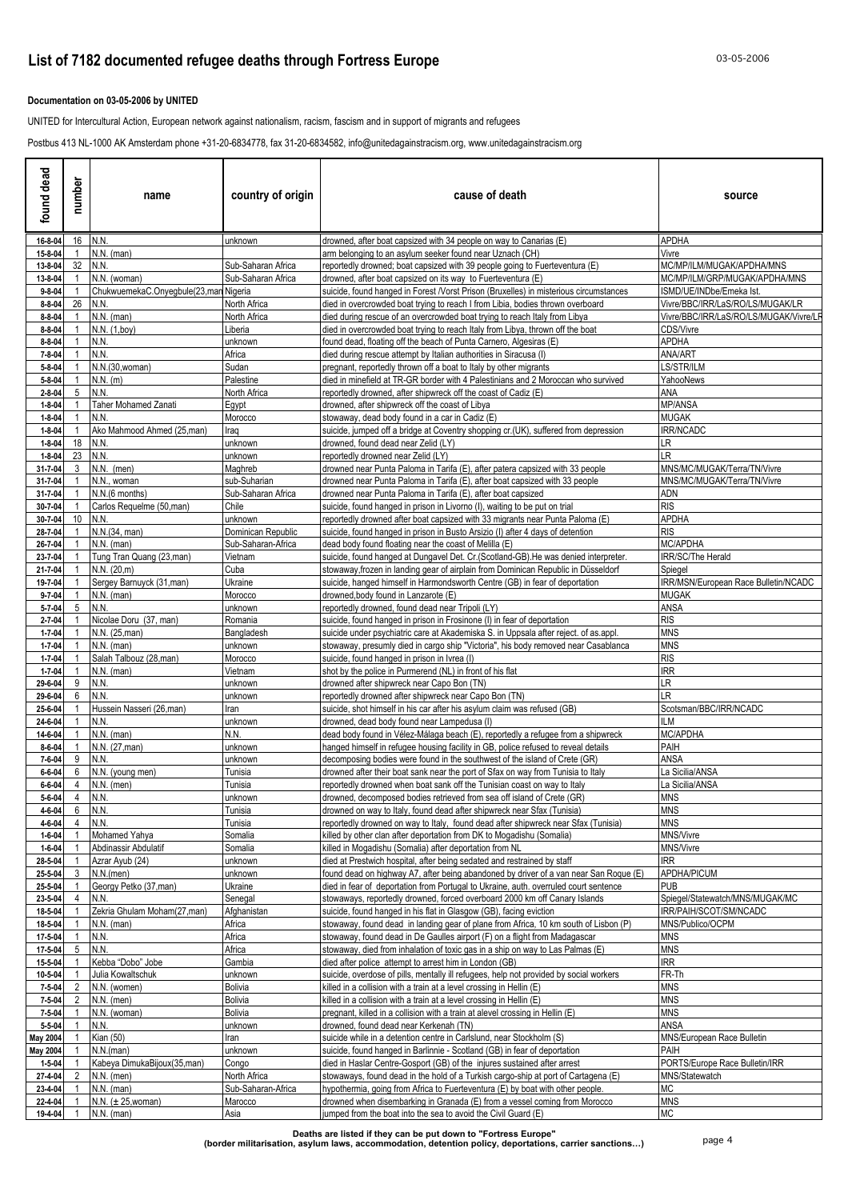### **Documentation on 03-05-2006 by UNITED**

UNITED for Intercultural Action, European network against nationalism, racism, fascism and in support of migrants and refugees

Postbus 413 NL-1000 AK Amsterdam phone +31-20-6834778, fax 31-20-6834582, info@unitedagainstracism.org, www.unitedagainstracism.org

| found dead                   | number         | name                                                  | country of origin                  | cause of death                                                                                                                                                 | source                                                       |
|------------------------------|----------------|-------------------------------------------------------|------------------------------------|----------------------------------------------------------------------------------------------------------------------------------------------------------------|--------------------------------------------------------------|
| 16-8-04                      |                | 16 N.N.                                               | unknown                            | drowned, after boat capsized with 34 people on way to Canarias (E)                                                                                             | APDHA                                                        |
| 15-8-04                      |                | $N.N.$ (man)                                          |                                    | arm belonging to an asylum seeker found near Uznach (CH)                                                                                                       | Vivre                                                        |
| 13-8-04                      | 32             | N.N.                                                  | Sub-Saharan Africa                 | reportedly drowned; boat capsized with 39 people going to Fuerteventura (E)                                                                                    | MC/MP/ILM/MUGAK/APDHA/MNS                                    |
| 13-8-04                      |                | N.N. (woman)<br>ChukwuemekaC.Onyegbule(23,man Nigeria | Sub-Saharan Africa                 | drowned, after boat capsized on its way to Fuerteventura (E)<br>suicide, found hanged in Forest /Vorst Prison (Bruxelles) in misterious circumstances          | MC/MP/ILM/GRP/MUGAK/APDHA/MNS                                |
| $9 - 8 - 04$<br>8-8-04       | 26             | N.N.                                                  | North Africa                       | died in overcrowded boat trying to reach I from Libia, bodies thrown overboard                                                                                 | ISMD/UE/INDbe/Emeka Ist.<br>Vivre/BBC/IRR/LaS/RO/LS/MUGAK/LR |
| $8 - 8 - 04$                 |                | $N.N.$ (man)                                          | North Africa                       | died during rescue of an overcrowded boat trying to reach Italy from Libya                                                                                     | Vivre/BBC/IRR/LaS/RO/LS/MUGAK/Vivre/LR                       |
| $8 - 8 - 04$                 |                | N.N. (1,boy)                                          | Liberia                            | died in overcrowded boat trying to reach Italy from Libya, thrown off the boat                                                                                 | CDS/Vivre                                                    |
| $8 - 8 - 04$                 |                | N.N.                                                  | unknown                            | found dead, floating off the beach of Punta Carnero, Algesiras (E)                                                                                             | <b>APDHA</b>                                                 |
| 7-8-04                       |                | N.N.                                                  | Africa                             | died during rescue attempt by Italian authorities in Siracusa (I)                                                                                              | ANA/ART                                                      |
| $5 - 8 - 04$                 |                | N.N.(30, woman)                                       | Sudan                              | pregnant, reportedly thrown off a boat to Italy by other migrants                                                                                              | LS/STR/ILM                                                   |
| $5 - 8 - 04$<br>$2 - 8 - 04$ | 5              | $N.N.$ (m)<br>N.N.                                    | Palestine<br>North Africa          | died in minefield at TR-GR border with 4 Palestinians and 2 Moroccan who survived<br>reportedly drowned, after shipwreck off the coast of Cadiz (E)            | YahooNews<br>ANA                                             |
| $1 - 8 - 04$                 |                | Taher Mohamed Zanati                                  | Egypt                              | drowned, after shipwreck off the coast of Libya                                                                                                                | <b>MP/ANSA</b>                                               |
| $1 - 8 - 04$                 |                | N.N.                                                  | Morocco                            | stowaway, dead body found in a car in Cadiz (E)                                                                                                                | <b>MUGAK</b>                                                 |
| $1 - 8 - 04$                 |                | Ako Mahmood Ahmed (25,man)                            | Iraq                               | suicide, jumped off a bridge at Coventry shopping cr.(UK), suffered from depression                                                                            | <b>IRR/NCADC</b>                                             |
| $1 - 8 - 04$                 | 18             | N.N.                                                  | unknown                            | drowned, found dead near Zelid (LY)                                                                                                                            | LR                                                           |
| $1 - 8 - 04$                 | 23             | N.N.                                                  | unknown                            | reportedly drowned near Zelid (LY)                                                                                                                             | LR                                                           |
| 31-7-04                      |                | $N.N.$ (men)                                          | Maghreb                            | drowned near Punta Paloma in Tarifa (E), after patera capsized with 33 people                                                                                  | MNS/MC/MUGAK/Terra/TN/Vivre                                  |
| 31-7-04<br>31-7-04           |                | N.N., woman<br>N.N.(6 months)                         | sub-Suharian<br>Sub-Saharan Africa | drowned near Punta Paloma in Tarifa (E), after boat capsized with 33 people<br>drowned near Punta Paloma in Tarifa (E), after boat capsized                    | MNS/MC/MUGAK/Terra/TN/Vivre<br>ADN                           |
| 30-7-04                      |                | Carlos Requelme (50,man)                              | Chile                              | suicide, found hanged in prison in Livorno (I), waiting to be put on trial                                                                                     | <b>RIS</b>                                                   |
| 30-7-04                      | 10             | N.N.                                                  | unknown                            | reportedly drowned after boat capsized with 33 migrants near Punta Paloma (E)                                                                                  | APDHA                                                        |
| 28-7-04                      |                | N.N.(34, man)                                         | Dominican Republic                 | suicide, found hanged in prison in Busto Arsizio (I) after 4 days of detention                                                                                 | <b>RIS</b>                                                   |
| 26-7-04                      |                | $N.N.$ (man)                                          | Sub-Saharan-Africa                 | dead body found floating near the coast of Melilla (E)                                                                                                         | MC/APDHA                                                     |
| 23-7-04                      |                | Tung Tran Quang (23,man)                              | Vietnam                            | suicide, found hanged at Dungavel Det. Cr. (Scotland-GB). He was denied interpreter.                                                                           | IRR/SC/The Herald                                            |
| 21-7-04                      |                | N.N. (20,m)                                           | Cuba                               | stowaway, frozen in landing gear of airplain from Dominican Republic in Düsseldorf                                                                             | Spiegel                                                      |
| 19-7-04<br>$9 - 7 - 04$      |                | Sergey Barnuyck (31, man)<br>$N.N.$ (man)             | Ukraine<br>Morocco                 | suicide, hanged himself in Harmondsworth Centre (GB) in fear of deportation<br>drowned, body found in Lanzarote (E)                                            | IRR/MSN/European Race Bulletin/NCADC<br><b>MUGAK</b>         |
| $5 - 7 - 04$                 | 5              | N.N.                                                  | unknown                            | reportedly drowned, found dead near Tripoli (LY)                                                                                                               | ANSA                                                         |
| $2 - 7 - 04$                 |                | Nicolae Doru (37, man)                                | Romania                            | suicide, found hanged in prison in Frosinone (I) in fear of deportation                                                                                        | <b>RIS</b>                                                   |
| $1 - 7 - 04$                 |                | N.N. (25, man)                                        | Bangladesh                         | suicide under psychiatric care at Akademiska S. in Uppsala after reject. of as.appl.                                                                           | <b>MNS</b>                                                   |
| $1 - 7 - 04$                 |                | N.N. (man)                                            | unknown                            | stowaway, presumly died in cargo ship "Victoria", his body removed near Casablanca                                                                             | <b>MNS</b>                                                   |
| $1 - 7 - 04$                 |                | Salah Talbouz (28,man)                                | Morocco                            | suicide, found hanged in prison in Ivrea (I)                                                                                                                   | <b>RIS</b>                                                   |
| $1 - 7 - 04$<br>29-6-04      | 9              | N.N. (man)<br>N.N.                                    | Vietnam<br>unknown                 | shot by the police in Purmerend (NL) in front of his flat<br>drowned after shipwreck near Capo Bon (TN)                                                        | <b>IRR</b><br>LR                                             |
| 29-6-04                      | 6              | N.N.                                                  | unknown                            | reportedly drowned after shipwreck near Capo Bon (TN)                                                                                                          | LR.                                                          |
| 25-6-04                      |                | Hussein Nasseri (26,man)                              | Iran                               | suicide, shot himself in his car after his asylum claim was refused (GB)                                                                                       | Scotsman/BBC/IRR/NCADC                                       |
| 24-6-04                      |                | N.N.                                                  | unknown                            | drowned, dead body found near Lampedusa (I)                                                                                                                    | ILМ                                                          |
| 14-6-04                      |                | $N.N.$ (man)                                          | N.N.                               | dead body found in Vélez-Málaga beach (E), reportedly a refugee from a shipwreck                                                                               | MC/APDHA                                                     |
| $8 - 6 - 04$                 |                | N.N. (27, man)                                        | unknown                            | hanged himself in refugee housing facility in GB, police refused to reveal details                                                                             | PAIH                                                         |
| 7-6-04<br>$6 - 6 - 04$       |                | N.N.<br>N.N. (young men)                              | unknown<br>Tunisia                 | decomposing bodies were found in the southwest of the island of Crete (GR)<br>drowned after their boat sank near the port of Sfax on way from Tunisia to Italy | ANSA<br>La Sicilia/ANSA                                      |
| 6-6-04                       | 4              | $N.N.$ (men)                                          | Tunisia                            | reportedly drowned when boat sank off the Tunisian coast on way to Italy                                                                                       | La Sicilia/ANSA                                              |
| $5 - 6 - 04$                 | $\overline{4}$ | N.N.                                                  | unknown                            | drowned, decomposed bodies retrieved from sea off island of Crete (GR)                                                                                         | <b>MNS</b>                                                   |
| 4-6-04                       | 6              | N.N.                                                  | Tunisia                            | drowned on way to Italy, found dead after shipwreck near Sfax (Tunisia)                                                                                        | <b>MNS</b>                                                   |
| 4-6-04                       | 4              | N.N.                                                  | Tunisia                            | reportedly drowned on way to Italy, found dead after shipwreck near Sfax (Tunisia)                                                                             | <b>MNS</b>                                                   |
| $1 - 6 - 04$                 |                | Mohamed Yahya                                         | Somalia                            | killed by other clan after deportation from DK to Mogadishu (Somalia)                                                                                          | MNS/Vivre                                                    |
| $1 - 6 - 04$<br>28-5-04      |                | Abdinassir Abdulatif<br>Azrar Ayub (24)               | Somalia<br>unknown                 | killed in Mogadishu (Somalia) after deportation from NL<br>died at Prestwich hospital, after being sedated and restrained by staff                             | MNS/Vivre<br><b>IRR</b>                                      |
| 25-5-04                      | 3              | N.N.(men)                                             | unknown                            | found dead on highway A7, after being abandoned by driver of a van near San Roque (E)                                                                          | <b>APDHA/PICUM</b>                                           |
| 25-5-04                      |                | Georgy Petko (37, man)                                | Ukraine                            | died in fear of deportation from Portugal to Ukraine, auth. overruled court sentence                                                                           | <b>PUB</b>                                                   |
| 23-5-04                      | 4              | N.N.                                                  | Senegal                            | stowaways, reportedly drowned, forced overboard 2000 km off Canary Islands                                                                                     | Spiegel/Statewatch/MNS/MUGAK/MC                              |
| 18-5-04                      |                | Zekria Ghulam Moham(27,man)                           | Afghanistan                        | suicide, found hanged in his flat in Glasgow (GB), facing eviction                                                                                             | IRR/PAIH/SCOT/SM/NCADC                                       |
| 18-5-04                      |                | $N.N.$ (man)                                          | Africa                             | stowaway, found dead in landing gear of plane from Africa, 10 km south of Lisbon (P)                                                                           | MNS/Publico/OCPM                                             |
| 17-5-04                      |                | N.N.                                                  | Africa                             | stowaway, found dead in De Gaulles airport (F) on a flight from Madagascar                                                                                     | <b>MNS</b>                                                   |
| 17-5-04<br>15-5-04           | 5              | N.N.<br>Kebba "Dobo" Jobe                             | Africa<br>Gambia                   | stowaway, died from inhalation of toxic gas in a ship on way to Las Palmas (E)<br>died after police attempt to arrest him in London (GB)                       | <b>MNS</b><br><b>IRR</b>                                     |
| 10-5-04                      |                | Julia Kowaltschuk                                     | unknown                            | suicide, overdose of pills, mentally ill refugees, help not provided by social workers                                                                         | FR-Th                                                        |
| 7-5-04                       | 2              | N.N. (women)                                          | Bolivia                            | killed in a collision with a train at a level crossing in Hellin (E)                                                                                           | <b>MNS</b>                                                   |
| 7-5-04                       | 2              | $N.N.$ (men)                                          | <b>Bolivia</b>                     | killed in a collision with a train at a level crossing in Hellin (E)                                                                                           | <b>MNS</b>                                                   |
| 7-5-04                       |                | N.N. (woman)                                          | Bolivia                            | pregnant, killed in a collision with a train at alevel crossing in Hellin (E)                                                                                  | <b>MNS</b>                                                   |
| $5 - 5 - 04$                 |                | N.N.                                                  | unknown                            | drowned, found dead near Kerkenah (TN)                                                                                                                         | ANSA                                                         |
| May 2004                     |                | Kian (50)                                             | Iran                               | suicide while in a detention centre in Carlslund, near Stockholm (S)                                                                                           | MNS/European Race Bulletin                                   |
| May 2004<br>$1 - 5 - 04$     |                | N.N.(man)<br>Kabeya DimukaBijoux(35,man)              | unknown<br>Congo                   | suicide, found hanged in Barlinnie - Scotland (GB) in fear of deportation<br>died in Haslar Centre-Gosport (GB) of the injures sustained after arrest          | PAIH<br>PORTS/Europe Race Bulletin/IRR                       |
| 27-4-04                      | 2              | $N.N.$ (men)                                          | North Africa                       | stowaways, found dead in the hold of a Turkish cargo-ship at port of Cartagena (E)                                                                             | MNS/Statewatch                                               |
| 23-4-04                      |                | $N.N.$ (man)                                          | Sub-Saharan-Africa                 | hypothermia, going from Africa to Fuerteventura (E) by boat with other people.                                                                                 | МC                                                           |
| 22-4-04                      |                | N.N. $(\pm 25$ , woman)                               | Marocco                            | drowned when disembarking in Granada (E) from a vessel coming from Morocco                                                                                     | <b>MNS</b>                                                   |
| 19-4-04                      |                | $N.N.$ (man)                                          | Asia                               | jumped from the boat into the sea to avoid the Civil Guard (E)                                                                                                 | <b>MC</b>                                                    |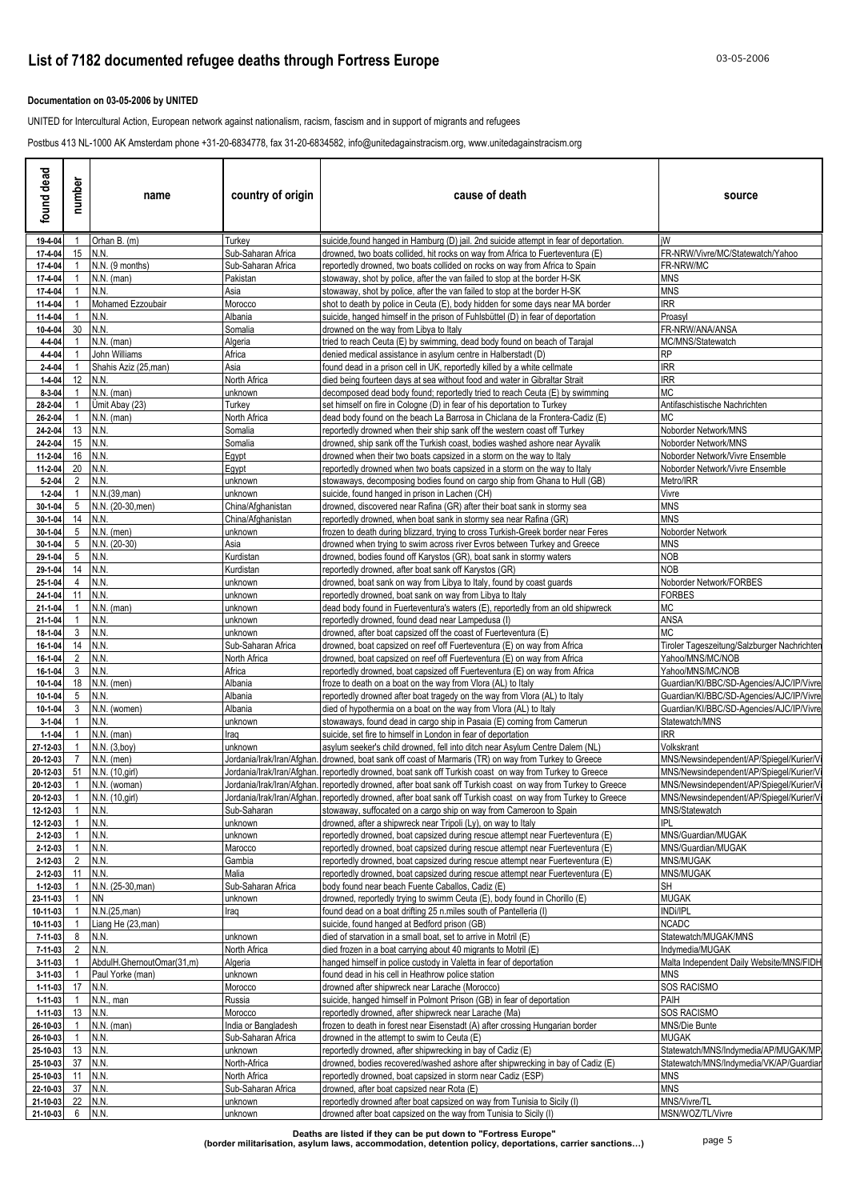### **List of 7182 documented refugee deaths through Fortress Europe** 03-05-2006

### **Documentation on 03-05-2006 by UNITED**

UNITED for Intercultural Action, European network against nationalism, racism, fascism and in support of migrants and refugees

Postbus 413 NL-1000 AK Amsterdam phone +31-20-6834778, fax 31-20-6834582, info@unitedagainstracism.org, www.unitedagainstracism.org

| dead<br>found                | number             | name                              | country of origin              | cause of death                                                                                                                                                                         | source                                                |
|------------------------------|--------------------|-----------------------------------|--------------------------------|----------------------------------------------------------------------------------------------------------------------------------------------------------------------------------------|-------------------------------------------------------|
| 19-4-04                      |                    | Orhan B. (m)                      | Turkey                         | suicide, found hanged in Hamburg (D) jail. 2nd suicide attempt in fear of deportation.                                                                                                 | iW                                                    |
| 17-4-04                      | 15                 | N.N.                              | Sub-Saharan Africa             | drowned, two boats collided, hit rocks on way from Africa to Fuerteventura (E)                                                                                                         | FR-NRW/Vivre/MC/Statewatch/Yahoo                      |
| 17-4-04                      |                    | N.N. (9 months)                   | Sub-Saharan Africa<br>Pakistan | reportedly drowned, two boats collided on rocks on way from Africa to Spain                                                                                                            | FR-NRW/MC<br>MNS                                      |
| 17-4-04<br>17-4-04           |                    | $N.N.$ (man)<br>N.N.              | Asia                           | stowaway, shot by police, after the van failed to stop at the border H-SK<br>stowaway, shot by police, after the van failed to stop at the border H-SK                                 | MNS                                                   |
| 11-4-04                      |                    | Mohamed Ezzoubair                 | Morocco                        | shot to death by police in Ceuta (E), body hidden for some days near MA border                                                                                                         | IRR                                                   |
| 11-4-04                      |                    | N.N.                              | Albania                        | suicide, hanged himself in the prison of Fuhlsbüttel (D) in fear of deportation                                                                                                        | Proasyl                                               |
| 10-4-04                      | 30                 | N.N.                              | Somalia                        | drowned on the way from Libya to Italy                                                                                                                                                 | FR-NRW/ANA/ANSA                                       |
| $4 - 4 - 04$                 |                    | $N.N.$ (man)                      | Algeria                        | tried to reach Ceuta (E) by swimming, dead body found on beach of Tarajal                                                                                                              | MC/MNS/Statewatch                                     |
| 4-4-04                       |                    | John Williams                     | Africa                         | denied medical assistance in asylum centre in Halberstadt (D)                                                                                                                          | RP                                                    |
| $2 - 4 - 04$                 |                    | Shahis Aziz (25, man)             | Asia                           | found dead in a prison cell in UK, reportedly killed by a white cellmate                                                                                                               | <b>IRR</b>                                            |
| $1 - 4 - 04$<br>$8 - 3 - 04$ | 12                 | N.N.<br>$N.N.$ (man)              | North Africa<br>unknown        | died being fourteen days at sea without food and water in Gibraltar Strait<br>decomposed dead body found; reportedly tried to reach Ceuta (E) by swimming                              | <b>IRR</b><br>МC                                      |
| 28-2-04                      |                    | Umit Abay (23)                    | Turkey                         | set himself on fire in Cologne (D) in fear of his deportation to Turkey                                                                                                                | Antifaschistische Nachrichten                         |
| 26-2-04                      |                    | $N.N.$ (man)                      | North Africa                   | dead body found on the beach La Barrosa in Chiclana de la Frontera-Cadiz (E)                                                                                                           | МC                                                    |
| 24-2-04                      | 13                 | N.N.                              | Somalia                        | reportedly drowned when their ship sank off the western coast off Turkey                                                                                                               | Noborder Network/MNS                                  |
| 24-2-04                      | 15                 | N.N.                              | Somalia                        | drowned, ship sank off the Turkish coast, bodies washed ashore near Ayvalik                                                                                                            | Noborder Network/MNS                                  |
| 11-2-04                      | 16                 | N.N.                              | Egypt                          | drowned when their two boats capsized in a storm on the way to Italy                                                                                                                   | Noborder Network/Vivre Ensemble                       |
| 11-2-04                      | 20                 | N.N.                              | Egypt                          | eportedly drowned when two boats capsized in a storm on the way to Italy                                                                                                               | Noborder Network/Vivre Ensemble                       |
| $5 - 2 - 04$                 | $2^{\circ}$        | N.N.                              | unknown                        | stowaways, decomposing bodies found on cargo ship from Ghana to Hull (GB)                                                                                                              | Metro/IRR                                             |
| $1 - 2 - 04$<br>30-1-04      | 5 <sup>5</sup>     | N.N.(39,man)<br>N.N. (20-30, men) | unknown<br>China/Afghanistan   | suicide, found hanged in prison in Lachen (CH)<br>drowned, discovered near Rafina (GR) after their boat sank in stormy sea                                                             | Vivre<br><b>MNS</b>                                   |
| 30-1-04                      | 14                 | N.N.                              | China/Afghanistan              | reportedly drowned, when boat sank in stormy sea near Rafina (GR)                                                                                                                      | MNS                                                   |
| 30-1-04                      | 5 <sub>5</sub>     | $N.N.$ (men)                      | unknown                        | frozen to death during blizzard, trying to cross Turkish-Greek border near Feres                                                                                                       | Noborder Network                                      |
| $30 - 1 - 04$                | 5                  | N.N. (20-30)                      | Asia                           | drowned when trying to swim across river Evros between Turkey and Greece                                                                                                               | MNS                                                   |
| 29-1-04                      | 5 <sup>5</sup>     | N.N.                              | Kurdistan                      | drowned, bodies found off Karystos (GR), boat sank in stormy waters                                                                                                                    | NOB                                                   |
| 29-1-04                      | 14                 | N.N.                              | Kurdistan                      | reportedly drowned, after boat sank off Karystos (GR)                                                                                                                                  | NOB                                                   |
| 25-1-04                      | $\overline{4}$     | N.N.                              | unknown                        | drowned, boat sank on way from Libya to Italy, found by coast guards                                                                                                                   | Noborder Network/FORBES                               |
| 24-1-04                      | 11                 | N.N.                              | unknown                        | reportedly drowned, boat sank on way from Libya to Italy                                                                                                                               | FORBES                                                |
| 21-1-04                      |                    | $N.N.$ (man)                      | unknown                        | dead body found in Fuerteventura's waters (E), reportedly from an old shipwreck                                                                                                        | МC                                                    |
| 21-1-04<br>18-1-04           | $\mathbf{3}$       | N.N.<br>N.N.                      | unknown<br>unknown             | reportedly drowned, found dead near Lampedusa (I)<br>drowned, after boat capsized off the coast of Fuerteventura (E)                                                                   | ANSA<br>МC                                            |
| 16-1-04                      | 14                 | N.N.                              | Sub-Saharan Africa             | drowned, boat capsized on reef off Fuerteventura (E) on way from Africa                                                                                                                | Tiroler Tageszeitung/Salzburger Nachrichter           |
| 16-1-04                      | $\mathbf{2}$       | N.N.                              | North Africa                   | drowned, boat capsized on reef off Fuerteventura (E) on way from Africa                                                                                                                | Yahoo/MNS/MC/NOB                                      |
| 16-1-04                      | 3                  | N.N.                              | Africa                         | reportedly drowned, boat capsized off Fuerteventura (E) on way from Africa                                                                                                             | Yahoo/MNS/MC/NOB                                      |
| 10-1-04                      | 18                 | $N.N.$ (men)                      | Albania                        | froze to death on a boat on the way from Vlora (AL) to Italy                                                                                                                           | Guardian/KI/BBC/SD-Agencies/AJC/IP/Vivre              |
| 10-1-04                      | 5                  | N.N.                              | Albania                        | reportedly drowned after boat tragedy on the way from Vlora (AL) to Italy                                                                                                              | Guardian/KI/BBC/SD-Agencies/AJC/IP/Vivre              |
| 10-1-04                      | 3                  | N.N. (women)                      | Albania                        | died of hypothermia on a boat on the way from Vlora (AL) to Italy                                                                                                                      | Guardian/KI/BBC/SD-Agencies/AJC/IP/Vivre              |
| $3 - 1 - 04$                 |                    | N.N.                              | unknown                        | stowaways, found dead in cargo ship in Pasaia (E) coming from Camerun                                                                                                                  | Statewatch/MNS                                        |
| $1 - 1 - 04$                 |                    | $N.N.$ (man)                      | raq                            | suicide, set fire to himself in London in fear of deportation                                                                                                                          | IRR                                                   |
| 27-12-03<br>20-12-03         | $7^{\circ}$        | N.N. (3,boy)<br>$N.N.$ (men)      | unknown                        | asylum seeker's child drowned, fell into ditch near Asylum Centre Dalem (NL)<br>Jordania/Irak/Iran/Afghan. [drowned, boat sank off coast of Marmaris (TR) on way from Turkey to Greece | Volkskrant<br>MNS/Newsindependent/AP/Spiegel/Kurier/V |
| 20-12-03                     |                    | 51 N.N. (10, girl)                |                                | Jordania/Irak/Iran/Afghan. reportedly drowned, boat sank off Turkish coast on way from Turkey to Greece                                                                                | MNS/Newsindependent/AP/Spiegel/Kurier/V               |
| 20-12-03                     | $\mathbf{1}$       | N.N. (woman)                      |                                | Jordania/Irak/Iran/Afghan. rreportedly drowned, after boat sank off Turkish coast on way from Turkey to Greece                                                                         | MNS/Newsindependent/AP/Spiegel/Kurier/V               |
|                              |                    | 20-12-03 1 N.N. (10,girl)         |                                | Jordania/Irak/Iran/Afghan. reportedly drowned, after boat sank off Turkish coast on way from Turkey to Greece                                                                          | MNS/Newsindependent/AP/Spiegel/Kurier/Vi              |
| 12-12-03                     | $\overline{1}$     | N.N.                              | Sub-Saharan                    | stowaway, suffocated on a cargo ship on way from Cameroon to Spain                                                                                                                     | MNS/Statewatch                                        |
| 12-12-03                     |                    | N.N.                              | unknown                        | drowned, after a shipwreck near Tripoli (Ly), on way to Italy                                                                                                                          | <b>IPL</b>                                            |
| 2-12-03                      |                    | N.N.                              | unknown                        | reportedly drowned, boat capsized during rescue attempt near Fuerteventura (E)                                                                                                         | MNS/Guardian/MUGAK                                    |
| 2-12-03                      |                    | N.N.                              | Marocco                        | reportedly drowned, boat capsized during rescue attempt near Fuerteventura (E)                                                                                                         | MNS/Guardian/MUGAK                                    |
| 2-12-03<br>2-12-03           | $\mathbf{2}$<br>11 | N.N.<br>N.N.                      | Gambia<br>Malia                | reportedly drowned, boat capsized during rescue attempt near Fuerteventura (E)<br>reportedly drowned, boat capsized during rescue attempt near Fuerteventura (E)                       | MNS/MUGAK<br>MNS/MUGAK                                |
| 1-12-03                      |                    | N.N. (25-30, man)                 | Sub-Saharan Africa             | body found near beach Fuente Caballos, Cadiz (E)                                                                                                                                       | SH                                                    |
| 23-11-03                     |                    | <b>NN</b>                         | unknown                        | drowned, reportedly trying to swimm Ceuta (E), body found in Chorillo (E)                                                                                                              | <b>MUGAK</b>                                          |
| 10-11-03                     |                    | N.N.(25,man)                      | raq                            | found dead on a boat drifting 25 n.miles south of Pantelleria (I)                                                                                                                      | <b>INDi/IPL</b>                                       |
| 10-11-03                     |                    | Liang He (23, man)                |                                | suicide, found hanged at Bedford prison (GB)                                                                                                                                           | <b>NCADC</b>                                          |
| 7-11-03                      | 8                  | N.N.                              | unknown                        | died of starvation in a small boat, set to arrive in Motril (E)                                                                                                                        | Statewatch/MUGAK/MNS                                  |
| 7-11-03                      | $\overline{2}$     | N.N.                              | North Africa                   | died frozen in a boat carrying about 40 migrants to Motril (E)                                                                                                                         | Indymedia/MUGAK                                       |
| 3-11-03                      |                    | AbdulH.GhernoutOmar(31,m)         | Algeria                        | hanged himself in police custody in Valetta in fear of deportation                                                                                                                     | Malta Independent Daily Website/MNS/FIDH              |
| 3-11-03                      |                    | Paul Yorke (man)                  | unknown                        | found dead in his cell in Heathrow police station                                                                                                                                      | <b>MNS</b>                                            |
| 1-11-03<br>1-11-03           | 17 N.N.            | N.N., man                         | Morocco<br>Russia              | drowned after shipwreck near Larache (Morocco)<br>suicide, hanged himself in Polmont Prison (GB) in fear of deportation                                                                | SOS RACISMO<br>PAIH                                   |
| $1 - 11 - 03$                | 13                 | N.N.                              | Morocco                        | reportedly drowned, after shipwreck near Larache (Ma)                                                                                                                                  | SOS RACISMO                                           |
| 26-10-03                     |                    | $N.N.$ (man)                      | India or Bangladesh            | frozen to death in forest near Eisenstadt (A) after crossing Hungarian border                                                                                                          | MNS/Die Bunte                                         |
| 26-10-03                     |                    | N.N.                              | Sub-Saharan Africa             | drowned in the attempt to swim to Ceuta (E)                                                                                                                                            | MUGAK                                                 |
| 25-10-03                     |                    | 13 N.N.                           | unknown                        | reportedly drowned, after shipwrecking in bay of Cadiz (E)                                                                                                                             | Statewatch/MNS/Indymedia/AP/MUGAK/MP/                 |
| 25-10-03                     | 37 N.N.            |                                   | North-Africa                   | drowned, bodies recovered/washed ashore after shipwrecking in bay of Cadiz (E)                                                                                                         | Statewatch/MNS/Indymedia/VK/AP/Guardian               |
| 25-10-03                     | 11 N.N.            |                                   | North Africa                   | eportedly drowned, boat capsized in storm near Cadiz (ESP)                                                                                                                             | MNS                                                   |
| 22-10-03                     | 37 N.N.            |                                   | Sub-Saharan Africa             | drowned, after boat capsized near Rota (E)                                                                                                                                             | <b>MNS</b>                                            |
| 21-10-03                     | 22 N.N.            |                                   | unknown                        | reportedly drowned after boat capsized on way from Tunisia to Sicily (I)                                                                                                               | MNS/Vivre/TL                                          |
| 21-10-03                     | 6 N.N.             |                                   | unknown                        | drowned after boat capsized on the way from Tunisia to Sicily (I)                                                                                                                      | MSN/WOZ/TL/Vivre                                      |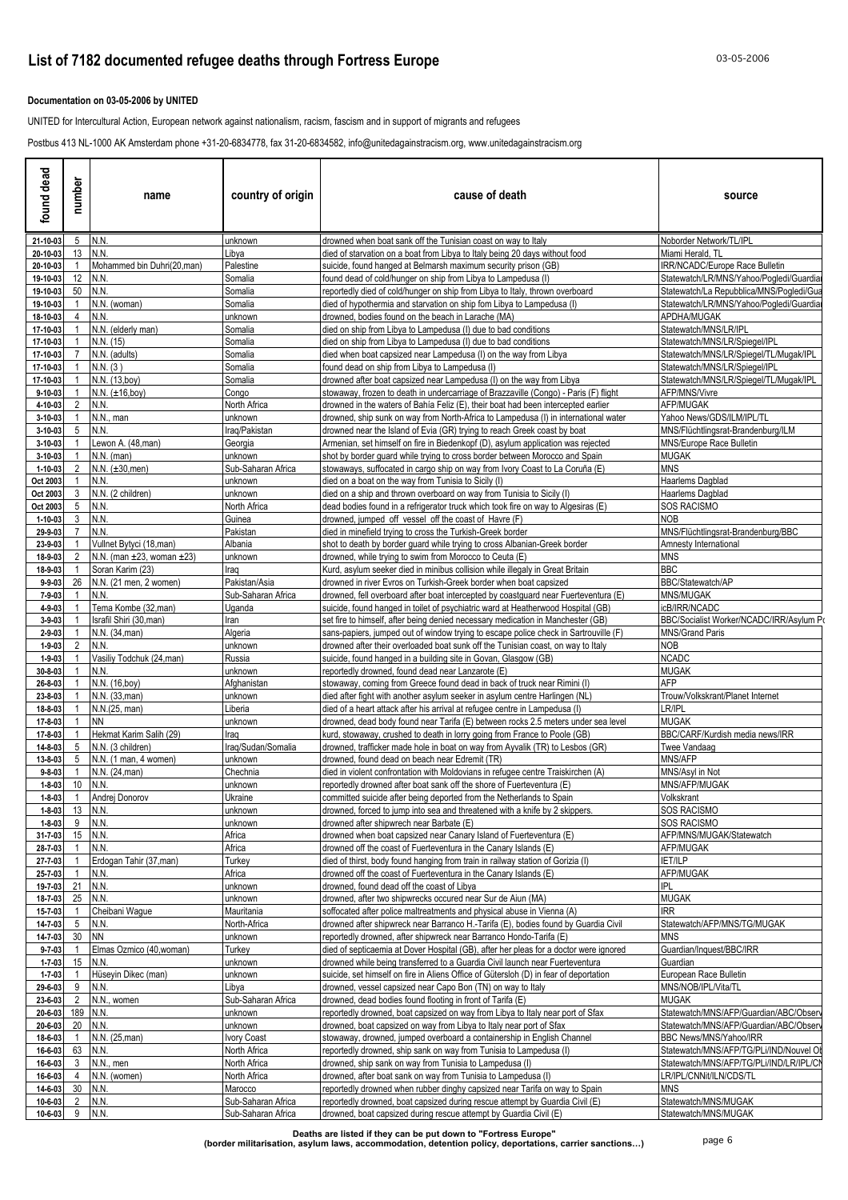### **Documentation on 03-05-2006 by UNITED**

UNITED for Intercultural Action, European network against nationalism, racism, fascism and in support of migrants and refugees

Postbus 413 NL-1000 AK Amsterdam phone +31-20-6834778, fax 31-20-6834582, info@unitedagainstracism.org, www.unitedagainstracism.org

| dead<br>found                | number              | name                                         | country of origin          | cause of death                                                                                                                                                          | source                                                                           |
|------------------------------|---------------------|----------------------------------------------|----------------------------|-------------------------------------------------------------------------------------------------------------------------------------------------------------------------|----------------------------------------------------------------------------------|
| 21-10-03                     | 5 N.N.              |                                              | unknown                    | drowned when boat sank off the Tunisian coast on way to Italy                                                                                                           | Noborder Network/TL/IPL                                                          |
| 20-10-03                     | 13 N.N.             |                                              | Libya                      | died of starvation on a boat from Libya to Italy being 20 days without food                                                                                             | Miami Herald, TL                                                                 |
| 20-10-03<br>19-10-03         | $\mathbf{1}$<br>12  | Mohammed bin Duhri(20,man)<br>N.N.           | Palestine<br>Somalia       | suicide, found hanged at Belmarsh maximum security prison (GB)<br>found dead of cold/hunger on ship from Libya to Lampedusa (I)                                         | IRR/NCADC/Europe Race Bulletin<br>Statewatch/LR/MNS/Yahoo/Pogledi/Guardia        |
| 19-10-03                     | 50                  | N.N.                                         | Somalia                    | reportedly died of cold/hunger on ship from Libya to Italy, thrown overboard                                                                                            | Statewatch/La Repubblica/MNS/Pogledi/Gua                                         |
| 19-10-03                     |                     | N.N. (woman)                                 | Somalia                    | died of hypothermia and starvation on ship fom Libya to Lampedusa (I)                                                                                                   | Statewatch/LR/MNS/Yahoo/Pogledi/Guardia                                          |
| 18-10-03                     | 4                   | N.N.                                         | unknown                    | drowned, bodies found on the beach in Larache (MA)                                                                                                                      | APDHA/MUGAK                                                                      |
| 17-10-03                     |                     | N.N. (elderly man)                           | Somalia                    | died on ship from Libya to Lampedusa (I) due to bad conditions                                                                                                          | Statewatch/MNS/LR/IPL                                                            |
| 17-10-03                     |                     | N.N. (15)                                    | Somalia                    | died on ship from Libya to Lampedusa (I) due to bad conditions                                                                                                          | Statewatch/MNS/LR/Spiegel/IPL                                                    |
| 17-10-03                     |                     | N.N. (adults)                                | Somalia                    | died when boat capsized near Lampedusa (I) on the way from Libya                                                                                                        | Statewatch/MNS/LR/Spiegel/TL/Mugak/IPL                                           |
| 17-10-03<br>17-10-03         |                     | N.N. (3)<br>N.N. (13,boy)                    | Somalia<br>Somalia         | found dead on ship from Libya to Lampedusa (I)<br>drowned after boat capsized near Lampedusa (I) on the way from Libya                                                  | Statewatch/MNS/LR/Spiegel/IPL<br>Statewatch/MNS/LR/Spiegel/TL/Mugak/IPL          |
| $9 - 10 - 03$                |                     | $N.N. (\pm 16, boy)$                         | Congo                      | stowaway, frozen to death in undercarriage of Brazzaville (Congo) - Paris (F) flight                                                                                    | AFP/MNS/Vivre                                                                    |
| 4-10-03                      | $\overline{2}$      | N.N.                                         | North Africa               | drowned in the waters of Bahía Feliz (E), their boat had been intercepted earlier                                                                                       | AFP/MUGAK                                                                        |
| 3-10-03                      |                     | N.N., man                                    | unknown                    | drowned, ship sunk on way from North-Africa to Lampedusa (I) in international water                                                                                     | Yahoo News/GDS/ILM/IPL/TL                                                        |
| 3-10-03                      | 5                   | N.N.                                         | Iraq/Pakistan              | drowned near the Island of Evia (GR) trying to reach Greek coast by boat                                                                                                | MNS/Flüchtlingsrat-Brandenburg/ILM                                               |
| $3 - 10 - 03$                |                     | Lewon A. (48, man)                           | Georgia                    | Armenian, set himself on fire in Biedenkopf (D), asylum application was rejected                                                                                        | MNS/Europe Race Bulletin                                                         |
| 3-10-03                      |                     | $N.N.$ (man)                                 | unknown                    | shot by border guard while trying to cross border between Morocco and Spain                                                                                             | <b>MUGAK</b>                                                                     |
| 1-10-03                      |                     | $N.N. (\pm 30, men)$                         | Sub-Saharan Africa         | stowaways, suffocated in cargo ship on way from Ivory Coast to La Coruña (E)                                                                                            | <b>MNS</b>                                                                       |
| Oct 2003                     | 3                   | N.N.                                         | unknown                    | died on a boat on the way from Tunisia to Sicily (I)                                                                                                                    | Haarlems Dagblad                                                                 |
| Oct 2003<br>Oct 2003         | 5                   | N.N. (2 children)<br>N.N                     | unknown<br>North Africa    | died on a ship and thrown overboard on way from Tunisia to Sicily (I)<br>dead bodies found in a refrigerator truck which took fire on way to Algesiras (E)              | Haarlems Dagblad<br>SOS RACISMO                                                  |
| 1-10-03                      | 3                   | N.N                                          | Guinea                     | drowned, jumped off vessel off the coast of Havre (F)                                                                                                                   | <b>NOB</b>                                                                       |
| 29-9-03                      |                     | N.N                                          | Pakistan                   | died in minefield trying to cross the Turkish-Greek border                                                                                                              | MNS/Flüchtlingsrat-Brandenburg/BBC                                               |
| 23-9-03                      |                     | Vullnet Bytyci (18, man)                     | Albania                    | shot to death by border quard while trying to cross Albanian-Greek border                                                                                               | Amnesty International                                                            |
| 18-9-03                      | $\overline{2}$      | N.N. (man ±23. woman ±23)                    | unknown                    | drowned, while trying to swim from Morocco to Ceuta (E)                                                                                                                 | <b>MNS</b>                                                                       |
| 18-9-03                      |                     | Soran Karim (23)                             | Iraq                       | Kurd, asylum seeker died in minibus collision while illegaly in Great Britain                                                                                           | <b>BBC</b>                                                                       |
| $9 - 9 - 03$                 | 26                  | N.N. (21 men, 2 women)                       | Pakistan/Asia              | drowned in river Evros on Turkish-Greek border when boat capsized                                                                                                       | BBC/Statewatch/AP                                                                |
| 7-9-03                       |                     | N.N.                                         | Sub-Saharan Africa         | drowned, fell overboard after boat intercepted by coastguard near Fuerteventura (E)                                                                                     | MNS/MUGAK                                                                        |
| 4-9-03                       |                     | Tema Kombe (32, man)                         | Uganda                     | suicide, found hanged in toilet of psychiatric ward at Heatherwood Hospital (GB)                                                                                        | icB/IRR/NCADC<br>BBC/Socialist Worker/NCADC/IRR/Asylum Po                        |
| $3 - 9 - 03$<br>$2 - 9 - 03$ | -1                  | Israfil Shiri (30, man)<br>N.N. (34, man)    | Iran<br>Algeria            | set fire to himself, after being denied necessary medication in Manchester (GB)<br>sans-papiers, jumped out of window trying to escape police check in Sartrouville (F) | <b>MNS/Grand Paris</b>                                                           |
| $1 - 9 - 03$                 | 2                   | N.N.                                         | unknown                    | drowned after their overloaded boat sunk off the Tunisian coast, on way to Italy                                                                                        | <b>NOB</b>                                                                       |
| $1 - 9 - 03$                 |                     | Vasiliy Todchuk (24,man)                     | Russia                     | suicide, found hanged in a building site in Govan, Glasgow (GB)                                                                                                         | <b>NCADC</b>                                                                     |
| 30-8-03                      |                     | N.N.                                         | unknown                    | reportedly drowned, found dead near Lanzarote (E)                                                                                                                       | <b>MUGAK</b>                                                                     |
| 26-8-03                      |                     | N.N. (16,boy)                                | Afghanistan                | stowaway, coming from Greece found dead in back of truck near Rimini (I)                                                                                                | AFP                                                                              |
| 23-8-03                      |                     | N.N. (33, man)                               | unknown                    | died after fight with another asylum seeker in asylum centre Harlingen (NL)                                                                                             | Trouw/Volkskrant/Planet Internet                                                 |
| 18-8-03                      |                     | N.N.(25, man)                                | Liberia                    | died of a heart attack after his arrival at refugee centre in Lampedusa (I)                                                                                             | LR/IPL                                                                           |
| 17-8-03                      |                     | <b>NN</b>                                    | unknown                    | drowned, dead body found near Tarifa (E) between rocks 2.5 meters under sea level                                                                                       | <b>MUGAK</b>                                                                     |
| 17-8-03<br>14-8-03           | 5                   | Hekmat Karim Salih (29)<br>N.N. (3 children) | Iraq<br>Iraq/Sudan/Somalia | kurd, stowaway, crushed to death in lorry going from France to Poole (GB)                                                                                               | BBC/CARF/Kurdish media news/IRR<br>Twee Vandaag                                  |
| 13-8-03                      | 5                   | N.N. (1 man, 4 women)                        | unknown                    | drowned, trafficker made hole in boat on way from Ayvalik (TR) to Lesbos (GR)<br>drowned, found dead on beach near Edremit (TR)                                         | MNS/AFP                                                                          |
| $9 - 8 - 03$                 |                     | N.N. (24, man)                               | Chechnia                   | died in violent confrontation with Moldovians in refugee centre Traiskirchen (A)                                                                                        | MNS/Asyl in Not                                                                  |
| $1 - 8 - 03$                 | 10                  | N.N.                                         | unknown                    | reportedly drowned after boat sank off the shore of Fuerteventura (E)                                                                                                   | MNS/AFP/MUGAK                                                                    |
| $1 - 8 - 03$                 |                     | 1 Andrej Donorov                             | Ukraine                    | committed suicide after being deported from the Netherlands to Spain                                                                                                    | Volkskrant                                                                       |
| $1 - 8 - 03$                 | 13 N.N.             |                                              | unknown                    | drowned, forced to jump into sea and threatened with a knife by 2 skippers.                                                                                             | SOS RACISMO                                                                      |
| $1 - 8 - 03$                 | 9                   | N.N.                                         | unknown                    | drowned after shipwrech near Barbate (E)                                                                                                                                | SOS RACISMO                                                                      |
| 31-7-03                      | 15 N.N.             |                                              | Africa                     | drowned when boat capsized near Canary Island of Fuerteventura (E)                                                                                                      | AFP/MNS/MUGAK/Statewatch                                                         |
| 28-7-03                      |                     | N.N.                                         | Africa                     | drowned off the coast of Fuerteventura in the Canary Islands (E)                                                                                                        | AFP/MUGAK                                                                        |
| 27-7-03                      |                     | Erdogan Tahir (37, man)<br>N.N.              | Turkey<br>Africa           | died of thirst, body found hanging from train in railway station of Gorizia (I)                                                                                         | <b>IET/ILP</b><br>AFP/MUGAK                                                      |
| 25-7-03<br>19-7-03           | 21 N.N.             |                                              | unknown                    | drowned off the coast of Fuerteventura in the Canary Islands (E)<br>drowned, found dead off the coast of Libya                                                          | <b>IPL</b>                                                                       |
| 18-7-03                      | 25                  | N.N.                                         | unknown                    | drowned, after two shipwrecks occured near Sur de Aiun (MA)                                                                                                             | <b>MUGAK</b>                                                                     |
| 15-7-03                      | $\overline{1}$      | Cheibani Wague                               | Mauritania                 | soffocated after police maltreatments and physical abuse in Vienna (A)                                                                                                  | <b>IRR</b>                                                                       |
| 14-7-03                      | 5 <sup>5</sup>      | N.N.                                         | North-Africa               | drowned after shipwreck near Barranco H.-Tarifa (E), bodies found by Guardia Civil                                                                                      | Statewatch/AFP/MNS/TG/MUGAK                                                      |
| 14-7-03                      | 30 NN               |                                              | unknown                    | reportedly drowned, after shipwreck near Barranco Hondo-Tarifa (E)                                                                                                      | <b>MNS</b>                                                                       |
| $9 - 7 - 03$                 | $\overline{1}$      | Elmas Ozmico (40, woman)                     | <b>Turkey</b>              | died of septicaemia at Dover Hospital (GB), after her pleas for a doctor were ignored                                                                                   | Guardian/Inquest/BBC/IRR                                                         |
| $1 - 7 - 03$                 | 15   N.N.           |                                              | unknown                    | drowned while being transferred to a Guardia Civil launch near Fuerteventura                                                                                            | Guardian                                                                         |
| $1 - 7 - 03$                 | $\overline{1}$      | Hüseyin Dikec (man)                          | unknown                    | suicide, set himself on fire in Aliens Office of Gütersloh (D) in fear of deportation                                                                                   | European Race Bulletin                                                           |
| 29-6-03                      | 9                   | N.N.                                         | Libya                      | drowned, vessel capsized near Capo Bon (TN) on way to Italy                                                                                                             | MNS/NOB/IPL/Vita/TL                                                              |
| 23-6-03                      |                     | 2 N.N., women                                | Sub-Saharan Africa         | drowned, dead bodies found flooting in front of Tarifa (E)                                                                                                              | MUGAK                                                                            |
| 20-6-03<br>20-6-03           | 189 N.N.<br>20 N.N. |                                              | unknown<br>unknown         | reportedly drowned, boat capsized on way from Libya to Italy near port of Sfax<br>drowned, boat capsized on way from Libya to Italy near port of Sfax                   | Statewatch/MNS/AFP/Guardian/ABC/Observ<br>Statewatch/MNS/AFP/Guardian/ABC/Observ |
| 18-6-03                      |                     | N.N. (25, man)                               | Ivory Coast                | stowaway, drowned, jumped overboard a containership in English Channel                                                                                                  | BBC News/MNS/Yahoo/IRR                                                           |
| 16-6-03                      | 63                  | N.N.                                         | North Africa               | reportedly drowned, ship sank on way from Tunisia to Lampedusa (I)                                                                                                      | Statewatch/MNS/AFP/TG/PLi/IND/Nouvel OI                                          |
| 16-6-03                      | 3                   | N.N., men                                    | North Africa               | drowned, ship sank on way from Tunisia to Lampedusa (I)                                                                                                                 | Statewatch/MNS/AFP/TG/PLi/IND/LR/IPL/CI                                          |
| 16-6-03                      | 4                   | N.N. (women)                                 | North Africa               | drowned, after boat sank on way from Tunisia to Lampedusa (I)                                                                                                           | LR/IPL/CNNit/ILN/CDS/TL                                                          |
| 14-6-03                      | 30 <sup>°</sup>     | N.N.                                         | Marocco                    | reportedly drowned when rubber dinghy capsized near Tarifa on way to Spain                                                                                              | MNS                                                                              |
| 10-6-03                      | $2^{\circ}$         | N.N.                                         | Sub-Saharan Africa         | reportedly drowned, boat capsized during rescue attempt by Guardia Civil (E)                                                                                            | Statewatch/MNS/MUGAK                                                             |
| 10-6-03                      | 9 N.N.              |                                              | Sub-Saharan Africa         | drowned, boat capsized during rescue attempt by Guardia Civil (E)                                                                                                       | Statewatch/MNS/MUGAK                                                             |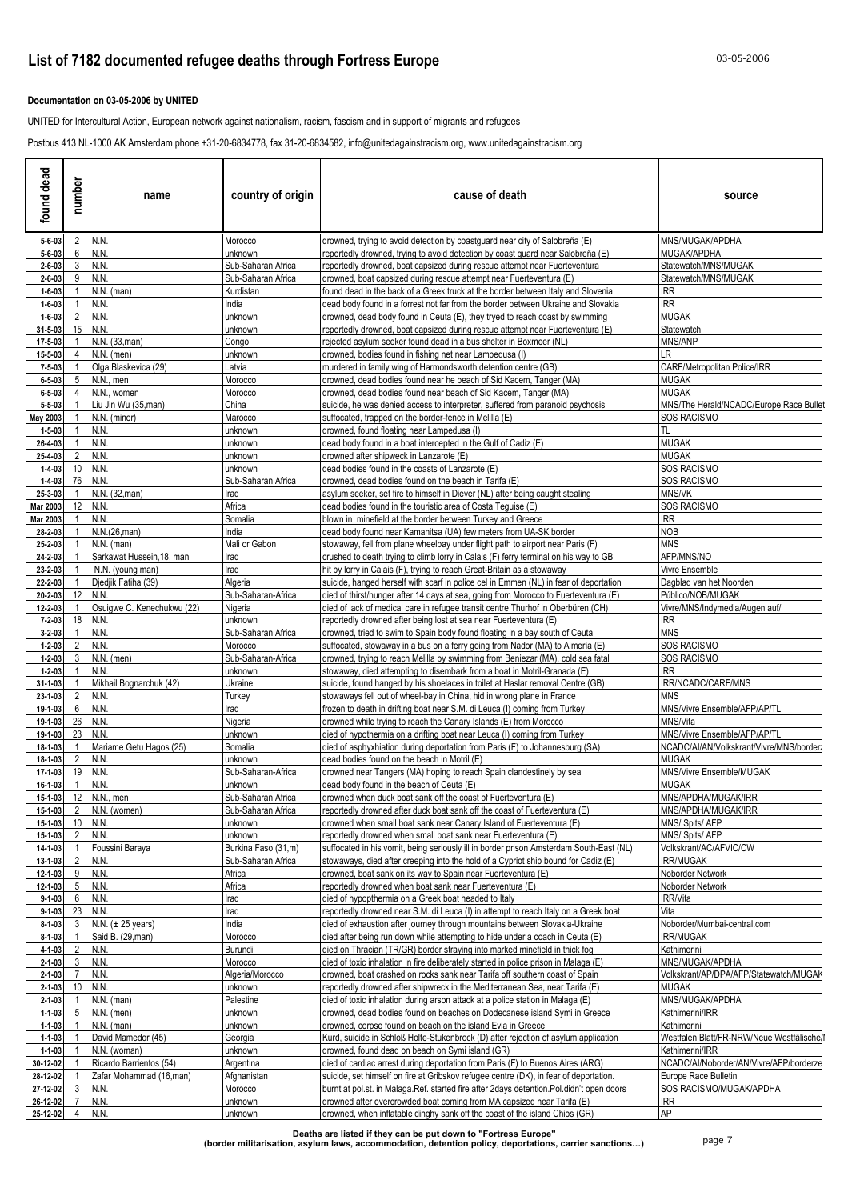### **Documentation on 03-05-2006 by UNITED**

UNITED for Intercultural Action, European network against nationalism, racism, fascism and in support of migrants and refugees

Postbus 413 NL-1000 AK Amsterdam phone +31-20-6834778, fax 31-20-6834582, info@unitedagainstracism.org, www.unitedagainstracism.org

| dead<br>found                | number                        | name                                    | country of origin                         | cause of death<br>source                                                                                                                                                      |                                                            |
|------------------------------|-------------------------------|-----------------------------------------|-------------------------------------------|-------------------------------------------------------------------------------------------------------------------------------------------------------------------------------|------------------------------------------------------------|
| $5 - 6 - 03$                 |                               | 2 N.N.                                  | Morocco                                   | drowned, trying to avoid detection by coastguard near city of Salobreña (E)                                                                                                   | MNS/MUGAK/APDHA                                            |
| $5 - 6 - 03$                 | 6                             | N.N                                     | unknown                                   | reportedly drowned, trying to avoid detection by coast guard near Salobreña (E)                                                                                               | MUGAK/APDHA                                                |
| $2 - 6 - 03$<br>$2 - 6 - 03$ | 3<br>9                        | N.N.<br>N.N.                            | Sub-Saharan Africa<br>Sub-Saharan Africa  | reportedly drowned, boat capsized during rescue attempt near Fuerteventura<br>drowned, boat capsized during rescue attempt near Fuerteventura (E)                             | Statewatch/MNS/MUGAK<br>Statewatch/MNS/MUGAK               |
| $1 - 6 - 03$                 |                               | $N.N.$ (man)                            | Kurdistan                                 | found dead in the back of a Greek truck at the border between Italy and Slovenia                                                                                              | <b>IRR</b>                                                 |
| $1 - 6 - 03$                 |                               | N.N.                                    | India                                     | dead body found in a forrest not far from the border between Ukraine and Slovakia                                                                                             | <b>IRR</b>                                                 |
| $1 - 6 - 03$                 | 2                             | N.N.                                    | unknown                                   | drowned, dead body found in Ceuta (E), they tryed to reach coast by swimming                                                                                                  | <b>MUGAK</b>                                               |
| 31-5-03                      | 15                            | N.N.                                    | unknown                                   | reportedly drowned, boat capsized during rescue attempt near Fuerteventura (E)                                                                                                | Statewatch                                                 |
| 17-5-03                      |                               | N.N. (33.man)                           | Congo                                     | rejected asylum seeker found dead in a bus shelter in Boxmeer (NL)                                                                                                            | MNS/ANP                                                    |
| 15-5-03                      |                               | $N.N.$ (men)                            | unknown                                   | drowned, bodies found in fishing net near Lampedusa (I)                                                                                                                       | LR.                                                        |
| $7 - 5 - 03$                 | 5                             | Olga Blaskevica (29)                    | Latvia                                    | murdered in family wing of Harmondsworth detention centre (GB)                                                                                                                | CARF/Metropolitan Police/IRR<br>MUGAK                      |
| $6 - 5 - 03$<br>$6 - 5 - 03$ | 4                             | N.N., men<br>N.N., women                | Morocco<br>Morocco                        | drowned, dead bodies found near he beach of Sid Kacem, Tanger (MA)<br>drowned, dead bodies found near beach of Sid Kacem, Tanger (MA)                                         | MUGAK                                                      |
| $5 - 5 - 03$                 |                               | Liu Jin Wu (35,man)                     | China                                     | suicide, he was denied access to interpreter, suffered from paranoid psychosis                                                                                                | MNS/The Herald/NCADC/Europe Race Bullet                    |
| May 2003                     |                               | N.N. (minor)                            | Marocco                                   | suffocated, trapped on the border-fence in Melilla (E)                                                                                                                        | SOS RACISMO                                                |
| $1 - 5 - 03$                 |                               | N.N.                                    | unknown                                   | drowned, found floating near Lampedusa (I)                                                                                                                                    | TL                                                         |
| 26-4-03                      |                               | N.N.                                    | unknown                                   | dead body found in a boat intercepted in the Gulf of Cadiz (E)                                                                                                                | <b>MUGAK</b>                                               |
| 25-4-03                      |                               | N.N.                                    | unknown                                   | drowned after shipweck in Lanzarote (E)                                                                                                                                       | MUGAK                                                      |
| $1 - 4 - 03$<br>$1 - 4 - 03$ | 10<br>76                      | N.N.<br>N.N.                            | unknown<br>Sub-Saharan Africa             | dead bodies found in the coasts of Lanzarote (E)<br>drowned, dead bodies found on the beach in Tarifa (E)                                                                     | <b>SOS RACISMO</b><br><b>SOS RACISMO</b>                   |
| 25-3-03                      |                               | N.N. (32, man)                          | Iraq                                      | asylum seeker, set fire to himself in Diever (NL) after being caught stealing                                                                                                 | MNS/VK                                                     |
| Mar 2003                     | 12                            | N.N.                                    | Africa                                    | dead bodies found in the touristic area of Costa Tequise (E)                                                                                                                  | <b>SOS RACISMO</b>                                         |
| Mar 2003                     |                               | N.N.                                    | Somalia                                   | blown in minefield at the border between Turkey and Greece                                                                                                                    | IRR                                                        |
| 28-2-03                      |                               | N.N.(26,man)                            | India                                     | dead body found near Kamanitsa (UA) few meters from UA-SK border                                                                                                              | <b>NOB</b>                                                 |
| 25-2-03                      |                               | $N.N.$ (man)                            | Mali or Gabon                             | stowaway, fell from plane wheelbay under flight path to airport near Paris (F)                                                                                                | MNS                                                        |
| 24-2-03                      |                               | Sarkawat Hussein, 18, man               | Iraq                                      | crushed to death trying to climb lorry in Calais (F) ferry terminal on his way to GB                                                                                          | AFP/MNS/NO                                                 |
| 23-2-03<br>22-2-03           |                               | N.N. (young man)<br>Djedjik Fatiha (39) | Iraq<br>Algeria                           | hit by lorry in Calais (F), trying to reach Great-Britain as a stowaway<br>suicide, hanged herself with scarf in police cel in Emmen (NL) in fear of deportation              | Vivre Ensemble<br>Dagblad van het Noorden                  |
| 20-2-03                      | 12                            | N.N.                                    | Sub-Saharan-Africa                        | died of thirst/hunger after 14 days at sea, going from Morocco to Fuerteventura (E)                                                                                           | Público/NOB/MUGAK                                          |
| 12-2-03                      | 1                             | Osuigwe C. Kenechukwu (22)              | Nigeria                                   | died of lack of medical care in refugee transit centre Thurhof in Oberbüren (CH)                                                                                              | Vivre/MNS/Indymedia/Augen auf/                             |
| $7 - 2 - 03$                 | 18                            | N.N.                                    | unknown                                   | reportedly drowned after being lost at sea near Fuerteventura (E)                                                                                                             | <b>IRR</b>                                                 |
| $3 - 2 - 03$                 | 1                             | N.N.                                    | Sub-Saharan Africa                        | drowned, tried to swim to Spain body found floating in a bay south of Ceuta                                                                                                   | <b>MNS</b>                                                 |
| $1 - 2 - 03$                 | 2                             | N.N.                                    | Morocco                                   | suffocated, stowaway in a bus on a ferry going from Nador (MA) to Almería (E)                                                                                                 | <b>SOS RACISMO</b>                                         |
| $1 - 2 - 03$<br>$1 - 2 - 03$ | 3                             | $N.N.$ (men)<br>N.N.                    | Sub-Saharan-Africa                        | drowned, trying to reach Melilla by swimming from Beniezar (MA), cold sea fatal                                                                                               | <b>SOS RACISMO</b><br>IRR.                                 |
| $31 - 1 - 03$                |                               | Mikhail Bognarchuk (42)                 | unknown<br>Ukraine                        | stowaway, died attempting to disembark from a boat in Motril-Granada (E)<br>suicide, found hanged by his shoelaces in toilet at Haslar removal Centre (GB)                    | <b>RR/NCADC/CARF/MNS</b>                                   |
| 23-1-03                      | 2                             | N.N.                                    | Turkey                                    | stowaways fell out of wheel-bay in China, hid in wrong plane in France                                                                                                        | MNS                                                        |
| 19-1-03                      | 6                             | N.N.                                    | Iraq                                      | frozen to death in drifting boat near S.M. di Leuca (I) coming from Turkey                                                                                                    | MNS/Vivre Ensemble/AFP/AP/TL                               |
| 19-1-03                      | 26                            | N.N.                                    | Nigeria                                   | drowned while trying to reach the Canary Islands (E) from Morocco                                                                                                             | MNS/Vita                                                   |
| 19-1-03                      | 23                            | N.N.                                    | unknown                                   | died of hypothermia on a drifting boat near Leuca (I) coming from Turkey                                                                                                      | MNS/Vivre Ensemble/AFP/AP/TL                               |
| 18-1-03                      | 2                             | Mariame Getu Hagos (25)<br>N.N.         | Somalia                                   | died of asphyxhiation during deportation from Paris (F) to Johannesburg (SA)                                                                                                  | NCADC/AI/AN/Volkskrant/Vivre/MNS/border:<br><b>MUGAK</b>   |
| 18-1-03<br>17-1-03           | 19                            | N.N.                                    | unknown<br>Sub-Saharan-Africa             | dead bodies found on the beach in Motril (E)<br>drowned near Tangers (MA) hoping to reach Spain clandestinely by sea                                                          | MNS/Vivre Ensemble/MUGAK                                   |
| 16-1-03                      | $\overline{1}$                | N.N.                                    | unknown                                   | dead body found in the beach of Ceuta (E)                                                                                                                                     | MUGAK                                                      |
| 15-1-03                      |                               | 12 N.N., men                            | Sub-Saharan Africa                        | drowned when duck boat sank off the coast of Fuerteventura (E)                                                                                                                | MNS/APDHA/MUGAK/IRR                                        |
| 15-1-03                      |                               | 2 N.N. (women)                          | Sub-Saharan Africa                        | reportedly drowned after duck boat sank off the coast of Fuerteventura (E)                                                                                                    | MNS/APDHA/MUGAK/IRR                                        |
| 15-1-03                      |                               | 10 N.N.                                 | unknown                                   | drowned when small boat sank near Canary Island of Fuerteventura (E)                                                                                                          | MNS/ Spits/ AFP                                            |
| 15-1-03                      | $\overline{2}$                | N.N.                                    | unknown                                   | reportedly drowned when small boat sank near Fuerteventura (E)                                                                                                                | MNS/ Spits/ AFP                                            |
| 14-1-03<br>13-1-03           | $\overline{1}$<br>2           | Foussini Baraya<br>N.N.                 | Burkina Faso (31,m)<br>Sub-Saharan Africa | suffocated in his vomit, being seriously ill in border prison Amsterdam South-East (NL)<br>stowaways, died after creeping into the hold of a Cypriot ship bound for Cadiz (E) | Volkskrant/AC/AFVIC/CW<br><b>IRR/MUGAK</b>                 |
| 12-1-03                      | 9                             | N.N.                                    | Africa                                    | drowned, boat sank on its way to Spain near Fuerteventura (E)                                                                                                                 | Noborder Network                                           |
| 12-1-03                      | 5                             | N.N.                                    | Africa                                    | reportedly drowned when boat sank near Fuerteventura (E)                                                                                                                      | Noborder Network                                           |
| $9 - 1 - 03$                 | 6                             | N.N.                                    | Iraq                                      | died of hypopthermia on a Greek boat headed to Italy                                                                                                                          | IRR/Vita                                                   |
| $9 - 1 - 03$                 | 23 N.N.                       |                                         | Iraq                                      | reportedly drowned near S.M. di Leuca (I) in attempt to reach Italy on a Greek boat                                                                                           | Vita                                                       |
| $8 - 1 - 03$                 |                               | 3 $N.N. (± 25 years)$                   | India                                     | died of exhaustion after journey through mountains between Slovakia-Ukraine                                                                                                   | Noborder/Mumbai-central.com                                |
| $8 - 1 - 03$                 |                               | Said B. (29, man)                       | Morocco                                   | died after being run down while attempting to hide under a coach in Ceuta (E)                                                                                                 | IRR/MUGAK                                                  |
| 4-1-03<br>$2 - 1 - 03$       | $2^{\circ}$<br>3 <sup>7</sup> | N.N.<br>N.N.                            | Burundi<br>Morocco                        | died on Thracian (TR/GR) border straying into marked minefield in thick fog<br>died of toxic inhalation in fire deliberately started in police prison in Malaga (E)           | Kathimerini<br>MNS/MUGAK/APDHA                             |
| $2 - 1 - 03$                 | $\overline{7}$                | N.N.                                    | Algeria/Morocco                           | drowned, boat crashed on rocks sank near Tarifa off southern coast of Spain                                                                                                   | Volkskrant/AP/DPA/AFP/Statewatch/MUGAK                     |
| $2 - 1 - 03$                 | 10                            | N.N.                                    | unknown                                   | reportedly drowned after shipwreck in the Mediterranean Sea, near Tarifa (E)                                                                                                  | MUGAK                                                      |
| $2 - 1 - 03$                 |                               | $N.N.$ (man)                            | Palestine                                 | died of toxic inhalation during arson attack at a police station in Malaga (E)                                                                                                | MNS/MUGAK/APDHA                                            |
| $1 - 1 - 03$                 | 5                             | $N.N.$ (men)                            | unknown                                   | drowned, dead bodies found on beaches on Dodecanese island Symi in Greece                                                                                                     | Kathimerini/IRR                                            |
| $1 - 1 - 03$                 |                               | $N.N.$ (man)                            | unknown                                   | drowned, corpse found on beach on the island Evia in Greece                                                                                                                   | Kathimerini                                                |
| $1 - 1 - 03$                 |                               | David Mamedor (45)                      | Georgia                                   | Kurd, suicide in Schloß Holte-Stukenbrock (D) after rejection of asylum application                                                                                           | Westfalen Blatt/FR-NRW/Neue Westfälische/I                 |
| $1 - 1 - 03$                 |                               | N.N. (woman)<br>Ricardo Barrientos (54) | unknown                                   | drowned, found dead on beach on Symi island (GR)<br>died of cardiac arrest during deportation from Paris (F) to Buenos Aires (ARG)                                            | Kathimerini/IRR<br>NCADC/AI/Noborder/AN/Vivre/AFP/borderze |
| 30-12-02<br>28-12-02         |                               | Zafar Mohammad (16,man)                 | Argentina<br>Afghanistan                  | suicide, set himself on fire at Gribskov refugee centre (DK), in fear of deportation.                                                                                         | Europe Race Bulletin                                       |
| 27-12-02                     | 3                             | N.N.                                    | Morocco                                   | burnt at pol.st. in Malaga.Ref. started fire after 2days detention.Pol.didn't open doors                                                                                      | SOS RACISMO/MUGAK/APDHA                                    |
| 26-12-02                     |                               | N.N.                                    | unknown                                   | drowned after overcrowded boat coming from MA capsized near Tarifa (E)                                                                                                        | <b>IRR</b>                                                 |
| 25-12-02                     |                               | 4 N.N.                                  | unknown                                   | drowned, when inflatable dinghy sank off the coast of the island Chios (GR)                                                                                                   | AP                                                         |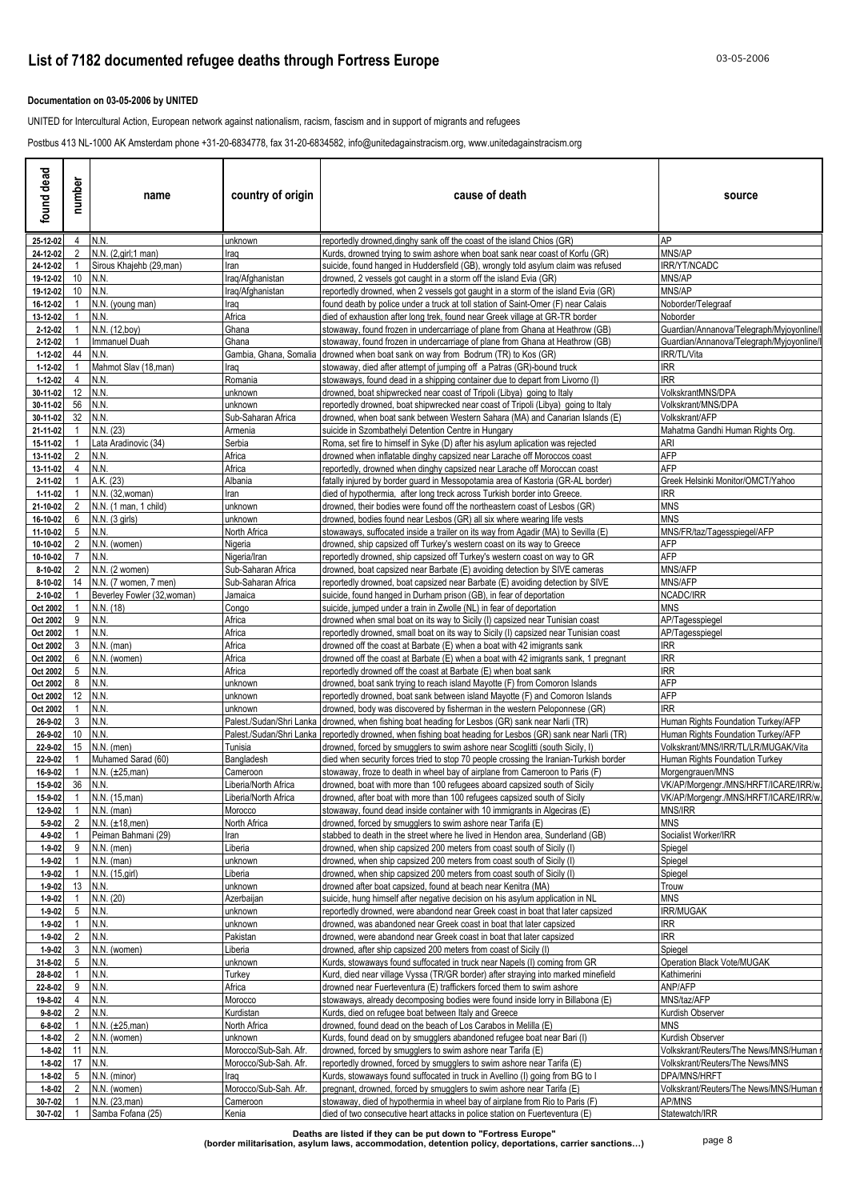### **List of 7182 documented refugee deaths through Fortress Europe** 03-05-2006

### **Documentation on 03-05-2006 by UNITED**

UNITED for Intercultural Action, European network against nationalism, racism, fascism and in support of migrants and refugees

Postbus 413 NL-1000 AK Amsterdam phone +31-20-6834778, fax 31-20-6834582, info@unitedagainstracism.org, www.unitedagainstracism.org

| found dead                   | number         | name                        | country of origin                    | cause of death                                                                                                                                                        | source                                                   |
|------------------------------|----------------|-----------------------------|--------------------------------------|-----------------------------------------------------------------------------------------------------------------------------------------------------------------------|----------------------------------------------------------|
| 25-12-02                     | $\overline{4}$ | N.N.                        | unknown                              | reportedly drowned, dinghy sank off the coast of the island Chios (GR)                                                                                                | AP                                                       |
| 24-12-02                     | 2              | N.N. (2, girl; 1 man)       | Iraq                                 | Kurds, drowned trying to swim ashore when boat sank near coast of Korfu (GR)                                                                                          | MNS/AP                                                   |
| 24-12-02                     |                | Sirous Khajehb (29, man)    | Iran                                 | suicide, found hanged in Huddersfield (GB), wrongly told asylum claim was refused                                                                                     | <b>RR/YT/NCADC</b>                                       |
| 19-12-02                     | 10<br>10       | N.N.<br>N.N.                | Iraq/Afghanistan<br>Iraq/Afghanistan | drowned, 2 vessels got caught in a storm off the island Evia (GR)                                                                                                     | MNS/AP<br>MNS/AP                                         |
| 19-12-02<br>16-12-02         |                | N.N. (young man)            | Iraq                                 | reportedly drowned, when 2 vessels got gaught in a storm of the island Evia (GR)<br>found death by police under a truck at toll station of Saint-Omer (F) near Calais | Noborder/Telegraaf                                       |
| 13-12-02                     |                | N.N.                        | Africa                               | died of exhaustion after long trek, found near Greek village at GR-TR border                                                                                          | Noborder                                                 |
| 2-12-02                      |                | N.N. (12,boy)               | Ghana                                | stowaway, found frozen in undercarriage of plane from Ghana at Heathrow (GB)                                                                                          | Guardian/Annanova/Telegraph/Myjoyonline/                 |
| 2-12-02                      |                | <b>Immanuel Duah</b>        | Ghana                                | stowaway, found frozen in undercarriage of plane from Ghana at Heathrow (GB)                                                                                          | Guardian/Annanova/Telegraph/Myjoyonline/                 |
| 1-12-02                      | 44             | N.N.                        | Gambia, Ghana, Somalia               | drowned when boat sank on way from Bodrum (TR) to Kos (GR)                                                                                                            | IRR/TL/Vita                                              |
| 1-12-02                      |                | Mahmot Slav (18,man)        | Iraq                                 | stowaway, died after attempt of jumping off a Patras (GR)-bound truck                                                                                                 | IRR                                                      |
| 1-12-02                      | 4              | N.N.                        | Romania                              | stowaways, found dead in a shipping container due to depart from Livorno (I)                                                                                          | IRR                                                      |
| 30-11-02                     | 12             | N.N.                        | unknown                              | drowned, boat shipwrecked near coast of Tripoli (Libya) going to Italy                                                                                                | VolkskrantMNS/DPA                                        |
| 30-11-02                     | 56<br>32       | N.N.<br>N.N.                | unknown                              | reportedly drowned, boat shipwrecked near coast of Tripoli (Libya) going to Italy                                                                                     | Volkskrant/MNS/DPA<br>Volkskrant/AFP                     |
| 30-11-02<br>21-11-02         |                | N.N. (23)                   | Sub-Saharan Africa<br>Armenia        | drowned, when boat sank between Western Sahara (MA) and Canarian Islands (E)<br>suicide in Szombathelyi Detention Centre in Hungary                                   | Mahatma Gandhi Human Rights Org.                         |
| 15-11-02                     |                | Lata Aradinovic (34)        | Serbia                               | Roma, set fire to himself in Syke (D) after his asylum aplication was rejected                                                                                        | ari                                                      |
| 13-11-02                     | 2              | N.N.                        | Africa                               | drowned when inflatable dinghy capsized near Larache off Moroccos coast                                                                                               | AFP                                                      |
| 13-11-02                     | 4              | N.N.                        | Africa                               | reportedly, drowned when dinghy capsized near Larache off Moroccan coast                                                                                              | AFP                                                      |
| 2-11-02                      |                | A.K. (23)                   | Albania                              | fatally injured by border quard in Messopotamia area of Kastoria (GR-AL border)                                                                                       | Greek Helsinki Monitor/OMCT/Yahoo                        |
| 1-11-02                      |                | N.N. (32, woman)            | Iran                                 | died of hypothermia, after long treck across Turkish border into Greece.                                                                                              | <b>IRR</b>                                               |
| 21-10-02                     | 2              | N.N. (1 man, 1 child)       | unknown                              | drowned, their bodies were found off the northeastern coast of Lesbos (GR)                                                                                            | <b>MNS</b>                                               |
| 16-10-02                     | 6              | N.N. (3 girls)              | unknown                              | drowned, bodies found near Lesbos (GR) all six where wearing life vests                                                                                               | <b>MNS</b>                                               |
| 11-10-02<br>10-10-02         | 5<br>2         | N.N.<br>N.N. (women)        | North Africa<br>Nigeria              | stowaways, suffocated inside a trailer on its way from Agadir (MA) to Sevilla (E)<br>drowned, ship capsized off Turkey's western coast on its way to Greece           | MNS/FR/taz/Tagesspiegel/AFP<br>AFP                       |
| 10-10-02                     | 7              | N.N.                        | Nigeria/Iran                         | reportedly drowned, ship capsized off Turkey's western coast on way to GR                                                                                             | <b>AFP</b>                                               |
| 8-10-02                      | 2              | N.N. (2 women)              | Sub-Saharan Africa                   | drowned, boat capsized near Barbate (E) avoiding detection by SIVE cameras                                                                                            | MNS/AFP                                                  |
| 8-10-02                      | 14             | N.N. (7 women, 7 men)       | Sub-Saharan Africa                   | reportedly drowned, boat capsized near Barbate (E) avoiding detection by SIVE                                                                                         | MNS/AFP                                                  |
| 2-10-02                      |                | Beverley Fowler (32, woman) | Jamaica                              | suicide, found hanged in Durham prison (GB), in fear of deportation                                                                                                   | NCADC/IRR                                                |
| Oct 2002                     |                | N.N. (18)                   | Congo                                | suicide, jumped under a train in Zwolle (NL) in fear of deportation                                                                                                   | <b>MNS</b>                                               |
| Oct 2002                     | 9              | N.N.                        | Africa                               | drowned when smal boat on its way to Sicily (I) capsized near Tunisian coast                                                                                          | AP/Tagesspiegel                                          |
| Oct 2002                     |                | N.N.                        | Africa                               | reportedly drowned, small boat on its way to Sicily (I) capsized near Tunisian coast                                                                                  | AP/Tagesspiegel                                          |
| Oct 2002                     | 3              | N.N. (man)                  | Africa                               | drowned off the coast at Barbate $(E)$ when a boat with 42 imigrants sank                                                                                             | IRR<br><b>IRR</b>                                        |
| Oct 2002<br>Oct 2002         | 6<br>5         | N.N. (women)<br>N.N.        | Africa<br>Africa                     | drowned off the coast at Barbate (E) when a boat with 42 imigrants sank, 1 pregnant<br>reportedly drowned off the coast at Barbate (E) when boat sank                 | <b>IRR</b>                                               |
| Oct 2002                     | 8              | N.N.                        | unknown                              | drowned, boat sank trying to reach island Mayotte (F) from Comoron Islands                                                                                            | AFP                                                      |
| Oct 2002                     | 12             | N.N.                        | unknown                              | reportedly drowned, boat sank between island Mayotte (F) and Comoron Islands                                                                                          | AFP                                                      |
| Oct 2002                     |                | N.N.                        | unknown                              | drowned, body was discovered by fisherman in the western Peloponnese (GR)                                                                                             | <b>IRR</b>                                               |
| 26-9-02                      | 3              | N.N.                        |                                      | Palest./Sudan/Shri Lanka   drowned, when fishing boat heading for Lesbos (GR) sank near Narli (TR)                                                                    | Human Rights Foundation Turkey/AFP                       |
| 26-9-02                      | 10             | N.N.                        | Palest./Sudan/Shri Lanka             | reportedly drowned, when fishing boat heading for Lesbos (GR) sank near Narli (TR)                                                                                    | Human Rights Foundation Turkey/AFP                       |
| 22-9-02                      | 15             | $N.N.$ (men)                | Tunisia                              | drowned, forced by smugglers to swim ashore near Scoglitti (south Sicily, I)                                                                                          | Volkskrant/MNS/IRR/TL/LR/MUGAK/Vita                      |
| 22-9-02                      |                | Muhamed Sarad (60)          | Bangladesh                           | died when security forces tried to stop 70 people crossing the Iranian-Turkish border                                                                                 | Human Rights Foundation Turkey                           |
| 16-9-02<br>15-9-02           | 36             | $N.N. (\pm 25,man)$<br>N.N. | Cameroon<br>Liberia/North Africa     | stowaway, froze to death in wheel bay of airplane from Cameroon to Paris (F)<br>drowned, boat with more than 100 refugees aboard capsized south of Sicily             | Morgengrauen/MNS<br>VK/AP/Morgengr./MNS/HRFT/ICARE/IRR/w |
| 15-9-02                      | $\overline{1}$ | N.N. (15, man)              | Liberia/North Africa                 | drowned, after boat with more than 100 refugees capsized south of Sicily                                                                                              | VK/AP/Morgengr./MNS/HRFT/ICARE/IRR/w.                    |
| 12-9-02                      | $\overline{1}$ | $N.N.$ (man)                | Morocco                              | stowaway, found dead inside container with 10 immigrants in Algeciras (E)                                                                                             | MNS/IRR                                                  |
| $5 - 9 - 02$                 | $\overline{2}$ | N.N. (±18,men)              | North Africa                         | drowned, forced by smugglers to swim ashore near Tarifa (E)                                                                                                           | <b>MNS</b>                                               |
| 4-9-02                       |                | Peiman Bahmani (29)         | Iran                                 | stabbed to death in the street where he lived in Hendon area, Sunderland (GB)                                                                                         | Socialist Worker/IRR                                     |
| $1 - 9 - 02$                 | 9              | $N.N.$ (men)                | Liberia                              | drowned, when ship capsized 200 meters from coast south of Sicily (I)                                                                                                 | Spiegel                                                  |
| $1 - 9 - 02$                 |                | N.N. (man)                  | unknown                              | drowned, when ship capsized 200 meters from coast south of Sicily (I)                                                                                                 | Spiegel                                                  |
| $1 - 9 - 02$                 |                | N.N. (15, girl)             | Liberia                              | drowned, when ship capsized 200 meters from coast south of Sicily (I)                                                                                                 | Spiegel                                                  |
| 1-9-02                       | 13             | N.N.                        | unknown                              | drowned after boat capsized, found at beach near Kenitra (MA)                                                                                                         | Trouw                                                    |
| $1 - 9 - 02$                 |                | N.N. (20)                   | Azerbaijan                           | suicide, hung himself after negative decision on his asylum application in NL                                                                                         | <b>MNS</b><br><b>IRR/MUGAK</b>                           |
| $1 - 9 - 02$<br>$1 - 9 - 02$ | 5              | N.N.<br>N.N.                | unknown<br>unknown                   | reportedly drowned, were abandond near Greek coast in boat that later capsized<br>drowned, was abandoned near Greek coast in boat that later capsized                 | irr                                                      |
| $1 - 9 - 02$                 | $\overline{2}$ | N.N.                        | Pakistan                             | drowned, were abandond near Greek coast in boat that later capsized                                                                                                   | IRR                                                      |
| $1 - 9 - 02$                 | $\mathbf{3}$   | N.N. (women)                | Liberia                              | drowned, after ship capsized 200 meters from coast of Sicily (I)                                                                                                      | Spiegel                                                  |
| 31-8-02                      | 5              | N.N.                        | unknown                              | Kurds, stowaways found suffocated in truck near Napels (I) coming from GR                                                                                             | Operation Black Vote/MUGAK                               |
| 28-8-02                      |                | N.N.                        | Turkey                               | Kurd, died near village Vyssa (TR/GR border) after straying into marked minefield                                                                                     | Kathimerini                                              |
| 22-8-02                      | 9              | N.N.                        | Africa                               | drowned near Fuerteventura (E) traffickers forced them to swim ashore                                                                                                 | ANP/AFP                                                  |
| 19-8-02                      | 4              | N.N.                        | Morocco                              | stowaways, already decomposing bodies were found inside lorry in Billabona (E)                                                                                        | MNS/taz/AFP                                              |
| $9 - 8 - 02$                 | 2              | N.N.                        | Kurdistan                            | Kurds, died on refugee boat between Italy and Greece                                                                                                                  | Kurdish Observer                                         |
| $6 - 8 - 02$                 |                | N.N. (±25,man)              | North Africa                         | drowned, found dead on the beach of Los Carabos in Melilla (E)                                                                                                        | MNS                                                      |
| $1 - 8 - 02$                 | $\overline{2}$ | N.N. (women)                | unknown                              | Kurds, found dead on by smugglers abandoned refugee boat near Bari (I)                                                                                                | Kurdish Observer                                         |
| $1 - 8 - 02$                 |                | 11 N.N.<br>17 N.N.          | Morocco/Sub-Sah. Afr.                | drowned, forced by smugglers to swim ashore near Tarifa (E)                                                                                                           | Volkskrant/Reuters/The News/MNS/Human                    |
| $1 - 8 - 02$<br>$1 - 8 - 02$ | 5              | N.N. (minor)                | Morocco/Sub-Sah. Afr.<br>Iraq        | reportedly drowned, forced by smugglers to swim ashore near Tarifa (E)<br>Kurds, stowaways found suffocated in truck in Avellino (I) going from BG to I               | Volkskrant/Reuters/The News/MNS<br>DPA/MNS/HRFT          |
| $1 - 8 - 02$                 | $\overline{2}$ | N.N. (women)                | Morocco/Sub-Sah. Afr.                | pregnant, drowned, forced by smugglers to swim ashore near Tarifa (E)                                                                                                 | Volkskrant/Reuters/The News/MNS/Human i                  |
| 30-7-02                      |                | N.N. (23, man)              | Cameroon                             | stowaway, died of hypothermia in wheel bay of airplane from Rio to Paris (F)                                                                                          | AP/MNS                                                   |
| 30-7-02                      | $\overline{1}$ | Samba Fofana (25)           | Kenia                                | died of two consecutive heart attacks in police station on Fuerteventura (E)                                                                                          | Statewatch/IRR                                           |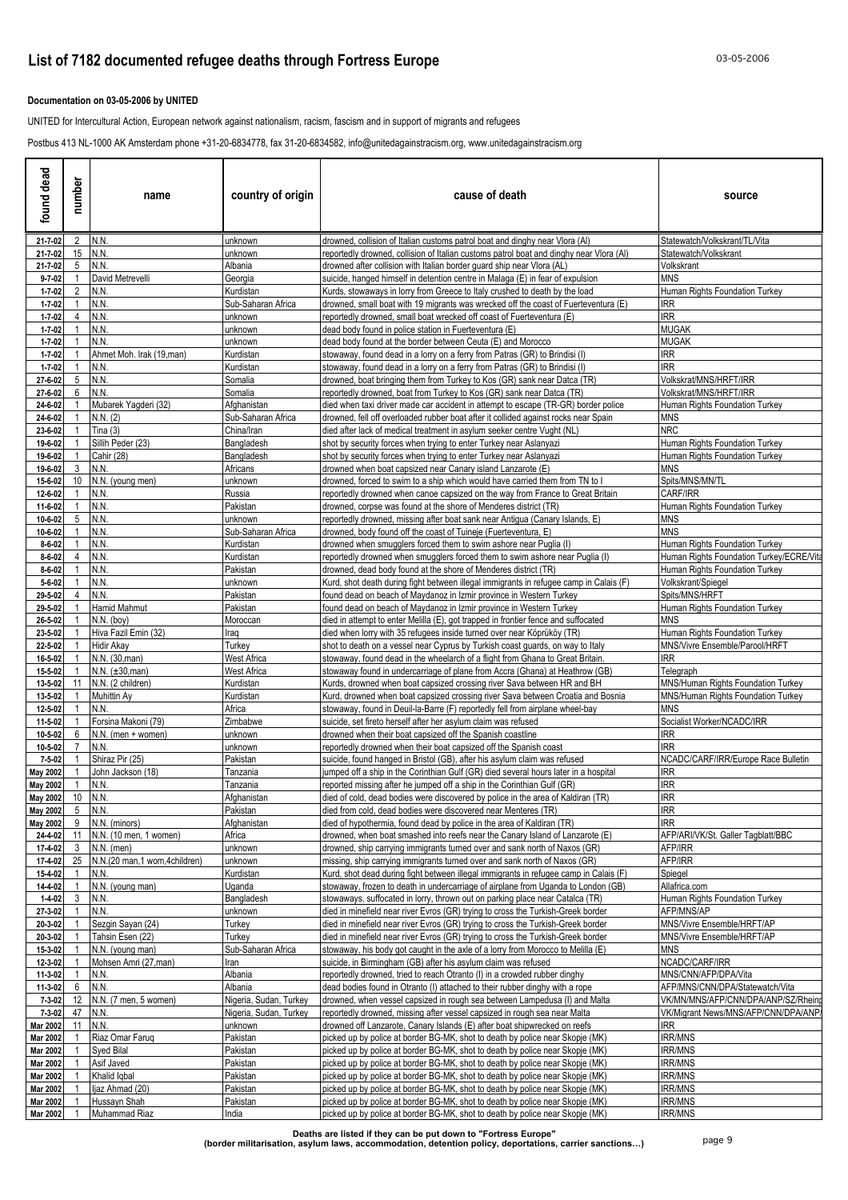### **Documentation on 03-05-2006 by UNITED**

UNITED for Intercultural Action, European network against nationalism, racism, fascism and in support of migrants and refugees

Postbus 413 NL-1000 AK Amsterdam phone +31-20-6834778, fax 31-20-6834582, info@unitedagainstracism.org, www.unitedagainstracism.org

| found dead                          | number               | name                                      | country of origin                 | cause of death                                                                                                                                                       | source                                               |
|-------------------------------------|----------------------|-------------------------------------------|-----------------------------------|----------------------------------------------------------------------------------------------------------------------------------------------------------------------|------------------------------------------------------|
| 21-7-02                             |                      | 2 N.N.                                    | unknown                           | drowned, collision of Italian customs patrol boat and dinghy near Vlora (Al)                                                                                         | Statewatch/Volkskrant/TL/Vita                        |
| 21-7-02                             |                      | 15 N.N.<br>N.N                            | unknown                           | reportedly drowned, collision of Italian customs patrol boat and dinghy near Vlora (AI)                                                                              | Statewatch/Volkskrant                                |
| $21 - 7 - 02$<br>$9 - 7 - 02$       | 5 <sup>5</sup>       | David Metrevelli                          | Albania<br>Georgia                | drowned after collision with Italian border guard ship near Vlora (AL)<br>suicide, hanged himself in detention centre in Malaga (E) in fear of expulsion             | Volkskrant<br><b>MNS</b>                             |
| $1 - 7 - 02$                        | $\overline{2}$       | N.N.                                      | Kurdistan                         | Kurds, stowaways in lorry from Greece to Italy crushed to death by the load                                                                                          | Human Rights Foundation Turkey                       |
| $1 - 7 - 02$                        |                      | N.N.                                      | Sub-Saharan Africa                | drowned, small boat with 19 migrants was wrecked off the coast of Fuerteventura (E)                                                                                  | IRR                                                  |
| $1 - 7 - 02$                        | $\overline{4}$       | N.N.                                      | unknown                           | reportedly drowned, small boat wrecked off coast of Fuerteventura (E)                                                                                                | <b>IRR</b>                                           |
| $1 - 7 - 02$                        |                      | N.N.                                      | unknown                           | dead body found in police station in Fuerteventura (E)                                                                                                               | MUGAK                                                |
| $1 - 7 - 02$<br>$1 - 7 - 02$        |                      | N.N.<br>Ahmet Moh. Irak (19, man)         | unknown<br>Kurdistan              | dead body found at the border between Ceuta (E) and Morocco<br>stowaway, found dead in a lorry on a ferry from Patras (GR) to Brindisi (I)                           | MUGAK<br>IRR                                         |
| $1 - 7 - 02$                        |                      | N.N.                                      | Kurdistan                         | stowaway, found dead in a lorry on a ferry from Patras (GR) to Brindisi (I)                                                                                          | <b>RR</b>                                            |
| 27-6-02                             | 5 <sub>5</sub>       | N.N.                                      | Somalia                           | drowned, boat bringing them from Turkey to Kos (GR) sank near Datca (TR)                                                                                             | Volkskrat/MNS/HRFT/IRR                               |
| 27-6-02                             | 6                    | N.N.                                      | Somalia                           | reportedly drowned, boat from Turkey to Kos (GR) sank near Datca (TR)                                                                                                | Volkskrat/MNS/HRFT/IRR                               |
| 24-6-02                             |                      | Mubarek Yagderi (32)                      | Afghanistan                       | died when taxi driver made car accident in attempt to escape (TR-GR) border police                                                                                   | Human Rights Foundation Turkey                       |
| 24-6-02<br>23-6-02                  |                      | N.N. (2)<br>Tina $(3)$                    | Sub-Saharan Africa<br>China/Iran  | drowned, fell off overloaded rubber boat after it collided against rocks near Spain<br>died after lack of medical treatment in asylum seeker centre Vught (NL)       | MNS<br><b>NRC</b>                                    |
| 19-6-02                             |                      | Sillih Peder (23)                         | Bangladesh                        | shot by security forces when trying to enter Turkey near Aslanyazi                                                                                                   | <b>Human Rights Foundation Turkey</b>                |
| 19-6-02                             |                      | Cahir (28)                                | Bangladesh                        | shot by security forces when trying to enter Turkey near Aslanyazi                                                                                                   | Human Rights Foundation Turkey                       |
| 19-6-02                             | 3                    | N.N.                                      | Africans                          | drowned when boat capsized near Canary island Lanzarote (E)                                                                                                          | <b>MNS</b>                                           |
| 15-6-02                             |                      | 10 N.N. (young men)                       | unknown                           | drowned, forced to swim to a ship which would have carried them from TN to I                                                                                         | Spits/MNS/MN/TL                                      |
| 12-6-02<br>11-6-02                  | $\mathbf{1}$         | N.N.<br>N.N.                              | Russia<br>Pakistan                | reportedly drowned when canoe capsized on the way from France to Great Britain<br>drowned, corpse was found at the shore of Menderes district (TR)                   | CARF/IRR<br>Human Rights Foundation Turkey           |
| 10-6-02                             | 5                    | N.N.                                      | unknown                           | reportedly drowned, missing after boat sank near Antigua (Canary Islands, E)                                                                                         | <b>MNS</b>                                           |
| 10-6-02                             | $\blacktriangleleft$ | N.N.                                      | Sub-Saharan Africa                | drowned, body found off the coast of Tuineje (Fuerteventura, E)                                                                                                      | <b>MNS</b>                                           |
| $8 - 6 - 02$                        |                      | N.N.                                      | Kurdistan                         | drowned when smugglers forced them to swim ashore near Puglia (I)                                                                                                    | Human Rights Foundation Turkey                       |
| $8 - 6 - 02$                        | $\overline{4}$       | N.N.                                      | Kurdistan                         | reportedly drowned when smugglers forced them to swim ashore near Puglia (I)                                                                                         | Human Rights Foundation Turkey/ECRE/Vita             |
| $8 - 6 - 02$<br>$5 - 6 - 02$        |                      | N.N.<br>N.N.                              | Pakistan<br>unknown               | drowned, dead body found at the shore of Menderes district (TR)<br>Kurd, shot death during fight between illegal immigrants in refugee camp in Calais (F)            | Human Rights Foundation Turkey<br>Volkskrant/Spiegel |
| 29-5-02                             | 4                    | N.N.                                      | Pakistan                          | found dead on beach of Maydanoz in Izmir province in Western Turkey                                                                                                  | Spits/MNS/HRFT                                       |
| 29-5-02                             |                      | Hamid Mahmut                              | Pakistan                          | found dead on beach of Maydanoz in Izmir province in Western Turkey                                                                                                  | Human Rights Foundation Turkey                       |
| 26-5-02                             |                      | $N.N.$ (boy)                              | Moroccan                          | died in attempt to enter Melilla (E), got trapped in frontier fence and suffocated                                                                                   | MNS                                                  |
| 23-5-02                             |                      | Hiva Fazil Emin (32)                      | Iraq                              | died when lorry with 35 refugees inside turned over near Köprüköy (TR)                                                                                               | Human Rights Foundation Turkey                       |
| 22-5-02<br>16-5-02                  |                      | Hidir Akay<br>N.N. (30, man)              | Turkey<br>West Africa             | shot to death on a vessel near Cyprus by Turkish coast guards, on way to Italy<br>stowaway, found dead in the wheelarch of a flight from Ghana to Great Britain.     | MNS/Vivre Ensemble/Parool/HRFT<br>IRR.               |
| 15-5-02                             |                      | $N.N. (\pm 30, man)$                      | <b>West Africa</b>                | stowaway found in undercarriage of plane from Accra (Ghana) at Heathrow (GB)                                                                                         | Telegraph                                            |
| 13-5-02                             | 11                   | N.N. (2 children)                         | Kurdistan                         | Kurds, drowned when boat capsized crossing river Sava between HR and BH                                                                                              | MNS/Human Rights Foundation Turkey                   |
| 13-5-02                             |                      | Muhittin Ay                               | Kurdistan                         | Kurd, drowned when boat capsized crossing river Sava between Croatia and Bosnia                                                                                      | MNS/Human Rights Foundation Turkey                   |
| 12-5-02                             |                      | N.N.                                      | Africa                            | stowaway, found in Deuil-la-Barre (F) reportedly fell from airplane wheel-bay                                                                                        | MNS                                                  |
| 11-5-02<br>10-5-02                  | 6                    | Forsina Makoni (79)<br>N.N. (men + women) | Zimbabwe<br>unknown               | suicide, set fireto herself after her asylum claim was refused<br>drowned when their boat capsized off the Spanish coastline                                         | Socialist Worker/NCADC/IRR<br>IRR                    |
| 10-5-02                             |                      | N.N.                                      | unknown                           | reportedly drowned when their boat capsized off the Spanish coast                                                                                                    | <b>IRR</b>                                           |
| $7 - 5 - 02$                        |                      | Shiraz Pir (25)                           | Pakistan                          | suicide, found hanged in Bristol (GB), after his asylum claim was refused                                                                                            | NCADC/CARF/IRR/Europe Race Bulletin                  |
| <b>May 2002</b>                     |                      | John Jackson (18)                         | Tanzania                          | jumped off a ship in the Corinthian Gulf (GR) died several hours later in a hospital                                                                                 | IRR                                                  |
| <b>May 2002</b><br>May 2002 10 N.N. |                      | N.N.                                      | Tanzania<br>Afghanistan           | reported missing after he jumped off a ship in the Corinthian Gulf (GR)<br>died of cold, dead bodies were discovered by police in the area of Kaldiran (TR)          | IRR<br><b>IRR</b>                                    |
| <b>May 2002</b>                     | 5                    | N.N.                                      | Pakistan                          | died from cold, dead bodies were discovered near Menteres (TR)                                                                                                       | <b>IRR</b>                                           |
| May 2002                            | 9                    | N.N. (minors)                             | Afghanistan                       | died of hypothermia, found dead by police in the area of Kaldiran (TR)                                                                                               | <b>IRR</b>                                           |
| 24-4-02                             |                      | 11 N.N. (10 men, 1 women)                 | Africa                            | drowned, when boat smashed into reefs near the Canary Island of Lanzarote (E)                                                                                        | AFP/ARI/VK/St. Galler Tagblatt/BBC                   |
| 17-4-02                             | $\mathbf{3}$         | $N.N.$ (men)                              | unknown                           | drowned, ship carrying immigrants turned over and sank north of Naxos (GR)                                                                                           | AFP/IRR                                              |
| 17-4-02<br>15-4-02                  | 25<br>$\mathbf{1}$   | N.N.(20 man,1 wom,4children)<br>N.N.      | unknown<br>Kurdistan              | missing, ship carrying immigrants turned over and sank north of Naxos (GR)<br>Kurd, shot dead during fight between illegal immigrants in refugee camp in Calais (F)  | AFP/IRR<br>Spiegel                                   |
| 14-4-02                             |                      | N.N. (young man)                          | Uganda                            | stowaway, frozen to death in undercarriage of airplane from Uganda to London (GB)                                                                                    | Allafrica.com                                        |
| $1 - 4 - 02$                        | 3                    | N.N.                                      | Bangladesh                        | stowaways, suffocated in lorry, thrown out on parking place near Catalca (TR)                                                                                        | Human Rights Foundation Turkey                       |
| 27-3-02                             |                      | N.N.                                      | unknown                           | died in minefield near river Evros (GR) trying to cross the Turkish-Greek border                                                                                     | AFP/MNS/AP                                           |
| 20-3-02                             |                      | Sezgin Sayan (24)                         | Turkey                            | died in minefield near river Evros (GR) trying to cross the Turkish-Greek border                                                                                     | MNS/Vivre Ensemble/HRFT/AP                           |
| 20-3-02<br>15-3-02                  |                      | Tahsin Esen (22)<br>N.N. (young man)      | Turkey<br>Sub-Saharan Africa      | died in minefield near river Evros (GR) trying to cross the Turkish-Greek border<br>stowaway, his body got caught in the axle of a lorry from Morocco to Melilla (E) | MNS/Vivre Ensemble/HRFT/AP<br>MNS                    |
| 12-3-02                             |                      | Mohsen Amri (27,man)                      | Iran                              | suicide, in Birmingham (GB) after his asylum claim was refused                                                                                                       | NCADC/CARF/IRR                                       |
| 11-3-02                             | 1                    | N.N.                                      | Albania                           | reportedly drowned, tried to reach Otranto (I) in a crowded rubber dinghy                                                                                            | MNS/CNN/AFP/DPA/Vita                                 |
| 11-3-02                             | 6                    | N.N.                                      | Albania                           | dead bodies found in Otranto (I) attached to their rubber dinghy with a rope                                                                                         | AFP/MNS/CNN/DPA/Statewatch/Vita                      |
| $7 - 3 - 02$                        |                      | 12 N.N. (7 men, 5 women)                  | Nigeria, Sudan, Turkey            | drowned, when vessel capsized in rough sea between Lampedusa (I) and Malta                                                                                           | VK/MN/MNS/AFP/CNN/DPA/ANP/SZ/Rhein                   |
| 7-3-02<br>Mar 2002                  | 47<br>11             | N.N.<br>N.N.                              | Nigeria, Sudan, Turkey<br>unknown | reportedly drowned, missing after vessel capsized in rough sea near Malta<br>drowned off Lanzarote, Canary Islands (E) after boat shipwrecked on reefs               | VK/Migrant News/MNS/AFP/CNN/DPA/ANP/<br>IRR          |
| Mar 2002                            |                      | Riaz Omar Faruq                           | Pakistan                          | picked up by police at border BG-MK, shot to death by police near Skopje (MK)                                                                                        | <b>IRR/MNS</b>                                       |
| Mar 2002                            |                      | Syed Bilal                                | Pakistan                          | picked up by police at border BG-MK, shot to death by police near Skopje (MK)                                                                                        | irr/MNS                                              |
| Mar 2002                            |                      | Asif Javed                                | Pakistan                          | picked up by police at border BG-MK, shot to death by police near Skopje (MK)                                                                                        | <b>IRR/MNS</b>                                       |
| Mar 2002                            |                      | Khalid Iqbal                              | Pakistan                          | picked up by police at border BG-MK, shot to death by police near Skopje (MK)                                                                                        | <b>IRR/MNS</b>                                       |
| Mar 2002<br>Mar 2002                |                      | ljaz Ahmad (20)<br>Hussayn Shah           | Pakistan<br>Pakistan              | picked up by police at border BG-MK, shot to death by police near Skopje (MK)<br>picked up by police at border BG-MK, shot to death by police near Skopje (MK)       | <b>IRR/MNS</b><br><b>IRR/MNS</b>                     |
| Mar 2002                            | $\overline{1}$       | Muhammad Riaz                             | India                             | picked up by police at border BG-MK, shot to death by police near Skopje (MK)                                                                                        | <b>IRR/MNS</b>                                       |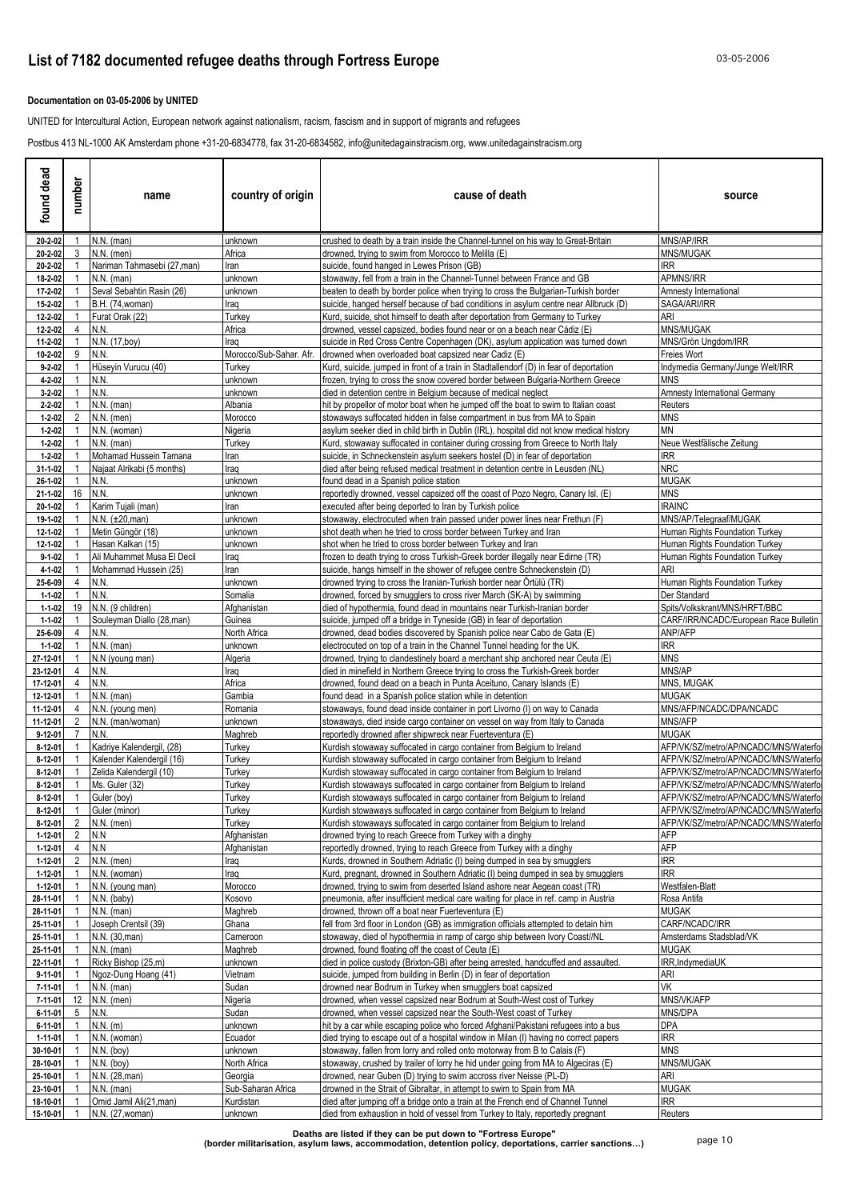### **Documentation on 03-05-2006 by UNITED**

UNITED for Intercultural Action, European network against nationalism, racism, fascism and in support of migrants and refugees

Postbus 413 NL-1000 AK Amsterdam phone +31-20-6834778, fax 31-20-6834582, info@unitedagainstracism.org, www.unitedagainstracism.org

| found dead                     | number                           | name                                        | country of origin             | cause of death                                                                                                                                                   | source                                                                         |
|--------------------------------|----------------------------------|---------------------------------------------|-------------------------------|------------------------------------------------------------------------------------------------------------------------------------------------------------------|--------------------------------------------------------------------------------|
| 20-2-02                        | $\mathbf{1}$                     | $N.N.$ (man)                                | unknown                       | crushed to death by a train inside the Channel-tunnel on his way to Great-Britain                                                                                | MNS/AP/IRR                                                                     |
| 20-2-02<br>20-2-02             | 3                                | $N.N.$ (men)<br>Nariman Tahmasebi (27, man) | Africa<br>Iran                | drowned, trying to swim from Morocco to Melilla (E)<br>suicide, found hanged in Lewes Prison (GB)                                                                | MNS/MUGAK<br>IRR.                                                              |
| 18-2-02                        |                                  | $N.N.$ (man)                                | unknown                       | stowaway, fell from a train in the Channel-Tunnel between France and GB                                                                                          | APMNS/IRR                                                                      |
| 17-2-02                        |                                  | Seval Sebahtin Rasin (26)                   | unknown                       | beaten to death by border police when trying to cross the Bulgarian-Turkish border                                                                               | Amnesty International                                                          |
| 15-2-02                        |                                  | <b>B.H.</b> (74.woman)                      | Iraq                          | suicide, hanged herself because of bad conditions in asylum centre near Allbruck (D)                                                                             | SAGA/ARI/IRR                                                                   |
| 12-2-02<br>12-2-02             | 4                                | Furat Orak (22)<br>N.N.                     | Turkey<br>Africa              | Kurd, suicide, shot himself to death after deportation from Germany to Turkey<br>drowned, vessel capsized, bodies found near or on a beach near Cádiz (E)        | ARI<br>MNS/MUGAK                                                               |
| 11-2-02                        |                                  | N.N. (17,boy)                               | Iraq                          | suicide in Red Cross Centre Copenhagen (DK), asylum application was turned down                                                                                  | MNS/Grön Unadom/IRR                                                            |
| 10-2-02                        | 9                                | N.N.                                        | Morocco/Sub-Sahar. Afr.       | drowned when overloaded boat capsized near Cadiz (E)                                                                                                             | Freies Wort                                                                    |
| $9 - 2 - 02$                   |                                  | Hüseyin Vurucu (40)                         | Turkey                        | Kurd, suicide, jumped in front of a train in Stadtallendorf (D) in fear of deportation                                                                           | Indymedia Germany/Junge Welt/IRR                                               |
| $4 - 2 - 02$<br>$3 - 2 - 02$   |                                  | N.N.<br>N.N.                                | unknown<br>unknown            | frozen, trying to cross the snow covered border between Bulgaria-Northern Greece<br>died in detention centre in Belgium because of medical neglect               | MNS<br>Amnesty International Germany                                           |
| $2 - 2 - 02$                   |                                  | $N.N.$ (man)                                | Albania                       | hit by propellor of motor boat when he jumped off the boat to swim to Italian coast                                                                              | Reuters                                                                        |
| $1 - 2 - 02$                   | $\overline{2}$                   | $N.N.$ (men)                                | Morocco                       | stowaways suffocated hidden in false compartment in bus from MA to Spain                                                                                         | <b>MNS</b>                                                                     |
| $1 - 2 - 02$                   |                                  | N.N. (woman)                                | Nigeria                       | asylum seeker died in child birth in Dublin (IRL), hospital did not know medical history                                                                         | <b>MN</b>                                                                      |
| $1 - 2 - 02$<br>$1 - 2 - 02$   |                                  | $N.N.$ (man)<br>Mohamad Hussein Tamana      | Turkey<br>Iran                | Kurd, stowaway suffocated in container during crossing from Greece to North Italy<br>suicide, in Schneckenstein asylum seekers hostel (D) in fear of deportation | Neue Westfälische Zeitung<br><b>IRR</b>                                        |
| 31-1-02                        |                                  | Najaat Alrikabi (5 months)                  | Iraq                          | died after being refused medical treatment in detention centre in Leusden (NL)                                                                                   | <b>NRC</b>                                                                     |
| 26-1-02                        | 1                                | N.N.                                        | unknown                       | found dead in a Spanish police station                                                                                                                           | MUGAK                                                                          |
| 21-1-02                        | 16                               | N.N.                                        | unknown                       | reportedly drowned, vessel capsized off the coast of Pozo Negro, Canary Isl. (E)                                                                                 | MNS                                                                            |
| 20-1-02                        |                                  | Karim Tujali (man)                          | Iran                          | executed after being deported to Iran by Turkish police                                                                                                          | <b>IRAINC</b>                                                                  |
| 19-1-02<br>12-1-02             |                                  | $N.N. (\pm 20, man)$<br>Metin Güngör (18)   | unknown<br>unknown            | stowaway, electrocuted when train passed under power lines near Frethun (F)<br>shot death when he tried to cross border between Turkey and Iran                  | MNS/AP/Telegraaf/MUGAK<br>Human Rights Foundation Turkey                       |
| 12-1-02                        |                                  | Hasan Kalkan (15)                           | unknown                       | shot when he tried to cross border between Turkey and Iran                                                                                                       | Human Rights Foundation Turkey                                                 |
| $9 - 1 - 02$                   |                                  | Ali Muhammet Musa El Decil                  | Iraq                          | frozen to death trying to cross Turkish-Greek border illegally near Edirne (TR)                                                                                  | Human Rights Foundation Turkey                                                 |
| $4 - 1 - 02$                   |                                  | Mohammad Hussein (25)                       | Iran                          | suicide, hangs himself in the shower of refugee centre Schneckenstein (D)                                                                                        | ARI                                                                            |
| 25-6-09<br>$1 - 1 - 02$        | $\overline{4}$                   | <b>N.N.</b><br>N.N.                         | unknown<br>Somalia            | drowned trying to cross the Iranian-Turkish border near Ortülü (TR)<br>drowned, forced by smugglers to cross river March (SK-A) by swimming                      | Human Rights Foundation Turkey<br>Der Standard                                 |
| $1 - 1 - 02$                   |                                  | 19 N.N. (9 children)                        | Afghanistan                   | died of hypothermia, found dead in mountains near Turkish-Iranian border                                                                                         | Spits/Volkskrant/MNS/HRFT/BBC                                                  |
| $1 - 1 - 02$                   |                                  | Souleyman Diallo (28,man)                   | Guinea                        | suicide, jumped off a bridge in Tyneside (GB) in fear of deportation                                                                                             | CARF/IRR/NCADC/European Race Bulletin                                          |
| 25-6-09                        | $\overline{4}$                   | N.N.                                        | North Africa                  | drowned, dead bodies discovered by Spanish police near Cabo de Gata (E)                                                                                          | ANP/AFP                                                                        |
| $1 - 1 - 02$                   |                                  | $N.N.$ (man)                                | unknown                       | electrocuted on top of a train in the Channel Tunnel heading for the UK.                                                                                         | IRR                                                                            |
| 27-12-01<br>23-12-01           | 4                                | N.N (young man)<br>N.N.                     | Algeria<br>Iraq               | drowned, trying to clandestinely board a merchant ship anchored near Ceuta (E)<br>died in minefield in Northern Greece trying to cross the Turkish-Greek border  | MNS<br>MNS/AP                                                                  |
| 17-12-01                       | 4                                | N.N.                                        | Africa                        | drowned, found dead on a beach in Punta Aceituno, Canary Islands (E)                                                                                             | MNS, MUGAK                                                                     |
| 12-12-01                       |                                  | $N.N.$ (man)                                | Gambia                        | found dead in a Spanish police station while in detention                                                                                                        | MUGAK                                                                          |
| 11-12-01                       | 4                                | N.N. (young men)                            | Romania                       | stowaways, found dead inside container in port Livorno (I) on way to Canada                                                                                      | MNS/AFP/NCADC/DPA/NCADC                                                        |
| 11-12-01<br>$9 - 12 - 01$      | $\overline{2}$<br>$\overline{7}$ | N.N. (man/woman)<br>N.N.                    | unknown<br>Maghreb            | stowaways, died inside cargo container on vessel on way from Italy to Canada<br>reportedly drowned after shipwreck near Fuerteventura (E)                        | MNS/AFP<br><b>MUGAK</b>                                                        |
| $8 - 12 - 01$                  |                                  | Kadriye Kalendergil, (28)                   | Turkey                        | Kurdish stowaway suffocated in cargo container from Belgium to Ireland                                                                                           | AFP/VK/SZ/metro/AP/NCADC/MNS/Waterfo                                           |
| 8-12-01                        |                                  | Kalender Kalendergil (16)                   | Turkey                        | Kurdish stowaway suffocated in cargo container from Belgium to Ireland                                                                                           | AFP/VK/SZ/metro/AP/NCADC/MNS/Waterfo                                           |
| $8 - 12 - 01$                  |                                  | Zelida Kalendergil (10)                     | Turkey                        | Kurdish stowaway suffocated in cargo container from Belgium to Ireland                                                                                           | AFP/VK/SZ/metro/AP/NCADC/MNS/Waterfo                                           |
| $8 - 12 - 01$                  | $\mathbf{1}$                     | Ms. Guler (32)                              | Turkey                        | Kurdish stowaways suffocated in cargo container from Belgium to Ireland                                                                                          | AFP/VK/SZ/metro/AP/NCADC/MNS/Waterfo                                           |
| $8-12-01$<br>8-12-01           | $\mathbf{1}$<br>$\overline{1}$   | Guler (boy)<br>Guler (minor)                | Turkey<br>Turkey              | Kurdish stowaways suffocated in cargo container from Belgium to Ireland<br>Kurdish stowaways suffocated in cargo container from Belgium to Ireland               | AFP/VK/SZ/metro/AP/NCADC/MNS/Waterfor<br>AFP/VK/SZ/metro/AP/NCADC/MNS/Waterfor |
| 8-12-01                        | $\overline{2}$                   | N.N. (men)                                  | Turkey                        | Kurdish stowaways suffocated in cargo container from Belgium to Ireland                                                                                          | AFP/VK/SZ/metro/AP/NCADC/MNS/Waterfo                                           |
| 1-12-01                        | 2                                | N.N                                         | Afghanistan                   | drowned trying to reach Greece from Turkey with a dinghy                                                                                                         | AFP                                                                            |
| 1-12-01                        | $\overline{4}$                   | N.N                                         | Afghanistan                   | reportedly drowned, trying to reach Greece from Turkey with a dinghy                                                                                             | <b>AFP</b>                                                                     |
| 1-12-01<br>$1 - 12 - 01$       | 2                                | $N.N.$ (men)<br>N.N. (woman)                | Iraq<br>Iraq                  | Kurds, drowned in Southern Adriatic (I) being dumped in sea by smugglers<br>Kurd, pregnant, drowned in Southern Adriatic (I) being dumped in sea by smugglers    | <b>IRR</b><br><b>IRR</b>                                                       |
| 1-12-01                        |                                  | N.N. (young man)                            | Morocco                       | drowned, trying to swim from deserted Island ashore near Aegean coast (TR)                                                                                       | Westfalen-Blatt                                                                |
| 28-11-01                       |                                  | N.N. (baby)                                 | Kosovo                        | pneumonia, after insufficient medical care waiting for place in ref. camp in Austria                                                                             | Rosa Antifa                                                                    |
| 28-11-01                       |                                  | $N.N.$ (man)                                | Maghreb                       | drowned, thrown off a boat near Fuerteventura (E)                                                                                                                | MUGAK                                                                          |
| 25-11-01                       |                                  | Joseph Crentsil (39)                        | Ghana                         | fell from 3rd floor in London (GB) as immigration officials attempted to detain him                                                                              | CARF/NCADC/IRR<br>Amsterdams Stadsblad/VK                                      |
| 25-11-01<br>25-11-01           |                                  | N.N. (30, man)<br>$N.N.$ (man)              | Cameroon<br>Maghreb           | stowaway, died of hypothermia in ramp of cargo ship between Ivory Coast//NL<br>drowned, found floating off the coast of Ceuta (E)                                | MUGAK                                                                          |
| 22-11-01                       |                                  | Ricky Bishop (25,m)                         | unknown                       | died in police custody (Brixton-GB) after being arrested, handcuffed and assaulted.                                                                              | IRR, IndymediaUK                                                               |
| $9 - 11 - 01$                  |                                  | Ngoz-Dung Hoang (41)                        | Vietnam                       | suicide, jumped from building in Berlin (D) in fear of deportation                                                                                               | ari                                                                            |
| 7-11-01                        |                                  | $N.N.$ (man)                                | Sudan                         | drowned near Bodrum in Turkey when smugglers boat capsized                                                                                                       | VK                                                                             |
| 7-11-01                        | 5 <sup>5</sup>                   | 12 N.N. (men)                               | Nigeria                       | drowned, when vessel capsized near Bodrum at South-West cost of Turkey                                                                                           | MNS/VK/AFP                                                                     |
| $6 - 11 - 01$<br>$6 - 11 - 01$ |                                  | N.N.<br>$N.N.$ (m)                          | Sudan<br>unknown              | drowned, when vessel capsized near the South-West coast of Turkey<br>hit by a car while escaping police who forced Afghani/Pakistani refugees into a bus         | MNS/DPA<br><b>DPA</b>                                                          |
| 1-11-01                        |                                  | N.N. (woman)                                | Ecuador                       | died trying to escape out of a hospital window in Milan (I) having no correct papers                                                                             | $\ensuremath{\mathsf{IRR}}\xspace$                                             |
| 30-10-01                       |                                  | $N.N.$ (boy)                                | unknown                       | stowaway, fallen from lorry and rolled onto motorway from B to Calais (F)                                                                                        | <b>MNS</b>                                                                     |
| 28-10-01                       |                                  | N.N. (boy)                                  | North Africa                  | stowaway, crushed by trailer of lorry he hid under going from MA to Algeciras (E)                                                                                | MNS/MUGAK                                                                      |
| 25-10-01<br>23-10-01           | $\mathbf{1}$                     | N.N. (28, man)<br>N.N. (man)                | Georgia<br>Sub-Saharan Africa | drowned, near Guben (D) trying to swim accross river Neisse (PL-D)<br>drowned in the Strait of Gibraltar, in attempt to swim to Spain from MA                    | ARI<br><b>MUGAK</b>                                                            |
| 18-10-01                       |                                  | Omid Jamil Ali(21, man)                     | Kurdistan                     | died after jumping off a bridge onto a train at the French end of Channel Tunnel                                                                                 | <b>IRR</b>                                                                     |
| 15-10-01                       |                                  | N.N. (27, woman)                            | unknown                       | died from exhaustion in hold of vessel from Turkey to Italy, reportedly pregnant                                                                                 | Reuters                                                                        |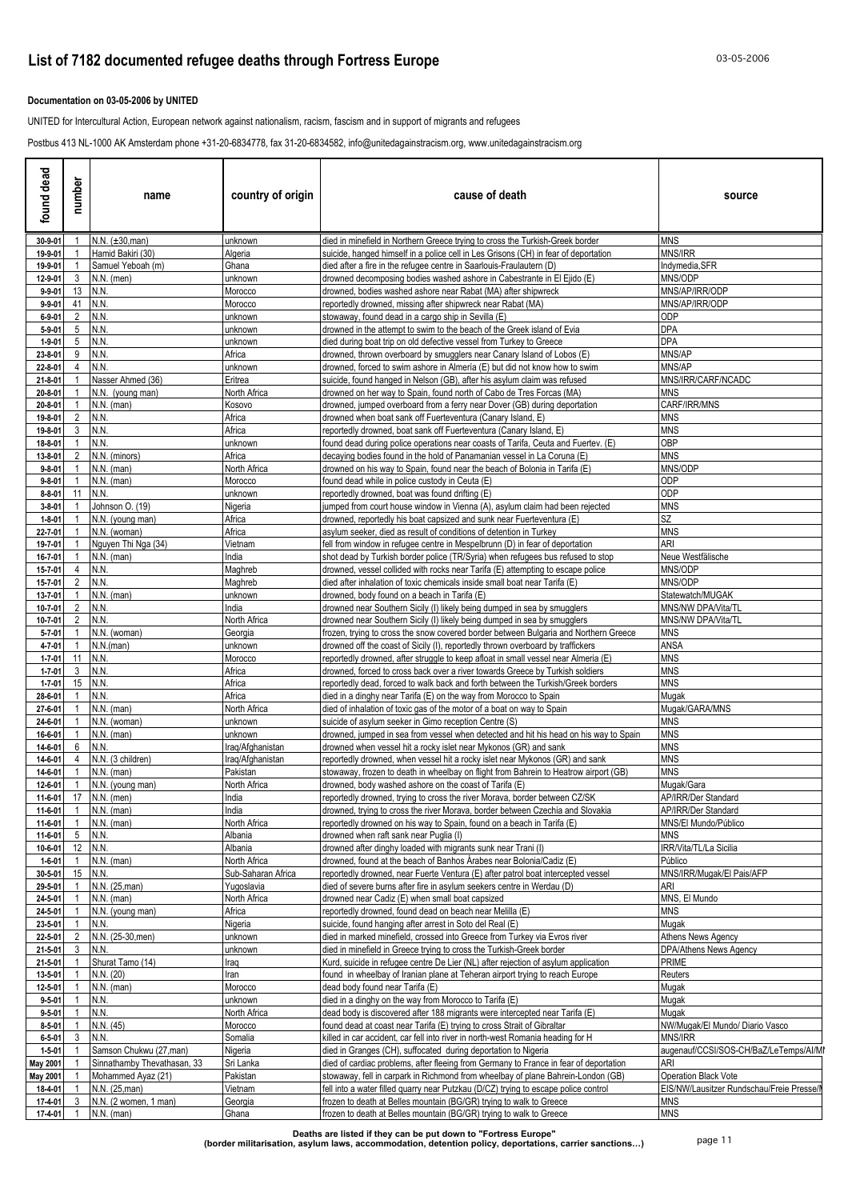### **Documentation on 03-05-2006 by UNITED**

UNITED for Intercultural Action, European network against nationalism, racism, fascism and in support of migrants and refugees

Postbus 413 NL-1000 AK Amsterdam phone +31-20-6834778, fax 31-20-6834582, info@unitedagainstracism.org, www.unitedagainstracism.org

| found dead                   | number         | name                                    | country of origin        | cause of death                                                                                                                                                     | source                                                 |
|------------------------------|----------------|-----------------------------------------|--------------------------|--------------------------------------------------------------------------------------------------------------------------------------------------------------------|--------------------------------------------------------|
| 30-9-01                      |                | N.N. (±30, man)                         | unknown                  | died in minefield in Northern Greece trying to cross the Turkish-Greek border                                                                                      | <b>MNS</b>                                             |
| 19-9-01                      |                | Hamid Bakiri (30)                       | Algeria                  | suicide, hanged himself in a police cell in Les Grisons (CH) in fear of deportation                                                                                | MNS/IRR                                                |
| 19-9-01<br>12-9-01           | 3              | Samuel Yeboah (m)<br>$N.N.$ (men)       | Ghana<br>unknown         | died after a fire in the refugee centre in Saarlouis-Fraulautern (D)<br>drowned decomposing bodies washed ashore in Cabestrante in El Ejido (E)                    | ndymedia,SFR<br>MNS/ODP                                |
| $9 - 9 - 01$                 | 13             | N.N.                                    | Morocco                  | drowned, bodies washed ashore near Rabat (MA) after shipwreck                                                                                                      | MNS/AP/IRR/ODP                                         |
| $9 - 9 - 01$                 | 41             | N.N.                                    | Morocco                  | reportedly drowned, missing after shipwreck near Rabat (MA)                                                                                                        | MNS/AP/IRR/ODP                                         |
| $6 - 9 - 01$                 | 2              | N.N.                                    | unknown                  | stowaway, found dead in a cargo ship in Sevilla (E)                                                                                                                | ODP                                                    |
| $5 - 9 - 01$<br>$1 - 9 - 01$ | 5<br>5         | N.N<br>N.N.                             | unknown<br>unknown       | drowned in the attempt to swim to the beach of the Greek island of Evia<br>died during boat trip on old defective vessel from Turkey to Greece                     | DPA<br>DPA                                             |
| 23-8-01                      | 9              | N.N.                                    | Africa                   | drowned, thrown overboard by smugglers near Canary Island of Lobos (E)                                                                                             | MNS/AP                                                 |
| 22-8-01                      |                | N.N.                                    | unknown                  | drowned, forced to swim ashore in Almería (E) but did not know how to swim                                                                                         | MNS/AP                                                 |
| $21 - 8 - 01$                |                | Nasser Ahmed (36)                       | Eritrea                  | suicide, found hanged in Nelson (GB), after his asylum claim was refused                                                                                           | MNS/IRR/CARF/NCADC                                     |
| 20-8-01                      |                | N.N. (young man)                        | North Africa             | drowned on her way to Spain, found north of Cabo de Tres Forcas (MA)                                                                                               | MNS<br>CARF/IRR/MNS                                    |
| 20-8-01<br>19-8-01           |                | N.N. (man)<br>N.N.                      | Kosovo<br>Africa         | drowned, jumped overboard from a ferry near Dover (GB) during deportation<br>drowned when boat sank off Fuerteventura (Canary Island, E)                           | MNS                                                    |
| 19-8-01                      | 3              | N.N.                                    | Africa                   | reportedly drowned, boat sank off Fuerteventura (Canary Island, E)                                                                                                 | MNS                                                    |
| 18-8-01                      |                | N.N.                                    | unknown                  | found dead during police operations near coasts of Tarifa, Ceuta and Fuertev. (E)                                                                                  | OBP                                                    |
| 13-8-01                      |                | N.N. (minors)                           | Africa                   | decaying bodies found in the hold of Panamanian vessel in La Coruna (E)                                                                                            | <b>MNS</b>                                             |
| $9 - 8 - 01$<br>$9 - 8 - 01$ |                | $N.N.$ (man)<br>$N.N.$ (man)            | North Africa<br>Morocco  | drowned on his way to Spain, found near the beach of Bolonia in Tarifa (E)<br>found dead while in police custody in Ceuta (E)                                      | MNS/ODP<br>ODP                                         |
| $8 - 8 - 01$                 | 11             | N.N.                                    | unknown                  | reportedly drowned, boat was found drifting (E)                                                                                                                    | ODP                                                    |
| $3 - 8 - 01$                 |                | Johnson O. (19)                         | Nigeria                  | umped from court house window in Vienna (A), asylum claim had been rejected                                                                                        | <b>MNS</b>                                             |
| $1 - 8 - 01$                 |                | N.N. (young man)                        | Africa                   | drowned, reportedly his boat capsized and sunk near Fuerteventura (E)                                                                                              | SZ                                                     |
| 22-7-01                      |                | N.N. (woman)                            | Africa                   | asylum seeker, died as result of conditions of detention in Turkey                                                                                                 | <b>MNS</b>                                             |
| 19-7-01                      |                | Nguyen Thi Nga (34)<br>$N.N.$ (man)     | Vietnam<br>India         | fell from window in refugee centre in Mespelbrunn (D) in fear of deportation                                                                                       | ARI                                                    |
| 16-7-01<br>15-7-01           | $\overline{4}$ | N.N.                                    | Maghreb                  | shot dead by Turkish border police (TR/Syria) when refugees bus refused to stop<br>drowned, vessel collided with rocks near Tarifa (E) attempting to escape police | Neue Westfälische<br>MNS/ODP                           |
| 15-7-01                      | $\mathcal{P}$  | N.N.                                    | Maghreb                  | died after inhalation of toxic chemicals inside small boat near Tarifa (E)                                                                                         | <b>MNS/ODP</b>                                         |
| 13-7-01                      |                | $N.N.$ (man)                            | unknown                  | drowned, body found on a beach in Tarifa (E)                                                                                                                       | Statewatch/MUGAK                                       |
| 10-7-01                      | $\overline{2}$ | N.N.                                    | India                    | drowned near Southern Sicily (I) likely being dumped in sea by smugglers                                                                                           | MNS/NW DPA/Vita/TL                                     |
| 10-7-01<br>$5 - 7 - 01$      | 2              | N.N.<br>N.N. (woman)                    | North Africa<br>Georgia  | drowned near Southern Sicily (I) likely being dumped in sea by smugglers<br>frozen, trying to cross the snow covered border between Bulgaria and Northern Greece   | MNS/NW DPA/Vita/TL<br><b>MNS</b>                       |
| 4-7-01                       |                | N.N.(man)                               | unknown                  | drowned off the coast of Sicily (I), reportedly thrown overboard by traffickers                                                                                    | ANSA                                                   |
| $1 - 7 - 01$                 | 11             | N.N.                                    | Morocco                  | reportedly drowned, after struggle to keep afloat in small vessel near Almeria (E)                                                                                 | MNS                                                    |
| $1 - 7 - 01$                 | 3              | N.N.                                    | Africa                   | drowned, forced to cross back over a river towards Greece by Turkish soldiers                                                                                      | <b>MNS</b>                                             |
| $1 - 7 - 01$                 | 15             | N.N.                                    | Africa                   | reportedly dead, forced to walk back and forth between the Turkish/Greek borders                                                                                   | MNS                                                    |
| 28-6-01<br>27-6-01           |                | N.N.<br>N.N. (man)                      | Africa<br>North Africa   | died in a dinghy near Tarifa (E) on the way from Morocco to Spain<br>died of inhalation of toxic gas of the motor of a boat on way to Spain                        | Muqak<br>Mugak/GARA/MNS                                |
| 24-6-01                      |                | N.N. (woman)                            | unknown                  | suicide of asylum seeker in Gimo reception Centre (S)                                                                                                              | MNS                                                    |
| 16-6-01                      |                | $N.N.$ (man)                            | unknown                  | drowned, jumped in sea from vessel when detected and hit his head on his way to Spain                                                                              | MNS                                                    |
| 14-6-01                      |                | N.N.                                    | raq/Afghanistan          | drowned when vessel hit a rocky islet near Mykonos (GR) and sank                                                                                                   | MNS                                                    |
| 14-6-01                      |                | N.N. (3 children)                       | raq/Afghanistan          | reportedly drowned, when vessel hit a rocky islet near Mykonos (GR) and sank                                                                                       | <b>MNS</b>                                             |
| 14-6-01<br>12-6-01           |                | N.N. (man)<br>N.N. (young man)          | Pakistan<br>North Africa | stowaway, frozen to death in wheelbay on flight from Bahrein to Heatrow airport (GB)<br>drowned, body washed ashore on the coast of Tarifa (E)                     | MNS<br>Mugak/Gara                                      |
|                              |                | 11-6-01 17 N.N. (men)                   | India                    | reportedly drowned, trying to cross the river Morava, border between CZ/SK                                                                                         | AP/IRR/Der Standard                                    |
| 11-6-01                      | $\overline{1}$ | $N.N.$ (man)                            | India                    | drowned, trying to cross the river Morava, border between Czechia and Slovakia                                                                                     | AP/IRR/Der Standard                                    |
| 11-6-01                      | $\overline{1}$ | $N.N.$ (man)                            | North Africa             | reportedly drowned on his way to Spain, found on a beach in Tarifa (E)                                                                                             | MNS/El Mundo/Público                                   |
| 11-6-01                      | 5              | N.N.                                    | Albania                  | drowned when raft sank near Puglia (I)                                                                                                                             | MNS                                                    |
| 10-6-01<br>$1 - 6 - 01$      |                | 12 N.N.<br>$N.N.$ (man)                 | Albania<br>North Africa  | drowned after dinghy loaded with migrants sunk near Trani (I)<br>drowned, found at the beach of Banhos Árabes near Bolonia/Cadiz (E)                               | IRR/Vita/TL/La Sicilia<br>Público                      |
| 30-5-01                      | 15             | N.N.                                    | Sub-Saharan Africa       | reportedly drowned, near Fuerte Ventura (E) after patrol boat intercepted vessel                                                                                   | MNS/IRR/Muqak/El Pais/AFP                              |
| 29-5-01                      |                | N.N. (25, man)                          | Yugoslavia               | died of severe burns after fire in asylum seekers centre in Werdau (D)                                                                                             | ari                                                    |
| 24-5-01                      |                | $N.N.$ (man)                            | North Africa             | drowned near Cadiz (E) when small boat capsized                                                                                                                    | MNS, El Mundo                                          |
| 24-5-01                      |                | N.N. (young man)                        | Africa                   | reportedly drowned, found dead on beach near Melilla (E)                                                                                                           | MNS                                                    |
| 23-5-01<br>22-5-01           | 2              | N.N.<br>N.N. (25-30, men)               | Nigeria<br>unknown       | suicide, found hanging after arrest in Soto del Real (E)<br>died in marked minefield, crossed into Greece from Turkey via Evros river                              | Mugak<br>Athens News Agency                            |
| 21-5-01                      | 3              | N.N.                                    | unknown                  | died in minefield in Greece trying to cross the Turkish-Greek border                                                                                               | DPA/Athens News Agency                                 |
| $21 - 5 - 01$                |                | Shurat Tamo (14)                        | Iraq                     | Kurd, suicide in refugee centre De Lier (NL) after rejection of asylum application                                                                                 | PRIME                                                  |
| 13-5-01                      |                | N.N. (20)                               | Iran                     | found in wheelbay of Iranian plane at Teheran airport trying to reach Europe                                                                                       | Reuters                                                |
| 12-5-01                      |                | N.N. (man)                              | Morocco                  | dead body found near Tarifa (E)                                                                                                                                    | Mugak                                                  |
| $9 - 5 - 01$<br>$9 - 5 - 01$ |                | N.N.<br>N.N.                            | unknown<br>North Africa  | died in a dinghy on the way from Morocco to Tarifa (E)<br>dead body is discovered after 188 migrants were intercepted near Tarifa (E)                              | Mugak<br>Mugak                                         |
| $8 - 5 - 01$                 |                | N.N. (45)                               | Morocco                  | found dead at coast near Tarifa (E) trying to cross Strait of Gibraltar                                                                                            | NW/Mugak/El Mundo/ Diario Vasco                        |
| $6 - 5 - 01$                 |                | N.N.                                    | Somalia                  | killed in car accident, car fell into river in north-west Romania heading for H                                                                                    | MNS/IRR                                                |
| $1 - 5 - 01$                 |                | Samson Chukwu (27,man)                  | Nigeria                  | died in Granges (CH), suffocated during deportation to Nigeria                                                                                                     | augenauf/CCSI/SOS-CH/BaZ/LeTemps/AI/MI                 |
| May 2001                     |                | Sinnathamby Thevathasan, 33             | Sri Lanka                | died of cardiac problems, after fleeing from Germany to France in fear of deportation                                                                              | ari                                                    |
| <b>May 2001</b>              |                | Mohammed Ayaz (21)                      | Pakistan                 | stowaway, fell in carpark in Richmond from wheelbay of plane Bahrein-London (GB)                                                                                   | Operation Black Vote                                   |
| 18-4-01<br>17-4-01           | 3              | N.N. (25, man)<br>N.N. (2 women, 1 man) | Vietnam<br>Georgia       | fell into a water filled quarry near Putzkau (D/CZ) trying to escape police control<br>frozen to death at Belles mountain (BG/GR) trying to walk to Greece         | EIS/NW/Lausitzer Rundschau/Freie Presse/<br><b>MNS</b> |
| 17-4-01                      | $\overline{1}$ | $N.N.$ (man)                            | Ghana                    | frozen to death at Belles mountain (BG/GR) trying to walk to Greece                                                                                                | <b>MNS</b>                                             |
|                              |                |                                         |                          |                                                                                                                                                                    |                                                        |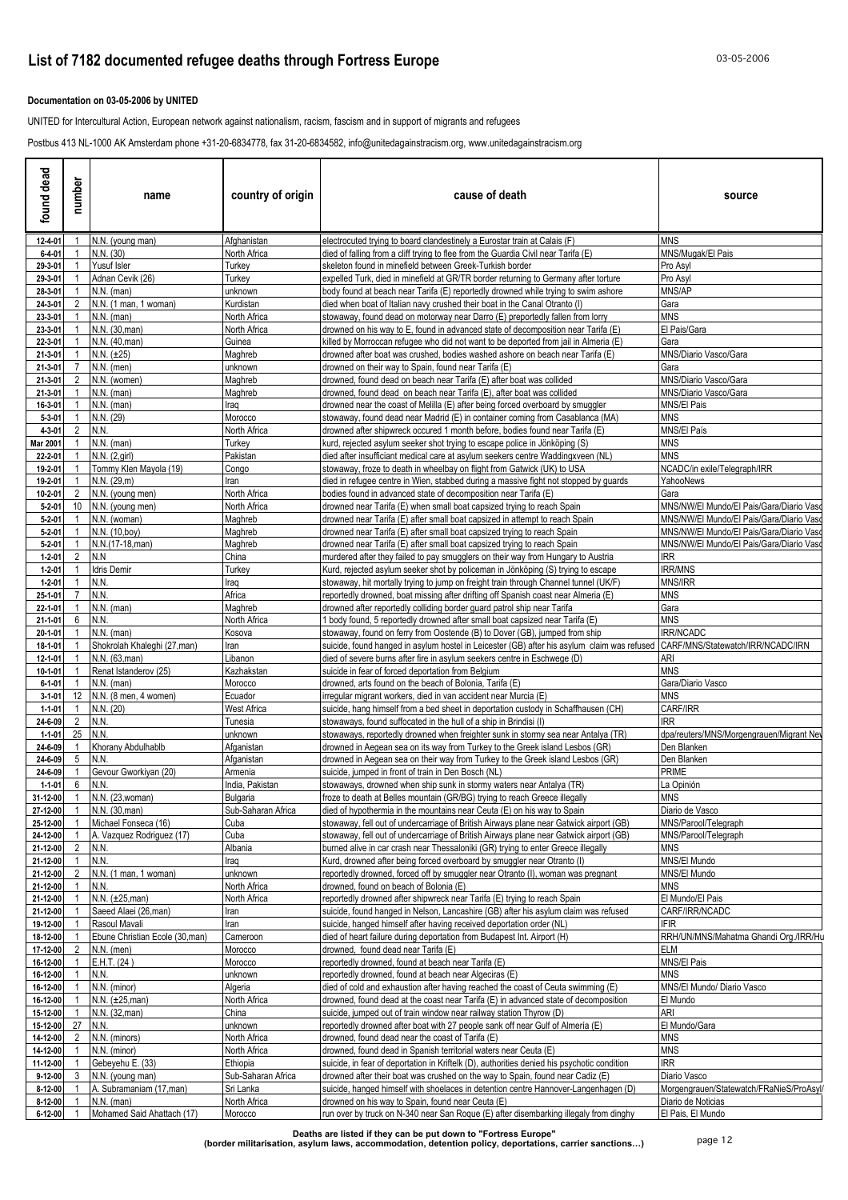### **Documentation on 03-05-2006 by UNITED**

UNITED for Intercultural Action, European network against nationalism, racism, fascism and in support of migrants and refugees

Postbus 413 NL-1000 AK Amsterdam phone +31-20-6834778, fax 31-20-6834582, info@unitedagainstracism.org, www.unitedagainstracism.org

| found dead                   | number          | name                                              | country of origin               | cause of death                                                                                                                                                                   | source                                                                               |
|------------------------------|-----------------|---------------------------------------------------|---------------------------------|----------------------------------------------------------------------------------------------------------------------------------------------------------------------------------|--------------------------------------------------------------------------------------|
| 12-4-01                      |                 | N.N. (young man)                                  | Afghanistan                     | electrocuted trying to board clandestinely a Eurostar train at Calais (F)                                                                                                        | <b>MNS</b>                                                                           |
| $6 - 4 - 01$                 |                 | N.N. (30)                                         | North Africa                    | died of falling from a cliff trying to flee from the Guardia Civil near Tarifa (E)                                                                                               | MNS/Mugak/El Pais                                                                    |
| 29-3-01<br>29-3-01           |                 | Yusuf Isler<br>Adnan Cevik (26)                   | Turkey<br>Turkey                | skeleton found in minefield between Greek-Turkish border<br>expelled Turk, died in minefield at GR/TR border returning to Germany after torture                                  | Pro Asyl<br>Pro Asyl                                                                 |
| 28-3-01                      |                 | $N.N.$ (man)                                      | unknown                         | body found at beach near Tarifa (E) reportedly drowned while trying to swim ashore                                                                                               | MNS/AP                                                                               |
| 24-3-01                      | 2               | N.N. (1 man, 1 woman)                             | Kurdistan                       | died when boat of Italian navy crushed their boat in the Canal Otranto (I)                                                                                                       | Gara                                                                                 |
| 23-3-01                      |                 | $N.N.$ (man)                                      | North Africa                    | stowaway, found dead on motorway near Darro (E) preportedly fallen from lorry                                                                                                    | <b>MNS</b>                                                                           |
| 23-3-01                      |                 | N.N. (30, man)                                    | North Africa                    | drowned on his way to E, found in advanced state of decomposition near Tarifa (E)                                                                                                | El Pais/Gara                                                                         |
| 22-3-01<br>21-3-01           |                 | N.N. (40, man)<br>N.N. (±25)                      | Guinea<br>Maghreb               | killed by Morroccan refugee who did not want to be deported from jail in Almeria (E)<br>drowned after boat was crushed, bodies washed ashore on beach near Tarifa (E)            | Gara<br>MNS/Diario Vasco/Gara                                                        |
| 21-3-01                      |                 | $N.N.$ (men)                                      | unknown                         | drowned on their way to Spain, found near Tarifa (E)                                                                                                                             | Gara                                                                                 |
| 21-3-01                      | 2               | N.N. (women)                                      | Maghreb                         | drowned, found dead on beach near Tarifa (E) after boat was collided                                                                                                             | MNS/Diario Vasco/Gara                                                                |
| 21-3-01                      |                 | $N.N.$ (man)                                      | Maghreb                         | drowned, found dead on beach near Tarifa (E), after boat was collided                                                                                                            | MNS/Diario Vasco/Gara                                                                |
| 16-3-01                      |                 | $N.N.$ (man)                                      | Iraq                            | drowned near the coast of Melilla (E) after being forced overboard by smuggler                                                                                                   | MNS/El Pais                                                                          |
| $5 - 3 - 01$                 | $\overline{2}$  | N.N. (29)<br>N.N.                                 | Morocco                         | stowaway, found dead near Madrid (E) in container coming from Casablanca (MA)                                                                                                    | MNS                                                                                  |
| $4 - 3 - 01$<br>Mar 2001     |                 | N.N. (man)                                        | North Africa<br>Turkey          | drowned after shipwreck occured 1 month before, bodies found near Tarifa (E)<br>kurd, rejected asylum seeker shot trying to escape police in Jönköping (S)                       | MNS/El País<br>MNS                                                                   |
| 22-2-01                      |                 | N.N. (2, girl)                                    | Pakistan                        | died after insufficiant medical care at asylum seekers centre Waddingxveen (NL)                                                                                                  | <b>MNS</b>                                                                           |
| 19-2-01                      |                 | Tommy Klen Mayola (19)                            | Congo                           | stowaway, froze to death in wheelbay on flight from Gatwick (UK) to USA                                                                                                          | NCADC/in exile/Telegraph/IRR                                                         |
| 19-2-01                      |                 | N.N. (29,m)                                       | Iran                            | died in refugee centre in Wien, stabbed during a massive fight not stopped by guards                                                                                             | YahooNews                                                                            |
| 10-2-01                      | 2               | N.N. (young men)                                  | North Africa                    | bodies found in advanced state of decomposition near Tarifa (E)                                                                                                                  | Gara                                                                                 |
| $5 - 2 - 01$<br>$5 - 2 - 01$ | 10 <sup>°</sup> | N.N. (young men)<br>N.N. (woman)                  | North Africa<br>Maghreb         | drowned near Tarifa (E) when small boat capsized trying to reach Spain<br>drowned near Tarifa (E) after small boat capsized in attempt to reach Spain                            | MNS/NW/El Mundo/El Pais/Gara/Diario Vaso<br>MNS/NW/El Mundo/El Pais/Gara/Diario Vasc |
| $5 - 2 - 01$                 |                 | N.N. (10,boy)                                     | Maghreb                         | drowned near Tarifa (E) after small boat capsized trying to reach Spain                                                                                                          | MNS/NW/El Mundo/El Pais/Gara/Diario Vaso                                             |
| $5 - 2 - 01$                 |                 | N.N.(17-18, man)                                  | Maghreb                         | drowned near Tarifa (E) after small boat capsized trying to reach Spain                                                                                                          | MNS/NW/El Mundo/El Pais/Gara/Diario Vaso                                             |
| $1 - 2 - 01$                 | $\overline{2}$  | N.N                                               | China                           | murdered after they failed to pay smugglers on their way from Hungary to Austria                                                                                                 | IRR                                                                                  |
| $1 - 2 - 01$                 |                 | <b>Idris Demir</b>                                | Turkey                          | Kurd, rejected asylum seeker shot by policeman in Jönköping (S) trying to escape                                                                                                 | IRR/MNS                                                                              |
| $1 - 2 - 01$<br>25-1-01      |                 | N.N.<br>N.N.                                      | Iraq<br>Africa                  | stowaway, hit mortally trying to jump on freight train through Channel tunnel (UK/F)                                                                                             | <b>MNS/IRR</b><br>MNS                                                                |
| 22-1-01                      |                 | $N.N.$ (man)                                      | Maghreb                         | reportedly drowned, boat missing after drifting off Spanish coast near Almeria (E)<br>drowned after reportedly colliding border guard patrol ship near Tarifa                    | Gara                                                                                 |
| 21-1-01                      | 6               | N.N.                                              | North Africa                    | body found, 5 reportedly drowned after small boat capsized near Tarifa (E)                                                                                                       | <b>MNS</b>                                                                           |
| $20 - 1 - 01$                |                 | $N.N.$ (man)                                      | Kosova                          | stowaway, found on ferry from Oostende (B) to Dover (GB), jumped from ship                                                                                                       | IRR/NCADC                                                                            |
| 18-1-01                      |                 | Shokrolah Khaleghi (27, man)                      | Iran                            | suicide, found hanged in asylum hostel in Leicester (GB) after his asylum claim was refused                                                                                      | CARF/MNS/Statewatch/IRR/NCADC/IRN                                                    |
| 12-1-01                      |                 | N.N. (63, man)                                    | Libanon                         | died of severe burns after fire in asylum seekers centre in Eschwege (D)                                                                                                         | ari<br>MNS                                                                           |
| 10-1-01<br>$6 - 1 - 01$      |                 | Renat Istanderov (25)<br>$N.N.$ (man)             | Kazhakstan<br>Morocco           | suicide in fear of forced deportation from Belgium<br>drowned, arts found on the beach of Bolonia, Tarifa (E)                                                                    | Gara/Diario Vasco                                                                    |
| $3 - 1 - 01$                 |                 | 12   N.N. (8 men, 4 women)                        | Ecuador                         | irregular migrant workers, died in van accident near Murcia (E)                                                                                                                  | MNS                                                                                  |
| $1 - 1 - 01$                 |                 | N.N. (20)                                         | West Africa                     | suicide, hang himself from a bed sheet in deportation custody in Schaffhausen (CH)                                                                                               | CARF/IRR                                                                             |
| 24-6-09                      | $2^{\circ}$     | N.N.                                              | Tunesia                         | stowaways, found suffocated in the hull of a ship in Brindisi (I)                                                                                                                | IRR                                                                                  |
| $1 - 1 - 01$                 | 25              | N.N.                                              | unknown                         | stowaways, reportedly drowned when freighter sunk in stormy sea near Antalya (TR)                                                                                                | dpa/reuters/MNS/Morgengrauen/Migrant Net                                             |
| 24-6-09<br>24-6-09           | 5               | Khorany Abdulhablb<br>N.N.                        | Afganistan<br>Afganistan        | drowned in Aegean sea on its way from Turkey to the Greek island Lesbos (GR)<br>drowned in Aegean sea on their way from Turkey to the Greek island Lesbos (GR)                   | Den Blanken<br>Den Blanken                                                           |
| 24-6-09                      |                 | Gevour Gworkiyan (20)                             | Armenia                         | suicide, jumped in front of train in Den Bosch (NL)                                                                                                                              | PRIME                                                                                |
| $1 - 1 - 01$                 | 6               | N.N.                                              | India. Pakistan                 | stowaways, drowned when ship sunk in stormy waters near Antalya (TR)                                                                                                             | ∟a Opinión                                                                           |
| 31-12-00                     | $\mathbf{1}$    | N.N. (23, woman)                                  | Bulgaria                        | froze to death at Belles mountain (GR/BG) trying to reach Greece illegally                                                                                                       | <b>MNS</b>                                                                           |
| 27-12-00                     | $\overline{1}$  | N.N. (30, man)                                    | Sub-Saharan Africa              | died of hypothermia in the mountains near Ceuta (E) on his way to Spain                                                                                                          | Diario de Vasco                                                                      |
| 25-12-00<br>24-12-00         |                 | Michael Fonseca (16)<br>A. Vazquez Rodriquez (17) | Cuba<br>Cuba                    | stowaway, fell out of undercarriage of British Airways plane near Gatwick airport (GB)<br>stowaway, fell out of undercarriage of British Airways plane near Gatwick airport (GB) | MNS/Parool/Telegraph<br>MNS/Parool/Telegraph                                         |
| 21-12-00                     | $\overline{2}$  | N.N.                                              | Albania                         | burned alive in car crash near Thessaloniki (GR) trying to enter Greece illegally                                                                                                | MNS                                                                                  |
| 21-12-00                     | $\overline{1}$  | N.N.                                              | Iraq                            | Kurd, drowned after being forced overboard by smuggler near Otranto (I)                                                                                                          | MNS/El Mundo                                                                         |
| 21-12-00                     | $\overline{2}$  | N.N. (1 man, 1 woman)                             | unknown                         | reportedly drowned, forced off by smuggler near Otranto (I), woman was pregnant                                                                                                  | MNS/El Mundo                                                                         |
| 21-12-00                     |                 | N.N.                                              | North Africa                    | drowned, found on beach of Bolonia (E)                                                                                                                                           | <b>MNS</b>                                                                           |
| 21-12-00<br>21-12-00         |                 | $N.N. (\pm 25,man)$<br>Saeed Alaei (26, man)      | North Africa                    | reportedly drowned after shipwreck near Tarifa (E) trying to reach Spain<br>suicide, found hanged in Nelson, Lancashire (GB) after his asylum claim was refused                  | El Mundo/El Pais<br>CARF/IRR/NCADC                                                   |
| 19-12-00                     |                 | Rasoul Mavali                                     | Iran<br>Iran                    | suicide, hanged himself after having received deportation order (NL)                                                                                                             | <b>IFIR</b>                                                                          |
| 18-12-00                     |                 | Ebune Christian Ecole (30,man)                    | Cameroon                        | died of heart failure during deportation from Budapest Int. Airport (H)                                                                                                          | RRH/UN/MNS/Mahatma Ghandi Org./IRR/Hu                                                |
| 17-12-00                     | $\overline{2}$  | $N.N.$ (men)                                      | Morocco                         | drowned, found dead near Tarifa (E)                                                                                                                                              | ELM                                                                                  |
| 16-12-00                     |                 | E.H.T. (24)                                       | Morocco                         | reportedly drowned, found at beach near Tarifa (E)                                                                                                                               | MNS/El Pais                                                                          |
| 16-12-00                     |                 | N.N.                                              | unknown                         | reportedly drowned, found at beach near Algeciras (E)                                                                                                                            | MNS                                                                                  |
| 16-12-00<br>16-12-00         |                 | N.N. (minor)<br>$N.N. (\pm 25,man)$               | Algeria<br>North Africa         | died of cold and exhaustion after having reached the coast of Ceuta swimming (E)<br>drowned, found dead at the coast near Tarifa (E) in advanced state of decomposition          | MNS/El Mundo/ Diario Vasco<br>El Mundo                                               |
| 15-12-00                     |                 | N.N. (32, man)                                    | China                           | suicide, jumped out of train window near railway station Thyrow (D)                                                                                                              | ari                                                                                  |
| 15-12-00                     | 27              | N.N.                                              | unknown                         | reportedly drowned after boat with 27 people sank off near Gulf of Almería (E)                                                                                                   | El Mundo/Gara                                                                        |
| 14-12-00                     | 2               | N.N. (minors)                                     | North Africa                    | drowned, found dead near the coast of Tarifa (E)                                                                                                                                 | MNS                                                                                  |
| 14-12-00                     |                 | N.N. (minor)                                      | North Africa                    | drowned, found dead in Spanish territorial waters near Ceuta (E)                                                                                                                 | <b>MNS</b>                                                                           |
| 11-12-00                     |                 | Gebeyehu E. (33)                                  | Ethiopia                        | suicide, in fear of deportation in Kriftelk (D), authorities denied his psychotic condition                                                                                      | IRR                                                                                  |
| 9-12-00<br>8-12-00           | 3               | N.N. (young man)<br>A. Subramaniam (17, man)      | Sub-Saharan Africa<br>Sri Lanka | drowned after their boat was crushed on the way to Spain, found near Cadiz (E)<br>suicide, hanged himself with shoelaces in detention centre Hannover-Langenhagen (D)            | Diario Vasco<br>Morgengrauen/Statewatch/FRaNieS/ProAsyl/                             |
| 8-12-00                      |                 | $N.N.$ (man)                                      | North Africa                    | drowned on his way to Spain, found near Ceuta (E)                                                                                                                                | Diario de Noticias                                                                   |
| 6-12-00                      |                 | Mohamed Said Ahattach (17)                        | Morocco                         | run over by truck on N-340 near San Roque (E) after disembarking illegaly from dinghy                                                                                            | El Pais, El Mundo                                                                    |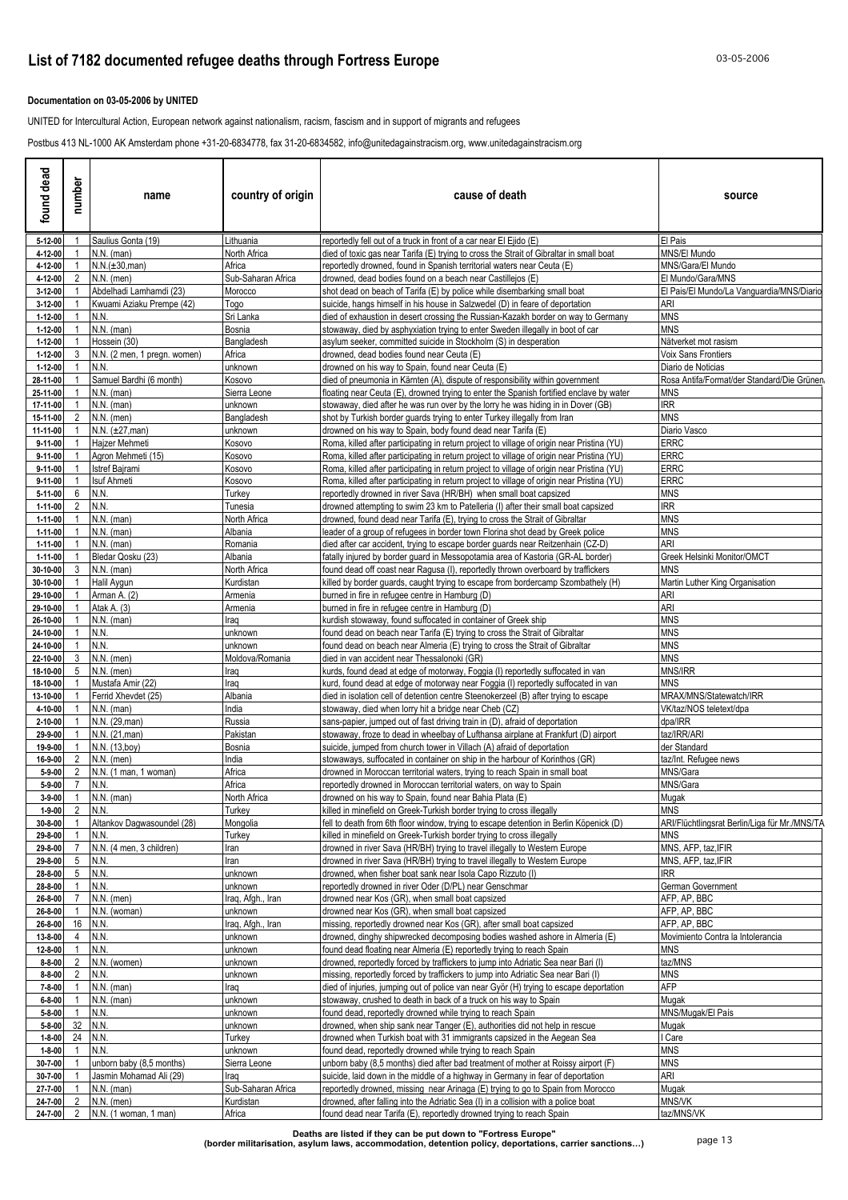### **Documentation on 03-05-2006 by UNITED**

UNITED for Intercultural Action, European network against nationalism, racism, fascism and in support of migrants and refugees

Postbus 413 NL-1000 AK Amsterdam phone +31-20-6834778, fax 31-20-6834582, info@unitedagainstracism.org, www.unitedagainstracism.org

| found dead                   | number                            | name                                         | country of origin       | cause of death                                                                                                                                                           | source                                          |
|------------------------------|-----------------------------------|----------------------------------------------|-------------------------|--------------------------------------------------------------------------------------------------------------------------------------------------------------------------|-------------------------------------------------|
| 5-12-00                      |                                   | Saulius Gonta (19)                           | Lithuania               | reportedly fell out of a truck in front of a car near El Ejido (E)                                                                                                       | El Pais                                         |
| 4-12-00                      | -1                                | $N.N.$ (man)<br>N.N.(±30,man)                | North Africa<br>Africa  | died of toxic gas near Tarifa (E) trying to cross the Strait of Gibraltar in small boat                                                                                  | MNS/El Mundo<br>MNS/Gara/El Mundo               |
| 4-12-00<br>4-12-00           | 2                                 | $N.N.$ (men)                                 | Sub-Saharan Africa      | reportedly drowned, found in Spanish territorial waters near Ceuta (E)<br>drowned, dead bodies found on a beach near Castillejos (E)                                     | El Mundo/Gara/MNS                               |
| 3-12-00                      |                                   | Abdelhadi Lamhamdi (23)                      | Morocco                 | shot dead on beach of Tarifa (E) by police while disembarking small boat                                                                                                 | El Pais/El Mundo/La Vanguardia/MNS/Diario       |
| 3-12-00                      |                                   | Kwuami Aziaku Prempe (42)                    | Togo                    | suicide, hangs himself in his house in Salzwedel (D) in feare of deportation                                                                                             | ari                                             |
| 1-12-00                      | $\overline{1}$                    | N.N.                                         | Sri Lanka               | died of exhaustion in desert crossing the Russian-Kazakh border on way to Germany                                                                                        | <b>MNS</b>                                      |
| 1-12-00                      | -1                                | $N.N.$ (man)                                 | Bosnia                  | stowaway, died by asphyxiation trying to enter Sweden illegally in boot of car                                                                                           | MNS                                             |
| 1-12-00<br>1-12-00           | 3                                 | Hossein (30)<br>N.N. (2 men, 1 pregn. women) | Bangladesh<br>Africa    | asylum seeker, committed suicide in Stockholm (S) in desperation<br>drowned, dead bodies found near Ceuta (E)                                                            | Nätverket mot rasism<br>Voix Sans Frontiers     |
| 1-12-00                      |                                   | N.N.                                         | unknown                 | drowned on his way to Spain, found near Ceuta (E)                                                                                                                        | Diario de Noticias                              |
| 28-11-00                     |                                   | Samuel Bardhi (6 month)                      | Kosovo                  | died of pneumonia in Kärnten (A), dispute of responsibility within government                                                                                            | Rosa Antifa/Format/der Standard/Die Grünen      |
| 25-11-00                     |                                   | $N.N.$ (man)                                 | Sierra Leone            | floating near Ceuta (E), drowned trying to enter the Spanish fortified enclave by water                                                                                  | MNS                                             |
| 17-11-00                     |                                   | $N.N.$ (man)                                 | unknown                 | stowaway, died after he was run over by the lorry he was hiding in in Dover (GB)                                                                                         | IRR                                             |
| 15-11-00<br>11-11-00         | 2                                 | $N.N.$ (men)<br>$N.N. (\pm 27, man)$         | Bangladesh              | shot by Turkish border guards trying to enter Turkey illegally from Iran<br>drowned on his way to Spain, body found dead near Tarifa (E)                                 | MNS<br>Diario Vasco                             |
| $9 - 11 - 00$                |                                   | Hajzer Mehmeti                               | unknown<br>Kosovo       | Roma, killed after participating in return project to village of origin near Pristina (YU)                                                                               | <b>ERRC</b>                                     |
| 9-11-00                      |                                   | Agron Mehmeti (15)                           | Kosovo                  | Roma, killed after participating in return project to village of origin near Pristina (YU)                                                                               | <b>ERRC</b>                                     |
| 9-11-00                      | $\overline{1}$                    | Istref Bajrami                               | Kosovo                  | Roma, killed after participating in return project to village of origin near Pristina (YU)                                                                               | <b>ERRC</b>                                     |
| 9-11-00                      | - 1                               | Isuf Ahmeti                                  | Kosovo                  | Roma, killed after participating in return project to village of origin near Pristina (YU)                                                                               | <b>ERRC</b>                                     |
| 5-11-00                      | 6                                 | N.N.                                         | Turkey                  | reportedly drowned in river Sava (HR/BH) when small boat capsized                                                                                                        | <b>MNS</b>                                      |
| $1 - 11 - 00$<br>1-11-00     | $\overline{2}$<br>- 1             | N.N.<br>$N.N.$ (man)                         | Tunesia<br>North Africa | drowned attempting to swim 23 km to Patelleria (I) after their small boat capsized<br>drowned, found dead near Tarifa (E), trying to cross the Strait of Gibraltar       | IRR<br><b>MNS</b>                               |
| 1-11-00                      |                                   | $N.N.$ (man)                                 | Albania                 | leader of a group of refugees in border town Florina shot dead by Greek police                                                                                           | <b>MNS</b>                                      |
| 1-11-00                      | -1                                | $N.N.$ (man)                                 | Romania                 | died after car accident, trying to escape border guards near Reitzenhain (CZ-D)                                                                                          | ARI                                             |
| 1-11-00                      |                                   | Bledar Qosku (23)                            | Albania                 | fatally injured by border guard in Messopotamia area of Kastoria (GR-AL border)                                                                                          | Greek Helsinki Monitor/OMCT                     |
| 30-10-00                     | -3                                | $N.N.$ (man)                                 | North Africa            | found dead off coast near Ragusa (I), reportedly thrown overboard by traffickers                                                                                         | MNS                                             |
| 30-10-00                     |                                   | Halil Aygun                                  | Kurdistan               | killed by border guards, caught trying to escape from bordercamp Szombathely (H)                                                                                         | Martin Luther King Organisation                 |
| 29-10-00<br>29-10-00         |                                   | Arman A. (2)<br>Atak A. (3)                  | Armenia<br>Armenia      | burned in fire in refugee centre in Hamburg (D)                                                                                                                          | ari<br>ARI                                      |
| 26-10-00                     |                                   | $N.N.$ (man)                                 | Iraq                    | burned in fire in refugee centre in Hamburg (D)<br>kurdish stowaway, found suffocated in container of Greek ship                                                         | <b>MNS</b>                                      |
| 24-10-00                     | $\overline{1}$                    | N.N.                                         | unknown                 | found dead on beach near Tarifa (E) trying to cross the Strait of Gibraltar                                                                                              | <b>MNS</b>                                      |
| 24-10-00                     |                                   | N.N.                                         | unknown                 | found dead on beach near Almeria (E) trying to cross the Strait of Gibraltar                                                                                             | <b>MNS</b>                                      |
| 22-10-00                     | 3                                 | $N.N.$ (men)                                 | Moldova/Romania         | died in van accident near Thessalonoki (GR)                                                                                                                              | <b>MNS</b>                                      |
| 18-10-00                     | 5                                 | $N.N.$ (men)                                 | Iraq                    | kurds, found dead at edge of motorway, Foggia (I) reportedly suffocated in van                                                                                           | MNS/IRR                                         |
| 18-10-00<br>13-10-00         |                                   | Mustafa Amir (22)<br>Ferrid Xhevdet (25)     | Iraq<br>Albania         | kurd, found dead at edge of motorway near Foggia (I) reportedly suffocated in van<br>died in isolation cell of detention centre Steenokerzeel (B) after trying to escape | <b>MNS</b><br>MRAX/MNS/Statewatch/IRR           |
| 4-10-00                      |                                   | $N.N.$ (man)                                 | India                   | stowaway, died when lorry hit a bridge near Cheb (CZ)                                                                                                                    | VK/taz/NOS teletext/dpa                         |
| 2-10-00                      |                                   | N.N. (29, man)                               | Russia                  | sans-papier, jumped out of fast driving train in (D), afraid of deportation                                                                                              | dpa/IRR                                         |
| 29-9-00                      |                                   | N.N. (21, man)                               | Pakistan                | stowaway, froze to dead in wheelbay of Lufthansa airplane at Frankfurt (D) airport                                                                                       | taz/IRR/ARI                                     |
| 19-9-00                      |                                   | N.N. (13,boy)                                | Bosnia                  | suicide, jumped from church tower in Villach (A) afraid of deportation                                                                                                   | der Standard                                    |
| 16-9-00                      | 2                                 | $N.N.$ (men)                                 | India                   | stowaways, suffocated in container on ship in the harbour of Korinthos (GR)                                                                                              | taz/Int. Refugee news                           |
| $5 - 9 - 00$<br>5-9-00       | 2<br>$\overline{7}$               | N.N. (1 man, 1 woman)<br>N.N.                | Africa<br>Africa        | drowned in Moroccan territorial waters, trying to reach Spain in small boat<br>reportedly drowned in Moroccan territorial waters, on way to Spain                        | MNS/Gara<br>MNS/Gara                            |
| $3 - 9 - 00$                 |                                   | $1$ N.N. (man)                               | North Africa            | drowned on his way to Spain, found near Bahia Plata (E)                                                                                                                  | Mugak                                           |
| $1 - 9 - 00$                 | $\overline{2}$                    | N.N.                                         | Turkey                  | killed in minefield on Greek-Turkish border trying to cross illegally                                                                                                    | <b>MNS</b>                                      |
| 30-8-00                      |                                   | Altankov Dagwasoundel (28)                   | Mongolia                | fell to death from 6th floor window, trying to escape detention in Berlin Köpenick (D)                                                                                   | ARI/Flüchtlingsrat Berlin/Liga für Mr./MNS/TA   |
| 29-8-00                      | $\overline{1}$                    | N.N.                                         | Turkey                  | killed in minefield on Greek-Turkish border trying to cross illegally                                                                                                    | <b>MNS</b>                                      |
| 29-8-00                      | $\overline{7}$<br>$5\phantom{.0}$ | N.N. (4 men, 3 children)<br>N.N.             | Iran<br>Iran            | drowned in river Sava (HR/BH) trying to travel illegally to Western Europe<br>drowned in river Sava (HR/BH) trying to travel illegally to Western Europe                 | MNS, AFP, taz, IFIR<br>MNS, AFP, taz, IFIR      |
| 29-8-00<br>28-8-00           | 5                                 | N.N.                                         | unknown                 | drowned, when fisher boat sank near Isola Capo Rizzuto (I)                                                                                                               | <b>IRR</b>                                      |
| 28-8-00                      |                                   | N.N.                                         | unknown                 | reportedly drowned in river Oder (D/PL) near Genschmar                                                                                                                   | German Government                               |
| 26-8-00                      | $\overline{7}$                    | N.N. (men)                                   | Iraq, Afgh., Iran       | drowned near Kos (GR), when small boat capsized                                                                                                                          | AFP, AP, BBC                                    |
| 26-8-00                      |                                   | N.N. (woman)                                 | unknown                 | drowned near Kos (GR), when small boat capsized                                                                                                                          | AFP, AP, BBC                                    |
| 26-8-00                      | 16                                | N.N.                                         | Iraq, Afgh., Iran       | missing, reportedly drowned near Kos (GR), after small boat capsized                                                                                                     | AFP, AP, BBC                                    |
| 13-8-00<br>12-8-00           | $\overline{4}$                    | N.N.<br>N.N.                                 | unknown<br>unknown      | drowned, dinghy shipwrecked decomposing bodies washed ashore in Almería (E)<br>found dead floating near Almeria (E) reportedly trying to reach Spain                     | Movimiento Contra la Intolerancia<br><b>MNS</b> |
| $8 - 8 - 00$                 | $\overline{2}$                    | N.N. (women)                                 | unknown                 | drowned, reportedly forced by traffickers to jump into Adriatic Sea near Bari (I)                                                                                        | taz/MNS                                         |
| $8 - 8 - 00$                 | 2                                 | N.N.                                         | unknown                 | missing, reportedly forced by traffickers to jump into Adriatic Sea near Bari (I)                                                                                        | <b>MNS</b>                                      |
| 7-8-00                       |                                   | $N.N.$ (man)                                 | Iraq                    | died of injuries, jumping out of police van near Györ (H) trying to escape deportation                                                                                   | AFP                                             |
| $6 - 8 - 00$                 |                                   | $N.N.$ (man)                                 | unknown                 | stowaway, crushed to death in back of a truck on his way to Spain                                                                                                        | Mugak                                           |
| $5 - 8 - 00$                 |                                   | N.N.                                         | unknown                 | found dead, reportedly drowned while trying to reach Spain                                                                                                               | MNS/Mugak/El País                               |
| $5 - 8 - 00$                 | 32                                | N.N.                                         | unknown                 | drowned, when ship sank near Tanger (E), authorities did not help in rescue                                                                                              | Mugak                                           |
| $1 - 8 - 00$<br>$1 - 8 - 00$ | 24                                | N.N.<br>N.N.                                 | Turkey<br>unknown       | drowned when Turkish boat with 31 immigrants capsized in the Aegean Sea<br>found dead, reportedly drowned while trying to reach Spain                                    | Care<br>MNS                                     |
| 30-7-00                      |                                   | unborn baby (8,5 months)                     | Sierra Leone            | unborn baby (8,5 months) died after bad treatment of mother at Roissy airport (F)                                                                                        | MNS                                             |
| 30-7-00                      |                                   | Jasmin Mohamad Ali (29)                      | Iraq                    | suicide, laid down in the middle of a highway in Germany in fear of deportation                                                                                          | ARI                                             |
| 27-7-00                      |                                   | N.N. (man)                                   | Sub-Saharan Africa      | reportedly drowned, missing near Arinaga (E) trying to go to Spain from Morocco                                                                                          | Mugak                                           |
| 24-7-00                      | 2                                 | N.N. (men)                                   | Kurdistan               | drowned, after falling into the Adriatic Sea (I) in a collision with a police boat                                                                                       | MNS/VK                                          |
| 24-7-00                      |                                   | 2 N.N. (1 woman, 1 man)                      | Africa                  | found dead near Tarifa (E), reportedly drowned trying to reach Spain                                                                                                     | taz/MNS/VK                                      |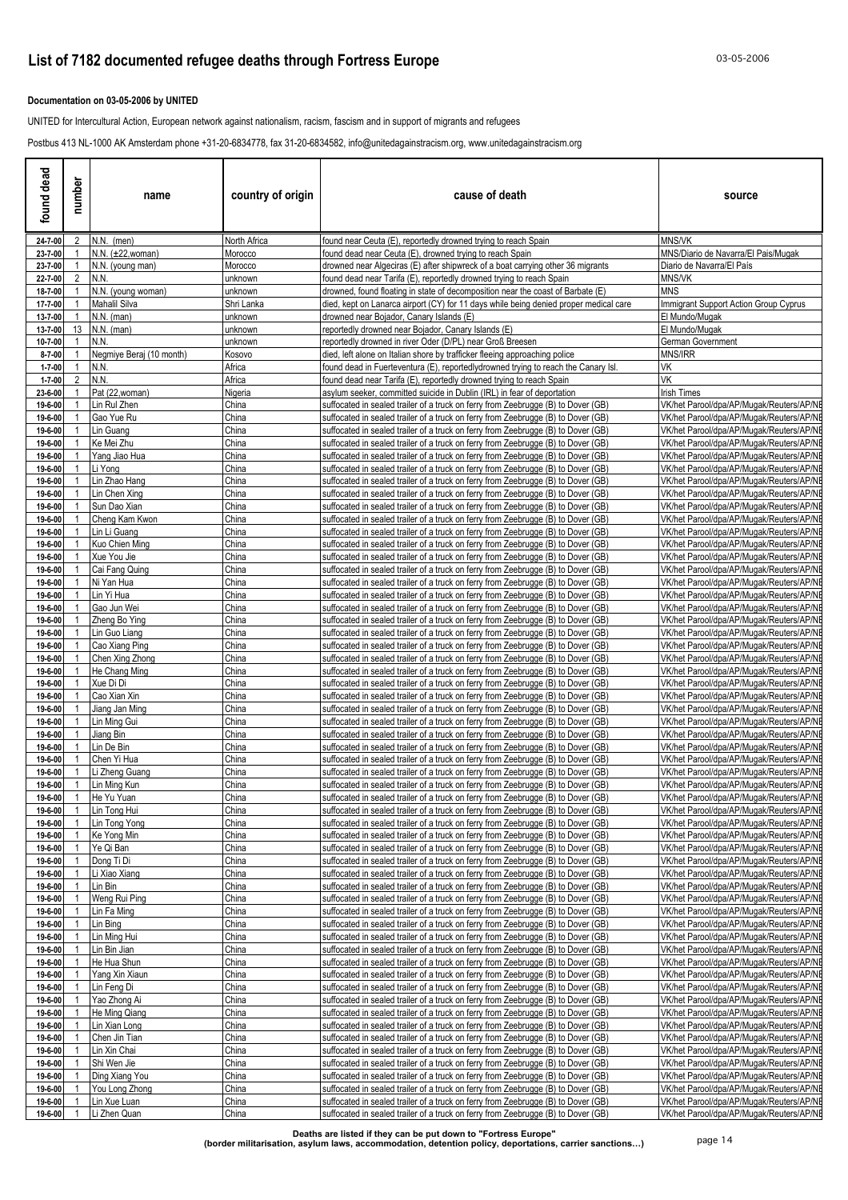### **Documentation on 03-05-2006 by UNITED**

UNITED for Intercultural Action, European network against nationalism, racism, fascism and in support of migrants and refugees

Postbus 413 NL-1000 AK Amsterdam phone +31-20-6834778, fax 31-20-6834582, info@unitedagainstracism.org, www.unitedagainstracism.org

| dead<br>found                | number         | name                             | country of origin  | cause of death                                                                                                                                                         | source                                                                               |
|------------------------------|----------------|----------------------------------|--------------------|------------------------------------------------------------------------------------------------------------------------------------------------------------------------|--------------------------------------------------------------------------------------|
| 24-7-00                      | $\mathbf{2}$   | $N.N.$ (men)                     | North Africa       | found near Ceuta (E), reportedly drowned trying to reach Spain                                                                                                         | <b>MNS/VK</b>                                                                        |
| 23-7-00                      |                | N.N. (±22, woman)                | Morocco            | found dead near Ceuta (E), drowned trying to reach Spain                                                                                                               | MNS/Diario de Navarra/El Pais/Mugak                                                  |
| 23-7-00<br>22-7-00           | 2              | N.N. (young man)<br>N.N.         | Morocco            | drowned near Algeciras (E) after shipwreck of a boat carrying other 36 migrants<br>found dead near Tarifa (E), reportedly drowned trying to reach Spain                | Diario de Navarra/El País<br>MNS/VK                                                  |
| 18-7-00                      |                | N.N. (young woman)               | unknown<br>unknown | drowned, found floating in state of decomposition near the coast of Barbate (E)                                                                                        | <b>MNS</b>                                                                           |
| 17-7-00                      |                | Mahalil Silva                    | Shri Lanka         | died, kept on Lanarca airport (CY) for 11 days while being denied proper medical care                                                                                  | Immigrant Support Action Group Cyprus                                                |
| 13-7-00                      |                | $N.N.$ (man)                     | unknown            | drowned near Bojador, Canary Islands (E)                                                                                                                               | El Mundo/Mugak                                                                       |
| 13-7-00                      | 13             | $N.N.$ (man)                     | unknown            | reportedly drowned near Bojador, Canary Islands (E)                                                                                                                    | El Mundo/Mugak                                                                       |
| 10-7-00                      |                | N.N.                             | unknown            | reportedly drowned in river Oder (D/PL) near Groß Breesen                                                                                                              | German Government                                                                    |
| $8 - 7 - 00$<br>$1 - 7 - 00$ |                | Negmiye Beraj (10 month)<br>N.N. | Kosovo<br>Africa   | died, left alone on Italian shore by trafficker fleeing approaching police<br>found dead in Fuerteventura (E), reportedlydrowned trying to reach the Canary Isl.       | MNS/IRR<br>VK                                                                        |
| $1 - 7 - 00$                 | 2              | N.N.                             | Africa             | found dead near Tarifa (E), reportedly drowned trying to reach Spain                                                                                                   | VK                                                                                   |
| 23-6-00                      |                | Pat (22, woman)                  | Nigeria            | asylum seeker, committed suicide in Dublin (IRL) in fear of deportation                                                                                                | <b>Irish Times</b>                                                                   |
| 19-6-00                      |                | Lin Rul Zhen                     | China              | suffocated in sealed trailer of a truck on ferry from Zeebrugge (B) to Dover (GB)                                                                                      | VK/het Parool/dpa/AP/Mugak/Reuters/AP/NI                                             |
| 19-6-00                      |                | Gao Yue Ru                       | China              | suffocated in sealed trailer of a truck on ferry from Zeebrugge (B) to Dover (GB)                                                                                      | VK/het Parool/dpa/AP/Muqak/Reuters/AP/NI                                             |
| 19-6-00<br>19-6-00           |                | Lin Guang<br>Ke Mei Zhu          | China<br>China     | suffocated in sealed trailer of a truck on ferry from Zeebrugge (B) to Dover (GB)                                                                                      | VK/het Parool/dpa/AP/Mugak/Reuters/AP/NE<br>VK/het Parool/dpa/AP/Muqak/Reuters/AP/NE |
| 19-6-00                      |                | Yang Jiao Hua                    | China              | suffocated in sealed trailer of a truck on ferry from Zeebrugge (B) to Dover (GB)<br>suffocated in sealed trailer of a truck on ferry from Zeebrugge (B) to Dover (GB) | VK/het Parool/dpa/AP/Muqak/Reuters/AP/NE                                             |
| 19-6-00                      |                | Li Yong                          | China              | suffocated in sealed trailer of a truck on ferry from Zeebrugge (B) to Dover (GB)                                                                                      | VK/het Parool/dpa/AP/Mugak/Reuters/AP/NI                                             |
| 19-6-00                      |                | Lin Zhao Hang                    | China              | suffocated in sealed trailer of a truck on ferry from Zeebrugge (B) to Dover (GB)                                                                                      | VK/het Parool/dpa/AP/Mugak/Reuters/AP/NE                                             |
| 19-6-00                      |                | Lin Chen Xing                    | China              | suffocated in sealed trailer of a truck on ferry from Zeebrugge (B) to Dover (GB)                                                                                      | VK/het Parool/dpa/AP/Mugak/Reuters/AP/NI                                             |
| 19-6-00                      |                | Sun Dao Xian                     | China              | suffocated in sealed trailer of a truck on ferry from Zeebrugge (B) to Dover (GB)                                                                                      | VK/het Parool/dpa/AP/Mugak/Reuters/AP/NE                                             |
| 19-6-00<br>19-6-00           |                | Cheng Kam Kwon<br>Lin Li Guang   | China<br>China     | suffocated in sealed trailer of a truck on ferry from Zeebrugge (B) to Dover (GB)<br>suffocated in sealed trailer of a truck on ferry from Zeebrugge (B) to Dover (GB) | VK/het Parool/dpa/AP/Mugak/Reuters/AP/NE<br>VK/het Parool/dpa/AP/Mugak/Reuters/AP/NE |
| 19-6-00                      |                | Kuo Chien Ming                   | China              | suffocated in sealed trailer of a truck on ferry from Zeebrugge (B) to Dover (GB)                                                                                      | VK/het Parool/dpa/AP/Mugak/Reuters/AP/NE                                             |
| 19-6-00                      |                | Xue You Jie                      | China              | suffocated in sealed trailer of a truck on ferry from Zeebrugge (B) to Dover (GB)                                                                                      | VK/het Parool/dpa/AP/Mugak/Reuters/AP/NI                                             |
| 19-6-00                      |                | Cai Fang Quing                   | China              | suffocated in sealed trailer of a truck on ferry from Zeebrugge (B) to Dover (GB)                                                                                      | VK/het Parool/dpa/AP/Muqak/Reuters/AP/NE                                             |
| 19-6-00                      |                | Ni Yan Hua                       | China              | suffocated in sealed trailer of a truck on ferry from Zeebrugge (B) to Dover (GB)                                                                                      | VK/het Parool/dpa/AP/Mugak/Reuters/AP/NE                                             |
| 19-6-00<br>19-6-00           |                | Lin Yi Hua<br>Gao Jun Wei        | China<br>China     | suffocated in sealed trailer of a truck on ferry from Zeebrugge (B) to Dover (GB)<br>suffocated in sealed trailer of a truck on ferry from Zeebrugge (B) to Dover (GB) | VK/het Parool/dpa/AP/Mugak/Reuters/AP/NE<br>VK/het Parool/dpa/AP/Mugak/Reuters/AP/NE |
| 19-6-00                      |                | Zheng Bo Ying                    | China              | suffocated in sealed trailer of a truck on ferry from Zeebrugge (B) to Dover (GB)                                                                                      | VK/het Parool/dpa/AP/Mugak/Reuters/AP/NE                                             |
| 19-6-00                      |                | Lin Guo Liang                    | China              | suffocated in sealed trailer of a truck on ferry from Zeebrugge (B) to Dover (GB)                                                                                      | VK/het Parool/dpa/AP/Mugak/Reuters/AP/NE                                             |
| 19-6-00                      |                | Cao Xiang Ping                   | China              | suffocated in sealed trailer of a truck on ferry from Zeebrugge (B) to Dover (GB)                                                                                      | VK/het Parool/dpa/AP/Mugak/Reuters/AP/NE                                             |
| 19-6-00                      |                | Chen Xing Zhong                  | China              | suffocated in sealed trailer of a truck on ferry from Zeebrugge (B) to Dover (GB)                                                                                      | VK/het Parool/dpa/AP/Mugak/Reuters/AP/NI                                             |
| 19-6-00<br>19-6-00           |                | He Chang Ming<br>Xue Di Di       | China<br>China     | suffocated in sealed trailer of a truck on ferry from Zeebrugge (B) to Dover (GB)                                                                                      | VK/het Parool/dpa/AP/Mugak/Reuters/AP/NE                                             |
| 19-6-00                      |                | Cao Xian Xin                     | China              | suffocated in sealed trailer of a truck on ferry from Zeebrugge (B) to Dover (GB)<br>suffocated in sealed trailer of a truck on ferry from Zeebrugge (B) to Dover (GB) | VK/het Parool/dpa/AP/Mugak/Reuters/AP/NE<br>VK/het Parool/dpa/AP/Mugak/Reuters/AP/NE |
| 19-6-00                      |                | Jiang Jan Ming                   | China              | suffocated in sealed trailer of a truck on ferry from Zeebrugge (B) to Dover (GB)                                                                                      | VK/het Parool/dpa/AP/Muqak/Reuters/AP/NE                                             |
| 19-6-00                      |                | Lin Ming Gui                     | China              | suffocated in sealed trailer of a truck on ferry from Zeebrugge (B) to Dover (GB)                                                                                      | VK/het Parool/dpa/AP/Mugak/Reuters/AP/NE                                             |
| 19-6-00                      |                | Jiang Bin                        | China              | suffocated in sealed trailer of a truck on ferry from Zeebrugge (B) to Dover (GB)                                                                                      | VK/het Parool/dpa/AP/Mugak/Reuters/AP/NE                                             |
| 19-6-00                      |                | Lin De Bin                       | China              | suffocated in sealed trailer of a truck on ferry from Zeebrugge (B) to Dover (GB)                                                                                      | VK/het Parool/dpa/AP/Mugak/Reuters/AP/NE                                             |
| 19-6-00<br>19-6-00           |                | Chen Yi Hua<br>Li Zheng Guang    | China<br>China     | suffocated in sealed trailer of a truck on ferry from Zeebrugge (B) to Dover (GB)<br>suffocated in sealed trailer of a truck on ferry from Zeebrugge (B) to Dover (GB) | VK/het Parool/dpa/AP/Muqak/Reuters/AP/NI<br>VK/het Parool/dpa/AP/Mugak/Reuters/AP/NE |
| 19-6-00                      |                | Lin Ming Kun                     | China              | suffocated in sealed trailer of a truck on ferry from Zeebrugge (B) to Dover (GB)                                                                                      | VK/het Parool/dpa/AP/Muqak/Reuters/AP/NE                                             |
| 19-6-00                      | $\mathbf{1}$   | He Yu Yuan                       | China              | suffocated in sealed trailer of a truck on ferry from Zeebrugge (B) to Dover (GB)                                                                                      | VK/het Parool/dpa/AP/Mugak/Reuters/AP/NE                                             |
| 19-6-00                      | $\overline{1}$ | Lin Tong Hui                     | China              | suffocated in sealed trailer of a truck on ferry from Zeebrugge (B) to Dover (GB)                                                                                      | VK/het Parool/dpa/AP/Mugak/Reuters/AP/NE                                             |
| 19-6-00                      |                | Lin Tong Yong                    | China              | suffocated in sealed trailer of a truck on ferry from Zeebrugge (B) to Dover (GB)                                                                                      | VK/het Parool/dpa/AP/Mugak/Reuters/AP/NE                                             |
| 19-6-00<br>19-6-00           |                | Ke Yong Min<br>Ye Qi Ban         | China<br>China     | suffocated in sealed trailer of a truck on ferry from Zeebrugge (B) to Dover (GB)<br>suffocated in sealed trailer of a truck on ferry from Zeebrugge (B) to Dover (GB) | VK/het Parool/dpa/AP/Mugak/Reuters/AP/NE<br>VK/het Parool/dpa/AP/Mugak/Reuters/AP/NE |
| 19-6-00                      |                | Dong Ti Di                       | China              | suffocated in sealed trailer of a truck on ferry from Zeebrugge (B) to Dover (GB)                                                                                      | VK/het Parool/dpa/AP/Mugak/Reuters/AP/NE                                             |
| 19-6-00                      |                | Li Xiao Xiang                    | China              | suffocated in sealed trailer of a truck on ferry from Zeebrugge (B) to Dover (GB)                                                                                      | VK/het Parool/dpa/AP/Mugak/Reuters/AP/NE                                             |
| 19-6-00                      |                | Lin Bin                          | China              | uffocated in sealed trailer of a truck on ferry from Zeebrugge (B) to Dover (GB)                                                                                       | VK/het Parool/dpa/AP/Muqak/Reuters/AP/NE                                             |
| 19-6-00                      |                | Weng Rui Ping                    | China              | suffocated in sealed trailer of a truck on ferry from Zeebrugge (B) to Dover (GB)                                                                                      | VK/het Parool/dpa/AP/Mugak/Reuters/AP/NE                                             |
| 19-6-00                      |                | Lin Fa Ming                      | China              | uffocated in sealed trailer of a truck on ferry from Zeebrugge (B) to Dover (GB)                                                                                       | VK/het Parool/dpa/AP/Mugak/Reuters/AP/NE                                             |
| 19-6-00<br>19-6-00           |                | Lin Bing<br>Lin Ming Hui         | China<br>China     | suffocated in sealed trailer of a truck on ferry from Zeebrugge (B) to Dover (GB)<br>uffocated in sealed trailer of a truck on ferry from Zeebrugge (B) to Dover (GB)  | VK/het Parool/dpa/AP/Mugak/Reuters/AP/NE<br>VK/het Parool/dpa/AP/Mugak/Reuters/AP/NE |
| 19-6-00                      |                | Lin Bin Jian                     | China              | suffocated in sealed trailer of a truck on ferry from Zeebrugge (B) to Dover (GB)                                                                                      | VK/het Parool/dpa/AP/Mugak/Reuters/AP/NE                                             |
| 19-6-00                      |                | He Hua Shun                      | China              | suffocated in sealed trailer of a truck on ferry from Zeebrugge (B) to Dover (GB)                                                                                      | VK/het Parool/dpa/AP/Mugak/Reuters/AP/NE                                             |
| 19-6-00                      |                | Yang Xin Xiaun                   | China              | suffocated in sealed trailer of a truck on ferry from Zeebrugge (B) to Dover (GB)                                                                                      | VK/het Parool/dpa/AP/Mugak/Reuters/AP/NE                                             |
| 19-6-00                      |                | Lin Feng Di                      | China              | suffocated in sealed trailer of a truck on ferry from Zeebrugge (B) to Dover (GB)                                                                                      | VK/het Parool/dpa/AP/Mugak/Reuters/AP/NE                                             |
| 19-6-00<br>19-6-00           |                | Yao Zhong Ai<br>He Ming Qiang    | China<br>China     | suffocated in sealed trailer of a truck on ferry from Zeebrugge (B) to Dover (GB)                                                                                      | VK/het Parool/dpa/AP/Mugak/Reuters/AP/NE<br>VK/het Parool/dpa/AP/Mugak/Reuters/AP/NE |
| 19-6-00                      |                | Lin Xian Long                    | China              | suffocated in sealed trailer of a truck on ferry from Zeebrugge (B) to Dover (GB)<br>suffocated in sealed trailer of a truck on ferry from Zeebrugge (B) to Dover (GB) | VK/het Parool/dpa/AP/Mugak/Reuters/AP/NE                                             |
| 19-6-00                      |                | Chen Jin Tian                    | China              | suffocated in sealed trailer of a truck on ferry from Zeebrugge (B) to Dover (GB)                                                                                      | VK/het Parool/dpa/AP/Mugak/Reuters/AP/NE                                             |
| 19-6-00                      |                | Lin Xin Chai                     | China              | suffocated in sealed trailer of a truck on ferry from Zeebrugge (B) to Dover (GB)                                                                                      | VK/het Parool/dpa/AP/Mugak/Reuters/AP/NE                                             |
| 19-6-00                      |                | Shi Wen Jie                      | China              | suffocated in sealed trailer of a truck on ferry from Zeebrugge (B) to Dover (GB)                                                                                      | VK/het Parool/dpa/AP/Mugak/Reuters/AP/NE                                             |
| 19-6-00                      |                | Ding Xiang You                   | China              | suffocated in sealed trailer of a truck on ferry from Zeebrugge (B) to Dover (GB)                                                                                      | VK/het Parool/dpa/AP/Mugak/Reuters/AP/NE                                             |
| 19-6-00<br>19-6-00           |                | You Long Zhong<br>Lin Xue Luan   | China<br>China     | suffocated in sealed trailer of a truck on ferry from Zeebrugge (B) to Dover (GB)<br>suffocated in sealed trailer of a truck on ferry from Zeebrugge (B) to Dover (GB) | VK/het Parool/dpa/AP/Mugak/Reuters/AP/NE<br>VK/het Parool/dpa/AP/Mugak/Reuters/AP/NE |
| 19-6-00                      |                | Li Zhen Quan                     | China              | suffocated in sealed trailer of a truck on ferry from Zeebrugge (B) to Dover (GB)                                                                                      | VK/het Parool/dpa/AP/Mugak/Reuters/AP/NE                                             |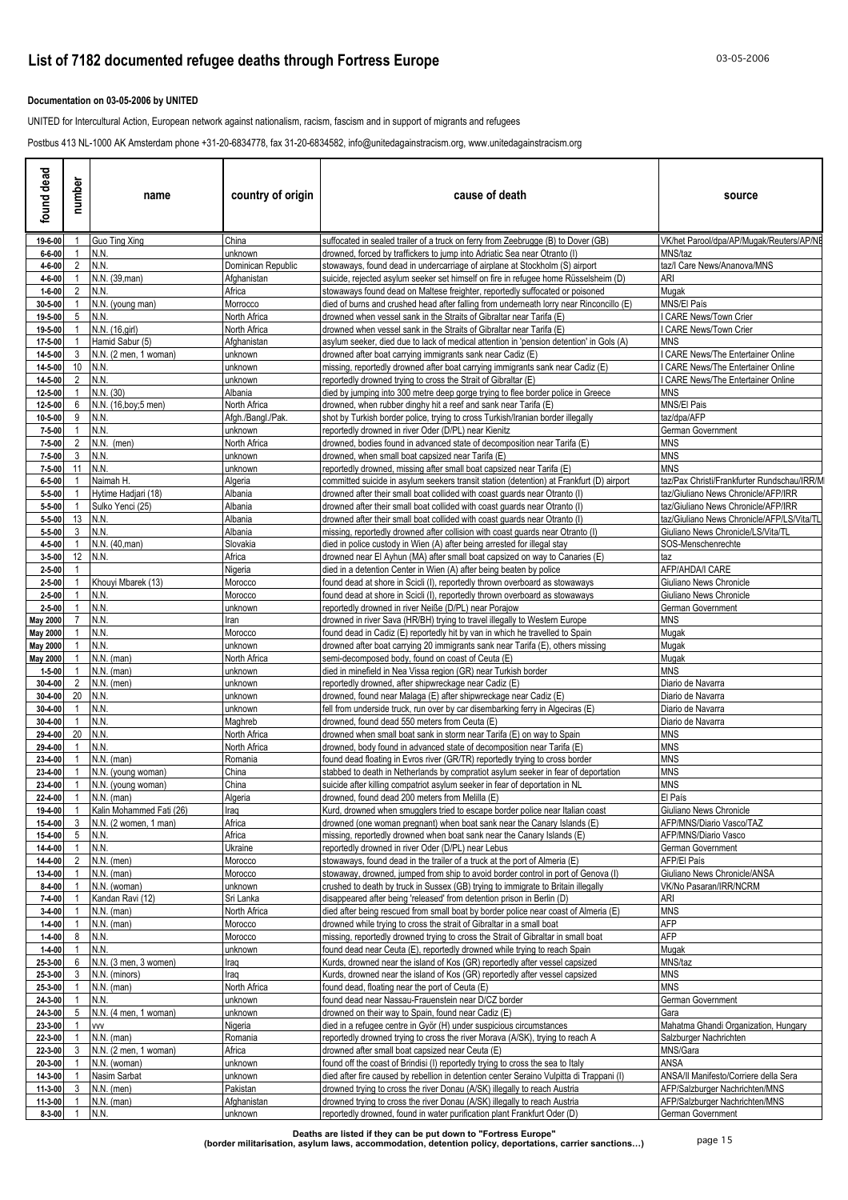### **Documentation on 03-05-2006 by UNITED**

UNITED for Intercultural Action, European network against nationalism, racism, fascism and in support of migrants and refugees

Postbus 413 NL-1000 AK Amsterdam phone +31-20-6834778, fax 31-20-6834582, info@unitedagainstracism.org, www.unitedagainstracism.org

| found dead                   | number         | name                          | country of origin       | cause of death                                                                                                                                                      | source                                                                             |
|------------------------------|----------------|-------------------------------|-------------------------|---------------------------------------------------------------------------------------------------------------------------------------------------------------------|------------------------------------------------------------------------------------|
| 19-6-00                      |                | Guo Ting Xing                 | China                   | suffocated in sealed trailer of a truck on ferry from Zeebrugge (B) to Dover (GB)                                                                                   | VK/het Parool/dpa/AP/Muqak/Reuters/AP/NE                                           |
| $6 - 6 - 00$                 |                | N.N.                          | unknown                 | drowned, forced by traffickers to jump into Adriatic Sea near Otranto (I)                                                                                           | MNS/taz                                                                            |
| 4-6-00                       | 2              | N.N.                          | Dominican Republic      | stowaways, found dead in undercarriage of airplane at Stockholm (S) airport                                                                                         | taz/I Care News/Ananova/MNS                                                        |
| 4-6-00<br>$1 - 6 - 00$       | 2              | N.N. (39, man)<br>N.N.        | Afghanistan<br>Africa   | suicide, rejected asylum seeker set himself on fire in refugee home Rüsselsheim (D)<br>stowaways found dead on Maltese freighter, reportedly suffocated or poisoned | ARI<br>Mugak                                                                       |
| 30-5-00                      |                | N.N. (young man)              | Morrocco                | died of burns and crushed head after falling from underneath lorry near Rinconcillo (E)                                                                             | <b>MNS/El País</b>                                                                 |
| 19-5-00                      | 5              | N.N.                          | North Africa            | drowned when vessel sank in the Straits of Gibraltar near Tarifa (E)                                                                                                | <b>CARE News/Town Crier</b>                                                        |
| 19-5-00                      |                | N.N. (16, girl)               | North Africa            | drowned when vessel sank in the Straits of Gibraltar near Tarifa (E)                                                                                                | CARE News/Town Crier                                                               |
| 17-5-00                      |                | Hamid Sabur (5)               | Afghanistan             | asylum seeker, died due to lack of medical attention in 'pension detention' in Gols (A)                                                                             | <b>MNS</b>                                                                         |
| 14-5-00<br>14-5-00           | -3<br>10       | N.N. (2 men, 1 woman)<br>N.N. | unknown<br>unknown      | drowned after boat carrying immigrants sank near Cadiz (E)<br>nissing, reportedly drowned after boat carrying immigrants sank near Cadiz (E)                        | <b>CARE News/The Entertainer Online</b><br><b>CARE News/The Entertainer Online</b> |
| 14-5-00                      | 2              | N.N.                          | unknown                 | eportedly drowned trying to cross the Strait of Gibraltar (E)                                                                                                       | <b>CARE News/The Entertainer Online</b>                                            |
| 12-5-00                      |                | N.N. (30)                     | Albania                 | died by jumping into 300 metre deep gorge trying to flee border police in Greece                                                                                    | <b>MNS</b>                                                                         |
| 12-5-00                      | 6              | N.N. (16, boy; 5 men)         | North Africa            | drowned, when rubber dinghy hit a reef and sank near Tarifa (E)                                                                                                     | <b>MNS/El Pais</b>                                                                 |
| 10-5-00                      | 9              | N.N.                          | Afgh./Bangl./Pak        | shot by Turkish border police, trying to cross Turkish/Iranian border illegally                                                                                     | taz/dpa/AFP                                                                        |
| $7 - 5 - 00$<br>$7 - 5 - 00$ | 2              | N.N.<br>N.N. (men)            | unknown<br>North Africa | eportedly drowned in river Oder (D/PL) near Kienitz<br>drowned, bodies found in advanced state of decomposition near Tarifa (E)                                     | German Government<br><b>MNS</b>                                                    |
| $7 - 5 - 00$                 | 3              | N.N.                          | unknown                 | drowned, when small boat capsized near Tarifa (E)                                                                                                                   | <b>MNS</b>                                                                         |
| $7 - 5 - 00$                 | 11             | N.N                           | unknown                 | eportedly drowned, missing after small boat capsized near Tarifa (E)                                                                                                | <b>MNS</b>                                                                         |
| $6 - 5 - 00$                 |                | Naimah H.                     | Algeria                 | committed suicide in asylum seekers transit station (detention) at Frankfurt (D) airport                                                                            | taz/Pax Christi/Frankfurter Rundschau/IRR/M                                        |
| $5 - 5 - 00$                 |                | Hytime Hadjari (18)           | Albania                 | drowned after their small boat collided with coast quards near Otranto (I)                                                                                          | taz/Giuliano News Chronicle/AFP/IRR                                                |
| $5 - 5 - 00$                 | 13             | Sulko Yenci (25)<br>N.N       | Albania<br>Albania      | drowned after their small boat collided with coast guards near Otranto (I)                                                                                          | taz/Giuliano News Chronicle/AFP/IRR<br>taz/Giuliano News Chronicle/AFP/LS/Vita/TL  |
| $5 - 5 - 00$<br>$5 - 5 - 00$ | 3              | N.N.                          | Albania                 | drowned after their small boat collided with coast guards near Otranto (I)<br>nissing, reportedly drowned after collision with coast guards near Otranto (I)        | Giuliano News Chronicle/LS/Vita/TL                                                 |
| 4-5-00                       |                | N.N. (40, man)                | Slovakia                | died in police custody in Wien (A) after being arrested for illegal stay                                                                                            | SOS-Menschenrechte                                                                 |
| $3 - 5 - 00$                 |                | 12 N.N.                       | Africa                  | drowned near El Ayhun (MA) after small boat capsized on way to Canaries (E)                                                                                         | taz                                                                                |
| $2 - 5 - 00$                 |                |                               | Nigeria                 | died in a detention Center in Wien (A) after being beaten by police                                                                                                 | AFP/AHDA/I CARE                                                                    |
| $2 - 5 - 00$                 |                | Khouyi Mbarek (13)<br>N.N.    | Morocco                 | found dead at shore in Scicli (I), reportedly thrown overboard as stowaways                                                                                         | Giuliano News Chronicle                                                            |
| $2 - 5 - 00$<br>$2 - 5 - 00$ |                | N.N.                          | Morocco<br>unknown      | found dead at shore in Scicli (I), reportedly thrown overboard as stowaways<br>eportedly drowned in river Neiße (D/PL) near Porajow                                 | Giuliano News Chronicle<br>German Government                                       |
| <b>May 2000</b>              |                | N.N.                          | Iran                    | drowned in river Sava (HR/BH) trying to travel illegally to Western Europe                                                                                          | <b>MNS</b>                                                                         |
| <b>May 2000</b>              |                | N.N.                          | Morocco                 | found dead in Cadiz (E) reportedly hit by van in which he travelled to Spain                                                                                        | Mugak                                                                              |
| <b>May 2000</b>              |                | N.N.                          | unknown                 | drowned after boat carrying 20 immigrants sank near Tarifa (E), others missing                                                                                      | Mugak                                                                              |
| <b>May 2000</b>              |                | $N.N.$ (man)                  | North Africa            | semi-decomposed body, found on coast of Ceuta (E)                                                                                                                   | Mugak                                                                              |
| $1 - 5 - 00$<br>30-4-00      | 2              | N.N. (man)<br>$N.N.$ (men)    | unknown<br>unknown      | died in minefield in Nea Vissa region (GR) near Turkish border<br>eportedly drowned, after shipwreckage near Cadiz (E)                                              | <b>MNS</b><br>Diario de Navarra                                                    |
| 30-4-00                      | 20             | N.N.                          | unknown                 | Irowned, found near Malaga (E) after shipwreckage near Cadiz (E)                                                                                                    | Diario de Navarra                                                                  |
| 30-4-00                      |                | N.N                           | unknown                 | ell from underside truck, run over by car disembarking ferry in Algeciras (E)                                                                                       | Diario de Navarra                                                                  |
| 30-4-00                      |                | N.N.                          | Maghreb                 | drowned, found dead 550 meters from Ceuta (E)                                                                                                                       | Diario de Navarra                                                                  |
| 29-4-00                      | 20             | N.N                           | North Africa            | drowned when small boat sank in storm near Tarifa (E) on way to Spain                                                                                               | <b>MNS</b>                                                                         |
| 29-4-00<br>23-4-00           |                | N.N.<br>$N.N.$ (man)          | North Africa<br>Romania | drowned, body found in advanced state of decomposition near Tarifa (E)<br>ound dead floating in Evros river (GR/TR) reportedly trying to cross border               | <b>MNS</b><br><b>MNS</b>                                                           |
| 23-4-00                      |                | N.N. (young woman)            | China                   | stabbed to death in Netherlands by compratiot asylum seeker in fear of deportation                                                                                  | <b>MNS</b>                                                                         |
| 23-4-00                      |                | N.N. (young woman)            | China                   | suicide after killing compatriot asylum seeker in fear of deportation in NL                                                                                         | <b>MNS</b>                                                                         |
| $22 - 4 - 00$                | $\overline{1}$ | N.N. (man)                    | Algeria                 | drowned, found dead 200 meters from Melilla (E)                                                                                                                     | El País                                                                            |
| 19-4-00                      | $\overline{1}$ | Kalin Mohammed Fati (26)      | Iraq                    | Kurd, drowned when smugglers tried to escape border police near Italian coast                                                                                       | Giuliano News Chronicle                                                            |
| 15-4-00<br>15-4-00           | 3<br>5         | N.N. (2 women, 1 man)<br>N.N. | Africa<br>Africa        | drowned (one woman pregnant) when boat sank near the Canary Islands (E)<br>missing, reportedly drowned when boat sank near the Canary Islands (E)                   | AFP/MNS/Diario Vasco/TAZ<br>AFP/MNS/Diario Vasco                                   |
| 14-4-00                      |                | N.N.                          | Ukraine                 | eportedly drowned in river Oder (D/PL) near Lebus                                                                                                                   | German Government                                                                  |
| 14-4-00                      | 2              | $N.N.$ (men)                  | Morocco                 | stowaways, found dead in the trailer of a truck at the port of Almeria (E)                                                                                          | <b>AFP/El País</b>                                                                 |
| 13-4-00                      |                | $N.N.$ (man)                  | Morocco                 | stowaway, drowned, jumped from ship to avoid border control in port of Genova (I)                                                                                   | Giuliano News Chronicle/ANSA                                                       |
| $8 - 4 - 00$                 |                | N.N. (woman)                  | unknown                 | crushed to death by truck in Sussex (GB) trying to immigrate to Britain illegally                                                                                   | VK/No Pasaran/IRR/NCRM                                                             |
| $7 - 4 - 00$                 |                | Kandan Ravi (12)              | Sri Lanka               | disappeared after being 'released' from detention prison in Berlin (D)                                                                                              | <b>ARI</b>                                                                         |
| $3 - 4 - 00$<br>$1 - 4 - 00$ |                | $N.N.$ (man)<br>$N.N.$ (man)  | North Africa<br>Morocco | died after being rescued from small boat by border police near coast of Almeria (E)<br>drowned while trying to cross the strait of Gibraltar in a small boat        | <b>MNS</b><br><b>AFP</b>                                                           |
| $1 - 4 - 00$                 | 8              | N.N.                          | Morocco                 | nissing, reportedly drowned trying to cross the Strait of Gibraltar in small boat                                                                                   | <b>AFP</b>                                                                         |
| $1 - 4 - 00$                 |                | N.N.                          | unknown                 | found dead near Ceuta (E), reportedly drowned while trying to reach Spain                                                                                           | Mugak                                                                              |
| 25-3-00                      | 6              | N.N. (3 men, 3 women)         | Iraq                    | Kurds, drowned near the island of Kos (GR) reportedly after vessel capsized                                                                                         | MNS/taz                                                                            |
| 25-3-00                      | 3              | N.N. (minors)                 | Iraq                    | Kurds, drowned near the island of Kos (GR) reportedly after vessel capsized                                                                                         | <b>MNS</b>                                                                         |
| 25-3-00<br>24-3-00           |                | $N.N.$ (man)<br>N.N.          | North Africa<br>unknown | ound dead, floating near the port of Ceuta (E)<br>ound dead near Nassau-Frauenstein near D/CZ border                                                                | <b>MNS</b><br>German Government                                                    |
| 24-3-00                      | 5              | N.N. (4 men, 1 woman)         | unknown                 | drowned on their way to Spain, found near Cadiz (E)                                                                                                                 | Gara                                                                               |
| 23-3-00                      |                | <b>VVV</b>                    | Nigeria                 | died in a refugee centre in Györ (H) under suspicious circumstances                                                                                                 | Mahatma Ghandi Organization, Hungary                                               |
| 22-3-00                      |                | $N.N.$ (man)                  | Romania                 | eportedly drowned trying to cross the river Morava (A/SK), trying to reach A                                                                                        | Salzburger Nachrichten                                                             |
| 22-3-00                      | 3              | N.N. (2 men, 1 woman)         | Africa                  | drowned after small boat capsized near Ceuta (E)                                                                                                                    | MNS/Gara                                                                           |
| 20-3-00                      |                | N.N. (woman)                  | unknown                 | found off the coast of Brindisi (I) reportedly trying to cross the sea to Italy                                                                                     | ANSA                                                                               |
| 14-3-00<br>11-3-00           | 3              | Nasim Sarbat<br>$N.N.$ (men)  | unknown<br>Pakistan     | died after fire caused by rebellion in detention center Seraino Vulpitta di Trappani (I)                                                                            | ANSA/II Manifesto/Corriere della Sera<br>AFP/Salzburger Nachrichten/MNS            |
| 11-3-00                      |                | $N.N.$ (man)                  | Afghanistan             | drowned trying to cross the river Donau (A/SK) illegally to reach Austria<br>drowned trying to cross the river Donau (A/SK) illegally to reach Austria              | AFP/Salzburger Nachrichten/MNS                                                     |
| $8 - 3 - 00$                 | $\overline{1}$ | N.N.                          | unknown                 | reportedly drowned, found in water purification plant Frankfurt Oder (D)                                                                                            | German Government                                                                  |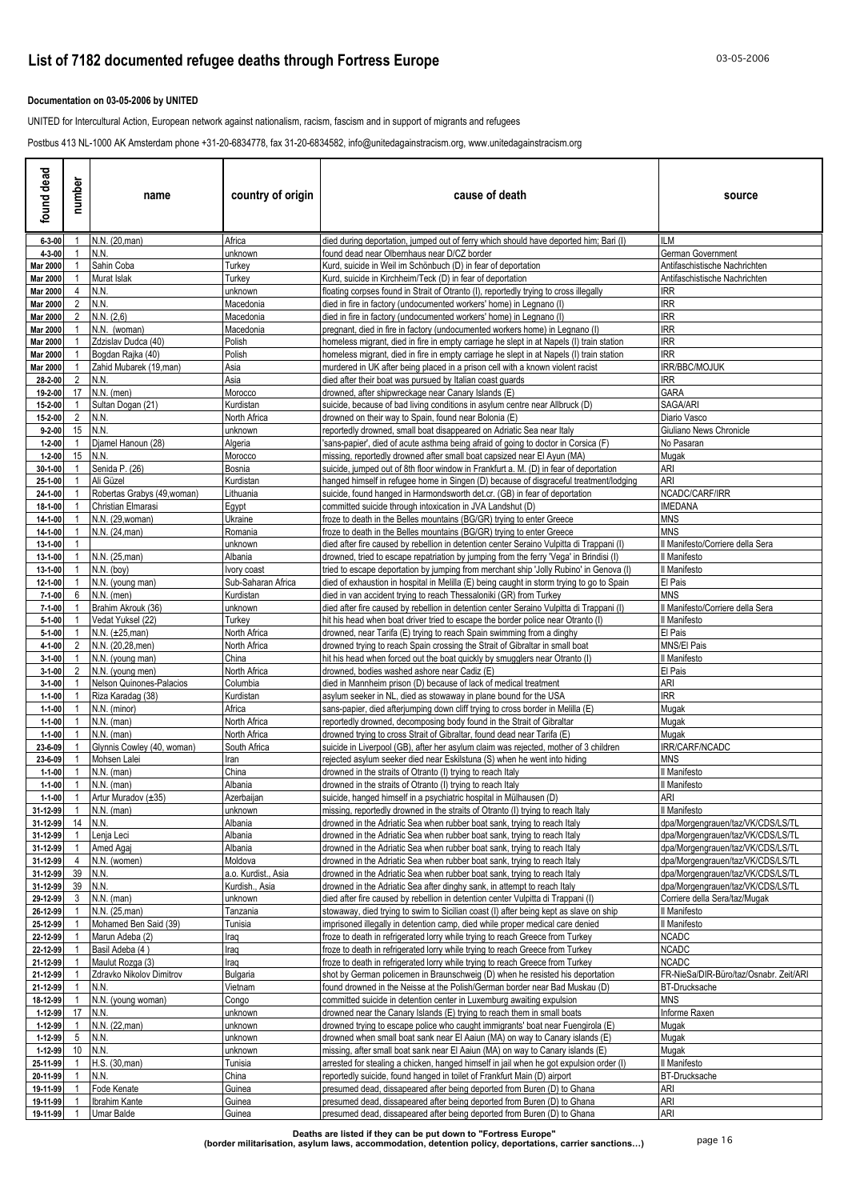### **Documentation on 03-05-2006 by UNITED**

UNITED for Intercultural Action, European network against nationalism, racism, fascism and in support of migrants and refugees

Postbus 413 NL-1000 AK Amsterdam phone +31-20-6834778, fax 31-20-6834582, info@unitedagainstracism.org, www.unitedagainstracism.org

| found dead                   | number             | name                                              | country of origin      | cause of death                                                                                                                                                               | source                                            |
|------------------------------|--------------------|---------------------------------------------------|------------------------|------------------------------------------------------------------------------------------------------------------------------------------------------------------------------|---------------------------------------------------|
| $6 - 3 - 00$                 |                    | N.N. (20, man)                                    | Africa                 | died during deportation, jumped out of ferry which should have deported him; Bari (I)                                                                                        | <b>ILM</b>                                        |
| 4-3-00                       |                    | N.N.                                              | unknown                | found dead near Olbernhaus near D/CZ border                                                                                                                                  | German Government                                 |
| <b>Mar 2000</b>              |                    | Sahin Coba                                        | Turkey                 | Kurd, suicide in Weil im Schönbuch (D) in fear of deportation                                                                                                                | Antifaschistische Nachrichten                     |
| <b>Mar 2000</b>              |                    | Murat Islak                                       | Turkey                 | Kurd, suicide in Kirchheim/Teck (D) in fear of deportation                                                                                                                   | Antifaschistische Nachrichten                     |
| <b>Mar 2000</b><br>Mar 2000  | 4<br>2             | N.N.<br>N.N.                                      | unknown<br>Macedonia   | floating corpses found in Strait of Otranto (I), reportedly trying to cross illegally<br>died in fire in factory (undocumented workers' home) in Legnano (I)                 | <b>IRR</b><br><b>IRR</b>                          |
| <b>Mar 2000</b>              | 2                  | N.N. (2,6)                                        | Macedonia              | died in fire in factory (undocumented workers' home) in Legnano (I)                                                                                                          | <b>IRR</b>                                        |
| Mar 2000                     |                    | N.N. (woman)                                      | Macedonia              | pregnant, died in fire in factory (undocumented workers home) in Legnano (I)                                                                                                 | <b>IRR</b>                                        |
| <b>Mar 2000</b>              |                    | Zdzislav Dudca (40)                               | Polish                 | homeless migrant, died in fire in empty carriage he slept in at Napels (I) train station                                                                                     | <b>IRR</b>                                        |
| <b>Mar 2000</b>              |                    | Bogdan Rajka (40)                                 | Polish                 | homeless migrant, died in fire in empty carriage he slept in at Napels (I) train station                                                                                     | <b>IRR</b>                                        |
| <b>Mar 2000</b>              |                    | Zahid Mubarek (19, man)                           | Asia                   | murdered in UK after being placed in a prison cell with a known violent racist                                                                                               | IRR/BBC/MOJUK                                     |
| 28-2-00                      | $\overline{2}$     | N.N.                                              | Asia                   | died after their boat was pursued by Italian coast guards                                                                                                                    | <b>IRR</b>                                        |
| 19-2-00                      | 17                 | $N.N.$ (men)<br>Sultan Dogan (21)                 | Morocco<br>Kurdistan   | drowned, after shipwreckage near Canary Islands (E)<br>suicide, because of bad living conditions in asylum centre near Allbruck (D)                                          | <b>GARA</b><br>SAGA/ARI                           |
| 15-2-00<br>15-2-00           | $\overline{2}$     | N.N.                                              | North Africa           | drowned on their way to Spain, found near Bolonia (E)                                                                                                                        | Diario Vasco                                      |
| $9 - 2 - 00$                 | 15                 | N.N.                                              | unknown                | reportedly drowned, small boat disappeared on Adriatic Sea near Italy                                                                                                        | Giuliano News Chronicle                           |
| $1 - 2 - 00$                 |                    | Djamel Hanoun (28)                                | Algeria                | 'sans-papier', died of acute asthma being afraid of going to doctor in Corsica (F)                                                                                           | No Pasaran                                        |
| $1 - 2 - 00$                 | 15                 | N.N.                                              | Morocco                | missing, reportedly drowned after small boat capsized near El Ayun (MA)                                                                                                      | Mugak                                             |
| 30-1-00                      |                    | Senida P. (26)                                    | Bosnia                 | suicide, jumped out of 8th floor window in Frankfurt a. M. (D) in fear of deportation                                                                                        | ARI                                               |
| 25-1-00                      |                    | Ali Güzel                                         | Kurdistan              | hanged himself in refugee home in Singen (D) because of disgraceful treatment/lodging                                                                                        | ari                                               |
| 24-1-00<br>18-1-00           |                    | Robertas Grabys (49, woman)<br>Christian Elmarasi | Lithuania<br>Eqypt     | suicide, found hanged in Harmondsworth det.cr. (GB) in fear of deportation<br>committed suicide through intoxication in JVA Landshut (D)                                     | NCADC/CARF/IRR<br><b>IMEDANA</b>                  |
| 14-1-00                      |                    | N.N. (29, woman)                                  | Ukraine                | froze to death in the Belles mountains (BG/GR) trying to enter Greece                                                                                                        | <b>MNS</b>                                        |
| 14-1-00                      |                    | N.N. (24, man)                                    | Romania                | froze to death in the Belles mountains (BG/GR) trying to enter Greece                                                                                                        | <b>MNS</b>                                        |
| 13-1-00                      |                    |                                                   | unknown                | died after fire caused by rebellion in detention center Seraino Vulpitta di Trappani (I)                                                                                     | Il Manifesto/Corriere della Sera                  |
| 13-1-00                      |                    | N.N. (25, man)                                    | Albania                | drowned, tried to escape repatriation by jumping from the ferry 'Vega' in Brindisi (I)                                                                                       | Il Manifesto                                      |
| 13-1-00                      |                    | N.N. (boy)                                        | Ivory coast            | tried to escape deportation by jumping from merchant ship 'Jolly Rubino' in Genova (I)                                                                                       | Il Manifesto                                      |
| 12-1-00                      |                    | N.N. (young man)                                  | Sub-Saharan Africa     | died of exhaustion in hospital in Melilla (E) being caught in storm trying to go to Spain                                                                                    | El Pais                                           |
| $7 - 1 - 00$                 | 6                  | $N.N.$ (men)                                      | Kurdistan              | died in van accident trying to reach Thessaloniki (GR) from Turkey                                                                                                           | MNS                                               |
| $7 - 1 - 00$<br>$5 - 1 - 00$ |                    | Brahim Akrouk (36)<br>Vedat Yuksel (22)           | unknown<br>Turkey      | died after fire caused by rebellion in detention center Seraino Vulpitta di Trappani (I)<br>hit his head when boat driver tried to escape the border police near Otranto (I) | Il Manifesto/Corriere della Sera<br>Il Manifesto  |
| $5-1-00$                     |                    | $N.N. (\pm 25,man)$                               | North Africa           | drowned, near Tarifa (E) trying to reach Spain swimming from a dinghy                                                                                                        | El Pais                                           |
| 4-1-00                       |                    | N.N. (20,28, men)                                 | North Africa           | drowned trying to reach Spain crossing the Strait of Gibraltar in small boat                                                                                                 | MNS/El Pais                                       |
| $3 - 1 - 00$                 |                    | N.N. (young man)                                  | China                  | hit his head when forced out the boat quickly by smugglers near Otranto (I)                                                                                                  | Il Manifesto                                      |
| $3 - 1 - 00$                 |                    | N.N. (young men)                                  | North Africa           | drowned, bodies washed ashore near Cadiz (E)                                                                                                                                 | El Pais                                           |
| $3 - 1 - 00$                 |                    | Nelson Quinones-Palacios                          | Columbia               | died in Mannheim prison (D) because of lack of medical treatment                                                                                                             | ARI                                               |
| $1 - 1 - 00$                 |                    | Riza Karadag (38)                                 | Kurdistan              | asylum seeker in NL, died as stowaway in plane bound for the USA                                                                                                             | <b>IRR</b>                                        |
| $1 - 1 - 00$<br>$1 - 1 - 00$ |                    | N.N. (minor)<br>$N.N.$ (man)                      | Africa<br>North Africa | sans-papier, died afterjumping down cliff trying to cross border in Melilla (E)<br>reportedly drowned, decomposing body found in the Strait of Gibraltar                     | Mugak<br>Mugak                                    |
| $1 - 1 - 00$                 |                    | $N.N.$ (man)                                      | North Africa           | drowned trying to cross Strait of Gibraltar, found dead near Tarifa (E)                                                                                                      | Mugak                                             |
| 23-6-09                      |                    | Glynnis Cowley (40, woman)                        | South Africa           | suicide in Liverpool (GB), after her asylum claim was rejected, mother of 3 children                                                                                         | IRR/CARF/NCADC                                    |
| 23-6-09                      |                    | Mohsen Lalei                                      | Iran                   | rejected asylum seeker died near Eskilstuna (S) when he went into hiding                                                                                                     | <b>MNS</b>                                        |
| $1 - 1 - 00$                 |                    | $N.N.$ (man)                                      | China                  | drowned in the straits of Otranto (I) trying to reach Italy                                                                                                                  | Il Manifesto                                      |
| $1 - 1 - 00$                 |                    | $N.N.$ (man)                                      | Albania                | drowned in the straits of Otranto (I) trying to reach Italy                                                                                                                  | Il Manifesto                                      |
| $1 - 1 - 00$                 |                    | Artur Muradov (±35)                               | Azerbaijan             | suicide, hanged himself in a psychiatric hospital in Mülhausen (D)                                                                                                           | <b>ARI</b>                                        |
| 31-12-99<br>31-12-99         | $\mathbf{1}$<br>14 | $N.N.$ (man)<br>N.N.                              | unknown<br>Albania     | missing, reportedly drowned in the straits of Otranto (I) trying to reach Italy<br>drowned in the Adriatic Sea when rubber boat sank, trying to reach Italy                  | Il Manifesto<br>dpa/Morgengrauen/taz/VK/CDS/LS/TL |
| 31-12-99                     |                    | Lenja Leci                                        | Albania                | drowned in the Adriatic Sea when rubber boat sank, trying to reach Italy                                                                                                     | dpa/Morgengrauen/taz/VK/CDS/LS/TL                 |
| 31-12-99                     | -1                 | Amed Agaj                                         | Albania                | drowned in the Adriatic Sea when rubber boat sank, trying to reach Italy                                                                                                     | dpa/Morgengrauen/taz/VK/CDS/LS/TL                 |
| 31-12-99                     | 4                  | N.N. (women)                                      | Moldova                | drowned in the Adriatic Sea when rubber boat sank, trying to reach Italy                                                                                                     | dpa/Morgengrauen/taz/VK/CDS/LS/TL                 |
| 31-12-99                     | 39                 | N.N.                                              | a.o. Kurdist., Asia    | drowned in the Adriatic Sea when rubber boat sank, trying to reach Italy                                                                                                     | dpa/Morgengrauen/taz/VK/CDS/LS/TL                 |
| 31-12-99                     | 39                 | N.N.                                              | Kurdish., Asia         | drowned in the Adriatic Sea after dinghy sank, in attempt to reach Italy                                                                                                     | dpa/Morgengrauen/taz/VK/CDS/LS/TL                 |
| 29-12-99                     | 3                  | $N.N.$ (man)                                      | unknown                | died after fire caused by rebellion in detention center Vulpitta di Trappani (I)                                                                                             | Corriere della Sera/taz/Mugak                     |
| 26-12-99<br>25-12-99         |                    | N.N. (25, man)<br>Mohamed Ben Said (39)           | Tanzania<br>Tunisia    | stowaway, died trying to swim to Sicilian coast (I) after being kept as slave on ship<br>imprisoned illegally in detention camp, died while proper medical care denied       | Il Manifesto<br>Il Manifesto                      |
| 22-12-99                     |                    | Marun Adeba (2)                                   | Iraq                   | froze to death in refrigerated lorry while trying to reach Greece from Turkey                                                                                                | <b>NCADC</b>                                      |
| 22-12-99                     |                    | Basil Adeba (4)                                   | Iraq                   | froze to death in refrigerated lorry while trying to reach Greece from Turkey                                                                                                | <b>NCADC</b>                                      |
| 21-12-99                     |                    | Maulut Rozga (3)                                  | Iraq                   | froze to death in refrigerated lorry while trying to reach Greece from Turkey                                                                                                | NCADC                                             |
| 21-12-99                     |                    | Zdravko Nikolov Dimitrov                          | Bulgaria               | shot by German policemen in Braunschweig (D) when he resisted his deportation                                                                                                | FR-NieSa/DIR-Büro/taz/Osnabr. Zeit/ARI            |
| 21-12-99                     |                    | N.N.                                              | Vietnam                | found drowned in the Neisse at the Polish/German border near Bad Muskau (D)                                                                                                  | <b>BT-Drucksache</b>                              |
| 18-12-99                     | 17                 | N.N. (young woman)<br>N.N.                        | Congo                  | committed suicide in detention center in Luxemburg awaiting expulsion                                                                                                        | MNS                                               |
| 1-12-99<br>1-12-99           |                    | N.N. (22, man)                                    | unknown<br>unknown     | drowned near the Canary Islands (E) trying to reach them in small boats<br>drowned trying to escape police who caught immigrants' boat near Fuengirola (E)                   | Informe Raxen<br>Mugak                            |
| 1-12-99                      | 5                  | N.N.                                              | unknown                | drowned when small boat sank near El Aaiun (MA) on way to Canary islands (E)                                                                                                 | Mugak                                             |
| 1-12-99                      | 10                 | N.N.                                              | unknown                | missing, after small boat sank near El Aaiun (MA) on way to Canary islands (E)                                                                                               | Mugak                                             |
| 25-11-99                     |                    | H.S. (30, man)                                    | Tunisia                | arrested for stealing a chicken, hanged himself in jail when he got expulsion order (I)                                                                                      | Il Manifesto                                      |
| 20-11-99                     |                    | N.N.                                              | China                  | reportedly suicide, found hanged in toilet of Frankfurt Main (D) airport                                                                                                     | <b>BT-Drucksache</b>                              |
| 19-11-99                     |                    | Fode Kenate                                       | Guinea                 | presumed dead, dissapeared after being deported from Buren (D) to Ghana                                                                                                      | ARI                                               |
| 19-11-99                     |                    | Ibrahim Kante                                     | Guinea                 | presumed dead, dissapeared after being deported from Buren (D) to Ghana                                                                                                      | ARI                                               |
| 19-11-99                     |                    | Umar Balde                                        | Guinea                 | presumed dead, dissapeared after being deported from Buren (D) to Ghana                                                                                                      | ARI                                               |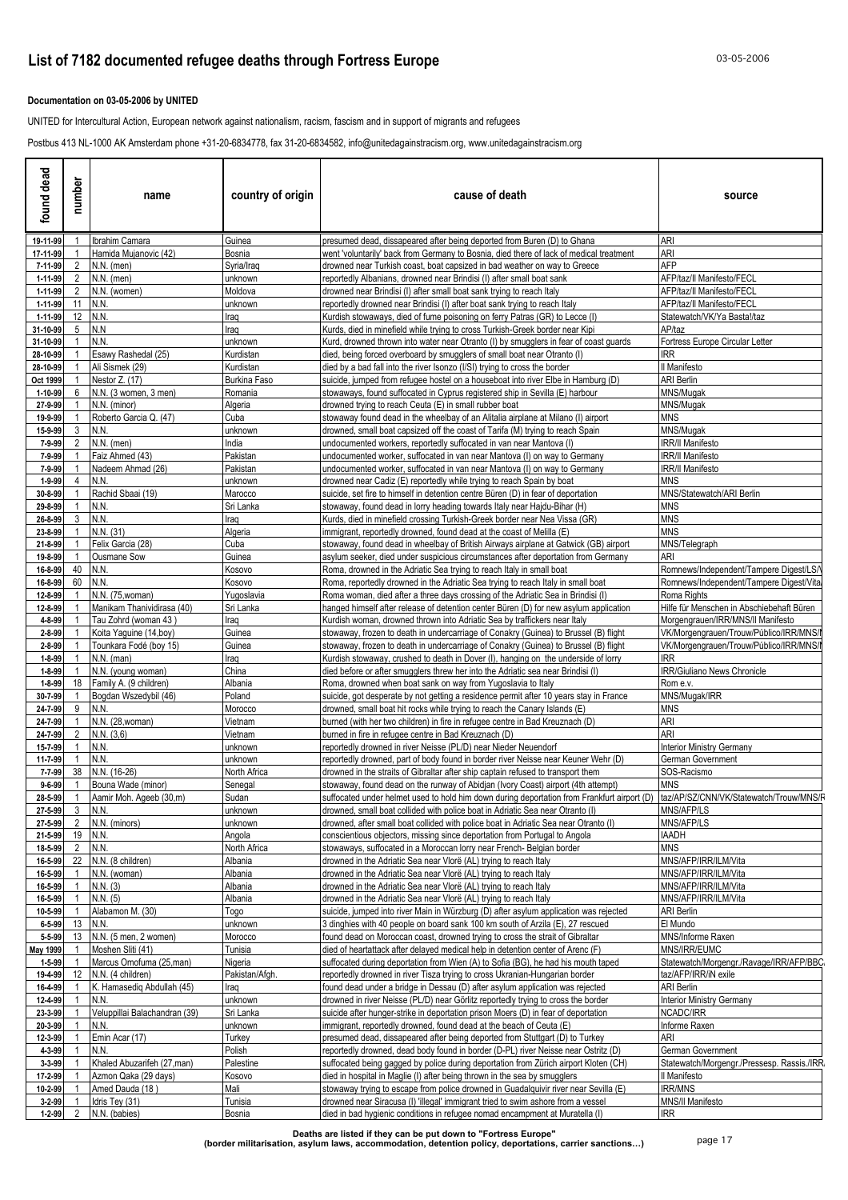### **Documentation on 03-05-2006 by UNITED**

UNITED for Intercultural Action, European network against nationalism, racism, fascism and in support of migrants and refugees

Postbus 413 NL-1000 AK Amsterdam phone +31-20-6834778, fax 31-20-6834582, info@unitedagainstracism.org, www.unitedagainstracism.org

| ್ಥಾ<br>ಕಿ<br>found         | number     | name                                            | country of origin         | cause of death                                                                                                                                                     | source                                                                         |
|----------------------------|------------|-------------------------------------------------|---------------------------|--------------------------------------------------------------------------------------------------------------------------------------------------------------------|--------------------------------------------------------------------------------|
| 19-11-99                   |            | 1 Ibrahim Camara                                | Guinea                    | presumed dead, dissapeared after being deported from Buren (D) to Ghana                                                                                            | <b>ARI</b>                                                                     |
| 17-11-99                   |            | Hamida Mujanovic (42)                           | Bosnia                    | went 'voluntarily' back from Germany to Bosnia, died there of lack of medical treatment                                                                            | ARI                                                                            |
| 7-11-99<br>1-11-99         |            | 2 N.N. (men)<br>2 N.N. (men)                    | Syria/Iraq<br>unknown     | drowned near Turkish coast, boat capsized in bad weather on way to Greece<br>reportedly Albanians, drowned near Brindisi (I) after small boat sank                 | <b>AFP</b><br>AFP/taz/II Manifesto/FECL                                        |
| 1-11-99                    |            | 2 N.N. (women)                                  | Moldova                   | drowned near Brindisi (I) after small boat sank trying to reach Italy                                                                                              | AFP/taz/II Manifesto/FECL                                                      |
| 1-11-99                    | 11 $IN.N.$ |                                                 | unknown                   | reportedly drowned near Brindisi (I) after boat sank trying to reach Italy                                                                                         | AFP/taz/II Manifesto/FECL                                                      |
| 1-11-99                    | 12   N.N.  |                                                 | Iraq                      | Kurdish stowaways, died of fume poisoning on ferry Patras (GR) to Lecce (I)                                                                                        | Statewatch/VK/Ya Basta!/taz                                                    |
| 31-10-99                   | 5   N.N    |                                                 | Iraq                      | Kurds, died in minefield while trying to cross Turkish-Greek border near Kipi                                                                                      | AP/taz                                                                         |
| 31-10-99                   |            | IN.N.                                           | unknown                   | Kurd, drowned thrown into water near Otranto (I) by smugglers in fear of coast guards                                                                              | Fortress Europe Circular Letter                                                |
| 28-10-99                   |            | Esawy Rashedal (25)                             | Kurdistan                 | died, being forced overboard by smugglers of small boat near Otranto (I)                                                                                           | IRR.                                                                           |
| 28-10-99                   |            | Ali Sismek (29)<br>Nestor Z. (17)               | Kurdistan                 | died by a bad fall into the river Isonzo (I/SI) trying to cross the border                                                                                         | Il Manifesto                                                                   |
| Oct 1999<br>1-10-99        |            | $6$ N.N. (3 women, 3 men)                       | Burkina Faso<br>Romania   | suicide, jumped from refugee hostel on a houseboat into river Elbe in Hamburg (D)<br>stowaways, found suffocated in Cyprus registered ship in Sevilla (E) harbour  | <b>ARI Berlin</b><br>MNS/Mugak                                                 |
| 27-9-99                    |            | N.N. (minor)                                    | Algeria                   | drowned trying to reach Ceuta (E) in small rubber boat                                                                                                             | MNS/Mugak                                                                      |
| 19-9-99                    |            | Roberto Garcia Q. (47)                          | Cuba                      | stowaway found dead in the wheelbay of an Alitalia airplane at Milano (I) airport                                                                                  | <b>MNS</b>                                                                     |
| 15-9-99                    |            | 3 N.N.                                          | unknown                   | drowned, small boat capsized off the coast of Tarifa (M) trying to reach Spain                                                                                     | MNS/Mugak                                                                      |
| 7-9-99                     |            | 2 N.N. (men)                                    | India                     | undocumented workers, reportedly suffocated in van near Mantova (I)                                                                                                | IRR/II Manifesto                                                               |
| 7-9-99                     |            | Faiz Ahmed (43)                                 | Pakistan                  | undocumented worker, suffocated in van near Mantova (I) on way to Germany                                                                                          | <b>IRR/II Manifesto</b>                                                        |
| 7-9-99                     |            | Nadeem Ahmad (26)                               | Pakistan                  | undocumented worker, suffocated in van near Mantova (I) on way to Germany                                                                                          | <b>IRR/II Manifesto</b>                                                        |
| 1-9-99                     |            | 4 IN.N.                                         | unknown                   | drowned near Cadiz (E) reportedly while trying to reach Spain by boat                                                                                              | <b>MNS</b>                                                                     |
| 30-8-99<br>29-8-99         |            | Rachid Sbaai (19)<br>N.N.                       | Marocco<br>Sri Lanka      | suicide, set fire to himself in detention centre Büren (D) in fear of deportation<br>stowaway, found dead in lorry heading towards Italy near Hajdu-Bihar (H)      | MNS/Statewatch/ARI Berlin<br><b>MNS</b>                                        |
| 26-8-99                    |            | 3 N.N.                                          | Iraq                      | Kurds, died in minefield crossing Turkish-Greek border near Nea Vissa (GR)                                                                                         | <b>MNS</b>                                                                     |
| 23-8-99                    |            | N.N. (31)                                       | Algeria                   | immigrant, reportedly drowned, found dead at the coast of Melilla (E)                                                                                              | <b>MNS</b>                                                                     |
| 21-8-99                    |            | Felix Garcia (28)                               | Cuba                      | stowaway, found dead in wheelbay of British Airways airplane at Gatwick (GB) airport                                                                               | MNS/Telegraph                                                                  |
| 19-8-99                    |            | Ousmane Sow                                     | Guinea                    | asylum seeker, died under suspicious circumstances after deportation from Germany                                                                                  | ARI                                                                            |
| 16-8-99                    |            | 40 IN.N.                                        | Kosovo                    | Roma, drowned in the Adriatic Sea trying to reach Italy in small boat                                                                                              | Romnews/Independent/Tampere Digest/LS/                                         |
| 16-8-99                    |            | 60 IN.N.                                        | Kosovo                    | Roma, reportedly drowned in the Adriatic Sea trying to reach Italy in small boat                                                                                   | Romnews/Independent/Tampere Digest/Vita/                                       |
| 12-8-99                    |            | N.N. (75, woman)<br>Manikam Thanividirasa (40)  | Yugoslavia<br>Sri Lanka   | Roma woman, died after a three days crossing of the Adriatic Sea in Brindisi (I)                                                                                   | Roma Rights                                                                    |
| 12-8-99<br>4-8-99          |            | Tau Zohrd (woman 43)                            | Iraq                      | hanged himself after release of detention center Büren (D) for new asylum application<br>Kurdish woman, drowned thrown into Adriatic Sea by traffickers near Italy | Hilfe für Menschen in Abschiebehaft Büren<br>Morgengrauen/IRR/MNS/II Manifesto |
| 2-8-99                     |            | Koita Yaguine (14,boy)                          | Guinea                    | stowaway, frozen to death in undercarriage of Conakry (Guinea) to Brussel (B) flight                                                                               | VK/Morgengrauen/Trouw/Público/IRR/MNS/                                         |
| 2-8-99                     |            | Tounkara Fodé (boy 15)                          | Guinea                    | stowaway, frozen to death in undercarriage of Conakry (Guinea) to Brussel (B) flight                                                                               | VK/Morgengrauen/Trouw/Público/IRR/MNS/                                         |
| 1-8-99                     |            | $N.N.$ (man)                                    | Iraq                      | Kurdish stowaway, crushed to death in Dover (I), hanging on the underside of lorry                                                                                 | <b>IRR</b>                                                                     |
| 1-8-99                     |            | N.N. (young woman)                              | China                     | died before or after smugglers threw her into the Adriatic sea near Brindisi (I)                                                                                   | <b>IRR/Giuliano News Chronicle</b>                                             |
| 1-8-99                     |            | 18 Family A. (9 children)                       | Albania                   | Roma, drowned when boat sank on way from Yugoslavia to Italy                                                                                                       | Rom e.v.                                                                       |
| 30-7-99                    |            | Bogdan Wszedybil (46)                           | Poland                    | suicide, got desperate by not getting a residence permit after 10 years stay in France                                                                             | MNS/Mugak/IRR                                                                  |
| 24-7-99<br>24-7-99         |            | 9 IN.N.                                         | Morocco<br>√ietnam        | drowned, small boat hit rocks while trying to reach the Canary Islands (E)<br>burned (with her two children) in fire in refugee centre in Bad Kreuznach (D)        | <b>MNS</b><br>ari                                                              |
| 24-7-99                    |            | N.N. (28, woman)<br>2 $N.N. (3,6)$              | Vietnam                   | burned in fire in refugee centre in Bad Kreuznach (D)                                                                                                              | ARI                                                                            |
| 15-7-99                    |            | $1$ IN.N.                                       | unknown                   | reportedly drowned in river Neisse (PL/D) near Nieder Neuendorf                                                                                                    | <b>Interior Ministry Germany</b>                                               |
| 11-7-99                    |            | $1$ N.N.                                        | unknown                   | reportedly drowned, part of body found in border river Neisse near Keuner Wehr (D)                                                                                 | German Government                                                              |
| 7-7-99                     |            | 38 N.N. (16-26)                                 | North Africa              | drowned in the straits of Gibraltar after ship captain refused to transport them                                                                                   | SOS-Racismo                                                                    |
| $9 - 6 - 99$               |            | 1 Bouna Wade (minor)                            | Senegal                   | stowaway, found dead on the runway of Abidian (Ivory Coast) airport (4th attempt)                                                                                  | <b>MNS</b>                                                                     |
|                            |            | 28-5-99 1 Aamir Moh. Ageeb (30,m)               | Sudan                     | suffocated under helmet used to hold him down during deportation from Frankfurt airport (D) taz/AP/SZ/CNN/VK/Statewatch/Trouw/MNS/F                                |                                                                                |
| 27-5-99 3 N.N.             |            |                                                 | unknown                   | drowned, small boat collided with police boat in Adriatic Sea near Otranto (I)                                                                                     | MNS/AFP/LS                                                                     |
|                            |            | 27-5-99 2 N.N. (minors)                         | unknown                   | drowned, after small boat collided with police boat in Adriatic Sea near Otranto (I)                                                                               | MNS/AFP/LS                                                                     |
| 21-5-99 19 N.N.<br>18-5-99 | 2 N.N.     |                                                 | Angola<br>North Africa    | conscientious objectors, missing since deportation from Portugal to Angola<br>stowaways, suffocated in a Moroccan lorry near French- Belgian border                | <b>HAADH</b><br><b>MNS</b>                                                     |
| 16-5-99                    |            | 22 N.N. (8 children)                            | Albania                   | drowned in the Adriatic Sea near Vlorë (AL) trying to reach Italy                                                                                                  | MNS/AFP/IRR/ILM/Vita                                                           |
| 16-5-99                    |            | N.N. (woman)                                    | Albania                   | drowned in the Adriatic Sea near Vlorë (AL) trying to reach Italy                                                                                                  | MNS/AFP/IRR/ILM/Vita                                                           |
| 16-5-99                    |            | N.N. (3)                                        | Albania                   | drowned in the Adriatic Sea near Vlorë (AL) trying to reach Italy                                                                                                  | MNS/AFP/IRR/ILM/Vita                                                           |
| 16-5-99                    |            | N.N. (5)                                        | Albania                   | drowned in the Adriatic Sea near Vlorë (AL) trying to reach Italy                                                                                                  | MNS/AFP/IRR/ILM/Vita                                                           |
| 10-5-99                    |            | Alabamon M. (30)                                | Togo                      | suicide, jumped into river Main in Würzburg (D) after asylum application was rejected                                                                              | ARI Berlin                                                                     |
| 6-5-99                     |            | 13 N.N.                                         | unknown                   | 3 dinghies with 40 people on board sank 100 km south of Arzila (E), 27 rescued                                                                                     | El Mundo                                                                       |
| 5-5-99                     |            | 13 N.N. (5 men, 2 women)                        | Morocco                   | found dead on Moroccan coast, drowned trying to cross the strait of Gibraltar                                                                                      | MNS/Informe Raxen                                                              |
| May 1999                   |            | Moshen Sliti (41)                               | Tunisia                   | died of heartattack after delayed medical help in detention center of Arenc (F)                                                                                    | MNS/IRR/EUMC                                                                   |
| $1 - 5 - 99$               |            | Marcus Omofuma (25,man)<br>12 N.N. (4 children) | Nigeria<br>Pakistan/Afgh. | suffocated during deportation from Wien (A) to Sofia (BG), he had his mouth taped<br>reportedly drowned in river Tisza trying to cross Ukranian-Hungarian border   | Statewatch/Morgengr./Ravage/IRR/AFP/BBC.<br>taz/AFP/IRR/iN exile               |
| 19-4-99<br>16-4-99         |            | K. Hamasedig Abdullah (45)                      | Iraq                      | found dead under a bridge in Dessau (D) after asylum application was rejected                                                                                      | ARI Berlin                                                                     |
| 12-4-99                    |            | N.N.                                            | unknown                   | drowned in river Neisse (PL/D) near Görlitz reportedly trying to cross the border                                                                                  | <b>Interior Ministry Germany</b>                                               |
| 23-3-99                    |            | Veluppillai Balachandran (39)                   | Sri Lanka                 | suicide after hunger-strike in deportation prison Moers (D) in fear of deportation                                                                                 | NCADC/IRR                                                                      |
| 20-3-99                    |            | N.N.                                            | unknown                   | immigrant, reportedly drowned, found dead at the beach of Ceuta (E)                                                                                                | Informe Raxen                                                                  |
| 12-3-99                    |            | Emin Acar (17)                                  | Turkey                    | presumed dead, dissapeared after being deported from Stuttgart (D) to Turkey                                                                                       | ari                                                                            |
| 4-3-99                     |            | N.N.                                            | Polish                    | reportedly drowned, dead body found in border (D-PL) river Neisse near Ostritz (D)                                                                                 | German Government                                                              |
| 3-3-99                     |            | Khaled Abuzarifeh (27, man)                     | Palestine                 | suffocated being gagged by police during deportation from Zürich airport Kloten (CH)                                                                               | Statewatch/Morgengr./Pressesp. Rassis./IRR.                                    |
| 17-2-99                    |            | Azmon Qaka (29 days)                            | Kosovo                    | died in hospital in Maglie (I) after being thrown in the sea by smugglers                                                                                          | Il Manifesto                                                                   |
| 10-2-99                    |            | Amed Dauda (18)                                 | Mali                      | stowaway trying to escape from police drowned in Guadalquivir river near Sevilla (E)                                                                               | IRR/MNS                                                                        |
| $3 - 2 - 99$               |            | 1 Idris Tey (31)                                | Tunisia                   | drowned near Siracusa (I) 'illegal' immigrant tried to swim ashore from a vessel                                                                                   | MNS/II Manifesto                                                               |
|                            |            | 1-2-99 2 N.N. (babies)                          | Bosnia                    | died in bad hygienic conditions in refugee nomad encampment at Muratella (I)                                                                                       | <b>IRR</b>                                                                     |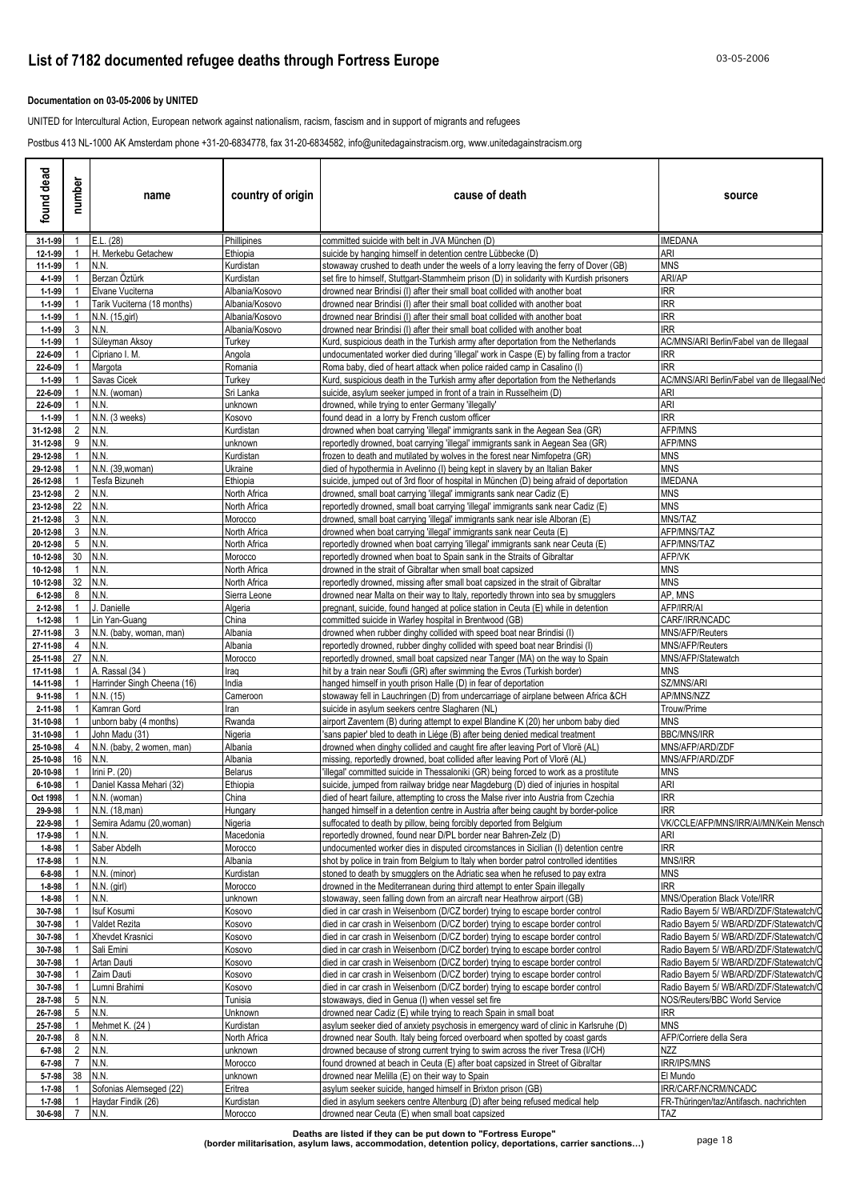### **Documentation on 03-05-2006 by UNITED**

UNITED for Intercultural Action, European network against nationalism, racism, fascism and in support of migrants and refugees

Postbus 413 NL-1000 AK Amsterdam phone +31-20-6834778, fax 31-20-6834582, info@unitedagainstracism.org, www.unitedagainstracism.org

| found dead               | number         | name                                          | country of origin           | cause of death                                                                                                                                                          | source                                                                             |
|--------------------------|----------------|-----------------------------------------------|-----------------------------|-------------------------------------------------------------------------------------------------------------------------------------------------------------------------|------------------------------------------------------------------------------------|
| 31-1-99                  | $\mathbf{1}$   | E.L. (28)                                     | Phillipines                 | committed suicide with belt in JVA München (D)                                                                                                                          | IMEDANA                                                                            |
| 12-1-99                  |                | H. Merkebu Getachew                           | Ethiopia                    | suicide by hanging himself in detention centre Lübbecke (D)                                                                                                             | ari                                                                                |
| 11-1-99                  |                | N.N.                                          | Kurdistan                   | stowaway crushed to death under the weels of a lorry leaving the ferry of Dover (GB)                                                                                    | <b>MNS</b>                                                                         |
| 4-1-99<br>1-1-99         |                | Berzan Öztürk<br>Elvane Vuciterna             | Kurdistan<br>Albania/Kosovo | set fire to himself, Stuttgart-Stammheim prison (D) in solidarity with Kurdish prisoners<br>drowned near Brindisi (I) after their small boat collided with another boat | ARI/AP<br>IRR                                                                      |
| $1 - 1 - 99$             |                | Tarik Vuciterna (18 months)                   | Albania/Kosovo              | drowned near Brindisi (I) after their small boat collided with another boat                                                                                             | <b>IRR</b>                                                                         |
| $1 - 1 - 99$             |                | N.N. (15, girl)                               | Albania/Kosovo              | drowned near Brindisi (I) after their small boat collided with another boat                                                                                             | IRR                                                                                |
| 1-1-99                   | 3              | N.N.                                          | Albania/Kosovo              | drowned near Brindisi (I) after their small boat collided with another boat                                                                                             | RR                                                                                 |
| $1 - 1 - 99$             |                | Süleyman Aksoy                                | Turkey                      | Kurd, suspicious death in the Turkish army after deportation from the Netherlands                                                                                       | AC/MNS/ARI Berlin/Fabel van de Illegaal                                            |
| 22-6-09<br>22-6-09       |                | Cipriano I. M.<br>Margota                     | Angola<br>Romania           | undocumentated worker died during 'illegal' work in Caspe (E) by falling from a tractor<br>Roma baby, died of heart attack when police raided camp in Casalino (I)      | RR<br><b>IRR</b>                                                                   |
| $1 - 1 - 99$             |                | Savas Cicek                                   | Turkey                      | Kurd, suspicious death in the Turkish army after deportation from the Netherlands                                                                                       | AC/MNS/ARI Berlin/Fabel van de Illegaal/Ned                                        |
| 22-6-09                  |                | N.N. (woman)                                  | Sri Lanka                   | suicide, asylum seeker jumped in front of a train in Russelheim (D)                                                                                                     | ARI                                                                                |
| 22-6-09                  |                | N.N.                                          | unknown                     | drowned, while trying to enter Germany 'illegally'                                                                                                                      | ARI                                                                                |
| $1 - 1 - 99$             |                | N.N. (3 weeks)                                | Kosovo                      | found dead in a lorry by French custom officer                                                                                                                          | <b>IRR</b>                                                                         |
| 31-12-98<br>31-12-98     | 2<br>9         | N.N.<br>N.N.                                  | Kurdistan<br>unknown        | drowned when boat carrying 'illegal' immigrants sank in the Aegean Sea (GR)<br>reportedly drowned, boat carrying 'illegal' immigrants sank in Aegean Sea (GR)           | AFP/MNS<br>AFP/MNS                                                                 |
| 29-12-98                 |                | N.N.                                          | Kurdistan                   | frozen to death and mutilated by wolves in the forest near Nimfopetra (GR)                                                                                              | <b>MNS</b>                                                                         |
| 29-12-98                 |                | N.N. (39, woman)                              | Ukraine                     | died of hypothermia in Avelinno (I) being kept in slavery by an Italian Baker                                                                                           | <b>MNS</b>                                                                         |
| 26-12-98                 |                | Tesfa Bizuneh                                 | Ethiopia                    | suicide, jumped out of 3rd floor of hospital in München (D) being afraid of deportation                                                                                 | IMEDANA                                                                            |
| 23-12-98                 | 2              | N.N.                                          | North Africa                | drowned, small boat carrying 'illegal' immigrants sank near Cadiz (E)                                                                                                   | <b>MNS</b>                                                                         |
| 23-12-98<br>21-12-98     | 22<br>3        | N.N.<br>N.N.                                  | North Africa<br>Morocco     | reportedly drowned, small boat carrying 'illegal' immigrants sank near Cadiz (E)<br>drowned, small boat carrying 'illegal' immigrants sank near isle Alboran (E)        | <b>MNS</b><br>MNS/TAZ                                                              |
| 20-12-98                 | 3              | N.N.                                          | North Africa                | drowned when boat carrying 'illegal' immigrants sank near Ceuta (E)                                                                                                     | AFP/MNS/TAZ                                                                        |
| 20-12-98                 |                | 5 N.N.                                        | North Africa                | reportedly drowned when boat carrying 'illegal' immigrants sank near Ceuta (E)                                                                                          | <b>AFP/MNS/TAZ</b>                                                                 |
| 10-12-98                 | 30 N.N.        |                                               | Morocco                     | reportedly drowned when boat to Spain sank in the Straits of Gibraltar                                                                                                  | AFP/VK                                                                             |
| 10-12-98                 | $\overline{1}$ | N.N.                                          | North Africa                | drowned in the strait of Gibraltar when small boat capsized                                                                                                             | <b>MNS</b>                                                                         |
| 10-12-98                 | 32 N.N.        |                                               | North Africa                | reportedly drowned, missing after small boat capsized in the strait of Gibraltar                                                                                        | <b>MNS</b><br>AP, MNS                                                              |
| $6 - 12 - 98$<br>2-12-98 | 8<br>1         | N.N.<br>. Danielle                            | Sierra Leone<br>Algeria     | drowned near Malta on their way to Italy, reportedly thrown into sea by smugglers<br>pregnant, suicide, found hanged at police station in Ceuta (E) while in detention  | AFP/IRR/AI                                                                         |
| 1-12-98                  |                | Lin Yan-Guang                                 | China                       | committed suicide in Warley hospital in Brentwood (GB)                                                                                                                  | CARF/IRR/NCADC                                                                     |
| 27-11-98                 | 3              | N.N. (baby, woman, man)                       | Albania                     | drowned when rubber dinghy collided with speed boat near Brindisi (I)                                                                                                   | MNS/AFP/Reuters                                                                    |
| 27-11-98                 | 4              | N.N.                                          | Albania                     | reportedly drowned, rubber dinghy collided with speed boat near Brindisi (I)                                                                                            | MNS/AFP/Reuters                                                                    |
| 25-11-98                 | 27             | N.N.                                          | Morocco                     | reportedly drowned, small boat capsized near Tanger (MA) on the way to Spain                                                                                            | MNS/AFP/Statewatch                                                                 |
| 17-11-98<br>14-11-98     |                | A. Rassal (34)<br>Harrinder Singh Cheena (16) | Iraq<br>India               | hit by a train near Soufli (GR) after swimming the Evros (Turkish border)<br>hanged himself in youth prison Halle (D) in fear of deportation                            | MNS<br><b>SZ/MNS/ARI</b>                                                           |
| 9-11-98                  |                | N.N. (15)                                     | Cameroon                    | stowaway fell in Lauchringen (D) from undercarriage of airplane between Africa &CH                                                                                      | <b>AP/MNS/NZZ</b>                                                                  |
| 2-11-98                  |                | Kamran Gord                                   | Iran                        | suicide in asylum seekers centre Slagharen (NL)                                                                                                                         | Trouw/Prime                                                                        |
| 31-10-98                 |                | unborn baby (4 months)                        | Rwanda                      | airport Zaventem (B) during attempt to expel Blandine K (20) her unborn baby died                                                                                       | MNS                                                                                |
| 31-10-98                 |                | John Madu (31)                                | Nigeria                     | sans papier' bled to death in Liége (B) after being denied medical treatment                                                                                            | <b>BBC/MNS/IRR</b>                                                                 |
| 25-10-98<br>25-10-98     | 4<br>16        | N.N. (baby, 2 women, man)<br>N.N.             | Albania<br>Albania          | drowned when dinghy collided and caught fire after leaving Port of Vlorë (AL)<br>missing, reportedly drowned, boat collided after leaving Port of Vlorë (AL)            | MNS/AFP/ARD/ZDF<br>MNS/AFP/ARD/ZDF                                                 |
| 20-10-98                 |                | Irini P. (20)                                 | <b>Belarus</b>              | illegal' committed suicide in Thessaloniki (GR) being forced to work as a prostitute                                                                                    | MNS                                                                                |
| 6-10-98                  | $\overline{1}$ | Daniel Kassa Mehari (32)                      | Ethiopia                    | suicide, jumped from railway bridge near Magdeburg (D) died of injuries in hospital                                                                                     | ARI                                                                                |
| Oct 1998                 | $\mathbf{1}$   | N.N. (woman)                                  | China                       | died of heart failure, attempting to cross the Malse river into Austria from Czechia                                                                                    | IRR                                                                                |
| 29-9-98                  | $\overline{1}$ | N.N. (18, man)                                | Hungary                     | hanged himself in a detention centre in Austria after being caught by border-police                                                                                     | <b>IRR</b>                                                                         |
| 22-9-98                  |                | Semira Adamu (20, woman)                      | Nigeria                     | suffocated to death by pillow, being forcibly deported from Belgium                                                                                                     | VK/CCLE/AFP/MNS/IRR/AI/MN/Kein Mensch                                              |
| 17-9-98<br>$1 - 8 - 98$  |                | N.N.<br>Saber Abdelh                          | Macedonia<br>Morocco        | reportedly drowned, found near D/PL border near Bahren-Zelz (D)<br>undocumented worker dies in disputed circomstances in Sicilian (I) detention centre                  | ari<br><b>IRR</b>                                                                  |
| 17-8-98                  |                | N.N.                                          | Albania                     | shot by police in train from Belgium to Italy when border patrol controlled identities                                                                                  | MNS/IRR                                                                            |
| $6 - 8 - 98$             |                | N.N. (minor)                                  | Kurdistan                   | stoned to death by smugglers on the Adriatic sea when he refused to pay extra                                                                                           | MNS                                                                                |
| $1 - 8 - 98$             |                | $N.N.$ (girl)                                 | Morocco                     | drowned in the Mediterranean during third attempt to enter Spain illegally                                                                                              | IRR                                                                                |
| $1 - 8 - 98$             |                | N.N.                                          | unknown                     | stowaway, seen falling down from an aircraft near Heathrow airport (GB)                                                                                                 | MNS/Operation Black Vote/IRR                                                       |
| 30-7-98<br>30-7-98       |                | Isuf Kosumi<br>Valdet Rezita                  | Kosovo<br>Kosovo            | died in car crash in Weisenborn (D/CZ border) trying to escape border control<br>died in car crash in Weisenborn (D/CZ border) trying to escape border control          | Radio Bayern 5/ WB/ARD/ZDF/Statewatch/C<br>Radio Bayern 5/ WB/ARD/ZDF/Statewatch/C |
| 30-7-98                  |                | Xhevdet Krasnici                              | Kosovo                      | died in car crash in Weisenborn (D/CZ border) trying to escape border control                                                                                           | Radio Bayern 5/ WB/ARD/ZDF/Statewatch/C                                            |
| 30-7-98                  |                | Sali Emini                                    | Kosovo                      | died in car crash in Weisenborn (D/CZ border) trying to escape border control                                                                                           | Radio Bayern 5/ WB/ARD/ZDF/Statewatch/C                                            |
| 30-7-98                  |                | Artan Dauti                                   | Kosovo                      | died in car crash in Weisenborn (D/CZ border) trying to escape border control                                                                                           | Radio Bayern 5/ WB/ARD/ZDF/Statewatch/C                                            |
| 30-7-98                  |                | Zaim Dauti                                    | Kosovo                      | died in car crash in Weisenborn (D/CZ border) trying to escape border control                                                                                           | Radio Bayern 5/ WB/ARD/ZDF/Statewatch/C                                            |
| 30-7-98                  |                | Lumni Brahimi<br>5 N.N.                       | Kosovo<br>Tunisia           | died in car crash in Weisenborn (D/CZ border) trying to escape border control<br>stowaways, died in Genua (I) when vessel set fire                                      | Radio Bayern 5/ WB/ARD/ZDF/Statewatch/C                                            |
| 28-7-98<br>26-7-98       |                | 5 N.N.                                        | Unknown                     | drowned near Cadiz (E) while trying to reach Spain in small boat                                                                                                        | NOS/Reuters/BBC World Service<br>IRR                                               |
| 25-7-98                  |                | Mehmet K. (24)                                | Kurdistan                   | asylum seeker died of anxiety psychosis in emergency ward of clinic in Karlsruhe (D)                                                                                    | MNS                                                                                |
| 20-7-98                  | 8              | N.N.                                          | North Africa                | drowned near South. Italy being forced overboard when spotted by coast gards                                                                                            | AFP/Corriere della Sera                                                            |
| $6 - 7 - 98$             | $\overline{2}$ | N.N.                                          | unknown                     | drowned because of strong current trying to swim across the river Tresa (I/CH)                                                                                          | <b>NZZ</b>                                                                         |
| $6 - 7 - 98$             | $\overline{7}$ | N.N.                                          | Morocco                     | found drowned at beach in Ceuta (E) after boat capsized in Street of Gibraltar                                                                                          | <b>IRR/IPS/MNS</b>                                                                 |
| 5-7-98<br>$1 - 7 - 98$   |                | 38 N.N.<br>Sofonias Alemseged (22)            | unknown<br>Eritrea          | drowned near Melilla (E) on their way to Spain<br>asylum seeker suicide, hanged himself in Brixton prison (GB)                                                          | El Mundo<br>IRR/CARF/NCRM/NCADC                                                    |
| 1-7-98                   |                | Haydar Findik (26)                            | Kurdistan                   | died in asylum seekers centre Altenburg (D) after being refused medical help                                                                                            | FR-Thüringen/taz/Antifasch. nachrichten                                            |
| 30-6-98                  | $\overline{7}$ | N.N.                                          | Morocco                     | drowned near Ceuta (E) when small boat capsized                                                                                                                         | TAZ                                                                                |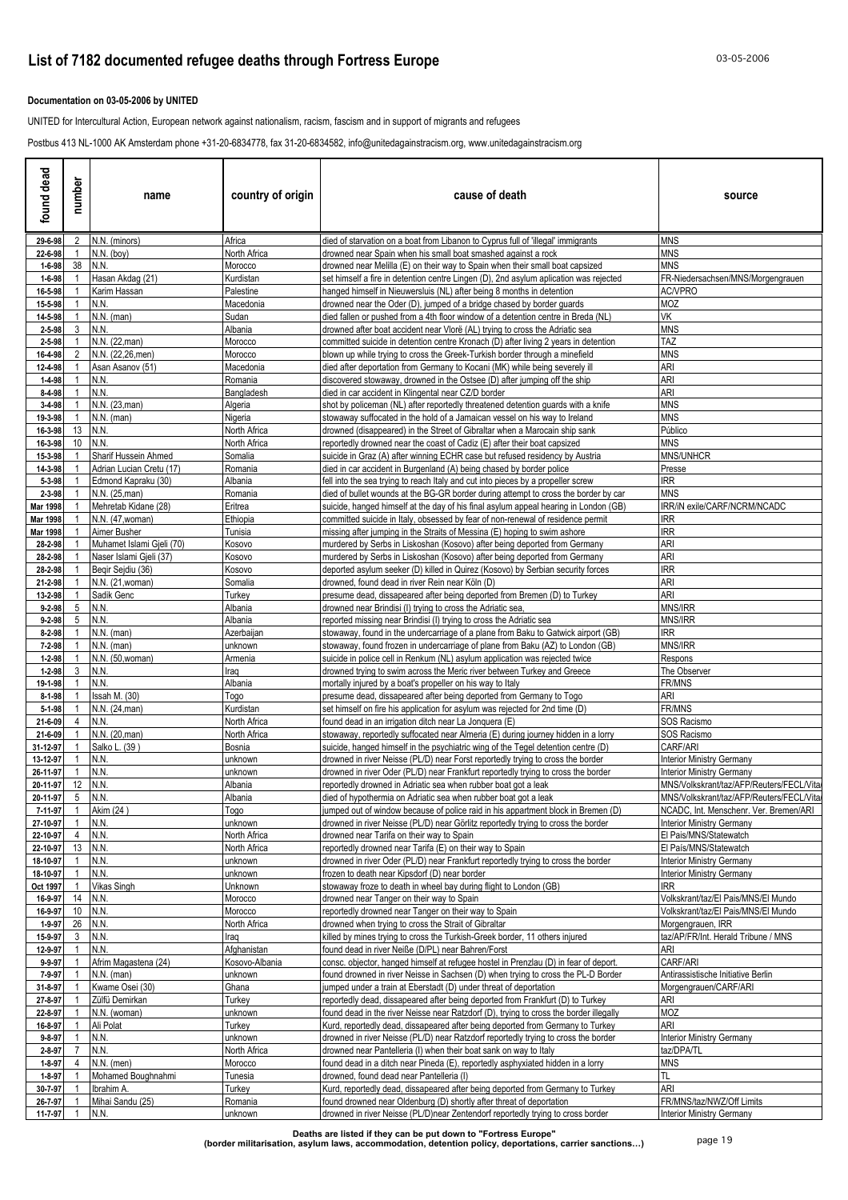### **Documentation on 03-05-2006 by UNITED**

UNITED for Intercultural Action, European network against nationalism, racism, fascism and in support of migrants and refugees

Postbus 413 NL-1000 AK Amsterdam phone +31-20-6834778, fax 31-20-6834582, info@unitedagainstracism.org, www.unitedagainstracism.org

| found dead                   | number                         | name                                   | country of origin         | cause of death                                                                                                                                                              | source                                                                     |
|------------------------------|--------------------------------|----------------------------------------|---------------------------|-----------------------------------------------------------------------------------------------------------------------------------------------------------------------------|----------------------------------------------------------------------------|
| 29-6-98                      | 2                              | N.N. (minors)                          | Africa                    | died of starvation on a boat from Libanon to Cyprus full of 'illegal' immigrants                                                                                            | <b>MNS</b>                                                                 |
| 22-6-98                      |                                | $N.N.$ (boy)                           | North Africa              | drowned near Spain when his small boat smashed against a rock                                                                                                               | <b>MNS</b>                                                                 |
| $1 - 6 - 98$<br>$1 - 6 - 98$ | 38                             | N.N.<br>Hasan Akdag (21)               | Morocco<br>Kurdistan      | drowned near Melilla (E) on their way to Spain when their small boat capsized<br>set himself a fire in detention centre Lingen (D), 2nd asylum aplication was rejected      | <b>MNS</b><br>FR-Niedersachsen/MNS/Morgengrauen                            |
| 16-5-98                      |                                | Karim Hassan                           | Palestine                 | hanged himself in Nieuwersluis (NL) after being 8 months in detention                                                                                                       | AC/VPRO                                                                    |
| 15-5-98                      |                                | N.N.                                   | Macedonia                 | drowned near the Oder (D), jumped of a bridge chased by border guards                                                                                                       | MOZ                                                                        |
| 14-5-98                      |                                | $N.N.$ (man)                           | Sudan                     | died fallen or pushed from a 4th floor window of a detention centre in Breda (NL)                                                                                           | VK                                                                         |
| $2 - 5 - 98$                 | 3                              | N.N.                                   | Albania                   | drowned after boat accident near Vlorë (AL) trying to cross the Adriatic sea                                                                                                | <b>MNS</b>                                                                 |
| $2 - 5 - 98$<br>16-4-98      |                                | N.N. (22, man)<br>N.N. (22,26, men)    | Morocco<br>Morocco        | committed suicide in detention centre Kronach (D) after living 2 years in detention<br>blown up while trying to cross the Greek-Turkish border through a minefield          | TAZ<br><b>MNS</b>                                                          |
| 12-4-98                      |                                | Asan Asanov (51)                       | Macedonia                 | died after deportation from Germany to Kocani (MK) while being severely ill                                                                                                 | <b>ARI</b>                                                                 |
| 1-4-98                       |                                | N.N.                                   | Romania                   | discovered stowaway, drowned in the Ostsee (D) after jumping off the ship                                                                                                   | ARI                                                                        |
| 8-4-98                       |                                | N.N.                                   | Bangladesh                | died in car accident in Klingental near CZ/D border                                                                                                                         | ARI                                                                        |
| $3 - 4 - 98$                 |                                | N.N. (23, man)                         | Algeria                   | shot by policeman (NL) after reportedly threatened detention guards with a knife                                                                                            | <b>MNS</b>                                                                 |
| 19-3-98<br>16-3-98           | 13                             | $N.N.$ (man)<br>N.N.                   | Nigeria<br>North Africa   | stowaway suffocated in the hold of a Jamaican vessel on his way to Ireland<br>drowned (disappeared) in the Street of Gibraltar when a Marocain ship sank                    | <b>MNS</b><br>Público                                                      |
| 16-3-98                      | 10                             | N.N.                                   | North Africa              | reportedly drowned near the coast of Cadiz (E) after their boat capsized                                                                                                    | <b>MNS</b>                                                                 |
| 15-3-98                      |                                | Sharif Hussein Ahmed                   | Somalia                   | suicide in Graz (A) after winning ECHR case but refused residency by Austria                                                                                                | MNS/UNHCR                                                                  |
| 14-3-98                      |                                | Adrian Lucian Cretu (17)               | Romania                   | died in car accident in Burgenland (A) being chased by border police                                                                                                        | Presse                                                                     |
| 5-3-98                       |                                | Edmond Kapraku (30)                    | Albania                   | fell into the sea trying to reach Italy and cut into pieces by a propeller screw                                                                                            | <b>IRR</b>                                                                 |
| 2-3-98<br>Mar 1998           |                                | N.N. (25, man)<br>Mehretab Kidane (28) | Romania<br>Eritrea        | died of bullet wounds at the BG-GR border during attempt to cross the border by car<br>suicide, hanged himself at the day of his final asylum appeal hearing in London (GB) | <b>MNS</b><br>IRR/iN exile/CARF/NCRM/NCADC                                 |
| Mar 1998                     |                                | N.N. (47, woman)                       | Ethiopia                  | committed suicide in Italy, obsessed by fear of non-renewal of residence permit                                                                                             | <b>IRR</b>                                                                 |
| Mar 1998                     |                                | Aimer Busher                           | Tunisia                   | missing after jumping in the Straits of Messina (E) hoping to swim ashore                                                                                                   | <b>IRR</b>                                                                 |
| 28-2-98                      |                                | Muhamet Islami Gjeli (70)              | Kosovo                    | murdered by Serbs in Liskoshan (Kosovo) after being deported from Germany                                                                                                   | ARI                                                                        |
| 28-2-98                      |                                | Naser Islami Gjeli (37)                | Kosovo                    | murdered by Serbs in Liskoshan (Kosovo) after being deported from Germany                                                                                                   | ARI                                                                        |
| 28-2-98<br>21-2-98           |                                | Begir Sejdiu (36)<br>N.N. (21, woman)  | Kosovo                    | deported asylum seeker (D) killed in Quirez (Kosovo) by Serbian security forces<br>drowned, found dead in river Rein near Köln (D)                                          | <b>IRR</b><br>ARI                                                          |
| 13-2-98                      |                                | Sadik Genc                             | Somalia<br>Turkey         | presume dead, dissapeared after being deported from Bremen (D) to Turkey                                                                                                    | ARI                                                                        |
| $9 - 2 - 98$                 | 5                              | N.N.                                   | Albania                   | drowned near Brindisi (I) trying to cross the Adriatic sea,                                                                                                                 | <b>MNS/IRR</b>                                                             |
| $9 - 2 - 98$                 | 5                              | N.N.                                   | Albania                   | reported missing near Brindisi (I) trying to cross the Adriatic sea                                                                                                         | MNS/IRR                                                                    |
| 8-2-98                       |                                | $N.N.$ (man)                           | Azerbaijan                | stowaway, found in the undercarriage of a plane from Baku to Gatwick airport (GB)                                                                                           | <b>IRR</b>                                                                 |
| $7 - 2 - 98$                 |                                | $N.N.$ (man)                           | unknown                   | stowaway, found frozen in undercarriage of plane from Baku (AZ) to London (GB)                                                                                              | MNS/IRR                                                                    |
| $1 - 2 - 98$<br>$1 - 2 - 98$ | 3                              | N.N. (50, woman)<br>N.N.               | Armenia<br>Iraq           | suicide in police cell in Renkum (NL) asylum application was rejected twice<br>drowned trying to swim across the Meric river between Turkey and Greece                      | Respons<br>The Observer                                                    |
| 19-1-98                      |                                | N.N.                                   | Albania                   | mortally injured by a boat's propeller on his way to Italy                                                                                                                  | FR/MNS                                                                     |
| $8 - 1 - 98$                 |                                | Issah M. (30)                          | Togo                      | presume dead, dissapeared after being deported from Germany to Togo                                                                                                         | ARI                                                                        |
| $5 - 1 - 98$                 |                                | N.N. (24, man)                         | Kurdistan                 | set himself on fire his application for asylum was rejected for 2nd time (D)                                                                                                | FR/MNS                                                                     |
| 21-6-09                      | 4                              | N.N.                                   | North Africa              | found dead in an irrigation ditch near La Jonguera (E)                                                                                                                      | SOS Racismo                                                                |
| 21-6-09<br>31-12-97          |                                | N.N. (20, man)<br>Salko L. (39)        | North Africa<br>Bosnia    | stowaway, reportedly suffocated near Almeria (E) during journey hidden in a lorry<br>suicide, hanged himself in the psychiatric wing of the Tegel detention centre (D)      | SOS Racismo<br>CARF/ARI                                                    |
| 13-12-97                     |                                | N.N.                                   | unknown                   | drowned in river Neisse (PL/D) near Forst reportedly trying to cross the border                                                                                             | <b>Interior Ministry Germany</b>                                           |
| 26-11-97                     |                                | N.N.                                   | unknown                   | drowned in river Oder (PL/D) near Frankfurt reportedly trying to cross the border                                                                                           | <b>Interior Ministry Germany</b>                                           |
| 20-11-97                     | 12                             | N.N.                                   | Albania                   | reportedly drowned in Adriatic sea when rubber boat got a leak                                                                                                              | MNS/Volkskrant/taz/AFP/Reuters/FECL/Vita                                   |
| 20-11-97                     | $5$ N.N.                       |                                        | Albania                   | died of hypothermia on Adriatic sea when rubber boat got a leak                                                                                                             | MNS/Volkskrant/taz/AFP/Reuters/FECL/Vita/                                  |
| 7-11-97<br>27-10-97          | $\overline{1}$<br>$\mathbf{1}$ | Akim (24)<br>N.N.                      | Togo<br>unknown           | jumped out of window because of police raid in his appartment block in Bremen (D)<br>drowned in river Neisse (PL/D) near Görlitz reportedly trying to cross the border      | NCADC, Int. Menschenr. Ver. Bremen/ARI<br><b>Interior Ministry Germany</b> |
| 22-10-97                     | 4                              | N.N.                                   | North Africa              | drowned near Tarifa on their way to Spain                                                                                                                                   | El Pais/MNS/Statewatch                                                     |
| 22-10-97                     | 13                             | N.N.                                   | North Africa              | reportedly drowned near Tarifa (E) on their way to Spain                                                                                                                    | El País/MNS/Statewatch                                                     |
| 18-10-97                     | $\mathbf 1$                    | N.N.                                   | unknown                   | drowned in river Oder (PL/D) near Frankfurt reportedly trying to cross the border                                                                                           | <b>Interior Ministry Germany</b>                                           |
| 18-10-97<br>Oct 1997         | -1<br>-1                       | N.N.<br>Vikas Singh                    | unknown<br>Unknown        | frozen to death near Kipsdorf (D) near border<br>stowaway froze to death in wheel bay during flight to London (GB)                                                          | <b>Interior Ministry Germany</b><br><b>IRR</b>                             |
| 16-9-97                      | 14                             | N.N.                                   | Morocco                   | drowned near Tanger on their way to Spain                                                                                                                                   | Volkskrant/taz/El Pais/MNS/El Mundo                                        |
| 16-9-97                      | 10                             | N.N.                                   | Morocco                   | reportedly drowned near Tanger on their way to Spain                                                                                                                        | Volkskrant/taz/El Pais/MNS/El Mundo                                        |
| $1 - 9 - 97$                 | 26                             | N.N.                                   | North Africa              | drowned when trying to cross the Strait of Gibraltar                                                                                                                        | Morgengrauen, IRR                                                          |
| 15-9-97                      | 3                              | N.N.                                   | Iraq                      | killed by mines trying to cross the Turkish-Greek border, 11 others injured                                                                                                 | taz/AP/FR/Int. Herald Tribune / MNS                                        |
| 12-9-97                      |                                | N.N.<br>Afrim Magastena (24)           | Afghanistan               | found dead in river Neiße (D/PL) near Bahren/Forst                                                                                                                          | ARI<br>CARF/ARI                                                            |
| $9 - 9 - 97$<br>7-9-97       |                                | $N.N.$ (man)                           | Kosovo-Albania<br>unknown | consc. objector, hanged himself at refugee hostel in Prenzlau (D) in fear of deport.<br>found drowned in river Neisse in Sachsen (D) when trying to cross the PL-D Border   | Antirassistische Initiative Berlin                                         |
| 31-8-97                      |                                | Kwame Osei (30)                        | Ghana                     | jumped under a train at Eberstadt (D) under threat of deportation                                                                                                           | Morgengrauen/CARF/ARI                                                      |
| 27-8-97                      |                                | Zülfü Demirkan                         | Turkey                    | reportedly dead, dissapeared after being deported from Frankfurt (D) to Turkey                                                                                              | ari                                                                        |
| 22-8-97                      |                                | N.N. (woman)                           | unknown                   | found dead in the river Neisse near Ratzdorf (D), trying to cross the border illegally                                                                                      | MOZ                                                                        |
| 16-8-97                      |                                | Ali Polat                              | Turkey                    | Kurd, reportedly dead, dissapeared after being deported from Germany to Turkey                                                                                              | ARI                                                                        |
| $9 - 8 - 97$<br>2-8-97       |                                | N.N.<br>N.N.                           | unknown<br>North Africa   | drowned in river Neisse (PL/D) near Ratzdorf reportedly trying to cross the border<br>drowned near Pantelleria (I) when their boat sank on way to Italy                     | <b>Interior Ministry Germany</b><br>taz/DPA/TL                             |
| $1 - 8 - 97$                 | 4                              | $N.N.$ (men)                           | Morocco                   | found dead in a ditch near Pineda (E), reportedly asphyxiated hidden in a lorry                                                                                             | <b>MNS</b>                                                                 |
| $1 - 8 - 97$                 |                                | Mohamed Boughnahmi                     | Tunesia                   | drowned, found dead near Pantelleria (I)                                                                                                                                    | TL                                                                         |
| 30-7-97                      |                                | Ibrahim A.                             | Turkey                    | Kurd, reportedly dead, dissapeared after being deported from Germany to Turkey                                                                                              | ARI                                                                        |
| 26-7-97                      |                                | Mihai Sandu (25)                       | Romania                   | found drowned near Oldenburg (D) shortly after threat of deportation                                                                                                        | FR/MNS/taz/NWZ/Off Limits                                                  |
| 11-7-97                      |                                | N.N.                                   | <u>unknown</u>            | drowned in river Neisse (PL/D)near Zentendorf reportedly trying to cross border                                                                                             | <b>Interior Ministry Germany</b>                                           |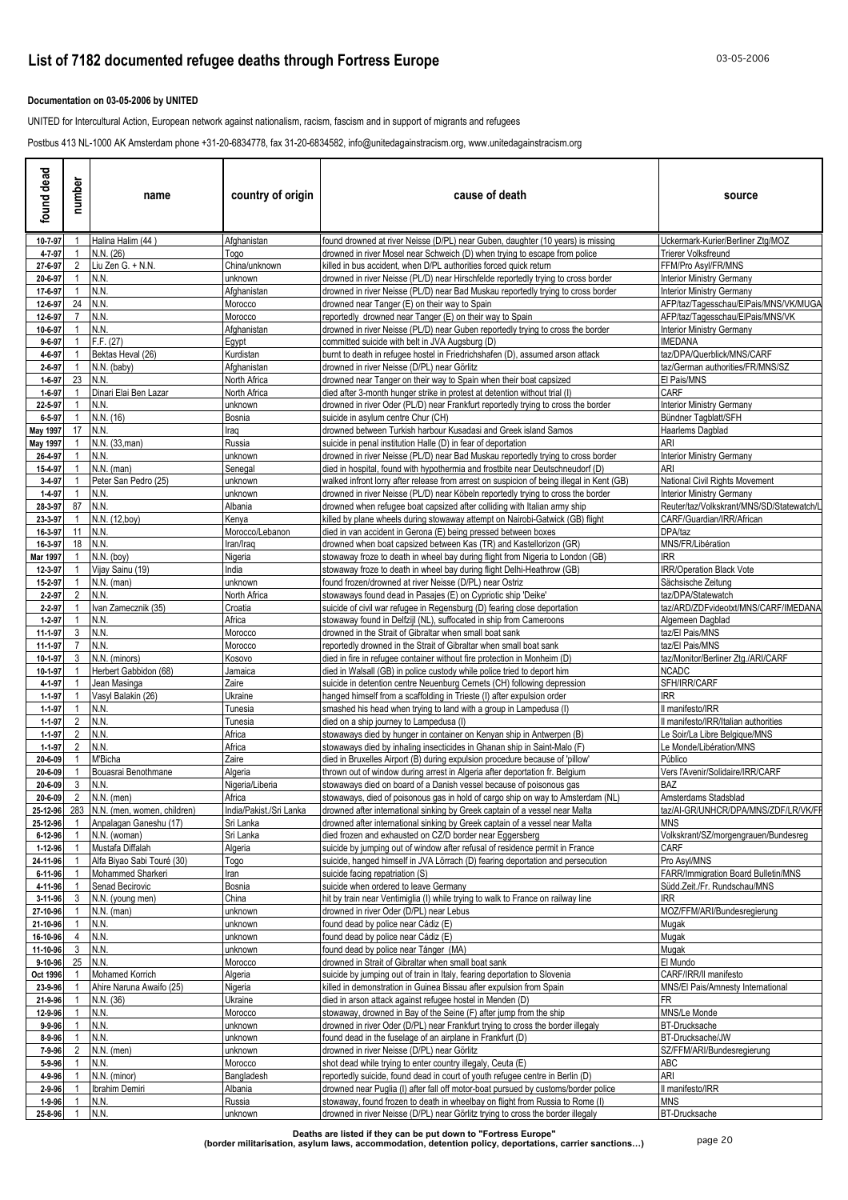### **Documentation on 03-05-2006 by UNITED**

UNITED for Intercultural Action, European network against nationalism, racism, fascism and in support of migrants and refugees

Postbus 413 NL-1000 AK Amsterdam phone +31-20-6834778, fax 31-20-6834582, info@unitedagainstracism.org, www.unitedagainstracism.org

| found dead                  | number                           | name                                        | country of origin        | cause of death                                                                                                                                             | source                                                                 |
|-----------------------------|----------------------------------|---------------------------------------------|--------------------------|------------------------------------------------------------------------------------------------------------------------------------------------------------|------------------------------------------------------------------------|
| 10-7-97                     |                                  | Halina Halim (44)                           | Afghanistan              | found drowned at river Neisse (D/PL) near Guben, daughter (10 years) is missing                                                                            | Uckermark-Kurier/Berliner Ztg/MOZ                                      |
| 4-7-97                      |                                  | N.N. (26)                                   | Togo                     | drowned in river Mosel near Schweich (D) when trying to escape from police                                                                                 | Trierer Volksfreund                                                    |
| 27-6-97<br>20-6-97          | 2<br>1                           | Liu Zen G. + N.N.<br>N.N.                   | China/unknown<br>unknown | killed in bus accident, when D/PL authorities forced quick return<br>drowned in river Neisse (PL/D) near Hirschfelde reportedly trying to cross border     | FFM/Pro Asyl/FR/MNS<br>Interior Ministry Germany                       |
| 17-6-97                     |                                  | N.N.                                        | Afghanistan              | drowned in river Neisse (PL/D) near Bad Muskau reportedly trying to cross border                                                                           | Interior Ministry Germany                                              |
| 12-6-97                     | 24                               | N.N.                                        | Morocco                  | drowned near Tanger (E) on their way to Spain                                                                                                              | AFP/taz/Tagesschau/ElPais/MNS/VK/MUGA                                  |
| 12-6-97                     | 7                                | N.N.                                        | Morocco                  | reportedly drowned near Tanger (E) on their way to Spain                                                                                                   | AFP/taz/Tagesschau/ElPais/MNS/VK                                       |
| 10-6-97                     |                                  | N.N.                                        | Afghanistan              | drowned in river Neisse (PL/D) near Guben reportedly trying to cross the border                                                                            | <b>Interior Ministry Germany</b>                                       |
| $9 - 6 - 97$<br>4-6-97      |                                  | F.F. (27)<br>Bektas Heval (26)              | Egypt<br>Kurdistan       | committed suicide with belt in JVA Auasbura (D)<br>burnt to death in refugee hostel in Friedrichshafen (D), assumed arson attack                           | IMEDANA<br>taz/DPA/Querblick/MNS/CARF                                  |
| $2 - 6 - 97$                |                                  | N.N. (baby)                                 | Afghanistan              | drowned in river Neisse (D/PL) near Görlitz                                                                                                                | taz/German authorities/FR/MNS/SZ                                       |
| $1 - 6 - 97$                | 23                               | N.N.                                        | North Africa             | drowned near Tanger on their way to Spain when their boat capsized                                                                                         | El Pais/MNS                                                            |
| $1 - 6 - 97$                |                                  | Dinari Elai Ben Lazar                       | North Africa             | died after 3-month hunger strike in protest at detention without trial (I)                                                                                 | CARF                                                                   |
| 22-5-97                     |                                  | N.N.                                        | unknown                  | drowned in river Oder (PL/D) near Frankfurt reportedly trying to cross the border                                                                          | <b>Interior Ministry Germany</b>                                       |
| $6 - 5 - 97$                | 17                               | N.N. (16)<br>N.N.                           | Bosnia                   | suicide in asylum centre Chur (CH)                                                                                                                         | Bündner Tagblatt/SFH                                                   |
| May 1997<br><b>May 1997</b> |                                  | N.N. (33, man)                              | Iraq<br>Russia           | drowned between Turkish harbour Kusadasi and Greek island Samos<br>suicide in penal institution Halle (D) in fear of deportation                           | Haarlems Dagblad<br>ARI                                                |
| 26-4-97                     |                                  | N.N.                                        | unknown                  | drowned in river Neisse (PL/D) near Bad Muskau reportedly trying to cross border                                                                           | <b>Interior Ministry Germany</b>                                       |
| 15-4-97                     |                                  | $N.N.$ (man)                                | Senegal                  | died in hospital, found with hypothermia and frostbite near Deutschneudorf (D)                                                                             | ARI                                                                    |
| $3 - 4 - 97$                |                                  | Peter San Pedro (25)                        | unknown                  | walked infront lorry after release from arrest on suspicion of being illegal in Kent (GB)                                                                  | National Civil Rights Movement                                         |
| $1 - 4 - 97$                |                                  | N.N.                                        | unknown                  | drowned in river Neisse (PL/D) near Köbeln reportedly trying to cross the border                                                                           | Interior Ministry Germany                                              |
| 28-3-97<br>23-3-97          | 87                               | N.N.<br>N.N. (12,boy)                       | Albania<br>Kenya         | drowned when refugee boat capsized after colliding with Italian army ship<br>killed by plane wheels during stowaway attempt on Nairobi-Gatwick (GB) flight | Reuter/taz/Volkskrant/MNS/SD/Statewatch/L<br>CARF/Guardian/IRR/African |
| 16-3-97                     | 11                               | N.N.                                        | Morocco/Lebanon          | died in van accident in Gerona (E) being pressed between boxes                                                                                             | DPA/taz                                                                |
| 16-3-97                     | 18                               | N.N.                                        | Iran/Iraq                | drowned when boat capsized between Kas (TR) and Kastellorizon (GR)                                                                                         | MNS/FR/Libération                                                      |
| Mar 1997                    |                                  | $N.N.$ (boy)                                | Nigeria                  | stowaway froze to death in wheel bay during flight from Nigeria to London (GB)                                                                             | RR.                                                                    |
| 12-3-97                     |                                  | Vijay Sainu (19)                            | India                    | stowaway froze to death in wheel bay during flight Delhi-Heathrow (GB)                                                                                     | <b>IRR/Operation Black Vote</b>                                        |
| 15-2-97<br>$2 - 2 - 97$     | 2                                | $N.N.$ (man)<br>N.N.                        | unknown<br>North Africa  | found frozen/drowned at river Neisse (D/PL) near Ostriz<br>stowaways found dead in Pasajes (E) on Cypriotic ship 'Deike'                                   | Sächsische Zeitung<br>taz/DPA/Statewatch                               |
| $2 - 2 - 97$                |                                  | Ivan Zamecznik (35)                         | Croatia                  | suicide of civil war refugee in Regensburg (D) fearing close deportation                                                                                   | taz/ARD/ZDFvideotxt/MNS/CARF/IMEDANA                                   |
| $1 - 2 - 97$                |                                  | N.N.                                        | Africa                   | stowaway found in Delfzijl (NL), suffocated in ship from Cameroons                                                                                         | Algemeen Dagblad                                                       |
| 11-1-97                     | 3                                | N.N.                                        | Morocco                  | drowned in the Strait of Gibraltar when small boat sank                                                                                                    | taz/El Pais/MNS                                                        |
| 11-1-97                     | $\overline{7}$                   | N.N.                                        | Morocco                  | reportedly drowned in the Strait of Gibraltar when small boat sank                                                                                         | taz/El Pais/MNS                                                        |
| 10-1-97                     | 3                                | N.N. (minors)<br>Herbert Gabbidon (68)      | Kosovo                   | died in fire in refugee container without fire protection in Monheim (D)                                                                                   | taz/Monitor/Berliner Ztg./ARI/CARF<br>NCADC                            |
| 10-1-97<br>4-1-97           |                                  | Jean Masinga                                | Jamaica<br>Zaire         | died in Walsall (GB) in police custody while police tried to deport him<br>suicide in detention centre Neuenburg Cernets (CH) following depression         | SFH/IRR/CARF                                                           |
| $1 - 1 - 97$                |                                  | Vasyl Balakin (26)                          | Ukraine                  | hanged himself from a scaffolding in Trieste (I) after expulsion order                                                                                     | IRR.                                                                   |
| $1 - 1 - 97$                |                                  | N.N.                                        | Tunesia                  | smashed his head when trying to land with a group in Lampedusa (I)                                                                                         | l manifesto/IRR                                                        |
| $1 - 1 - 97$                | $\overline{2}$                   | N.N.                                        | Tunesia                  | died on a ship journey to Lampedusa (I)                                                                                                                    | I manifesto/IRR/Italian authorities                                    |
| $1 - 1 - 97$                | $\mathbf{2}$                     | N.N.<br>N.N.                                | Africa                   | stowaways died by hunger in container on Kenyan ship in Antwerpen (B)                                                                                      | Le Soir/La Libre Belgique/MNS                                          |
| $1 - 1 - 97$<br>20-6-09     | $\overline{2}$                   | M'Bicha                                     | Africa<br>Zaire          | stowaways died by inhaling insecticides in Ghanan ship in Saint-Malo (F)<br>died in Bruxelles Airport (B) during expulsion procedure because of 'pillow'   | Le Monde/Libération/MNS<br>Público                                     |
| 20-6-09                     |                                  | Bouasrai Benothmane                         | Algeria                  | thrown out of window during arrest in Algeria after deportation fr. Belgium                                                                                | Vers l'Avenir/Solidaire/IRR/CARF                                       |
| 20-6-09                     | 3                                | N.N.                                        | Nigeria/Liberia          | stowaways died on board of a Danish vessel because of poisonous gas                                                                                        | BAZ                                                                    |
|                             |                                  | $20 - 6 - 09$ 2 N.N. (men)                  | Africa                   | stowaways, died of poisonous gas in hold of cargo ship on way to Amsterdam (NL)                                                                            | Amsterdams Stadsblad                                                   |
|                             |                                  | 25-12-96 283 N.N. (men, women, children)    | India/Pakist./Sri Lanka  | drowned after international sinking by Greek captain of a vessel near Malta                                                                                | taz/AI-GR/UNHCR/DPA/MNS/ZDF/LR/VK/FF                                   |
| 25-12-96<br>6-12-96         | $\overline{1}$<br>$\overline{1}$ | Anpalagan Ganeshu (17)<br>N.N. (woman)      | Sri Lanka<br>Sri Lanka   | drowned after international sinking by Greek captain of a vessel near Malta<br>died frozen and exhausted on CZ/D border near Eggersberg                    | MNS<br>Volkskrant/SZ/morgengrauen/Bundesreg                            |
| 1-12-96                     | $\overline{1}$                   | Mustafa Diffalah                            | Algeria                  | suicide by jumping out of window after refusal of residence permit in France                                                                               | CARF                                                                   |
| 24-11-96                    |                                  | Alfa Biyao Sabi Touré (30)                  | Togo                     | suicide, hanged himself in JVA Lörrach (D) fearing deportation and persecution                                                                             | Pro Asyl/MNS                                                           |
| 6-11-96                     |                                  | Mohammed Sharkeri                           | Iran                     | suicide facing repatriation (S)                                                                                                                            | FARR/Immigration Board Bulletin/MNS                                    |
| 4-11-96                     |                                  | Senad Becirovic                             | Bosnia                   | suicide when ordered to leave Germany                                                                                                                      | Südd.Zeit./Fr. Rundschau/MNS                                           |
| 3-11-96<br>27-10-96         | 3 <sup>3</sup><br>$\overline{1}$ | N.N. (young men)<br>$N.N.$ (man)            | China<br>unknown         | hit by train near Ventimiglia (I) while trying to walk to France on railway line<br>drowned in river Oder (D/PL) near Lebus                                | IRR<br>MOZ/FFM/ARI/Bundesregierung                                     |
| 21-10-96                    | $\mathbf{1}$                     | N.N.                                        | unknown                  | found dead by police near Cádiz (E)                                                                                                                        | Mugak                                                                  |
| 16-10-96                    | 4                                | N.N.                                        | unknown                  | found dead by police near Cádiz (E)                                                                                                                        | Mugak                                                                  |
| 11-10-96                    | 3 <sup>1</sup>                   | N.N.                                        | unknown                  | found dead by police near Tánger (MA)                                                                                                                      | Mugak                                                                  |
| 9-10-96                     | 25                               | N.N.                                        | Morocco                  | drowned in Strait of Gibraltar when small boat sank                                                                                                        | El Mundo                                                               |
| Oct 1996                    |                                  | Mohamed Korrich<br>Ahire Naruna Awaifo (25) | Algeria                  | suicide by jumping out of train in Italy, fearing deportation to Slovenia<br>killed in demonstration in Guinea Bissau after expulsion from Spain           | CARF/IRR/II manifesto<br>MNS/El Pais/Amnesty International             |
| 23-9-96<br>21-9-96          |                                  | N.N. (36)                                   | Nigeria<br>Ukraine       | died in arson attack against refugee hostel in Menden (D)                                                                                                  | FR                                                                     |
| 12-9-96                     |                                  | N.N.                                        | Morocco                  | stowaway, drowned in Bay of the Seine (F) after jump from the ship                                                                                         | MNS/Le Monde                                                           |
| $9 - 9 - 96$                |                                  | N.N.                                        | unknown                  | drowned in river Oder (D/PL) near Frankfurt trying to cross the border illegaly                                                                            | <b>BT-Drucksache</b>                                                   |
| 8-9-96                      |                                  | N.N.                                        | unknown                  | found dead in the fuselage of an airplane in Frankfurt (D)                                                                                                 | BT-Drucksache/JW                                                       |
| 7-9-96                      | $\mathbf{2}$                     | $N.N.$ (men)                                | unknown                  | drowned in river Neisse (D/PL) near Görlitz                                                                                                                | SZ/FFM/ARI/Bundesregierung                                             |
| 5-9-96<br>4-9-96            |                                  | N.N.<br>N.N. (minor)                        | Morocco<br>Bangladesh    | shot dead while trying to enter country illegaly, Ceuta (E)<br>reportedly suicide, found dead in court of youth refugee centre in Berlin (D)               | ABC<br>ari                                                             |
| 2-9-96                      |                                  | Ibrahim Demiri                              | Albania                  | drowned near Puglia (I) after fall off motor-boat pursued by customs/border police                                                                         | ll manifesto/IRR                                                       |
| 1-9-96                      |                                  | N.N.                                        | Russia                   | stowaway, found frozen to death in wheelbay on flight from Russia to Rome (I)                                                                              | <b>MNS</b>                                                             |
| 25-8-96                     | $\overline{1}$                   | <b>N.N.</b>                                 | unknown                  | drowned in river Neisse (D/PL) near Görlitz trying to cross the border illegaly                                                                            | <b>BT-Drucksache</b>                                                   |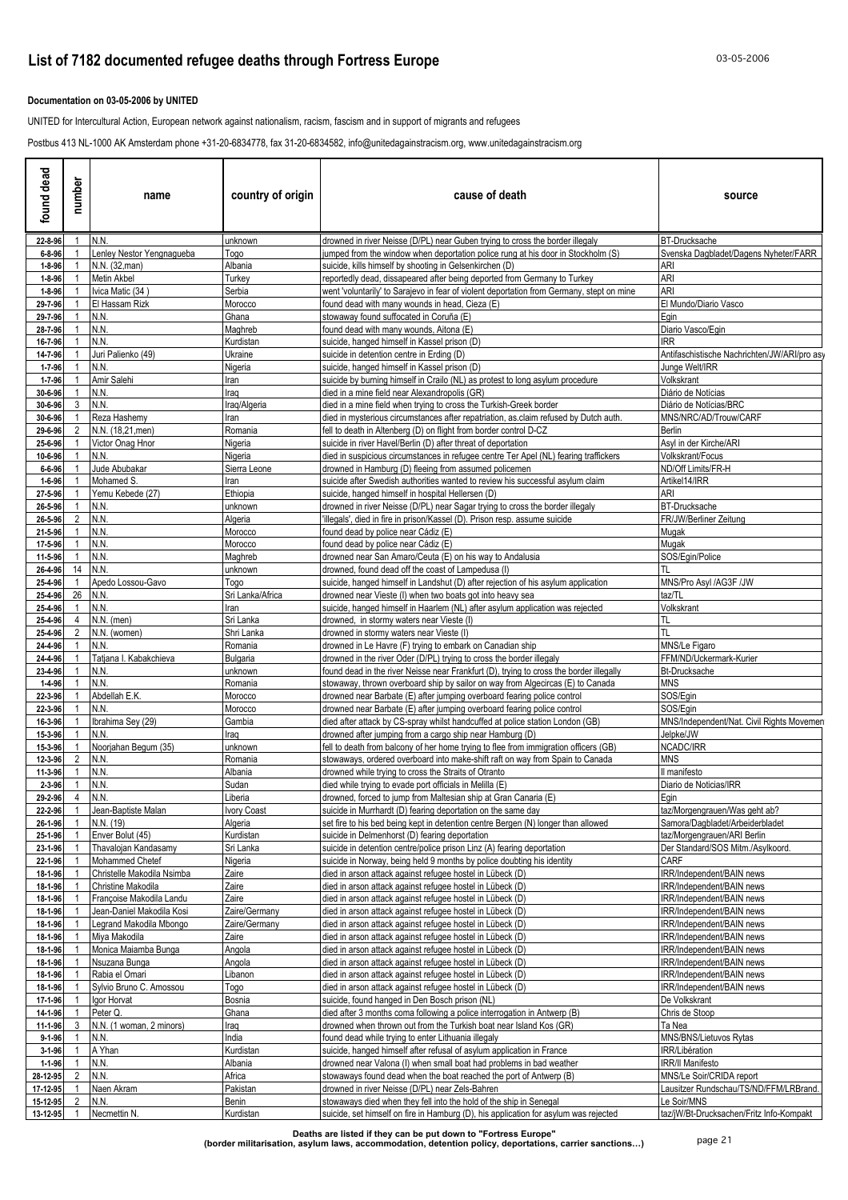### **Documentation on 03-05-2006 by UNITED**

UNITED for Intercultural Action, European network against nationalism, racism, fascism and in support of migrants and refugees

Postbus 413 NL-1000 AK Amsterdam phone +31-20-6834778, fax 31-20-6834582, info@unitedagainstracism.org, www.unitedagainstracism.org

| found dead                   | number         | name                                                 | country of origin              | cause of death                                                                                                                                            | source                                                           |
|------------------------------|----------------|------------------------------------------------------|--------------------------------|-----------------------------------------------------------------------------------------------------------------------------------------------------------|------------------------------------------------------------------|
| 22-8-96                      |                | N.N.                                                 | unknown                        | drowned in river Neisse (D/PL) near Guben trying to cross the border illegaly                                                                             | <b>BT-Drucksache</b>                                             |
| $6 - 8 - 96$                 |                | enley Nestor Yengnagueba                             | Togo                           | jumped from the window when deportation police rung at his door in Stockholm (S)                                                                          | Svenska Dagbladet/Dagens Nyheter/FARR                            |
| $1 - 8 - 96$<br>$1 - 8 - 96$ |                | N.N. (32, man)<br>Metin Akbel                        | Albania<br>Turkey              | suicide, kills himself by shooting in Gelsenkirchen (D)<br>reportedly dead, dissapeared after being deported from Germany to Turkey                       | ari<br>ARI                                                       |
| $1 - 8 - 96$                 |                | Ivica Matic (34)                                     | Serbia                         | went 'voluntarily' to Sarajevo in fear of violent deportation from Germany, stept on mine                                                                 | <b>ARI</b>                                                       |
| 29-7-96                      |                | El Hassam Rizk                                       | Morocco                        | found dead with many wounds in head, Cieza (E)                                                                                                            | El Mundo/Diario Vasco                                            |
| 29-7-96                      |                | N.N.                                                 | Ghana                          | stowaway found suffocated in Coruña (E)                                                                                                                   | Egin                                                             |
| 28-7-96                      |                | N.N.                                                 | Maghreb                        | found dead with many wounds, Aitona (E)                                                                                                                   | Diario Vasco/Egin                                                |
| 16-7-96<br>14-7-96           |                | N.N.<br>Juri Palienko (49)                           | Kurdistan<br>Ukraine           | suicide, hanged himself in Kassel prison (D)<br>suicide in detention centre in Erding (D)                                                                 | IRR.<br>Antifaschistische Nachrichten/JW/ARI/pro asy             |
| $1 - 7 - 96$                 |                | N.N.                                                 | Nigeria                        | suicide, hanged himself in Kassel prison (D)                                                                                                              | Junge Welt/IRR                                                   |
| $1 - 7 - 96$                 |                | Amir Salehi                                          | Iran                           | suicide by burning himself in Crailo (NL) as protest to long asylum procedure                                                                             | Volkskrant                                                       |
| 30-6-96                      |                | N.N.                                                 | Iraq                           | died in a mine field near Alexandropolis (GR)                                                                                                             | Diário de Notícias                                               |
| 30-6-96                      | 3              | N.N.                                                 | Iraq/Algeria                   | died in a mine field when trying to cross the Turkish-Greek border                                                                                        | Diário de Notícias/BRC                                           |
| 30-6-96<br>29-6-96           |                | Reza Hashemy<br>N.N. (18,21, men)                    | Iran<br>Romania                | died in mysterious circumstances after repatriation, as claim refused by Dutch auth.<br>fell to death in Altenberg (D) on flight from border control D-CZ | MNS/NRC/AD/Trouw/CARF<br><b>Berlin</b>                           |
| 25-6-96                      |                | Victor Onag Hnor                                     | Nigeria                        | suicide in river Havel/Berlin (D) after threat of deportation                                                                                             | Asyl in der Kirche/ARI                                           |
| 10-6-96                      |                | N.N.                                                 | Nigeria                        | died in suspicious circumstances in refugee centre Ter Apel (NL) fearing traffickers                                                                      | Volkskrant/Focus                                                 |
| $6 - 6 - 96$                 |                | Jude Abubakar                                        | Sierra Leone                   | drowned in Hamburg (D) fleeing from assumed policemen                                                                                                     | ND/Off Limits/FR-H                                               |
| $1 - 6 - 96$<br>27-5-96      |                | Mohamed S.<br>Yemu Kebede (27)                       | Iran<br>Ethiopia               | suicide after Swedish authorities wanted to review his successful asylum claim<br>suicide, hanged himself in hospital Hellersen (D)                       | Artikel14/IRR<br>ARI                                             |
| 26-5-96                      |                | N.N.                                                 | unknown                        | drowned in river Neisse (D/PL) near Sagar trying to cross the border illegaly                                                                             | <b>BT-Drucksache</b>                                             |
| 26-5-96                      | 2              | N.N.                                                 | Algeria                        | 'illegals', died in fire in prison/Kassel (D). Prison resp. assume suicide                                                                                | FR/JW/Berliner Zeitung                                           |
| 21-5-96                      |                | N.N.                                                 | Morocco                        | found dead by police near Cádiz (E)                                                                                                                       | Mugak                                                            |
| 17-5-96                      |                | N.N.                                                 | Morocco                        | found dead by police near Cádiz (E)                                                                                                                       | Mugak                                                            |
| 11-5-96<br>26-4-96           | 14             | N.N.<br>N.N.                                         | Maghreb<br>unknown             | drowned near San Amaro/Ceuta (E) on his way to Andalusia<br>drowned, found dead off the coast of Lampedusa (I)                                            | SOS/Egin/Police<br>TL                                            |
| 25-4-96                      |                | Apedo Lossou-Gavo                                    | Togo                           | suicide, hanged himself in Landshut (D) after rejection of his asylum application                                                                         | MNS/Pro Asyl /AG3F /JW                                           |
| 25-4-96                      | 26             | N.N.                                                 | Sri Lanka/Africa               | drowned near Vieste (I) when two boats got into heavy sea                                                                                                 | taz/TL                                                           |
| 25-4-96                      |                | N.N.                                                 | Iran                           | suicide, hanged himself in Haarlem (NL) after asylum application was rejected                                                                             | Volkskrant                                                       |
| 25-4-96                      | 4              | N.N. (men)                                           | Sri Lanka                      | drowned, in stormy waters near Vieste (I)                                                                                                                 | TL<br>TL                                                         |
| 25-4-96<br>24-4-96           | 2              | N.N. (women)<br>N.N.                                 | Shri Lanka<br>Romania          | drowned in stormy waters near Vieste (I)<br>drowned in Le Havre (F) trying to embark on Canadian ship                                                     | MNS/Le Figaro                                                    |
| 24-4-96                      |                | Tatjana I. Kabakchieva                               | Bulgaria                       | drowned in the river Oder (D/PL) trying to cross the border illegaly                                                                                      | FFM/ND/Uckermark-Kurier                                          |
| 23-4-96                      |                | N.N.                                                 | unknown                        | found dead in the river Neisse near Frankfurt (D), trying to cross the border illegally                                                                   | <b>Bt-Drucksache</b>                                             |
| 1-4-96                       |                | N.N.                                                 | Romania                        | stowaway, thrown overboard ship by sailor on way from Algecircas (E) to Canada                                                                            | MNS                                                              |
| 22-3-96<br>22-3-96           |                | Abdellah E.K.<br>N.N.                                | Morocco<br>Morocco             | drowned near Barbate (E) after jumping overboard fearing police control<br>drowned near Barbate (E) after jumping overboard fearing police control        | SOS/Egin<br>SOS/Egin                                             |
| 16-3-96                      |                | Ibrahima Sey (29)                                    | Gambia                         | died after attack by CS-spray whilst handcuffed at police station London (GB)                                                                             | MNS/Independent/Nat. Civil Rights Movemen                        |
| 15-3-96                      |                | N.N.                                                 | Iraq                           | drowned after jumping from a cargo ship near Hamburg (D)                                                                                                  | Jelpke/JW                                                        |
| 15-3-96                      |                | Noorjahan Begum (35)                                 | unknown                        | fell to death from balcony of her home trying to flee from immigration officers (GB)                                                                      | NCADC/IRR                                                        |
| 12-3-96                      | $\overline{2}$ | N.N.                                                 | Romania                        | stowaways, ordered overboard into make-shift raft on way from Spain to Canada                                                                             | <b>MNS</b>                                                       |
| 11-3-96<br>2-3-96            |                | N.N.<br>N.N.                                         | Albania<br>Sudan               | drowned while trying to cross the Straits of Otranto<br>died while trying to evade port officials in Melilla (E)                                          | Il manifesto<br>Diario de Noticias/IRR                           |
| 29-2-96                      | 4              | N.N.                                                 | Liberia                        | drowned, forced to jump from Maltesian ship at Gran Canaria (E)                                                                                           | Egin                                                             |
| 22-2-96                      | $\mathbf{1}$   | Jean-Baptiste Malan                                  | Ivory Coast                    | suicide in Murrhardt (D) fearing deportation on the same day                                                                                              | taz/Morgengrauen/Was geht ab?                                    |
| 26-1-96                      |                | N.N. (19)                                            | Algeria                        | set fire to his bed being kept in detention centre Bergen (N) longer than allowed                                                                         | Samora/Dagbladet/Arbeiderbladet                                  |
| 25-1-96<br>23-1-96           |                | Enver Bolut (45)<br>Thavalojan Kandasamy             | Kurdistan<br>Sri Lanka         | suicide in Delmenhorst (D) fearing deportation<br>suicide in detention centre/police prison Linz (A) fearing deportation                                  | taz/Morgengrauen/ARI Berlin<br>Der Standard/SOS Mitm./Asylkoord. |
| 22-1-96                      |                | Mohammed Chetef                                      | Nigeria                        | suicide in Norway, being held 9 months by police doubting his identity                                                                                    | CARF                                                             |
| 18-1-96                      |                | Christelle Makodila Nsimba                           | Zaire                          | died in arson attack against refugee hostel in Lübeck (D)                                                                                                 | IRR/Independent/BAIN news                                        |
| 18-1-96                      |                | Christine Makodila                                   | Zaire                          | died in arson attack against refugee hostel in Lübeck (D)                                                                                                 | IRR/Independent/BAIN news                                        |
| 18-1-96                      |                | Françoise Makodila Landu                             | Zaire                          | died in arson attack against refugee hostel in Lübeck (D)                                                                                                 | IRR/Independent/BAIN news                                        |
| 18-1-96<br>18-1-96           |                | Jean-Daniel Makodila Kosi<br>Legrand Makodila Mbongo | Zaire/Germany<br>Zaire/Germany | died in arson attack against refugee hostel in Lübeck (D)<br>died in arson attack against refugee hostel in Lübeck (D)                                    | IRR/Independent/BAIN news<br>IRR/Independent/BAIN news           |
| 18-1-96                      |                | Miya Makodila                                        | Zaire                          | died in arson attack against refugee hostel in Lübeck (D)                                                                                                 | IRR/Independent/BAIN news                                        |
| 18-1-96                      |                | Monica Maiamba Bunga                                 | Angola                         | died in arson attack against refugee hostel in Lübeck (D)                                                                                                 | IRR/Independent/BAIN news                                        |
| 18-1-96                      |                | Nsuzana Bunga                                        | Angola                         | died in arson attack against refugee hostel in Lübeck (D)                                                                                                 | IRR/Independent/BAIN news                                        |
| 18-1-96                      |                | Rabia el Omari                                       | Libanon                        | died in arson attack against refugee hostel in Lübeck (D)                                                                                                 | IRR/Independent/BAIN news                                        |
| 18-1-96<br>17-1-96           |                | Sylvio Bruno C. Amossou<br>Igor Horvat               | Togo<br>Bosnia                 | died in arson attack against refugee hostel in Lübeck (D)<br>suicide, found hanged in Den Bosch prison (NL)                                               | IRR/Independent/BAIN news<br>De Volkskrant                       |
| 14-1-96                      |                | Peter Q.                                             | Ghana                          | died after 3 months coma following a police interrogation in Antwerp (B)                                                                                  | Chris de Stoop                                                   |
| 11-1-96                      | 3              | N.N. (1 woman, 2 minors)                             | Iraq                           | drowned when thrown out from the Turkish boat near Island Kos (GR)                                                                                        | Ta Nea                                                           |
| $9 - 1 - 96$                 |                | N.N.                                                 | India                          | found dead while trying to enter Lithuania illegaly                                                                                                       | MNS/BNS/Lietuvos Rytas                                           |
| $3 - 1 - 96$                 |                | A Yhan<br>N.N.                                       | Kurdistan<br>Albania           | suicide, hanged himself after refusal of asylum application in France<br>drowned near Valona (I) when small boat had problems in bad weather              | IRR/Libération<br><b>IRR/II Manifesto</b>                        |
| $1 - 1 - 96$<br>28-12-95     | 2              | N.N.                                                 | Africa                         | stowaways found dead when the boat reached the port of Antwerp (B)                                                                                        | MNS/Le Soir/CRIDA report                                         |
| 17-12-95                     |                | Naen Akram                                           | Pakistan                       | drowned in river Neisse (D/PL) near Zels-Bahren                                                                                                           | Lausitzer Rundschau/TS/ND/FFM/LRBrand.                           |
| 15-12-95                     | 2              | N.N.                                                 | Benin                          | stowaways died when they fell into the hold of the ship in Senegal                                                                                        | Le Soir/MNS                                                      |
| 13-12-95                     |                | Necmettin N.                                         | Kurdistan                      | suicide, set himself on fire in Hamburg (D), his application for asylum was rejected                                                                      | taz/jW/Bt-Drucksachen/Fritz Info-Kompakt                         |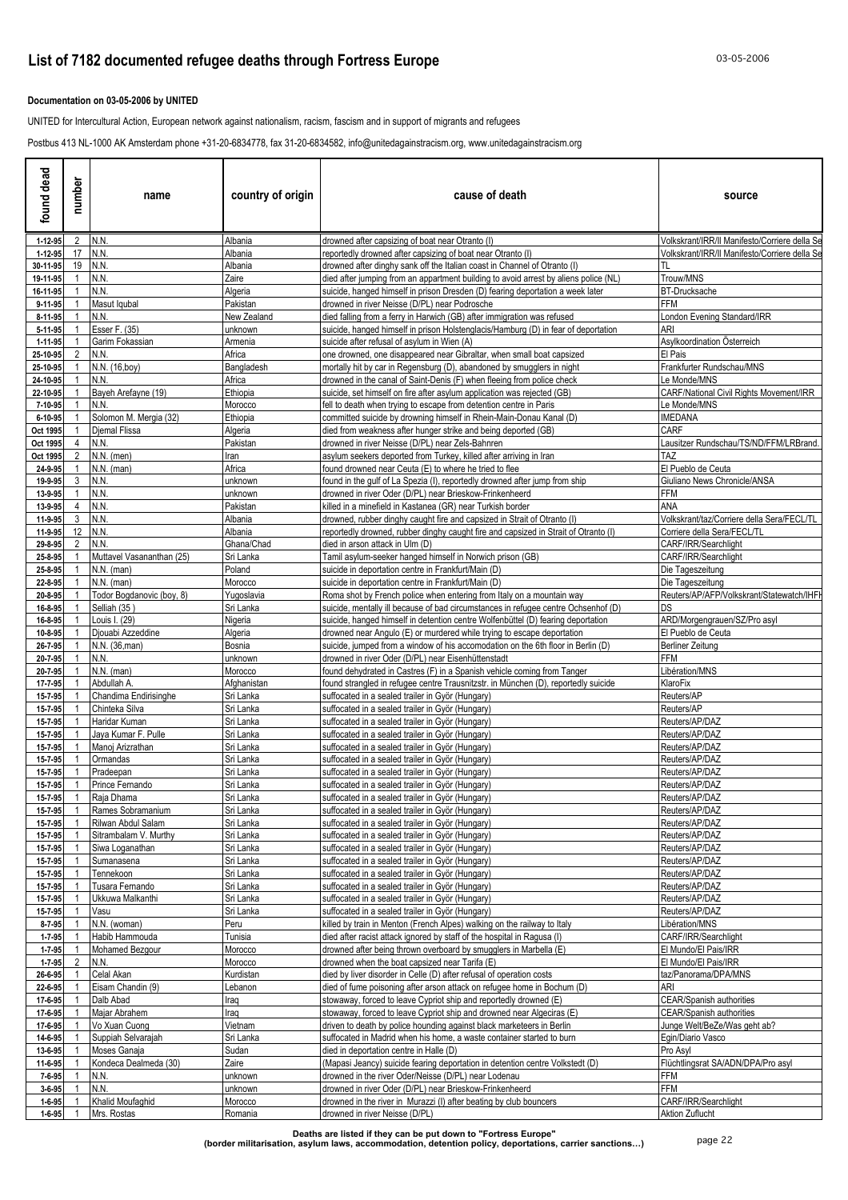### **Documentation on 03-05-2006 by UNITED**

UNITED for Intercultural Action, European network against nationalism, racism, fascism and in support of migrants and refugees

Postbus 413 NL-1000 AK Amsterdam phone +31-20-6834778, fax 31-20-6834582, info@unitedagainstracism.org, www.unitedagainstracism.org

| found dead              | number                           | name                                    | country of origin      | cause of death                                                                                                                                                  | source                                                                    |
|-------------------------|----------------------------------|-----------------------------------------|------------------------|-----------------------------------------------------------------------------------------------------------------------------------------------------------------|---------------------------------------------------------------------------|
| 1-12-95                 | 2                                | N.N.                                    | Albania                | drowned after capsizing of boat near Otranto (I)                                                                                                                | Volkskrant/IRR/II Manifesto/Corriere della Se                             |
| 1-12-95                 | 17<br>19                         | N.N.<br>N.N.                            | Albania<br>Albania     | reportedly drowned after capsizing of boat near Otranto (I)<br>drowned after dinghy sank off the Italian coast in Channel of Otranto (I)                        | Volkskrant/IRR/II Manifesto/Corriere della Se<br>TL                       |
| 30-11-95<br>19-11-95    |                                  | N.N.                                    | Zaire                  | died after jumping from an appartment building to avoid arrest by aliens police (NL)                                                                            | Trouw/MNS                                                                 |
| 16-11-95                |                                  | N.N.                                    | Algeria                | suicide, hanged himself in prison Dresden (D) fearing deportation a week later                                                                                  | <b>BT-Drucksache</b>                                                      |
| 9-11-95                 |                                  | Masut Igubal                            | Pakistan               | drowned in river Neisse (D/PL) near Podrosche                                                                                                                   | FFM                                                                       |
| 8-11-95                 |                                  | N.N.                                    | New Zealand            | died falling from a ferry in Harwich (GB) after immigration was refused                                                                                         | London Evening Standard/IRR                                               |
| 5-11-95                 |                                  | Esser F. (35)                           | unknown                | suicide, hanged himself in prison Holstenglacis/Hamburg (D) in fear of deportation                                                                              | ari                                                                       |
| 1-11-95<br>25-10-95     | $\overline{2}$                   | Garim Fokassian<br>N.N.                 | Armenia<br>Africa      | suicide after refusal of asylum in Wien (A)<br>one drowned, one disappeared near Gibraltar, when small boat capsized                                            | Asylkoordination Osterreich<br>El Pais                                    |
| 25-10-95                |                                  | N.N. (16,boy)                           | Bangladesh             | mortally hit by car in Regensburg (D), abandoned by smugglers in night                                                                                          | Frankfurter Rundschau/MNS                                                 |
| 24-10-95                |                                  | N.N.                                    | Africa                 | drowned in the canal of Saint-Denis (F) when fleeing from police check                                                                                          | Le Monde/MNS                                                              |
| 22-10-95                |                                  | Bayeh Arefayne (19)                     | Ethiopia               | suicide, set himself on fire after asylum application was rejected (GB)                                                                                         | CARF/National Civil Rights Movement/IRR                                   |
| 7-10-95                 |                                  | N.N.                                    | Morocco                | fell to death when trying to escape from detention centre in Paris                                                                                              | Le Monde/MNS                                                              |
| 6-10-95                 |                                  | Solomon M. Mergia (32)                  | Ethiopia               | committed suicide by drowning himself in Rhein-Main-Donau Kanal (D)                                                                                             | <b>IMEDANA</b>                                                            |
| Oct 1995                | 4                                | Djemal Flissa<br>N.N.                   | Algeria<br>Pakistan    | died from weakness after hunger strike and being deported (GB)                                                                                                  | CARF<br>Lausitzer Rundschau/TS/ND/FFM/LRBrand.                            |
| Oct 1995<br>Oct 1995    | 2                                | N.N. (men)                              | Iran                   | drowned in river Neisse (D/PL) near Zels-Bahnren<br>asylum seekers deported from Turkey, killed after arriving in Iran                                          | TAZ                                                                       |
| 24-9-95                 | -1                               | $N.N.$ (man)                            | Africa                 | found drowned near Ceuta (E) to where he tried to flee                                                                                                          | El Pueblo de Ceuta                                                        |
| 19-9-95                 | 3                                | N.N.                                    | unknown                | found in the gulf of La Spezia (I), reportedly drowned after jump from ship                                                                                     | Giuliano News Chronicle/ANSA                                              |
| 13-9-95                 | $\overline{1}$                   | N.N.                                    | unknown                | drowned in river Oder (D/PL) near Brieskow-Frinkenheerd                                                                                                         | FFM                                                                       |
| 13-9-95                 | $\overline{4}$                   | N.N.                                    | Pakistan               | killed in a minefield in Kastanea (GR) near Turkish border                                                                                                      | ANA                                                                       |
| 11-9-95                 | 3<br>12                          | N.N.<br>N.N.                            | Albania<br>Albania     | drowned, rubber dinghy caught fire and capsized in Strait of Otranto (I)<br>reportedly drowned, rubber dinghy caught fire and capsized in Strait of Otranto (I) | Volkskrant/taz/Corriere della Sera/FECL/TL<br>Corriere della Sera/FECL/TL |
| 11-9-95<br>29-8-95      | 2                                | N.N.                                    | Ghana/Chad             | died in arson attack in Ulm (D)                                                                                                                                 | CARF/IRR/Searchlight                                                      |
| 25-8-95                 |                                  | Muttavel Vasananthan (25)               | Sri Lanka              | Tamil asylum-seeker hanged himself in Norwich prison (GB)                                                                                                       | CARF/IRR/Searchlight                                                      |
| 25-8-95                 |                                  | $N.N.$ (man)                            | Poland                 | suicide in deportation centre in Frankfurt/Main (D)                                                                                                             | Die Tageszeitung                                                          |
| 22-8-95                 | -1                               | $N.N.$ (man)                            | Morocco                | suicide in deportation centre in Frankfurt/Main (D)                                                                                                             | Die Tageszeitung                                                          |
| 20-8-95                 |                                  | Todor Bogdanovic (boy, 8)               | Yugoslavia             | Roma shot by French police when entering from Italy on a mountain way                                                                                           | Reuters/AP/AFP/Volkskrant/Statewatch/IHFI                                 |
| 16-8-95                 |                                  | Selliah (35)                            | Sri Lanka              | suicide, mentally ill because of bad circumstances in refugee centre Ochsenhof (D)                                                                              | DS                                                                        |
| 16-8-95<br>10-8-95      |                                  | Louis I. (29)<br>Djouabi Azzeddine      | Nigeria<br>Algeria     | suicide, hanged himself in detention centre Wolfenbüttel (D) fearing deportation<br>drowned near Angulo (E) or murdered while trying to escape deportation      | ARD/Morgengrauen/SZ/Pro asyl<br>El Pueblo de Ceuta                        |
| 26-7-95                 |                                  | N.N. (36, man)                          | Bosnia                 | suicide, jumped from a window of his accomodation on the 6th floor in Berlin (D)                                                                                | <b>Berliner Zeitung</b>                                                   |
| 20-7-95                 |                                  | N.N.                                    | unknown                | drowned in river Oder (D/PL) near Eisenhüttenstadt                                                                                                              | <b>FFM</b>                                                                |
| 20-7-95                 |                                  | $N.N.$ (man)                            | Morocco                | found dehydrated in Castres (F) in a Spanish vehicle coming from Tanger                                                                                         | Libération/MNS                                                            |
| 17-7-95                 |                                  | Abdullah A.                             | Afghanistan            | found strangled in refugee centre Trausnitzstr. in München (D), reportedly suicide                                                                              | KlaroFix                                                                  |
| 15-7-95                 |                                  | Chandima Endirisinghe<br>Chinteka Silva | Sri Lanka<br>Sri Lanka | suffocated in a sealed trailer in Györ (Hungary)                                                                                                                | Reuters/AP<br>Reuters/AP                                                  |
| 15-7-95<br>15-7-95      |                                  | Haridar Kuman                           | Sri Lanka              | suffocated in a sealed trailer in Györ (Hungary)<br>suffocated in a sealed trailer in Györ (Hungary)                                                            | Reuters/AP/DAZ                                                            |
| 15-7-95                 |                                  | Jaya Kumar F. Pulle                     | Sri Lanka              | suffocated in a sealed trailer in Györ (Hungary)                                                                                                                | Reuters/AP/DAZ                                                            |
| 15-7-95                 |                                  | Manoj Arizrathan                        | Sri Lanka              | suffocated in a sealed trailer in Györ (Hungary)                                                                                                                | Reuters/AP/DAZ                                                            |
| 15-7-95                 | $\overline{1}$                   | Ormandas                                | Sri Lanka              | suffocated in a sealed trailer in Györ (Hungary)                                                                                                                | Reuters/AP/DAZ                                                            |
| 15-7-95                 |                                  | Pradeepan                               | Sri Lanka              | suffocated in a sealed trailer in Györ (Hungary)                                                                                                                | Reuters/AP/DAZ                                                            |
| 15-7-95<br>15-7-95      | $\overline{1}$<br>$\overline{1}$ | Prince Fernando<br>Raja Dhama           | Sri Lanka<br>Sri Lanka | suffocated in a sealed trailer in Györ (Hungary)<br>suffocated in a sealed trailer in Györ (Hungary)                                                            | Reuters/AP/DAZ<br>Reuters/AP/DAZ                                          |
| 15-7-95                 | $\overline{1}$                   | Rames Sobramanium                       | Sri Lanka              | suffocated in a sealed trailer in Györ (Hungary)                                                                                                                | Reuters/AP/DAZ                                                            |
| 15-7-95                 |                                  | Rilwan Abdul Salam                      | Sri Lanka              | suffocated in a sealed trailer in Györ (Hungary)                                                                                                                | Reuters/AP/DAZ                                                            |
| 15-7-95                 |                                  | Sitrambalam V. Murthy                   | Sri Lanka              | suffocated in a sealed trailer in Györ (Hungary)                                                                                                                | Reuters/AP/DAZ                                                            |
| 15-7-95                 | $\overline{1}$                   | Siwa Loganathan                         | Sri Lanka              | suffocated in a sealed trailer in Györ (Hungary)                                                                                                                | Reuters/AP/DAZ                                                            |
| 15-7-95                 | -1                               | Sumanasena                              | Sri Lanka              | suffocated in a sealed trailer in Györ (Hungary)                                                                                                                | Reuters/AP/DAZ                                                            |
| 15-7-95<br>15-7-95      | $\overline{1}$                   | Tennekoon<br>Tusara Fernando            | Sri Lanka<br>Sri Lanka | suffocated in a sealed trailer in Györ (Hungary)<br>suffocated in a sealed trailer in Györ (Hungary)                                                            | Reuters/AP/DAZ<br>Reuters/AP/DAZ                                          |
| 15-7-95                 |                                  | Ukkuwa Malkanthi                        | Sri Lanka              | suffocated in a sealed trailer in Györ (Hungary)                                                                                                                | Reuters/AP/DAZ                                                            |
| 15-7-95                 |                                  | Vasu                                    | Sri Lanka              | suffocated in a sealed trailer in Györ (Hungary)                                                                                                                | Reuters/AP/DAZ                                                            |
| 8-7-95                  |                                  | N.N. (woman)                            | Peru                   | killed by train in Menton (French Alpes) walking on the railway to Italy                                                                                        | Libération/MNS                                                            |
| $1 - 7 - 95$            |                                  | Habib Hammouda                          | Tunisia                | died after racist attack ignored by staff of the hospital in Ragusa (I)                                                                                         | CARF/IRR/Searchlight                                                      |
| $1 - 7 - 95$            | $\overline{2}$                   | Mohamed Bezgour<br>N.N.                 | Morocco                | drowned after being thrown overboard by smugglers in Marbella (E)<br>drowned when the boat capsized near Tarifa (E)                                             | El Mundo/El Pais/IRR<br>El Mundo/El Pais/IRR                              |
| $1 - 7 - 95$<br>26-6-95 |                                  | Celal Akan                              | Morocco<br>Kurdistan   | died by liver disorder in Celle (D) after refusal of operation costs                                                                                            | taz/Panorama/DPA/MNS                                                      |
| 22-6-95                 |                                  | Eisam Chandin (9)                       | Lebanon                | died of fume poisoning after arson attack on refugee home in Bochum (D)                                                                                         | ari                                                                       |
| 17-6-95                 |                                  | Dalb Abad                               | Iraq                   | stowaway, forced to leave Cypriot ship and reportedly drowned (E)                                                                                               | <b>CEAR/Spanish authorities</b>                                           |
| 17-6-95                 |                                  | Majar Abrahem                           | Iraq                   | stowaway, forced to leave Cypriot ship and drowned near Algeciras (E)                                                                                           | <b>CEAR/Spanish authorities</b>                                           |
| 17-6-95                 |                                  | Vo Xuan Cuong                           | Vietnam                | driven to death by police hounding against black marketeers in Berlin                                                                                           | Junge Welt/BeZe/Was geht ab?                                              |
| 14-6-95                 |                                  | Suppiah Selvarajah                      | Sri Lanka              | suffocated in Madrid when his home, a waste container started to burn                                                                                           | Egin/Diario Vasco                                                         |
| 13-6-95<br>11-6-95      |                                  | Moses Ganaja<br>Kondeca Dealmeda (30)   | Sudan<br>Zaire         | died in deportation centre in Halle (D)<br>(Mapasi Jeancy) suicide fearing deportation in detention centre Volkstedt (D)                                        | Pro Asyl<br>Flüchtlingsrat SA/ADN/DPA/Pro asyl                            |
| 7-6-95                  | -1                               | N.N.                                    | unknown                | drowned in the river Oder/Neisse (D/PL) near Lodenau                                                                                                            | FFM                                                                       |
| $3 - 6 - 95$            |                                  | N.N.                                    | unknown                | drowned in river Oder (D/PL) near Brieskow-Frinkenheerd                                                                                                         | <b>FFM</b>                                                                |
| $1 - 6 - 95$            |                                  | Khalid Moufaghid                        | Morocco                | drowned in the river in Murazzi (I) after beating by club bouncers                                                                                              | CARF/IRR/Searchlight                                                      |
| $1 - 6 - 95$            |                                  | Mrs. Rostas                             | Romania                | drowned in river Neisse (D/PL)                                                                                                                                  | Aktion Zuflucht                                                           |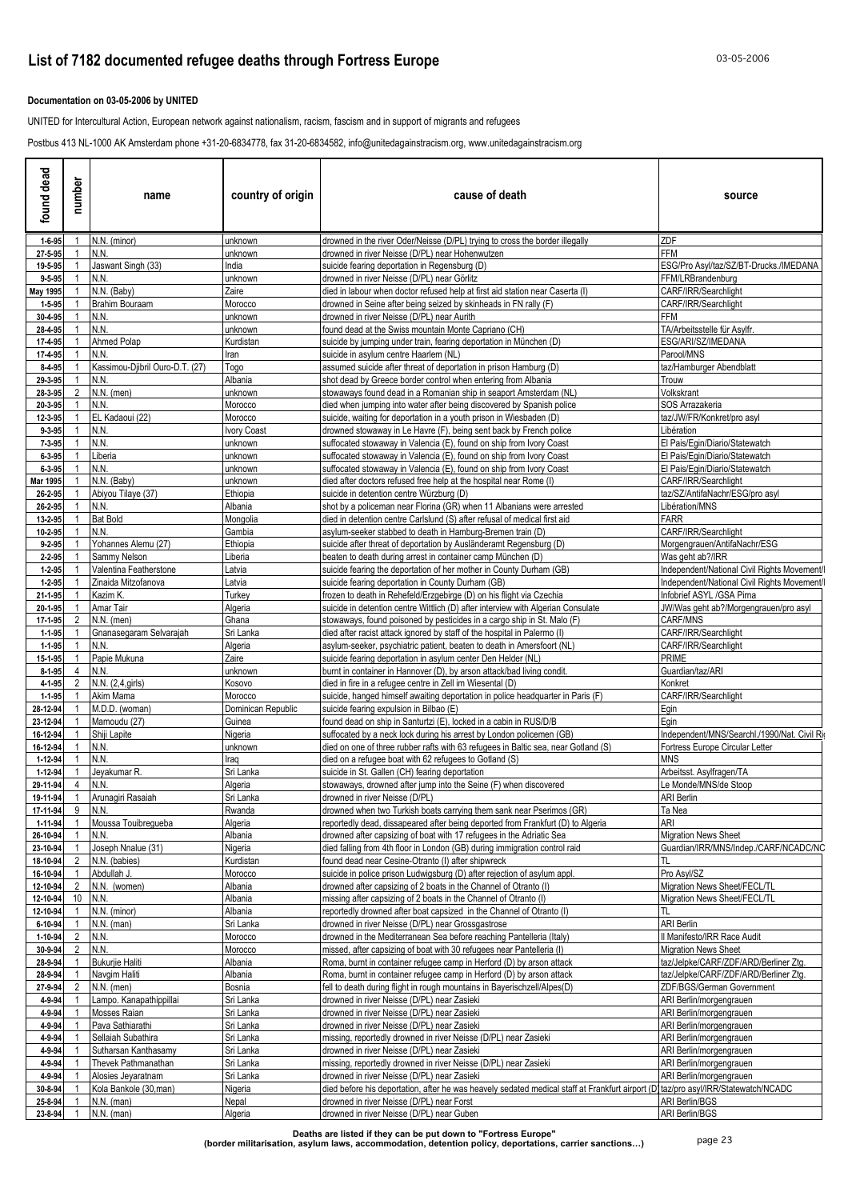### **Documentation on 03-05-2006 by UNITED**

UNITED for Intercultural Action, European network against nationalism, racism, fascism and in support of migrants and refugees

Postbus 413 NL-1000 AK Amsterdam phone +31-20-6834778, fax 31-20-6834582, info@unitedagainstracism.org, www.unitedagainstracism.org

| found dead              | number              | name                                         | country of origin            | cause of death                                                                                                                                                                   | source                                                             |
|-------------------------|---------------------|----------------------------------------------|------------------------------|----------------------------------------------------------------------------------------------------------------------------------------------------------------------------------|--------------------------------------------------------------------|
| $1 - 6 - 95$            | $\overline{1}$      | N.N. (minor)                                 | unknown                      | drowned in the river Oder/Neisse (D/PL) trying to cross the border illegally                                                                                                     | ZDF                                                                |
| 27-5-95                 |                     | N.N.                                         | unknown                      | drowned in river Neisse (D/PL) near Hohenwutzen                                                                                                                                  | <b>FFM</b>                                                         |
| 19-5-95<br>$9 - 5 - 95$ | $\overline{1}$      | Jaswant Singh (33)<br>N.N.                   | India<br>unknown             | suicide fearing deportation in Regensburg (D)<br>drowned in river Neisse (D/PL) near Görlitz                                                                                     | ESG/Pro Asyl/taz/SZ/BT-Drucks./IMEDANA<br>FFM/LRBrandenburg        |
| May 1995                | $\overline{1}$      | N.N. (Baby)                                  | Zaire                        | died in labour when doctor refused help at first aid station near Caserta (I)                                                                                                    | CARF/IRR/Searchlight                                               |
| $1 - 5 - 95$            |                     | <b>Brahim Bouraam</b>                        | Morocco                      | drowned in Seine after being seized by skinheads in FN rally (F)                                                                                                                 | CARF/IRR/Searchlight                                               |
| 30-4-95                 | -1                  | N.N.                                         | unknown                      | drowned in river Neisse (D/PL) near Aurith                                                                                                                                       | FFM                                                                |
| 28-4-95                 | $\overline{1}$      | N.N.                                         | unknown                      | found dead at the Swiss mountain Monte Capriano (CH)                                                                                                                             | TA/Arbeitsstelle für Asylfr.                                       |
| 17-4-95                 | -1                  | Ahmed Polap                                  | Kurdistan                    | suicide by jumping under train, fearing deportation in München (D)                                                                                                               | ESG/ARI/SZ/IMEDANA                                                 |
| 17-4-95<br>8-4-95       |                     | N.N.<br>Kassimou-Djibril Ouro-D.T. (27)      | Iran<br>Togo                 | suicide in asylum centre Haarlem (NL)<br>assumed suicide after threat of deportation in prison Hamburg (D)                                                                       | Parool/MNS<br>taz/Hamburger Abendblatt                             |
| 29-3-95                 |                     | N.N.                                         | Albania                      | shot dead by Greece border control when entering from Albania                                                                                                                    | <b>I</b> rouw                                                      |
| 28-3-95                 | 2                   | $N.N.$ (men)                                 | unknown                      | stowaways found dead in a Romanian ship in seaport Amsterdam (NL)                                                                                                                | Volkskrant                                                         |
| 20-3-95                 |                     | N.N.                                         | Morocco                      | died when jumping into water after being discovered by Spanish police                                                                                                            | SOS Arrazakeria                                                    |
| 12-3-95                 |                     | EL Kadaoui (22)                              | Morocco                      | suicide, waiting for deportation in a youth prison in Wiesbaden (D)                                                                                                              | taz/JW/FR/Konkret/pro asyl                                         |
| 9-3-95                  |                     | N.N.                                         | Ivory Coast                  | drowned stowaway in Le Havre (F), being sent back by French police                                                                                                               | Libération                                                         |
| 7-3-95<br>6-3-95        |                     | N.N.<br>Liberia                              | unknown<br>unknown           | suffocated stowaway in Valencia (E), found on ship from Ivory Coast<br>suffocated stowaway in Valencia (E), found on ship from Ivory Coast                                       | El Pais/Egin/Diario/Statewatch<br>El Pais/Egin/Diario/Statewatch   |
| $6 - 3 - 95$            | -1                  | N.N.                                         | unknown                      | suffocated stowaway in Valencia (E), found on ship from Ivory Coast                                                                                                              | El Pais/Egin/Diario/Statewatch                                     |
| Mar 1995                |                     | N.N. (Baby)                                  | unknown                      | died after doctors refused free help at the hospital near Rome (I)                                                                                                               | CARF/IRR/Searchlight                                               |
| 26-2-95                 | - 1                 | Abiyou Tilaye (37)                           | Ethiopia                     | suicide in detention centre Würzburg (D)                                                                                                                                         | taz/SZ/AntifaNachr/ESG/pro asyl                                    |
| 26-2-95                 |                     | N.N.                                         | Albania                      | shot by a policeman near Florina (GR) when 11 Albanians were arrested                                                                                                            | Libération/MNS                                                     |
| 13-2-95                 | -1                  | <b>Bat Bold</b>                              | Mongolia                     | died in detention centre Carlslund (S) after refusal of medical first aid                                                                                                        | <b>FARR</b>                                                        |
| 10-2-95<br>$9 - 2 - 95$ |                     | N.N.<br>Yohannes Alemu (27)                  | Gambia<br>Ethiopia           | asylum-seeker stabbed to death in Hamburg-Bremen train (D)<br>suicide after threat of deportation by Ausländeramt Regensburg (D)                                                 | CARF/IRR/Searchlight<br>Morgengrauen/AntifaNachr/ESG               |
| 2-2-95                  |                     | Sammy Nelson                                 | Liberia                      | beaten to death during arrest in container camp München (D)                                                                                                                      | Was geht ab?/IRR                                                   |
| $1 - 2 - 95$            |                     | Valentina Featherstone                       | Latvia                       | suicide fearing the deportation of her mother in County Durham (GB)                                                                                                              | Independent/National Civil Rights Movement/                        |
| $1 - 2 - 95$            |                     | Zinaida Mitzofanova                          | Latvia                       | suicide fearing deportation in County Durham (GB)                                                                                                                                | Independent/National Civil Rights Movement/                        |
| 21-1-95                 |                     | Kazim K.                                     | Turkey                       | frozen to death in Rehefeld/Erzgebirge (D) on his flight via Czechia                                                                                                             | Infobrief ASYL /GSA Pirna                                          |
| 20-1-95                 | -1                  | Amar Tair                                    | Algeria                      | suicide in detention centre Wittlich (D) after interview with Algerian Consulate                                                                                                 | JW/Was geht ab?/Morgengrauen/pro asyl                              |
| 17-1-95<br>$1 - 1 - 95$ | 2<br>$\overline{1}$ | $N.N.$ (men)<br>Gnanasegaram Selvarajah      | Ghana<br>Sri Lanka           | stowaways, found poisoned by pesticides in a cargo ship in St. Malo (F)<br>died after racist attack ignored by staff of the hospital in Palermo (I)                              | CARF/MNS<br>CARF/IRR/Searchlight                                   |
| $1 - 1 - 95$            |                     | N.N.                                         | Algeria                      | asylum-seeker, psychiatric patient, beaten to death in Amersfoort (NL)                                                                                                           | CARF/IRR/Searchlight                                               |
| 15-1-95                 | -1                  | Papie Mukuna                                 | Zaire                        | suicide fearing deportation in asylum center Den Helder (NL)                                                                                                                     | <b>PRIME</b>                                                       |
| $8 - 1 - 95$            | 4                   | N.N.                                         | unknown                      | burnt in container in Hannover (D), by arson attack/bad living condit.                                                                                                           | Guardian/taz/ARI                                                   |
| 4-1-95                  | 2                   | N.N. (2,4, girls)                            | Kosovo                       | died in fire in a refugee centre in Zell im Wiesental (D)                                                                                                                        | Konkret                                                            |
| $1 - 1 - 95$            |                     | Akim Mama                                    | Morocco                      | suicide, hanged himself awaiting deportation in police headquarter in Paris (F)                                                                                                  | CARF/IRR/Searchlight                                               |
| 28-12-94<br>23-12-94    |                     | M.D.D. (woman)<br>Mamoudu (27)               | Dominican Republic<br>Guinea | suicide fearing expulsion in Bilbao (E)<br>found dead on ship in Santurtzi (E), locked in a cabin in RUS/D/B                                                                     | Egin<br>Egin                                                       |
| 16-12-94                | -1                  | Shiji Lapite                                 | Nigeria                      | suffocated by a neck lock during his arrest by London policemen (GB)                                                                                                             | Independent/MNS/Searchl./1990/Nat. Civil Ri-                       |
| 16-12-94                | - 1                 | N.N.                                         | unknown                      | died on one of three rubber rafts with 63 refugees in Baltic sea, near Gotland (S)                                                                                               | Fortress Europe Circular Letter                                    |
| 1-12-94                 | $\overline{1}$      | N.N.                                         | Iraq                         | died on a refugee boat with 62 refugees to Gotland (S)                                                                                                                           | <b>MNS</b>                                                         |
| 1-12-94                 |                     | Jeyakumar R.                                 | Sri Lanka                    | suicide in St. Gallen (CH) fearing deportation                                                                                                                                   | Arbeitsst. Asylfragen/TA                                           |
| 29-11-94                | $\overline{4}$      | N.N.                                         | Algeria                      | stowaways, drowned after jump into the Seine (F) when discovered                                                                                                                 | Le Monde/MNS/de Stoop                                              |
| 19-11-94<br>17-11-94    | $\mathbf{1}$<br>9   | Arunagiri Rasaiah<br>N.N.                    | Sri Lanka<br>Rwanda          | drowned in river Neisse (D/PL)<br>drowned when two Turkish boats carrying them sank near Pserimos (GR)                                                                           | <b>ARI Berlin</b><br>Ta Nea                                        |
| 1-11-94                 | $\overline{1}$      | Moussa Touibregueba                          | Algeria                      | reportedly dead, dissapeared after being deported from Frankfurt (D) to Algeria                                                                                                  | ARI                                                                |
| 26-10-94                | $\overline{1}$      | N.N.                                         | Albania                      | drowned after capsizing of boat with 17 refugees in the Adriatic Sea                                                                                                             | <b>Migration News Sheet</b>                                        |
| 23-10-94                | $\overline{1}$      | Joseph Nnalue (31)                           | Nigeria                      | died falling from 4th floor in London (GB) during immigration control raid                                                                                                       | Guardian/IRR/MNS/Indep./CARF/NCADC/NC                              |
| 18-10-94                | $\overline{2}$      | N.N. (babies)                                | Kurdistan                    | found dead near Cesine-Otranto (I) after shipwreck                                                                                                                               | TL                                                                 |
| 16-10-94                | $\overline{1}$      | Abdullah J.                                  | Morocco                      | suicide in police prison Ludwigsburg (D) after rejection of asylum appl.                                                                                                         | Pro Asvl/SZ                                                        |
| 12-10-94<br>12-10-94    | 2<br>10             | N.N. (women)<br>N.N.                         | Albania<br>Albania           | drowned after capsizing of 2 boats in the Channel of Otranto (I)<br>missing after capsizing of 2 boats in the Channel of Otranto (I)                                             | Migration News Sheet/FECL/TL<br>Migration News Sheet/FECL/TL       |
| 12-10-94                | $\overline{1}$      | N.N. (minor)                                 | Albania                      | reportedly drowned after boat capsized in the Channel of Otranto (I)                                                                                                             | TL                                                                 |
| 6-10-94                 | $\overline{1}$      | $N.N.$ (man)                                 | Sri Lanka                    | drowned in river Neisse (D/PL) near Grossgastrose                                                                                                                                | <b>ARI Berlin</b>                                                  |
| 1-10-94                 | $\overline{2}$      | N.N.                                         | Morocco                      | drowned in the Mediterranean Sea before reaching Pantelleria (Italy)                                                                                                             | Il Manifesto/IRR Race Audit                                        |
| 30-9-94                 | $\overline{2}$      | N.N.                                         | Morocco                      | missed, after capsizing of boat with 30 refugees near Pantelleria (I)                                                                                                            | <b>Migration News Sheet</b>                                        |
| 28-9-94                 | $\overline{1}$      | <b>Bukurjie Haliti</b>                       | Albania                      | Roma, burnt in container refugee camp in Herford (D) by arson attack                                                                                                             | taz/Jelpke/CARF/ZDF/ARD/Berliner Ztg.                              |
| 28-9-94<br>27-9-94      | $\overline{1}$<br>2 | Navgim Haliti<br>$N.N.$ (men)                | Albania                      | Roma, burnt in container refugee camp in Herford (D) by arson attack<br>fell to death during flight in rough mountains in Bayerischzell/Alpes(D)                                 | taz/Jelpke/CARF/ZDF/ARD/Berliner Ztg.<br>ZDF/BGS/German Government |
| 4-9-94                  | $\overline{1}$      | Lampo. Kanapathippillai                      | Bosnia<br>Sri Lanka          | drowned in river Neisse (D/PL) near Zasieki                                                                                                                                      | ARI Berlin/morgengrauen                                            |
| 4-9-94                  |                     | Mosses Raian                                 | Sri Lanka                    | drowned in river Neisse (D/PL) near Zasieki                                                                                                                                      | ARI Berlin/morgengrauen                                            |
| 4-9-94                  |                     | Pava Sathiarathi                             | Sri Lanka                    | drowned in river Neisse (D/PL) near Zasieki                                                                                                                                      | ARI Berlin/morgengrauen                                            |
| 4-9-94                  |                     | Sellaiah Subathira                           | Sri Lanka                    | missing, reportedly drowned in river Neisse (D/PL) near Zasieki                                                                                                                  | ARI Berlin/morgengrauen                                            |
| 4-9-94                  |                     | Sutharsan Kanthasamy                         | Sri Lanka                    | drowned in river Neisse (D/PL) near Zasieki                                                                                                                                      | ARI Berlin/morgengrauen                                            |
| 4-9-94                  |                     | Thevek Pathmanathan                          | Sri Lanka                    | missing, reportedly drowned in river Neisse (D/PL) near Zasieki                                                                                                                  | ARI Berlin/morgengrauen                                            |
| 4-9-94<br>30-8-94       |                     | Alosies Jeyaratnam<br>Kola Bankole (30, man) | Sri Lanka<br>Nigeria         | drowned in river Neisse (D/PL) near Zasieki<br>died before his deportation, after he was heavely sedated medical staff at Frankfurt airport (D)taz/pro asyl/IRR/Statewatch/NCADC | ARI Berlin/morgengrauen                                            |
| 25-8-94                 |                     | $N.N.$ (man)                                 | Nepal                        | drowned in river Neisse (D/PL) near Forst                                                                                                                                        | <b>ARI Berlin/BGS</b>                                              |
| 23-8-94                 |                     | $N.N.$ (man)                                 | Algeria                      | drowned in river Neisse (D/PL) near Guben                                                                                                                                        | <b>ARI Berlin/BGS</b>                                              |
|                         |                     |                                              |                              |                                                                                                                                                                                  |                                                                    |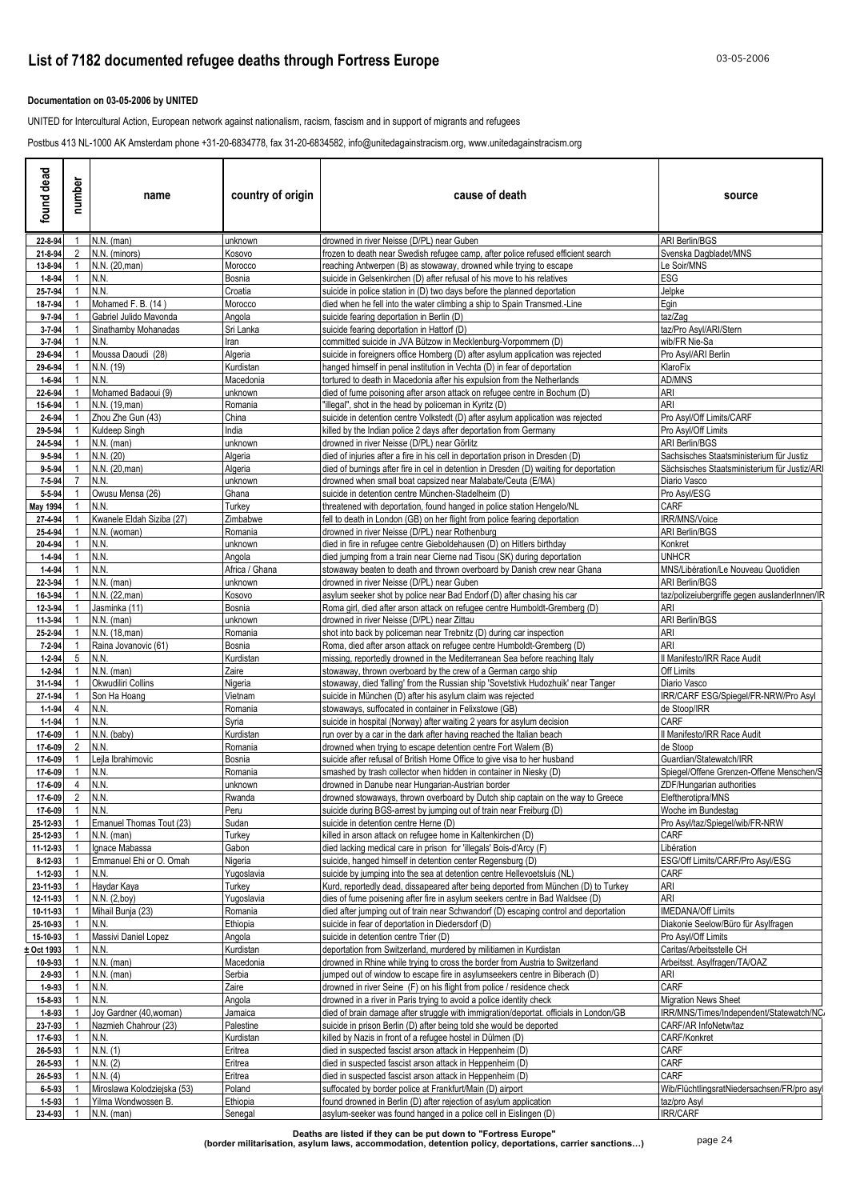### **Documentation on 03-05-2006 by UNITED**

UNITED for Intercultural Action, European network against nationalism, racism, fascism and in support of migrants and refugees

Postbus 413 NL-1000 AK Amsterdam phone +31-20-6834778, fax 31-20-6834582, info@unitedagainstracism.org, www.unitedagainstracism.org

| found dead                | number         | name                               | country of origin         | cause of death                                                                                                                                                | source                                                |
|---------------------------|----------------|------------------------------------|---------------------------|---------------------------------------------------------------------------------------------------------------------------------------------------------------|-------------------------------------------------------|
| 22-8-94                   |                | $N.N.$ (man)                       | unknown                   | drowned in river Neisse (D/PL) near Guben                                                                                                                     | <b>ARI Berlin/BGS</b>                                 |
| 21-8-94                   | 2              | N.N. (minors)                      | Kosovo                    | frozen to death near Swedish refugee camp, after police refused efficient search                                                                              | Svenska Dagbladet/MNS                                 |
| 13-8-94<br>$1 - 8 - 94$   |                | N.N. (20, man)<br>N.N.             | Morocco<br>Bosnia         | reaching Antwerpen (B) as stowaway, drowned while trying to escape<br>suicide in Gelsenkirchen (D) after refusal of his move to his relatives                 | Le Soir/MNS<br>ESG                                    |
| 25-7-94                   |                | N.N.                               | Croatia                   | suicide in police station in (D) two days before the planned deportation                                                                                      | Jelpke                                                |
| 18-7-94                   |                | Mohamed F. B. (14)                 | Morocco                   | died when he fell into the water climbing a ship to Spain Transmed.-Line                                                                                      | Egin                                                  |
| $9 - 7 - 94$              |                | Gabriel Julido Mavonda             | Angola                    | suicide fearing deportation in Berlin (D)                                                                                                                     | taz/Zag                                               |
| $3 - 7 - 94$              |                | Sinathamby Mohanadas               | Sri Lanka                 | suicide fearing deportation in Hattorf (D)                                                                                                                    | taz/Pro Asyl/ARI/Stern                                |
| $3 - 7 - 94$<br>29-6-94   |                | N.N.<br>Moussa Daoudi (28)         | Iran<br>Algeria           | committed suicide in JVA Bützow in Mecklenburg-Vorpommern (D)<br>suicide in foreigners office Homberg (D) after asylum application was rejected               | wib/FR Nie-Sa<br>Pro Asyl/ARI Berlin                  |
| 29-6-94                   |                | N.N. (19)                          | Kurdistan                 | hanged himself in penal institution in Vechta (D) in fear of deportation                                                                                      | KlaroFix                                              |
| $1 - 6 - 94$              |                | N.N.                               | Macedonia                 | tortured to death in Macedonia after his expulsion from the Netherlands                                                                                       | AD/MNS                                                |
| 22-6-94                   |                | Mohamed Badaoui (9)                | unknown                   | died of fume poisoning after arson attack on refugee centre in Bochum (D)                                                                                     | ARI                                                   |
| 15-6-94                   |                | N.N. (19, man)                     | Romania                   | "illegal", shot in the head by policeman in Kyritz (D)                                                                                                        | ARI                                                   |
| $2 - 6 - 94$<br>29-5-94   |                | Zhou Zhe Gun (43)<br>Kuldeep Singh | China<br>India            | suicide in detention centre Volkstedt (D) after asylum application was rejected<br>killed by the Indian police 2 days after deportation from Germany          | Pro Asyl/Off Limits/CARF<br>Pro Asyl/Off Limits       |
| 24-5-94                   |                | $N.N.$ (man)                       | unknown                   | drowned in river Neisse (D/PL) near Görlitz                                                                                                                   | <b>ARI Berlin/BGS</b>                                 |
| $9 - 5 - 94$              |                | N.N. (20)                          | Algeria                   | died of injuries after a fire in his cell in deportation prison in Dresden (D)                                                                                | Sachsisches Staatsministerium für Justiz              |
| $9 - 5 - 94$              |                | N.N. (20.man)                      | Algeria                   | died of burnings after fire in cel in detention in Dresden (D) waiting for deportation                                                                        | Sächsisches Staatsministerium für Justiz/AR           |
| $7 - 5 - 94$              | 7              | N.N.                               | unknown                   | drowned when small boat capsized near Malabate/Ceuta (E/MA)                                                                                                   | Diario Vasco                                          |
| 5-5-94<br><b>May 1994</b> |                | Owusu Mensa (26)<br>N.N.           | Ghana<br>Turkey           | suicide in detention centre München-Stadelheim (D)<br>threatened with deportation, found hanged in police station Hengelo/NL                                  | Pro Asyl/ESG<br>CARF                                  |
| 27-4-94                   |                | Kwanele Eldah Siziba (27)          | Zimbabwe                  | fell to death in London (GB) on her flight from police fearing deportation                                                                                    | IRR/MNS/Voice                                         |
| 25-4-94                   |                | N.N. (woman)                       | Romania                   | drowned in river Neisse (D/PL) near Rothenburg                                                                                                                | <b>ARI Berlin/BGS</b>                                 |
| 20-4-94                   |                | N.N.                               | unknown                   | died in fire in refugee centre Gieboldehausen (D) on Hitlers birthday                                                                                         | Konkret                                               |
| $1 - 4 - 94$              |                | N.N.                               | Angola                    | died jumping from a train near Cierne nad Tisou (SK) during deportation                                                                                       | <b>UNHCR</b>                                          |
| $1 - 4 - 94$<br>22-3-94   |                | N.N.<br>$N.N.$ (man)               | Africa / Ghana<br>unknown | stowaway beaten to death and thrown overboard by Danish crew near Ghana<br>drowned in river Neisse (D/PL) near Guben                                          | MNS/Libération/Le Nouveau Quotidien<br>ARI Berlin/BGS |
| 16-3-94                   |                | N.N. (22, man)                     | Kosovo                    | asylum seeker shot by police near Bad Endorf (D) after chasing his car                                                                                        | taz/polizeiubergriffe gegen auslanderInnen/IR         |
| 12-3-94                   |                | Jasminka (11)                      | Bosnia                    | Roma girl, died after arson attack on refugee centre Humboldt-Gremberg (D)                                                                                    | ari                                                   |
| 11-3-94                   |                | N.N. (man)                         | unknown                   | drowned in river Neisse (D/PL) near Zittau                                                                                                                    | <b>ARI Berlin/BGS</b>                                 |
| 25-2-94                   |                | N.N. (18, man)                     | Romania                   | shot into back by policeman near Trebnitz (D) during car inspection                                                                                           | ARI                                                   |
| 7-2-94<br>$1 - 2 - 94$    | 5              | Raina Jovanovic (61)<br>N.N.       | Bosnia<br>Kurdistan       | Roma, died after arson attack on refugee centre Humboldt-Gremberg (D)                                                                                         | ari                                                   |
| $1 - 2 - 94$              |                | N.N. (man)                         | Zaire                     | missing, reportedly drowned in the Mediterranean Sea before reaching Italy<br>stowaway, thrown overboard by the crew of a German cargo ship                   | Il Manifesto/IRR Race Audit<br>Off Limits             |
| 31-1-94                   |                | Okwudiliri Collins                 | Nigeria                   | stowaway, died 'falling' from the Russian ship 'Sovetstivk Hudozhuik' near Tanger                                                                             | Diario Vasco                                          |
| 27-1-94                   |                | Son Ha Hoang                       | Vietnam                   | suicide in München (D) after his asylum claim was rejected                                                                                                    | IRR/CARF ESG/Spiegel/FR-NRW/Pro Asyl                  |
| $1 - 1 - 94$              | 4              | N.N.                               | Romania                   | stowaways, suffocated in container in Felixstowe (GB)                                                                                                         | de Stoop/IRR                                          |
| $1 - 1 - 94$<br>17-6-09   |                | N.N.<br>N.N. (baby)                | Syria<br>Kurdistan        | suicide in hospital (Norway) after waiting 2 years for asylum decision<br>run over by a car in the dark after having reached the Italian beach                | CARF<br>Il Manifesto/IRR Race Audit                   |
| 17-6-09                   |                | N.N.                               | Romania                   | drowned when trying to escape detention centre Fort Walem (B)                                                                                                 | de Stoop                                              |
| 17-6-09                   |                | Leila Ibrahimovic                  | Bosnia                    | suicide after refusal of British Home Office to give visa to her husband                                                                                      | Guardian/Statewatch/IRR                               |
| 17-6-09                   |                | N.N.                               | Romania                   | smashed by trash collector when hidden in container in Niesky (D)                                                                                             | Spiegel/Offene Grenzen-Offene Menschen/S              |
| 17-6-09                   | 4              | N.N                                | unknown                   | drowned in Danube near Hungarian-Austrian border                                                                                                              | ZDF/Hungarian authorities                             |
| 17-6-09 2 N.N.<br>17-6-09 | $\overline{1}$ | N.N.                               | Rwanda<br>Peru            | drowned stowaways, thrown overboard by Dutch ship captain on the way to Greece<br>suicide during BGS-arrest by jumping out of train near Freiburg (D)         | Eleftherotipra/MNS<br>Woche im Bundestag              |
| 25-12-93                  |                | Emanuel Thomas Tout (23)           | Sudan                     | suicide in detention centre Herne (D)                                                                                                                         | Pro Asyl/taz/Spiegel/wib/FR-NRW                       |
| 25-12-93                  |                | $N.N.$ (man)                       | Turkey                    | killed in arson attack on refugee home in Kaltenkirchen (D)                                                                                                   | CARF                                                  |
| 11-12-93                  |                | Ignace Mabassa                     | Gabon                     | died lacking medical care in prison for 'illegals' Bois-d'Arcy (F)                                                                                            | Libération                                            |
| 8-12-93                   |                | Emmanuel Ehi or O. Omah            | Nigeria                   | suicide, hanged himself in detention center Regensburg (D)                                                                                                    | ESG/Off Limits/CARF/Pro Asyl/ESG                      |
| 1-12-93                   |                | N.N.                               | Yugoslavia<br>Turkey      | suicide by jumping into the sea at detention centre Hellevoetsluis (NL)<br>Kurd, reportedly dead, dissapeared after being deported from München (D) to Turkey | <b>CARF</b><br>ari                                    |
| 23-11-93<br>12-11-93      |                | Haydar Kaya<br>N.N. (2,boy)        | Yugoslavia                | dies of fume poisening after fire in asylum seekers centre in Bad Waldsee (D)                                                                                 | ARI                                                   |
| 10-11-93                  |                | Mihail Bunia (23)                  | Romania                   | died after jumping out of train near Schwandorf (D) escaping control and deportation                                                                          | <b>IMEDANA/Off Limits</b>                             |
| 25-10-93                  |                | N.N.                               | Ethiopia                  | suicide in fear of deportation in Diedersdorf (D)                                                                                                             | Diakonie Seelow/Büro für Asylfragen                   |
| 15-10-93                  |                | Massivi Daniel Lopez               | Angola                    | suicide in detention centre Trier (D)                                                                                                                         | Pro Asyl/Off Limits                                   |
| Oct 1993                  |                | N.N.                               | Kurdistan                 | deportation from Switzerland, murdered by militiamen in Kurdistan                                                                                             | Caritas/Arbeitsstelle CH                              |
| 10-9-93<br>2-9-93         |                | N.N. (man)<br>$N.N.$ (man)         | Macedonia<br>Serbia       | drowned in Rhine while trying to cross the border from Austria to Switzerland<br>jumped out of window to escape fire in asylumseekers centre in Biberach (D)  | Arbeitsst. Asylfragen/TA/OAZ<br>ari                   |
| 1-9-93                    |                | N.N.                               | Zaire                     | drowned in river Seine (F) on his flight from police / residence check                                                                                        | CARF                                                  |
| 15-8-93                   |                | N.N.                               | Angola                    | drowned in a river in Paris trying to avoid a police identity check                                                                                           | <b>Migration News Sheet</b>                           |
| $1 - 8 - 93$              |                | Joy Gardner (40, woman)            | Jamaica                   | died of brain damage after struggle with immigration/deportat. officials in London/GB                                                                         | IRR/MNS/Times/Independent/Statewatch/NC/              |
| 23-7-93                   |                | Nazmieh Chahrour (23)              | Palestine                 | suicide in prison Berlin (D) after being told she would be deported                                                                                           | CARF/AR InfoNetw/taz                                  |
| 17-6-93<br>26-5-93        |                | N.N.<br>N.N. (1)                   | Kurdistan<br>Eritrea      | killed by Nazis in front of a refugee hostel in Dülmen (D)<br>died in suspected fascist arson attack in Heppenheim (D)                                        | CARF/Konkret<br>CARF                                  |
| 26-5-93                   |                | N.N. (2)                           | Eritrea                   | died in suspected fascist arson attack in Heppenheim (D)                                                                                                      | CARF                                                  |
| 26-5-93                   |                | N.N. (4)                           | Eritrea                   | died in suspected fascist arson attack in Heppenheim (D)                                                                                                      | CARF                                                  |
| $6 - 5 - 93$              |                | Miroslawa Kolodziejska (53)        | Poland                    | suffocated by border police at Frankfurt/Main (D) airport                                                                                                     | Wib/FlüchtlingsratNiedersachsen/FR/pro asyl           |
| $1 - 5 - 93$              |                | Yilma Wondwossen B.                | Ethiopia                  | found drowned in Berlin (D) after rejection of asylum application                                                                                             | taz/pro Asyl                                          |
| 23-4-93                   |                | $N.N.$ (man)                       | Senegal                   | asylum-seeker was found hanged in a police cell in Eislingen (D)                                                                                              | IRR/CARF                                              |